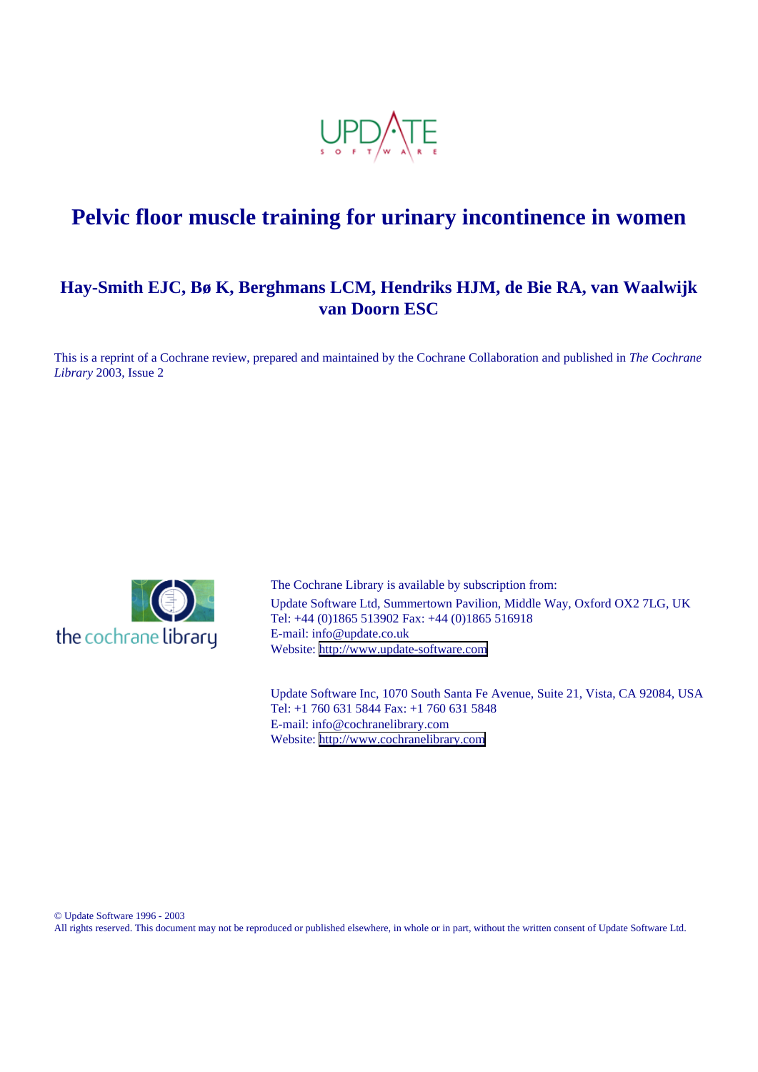

# **Pelvic floor muscle training for urinary incontinence in women**

# **Hay-Smith EJC, Bø K, Berghmans LCM, Hendriks HJM, de Bie RA, van Waalwijk van Doorn ESC**

This is a reprint of a Cochrane review, prepared and maintained by the Cochrane Collaboration and published in *The Cochrane Library* 2003, Issue 2



The Cochrane Library is available by subscription from: Update Software Ltd, Summertown Pavilion, Middle Way, Oxford OX2 7LG, UK Tel: +44 (0)1865 513902 Fax: +44 (0)1865 516918 E-mail: info@update.co.uk Website: <http://www.update-software.com>

Update Software Inc, 1070 South Santa Fe Avenue, Suite 21, Vista, CA 92084, USA Tel: +1 760 631 5844 Fax: +1 760 631 5848 E-mail: info@cochranelibrary.com Website: <http://www.cochranelibrary.com>

© Update Software 1996 - 2003

All rights reserved. This document may not be reproduced or published elsewhere, in whole or in part, without the written consent of Update Software Ltd.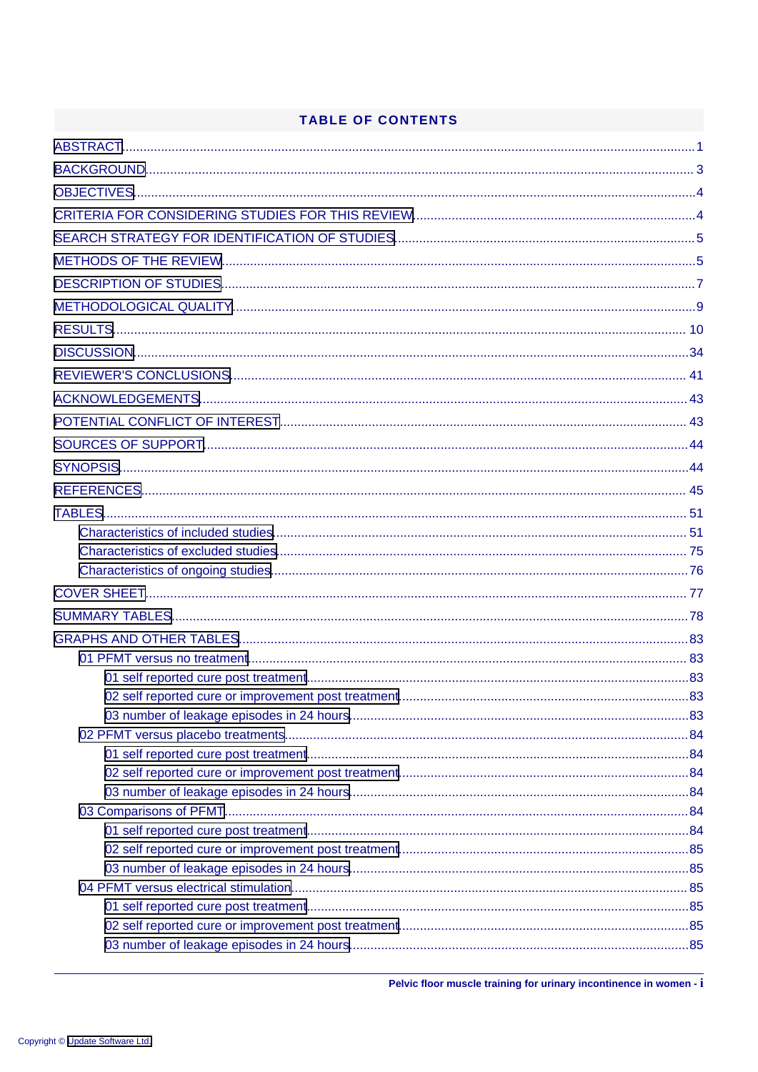# **TABLE OF CONTENTS**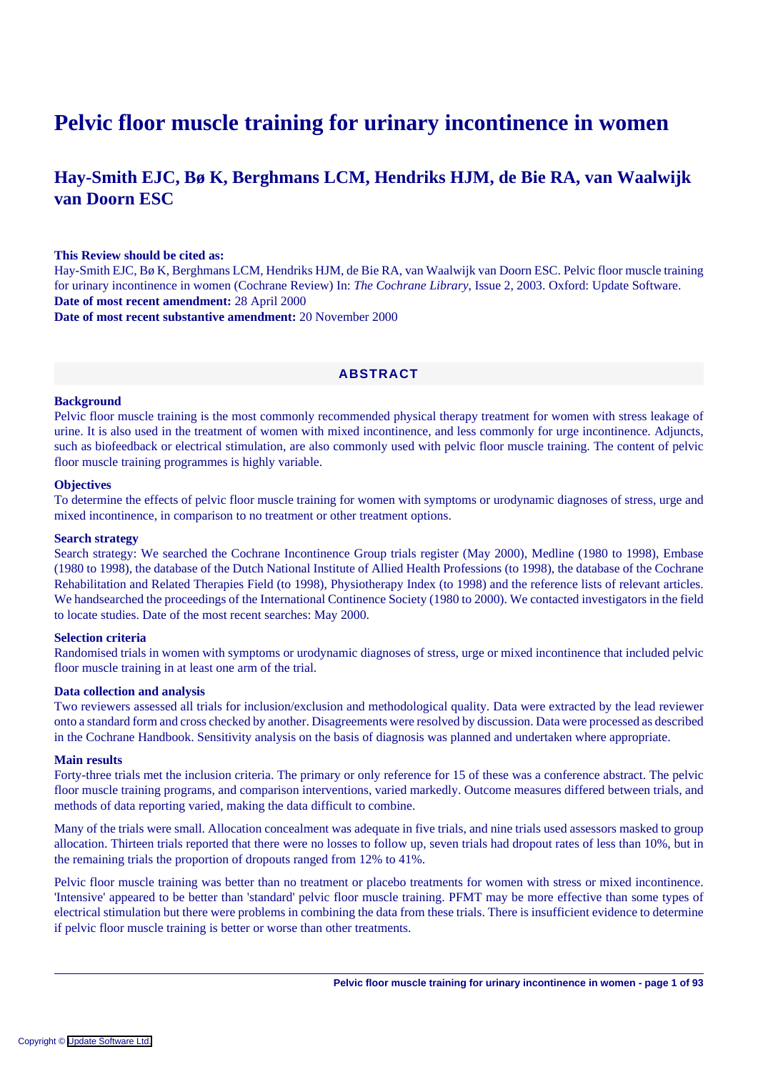# **Pelvic floor muscle training for urinary incontinence in women**

# **Hay-Smith EJC, Bø K, Berghmans LCM, Hendriks HJM, de Bie RA, van Waalwijk van Doorn ESC**

#### **This Review should be cited as:**

<span id="page-4-0"></span>Hay-Smith EJC, Bø K, Berghmans LCM, Hendriks HJM, de Bie RA, van Waalwijk van Doorn ESC. Pelvic floor muscle training for urinary incontinence in women (Cochrane Review) In: *The Cochrane Library*, Issue 2, 2003. Oxford: Update Software. **Date of most recent amendment:** 28 April 2000 **Date of most recent substantive amendment:** 20 November 2000

# **ABSTRACT**

#### **Background**

Pelvic floor muscle training is the most commonly recommended physical therapy treatment for women with stress leakage of urine. It is also used in the treatment of women with mixed incontinence, and less commonly for urge incontinence. Adjuncts, such as biofeedback or electrical stimulation, are also commonly used with pelvic floor muscle training. The content of pelvic floor muscle training programmes is highly variable.

#### **Objectives**

To determine the effects of pelvic floor muscle training for women with symptoms or urodynamic diagnoses of stress, urge and mixed incontinence, in comparison to no treatment or other treatment options.

### **Search strategy**

Search strategy: We searched the Cochrane Incontinence Group trials register (May 2000), Medline (1980 to 1998), Embase (1980 to 1998), the database of the Dutch National Institute of Allied Health Professions (to 1998), the database of the Cochrane Rehabilitation and Related Therapies Field (to 1998), Physiotherapy Index (to 1998) and the reference lists of relevant articles. We handsearched the proceedings of the International Continence Society (1980 to 2000). We contacted investigators in the field to locate studies. Date of the most recent searches: May 2000.

### **Selection criteria**

Randomised trials in women with symptoms or urodynamic diagnoses of stress, urge or mixed incontinence that included pelvic floor muscle training in at least one arm of the trial.

#### **Data collection and analysis**

Two reviewers assessed all trials for inclusion/exclusion and methodological quality. Data were extracted by the lead reviewer onto a standard form and cross checked by another. Disagreements were resolved by discussion. Data were processed as described in the Cochrane Handbook. Sensitivity analysis on the basis of diagnosis was planned and undertaken where appropriate.

### **Main results**

Forty-three trials met the inclusion criteria. The primary or only reference for 15 of these was a conference abstract. The pelvic floor muscle training programs, and comparison interventions, varied markedly. Outcome measures differed between trials, and methods of data reporting varied, making the data difficult to combine.

Many of the trials were small. Allocation concealment was adequate in five trials, and nine trials used assessors masked to group allocation. Thirteen trials reported that there were no losses to follow up, seven trials had dropout rates of less than 10%, but in the remaining trials the proportion of dropouts ranged from 12% to 41%.

Pelvic floor muscle training was better than no treatment or placebo treatments for women with stress or mixed incontinence. 'Intensive' appeared to be better than 'standard' pelvic floor muscle training. PFMT may be more effective than some types of electrical stimulation but there were problems in combining the data from these trials. There is insufficient evidence to determine if pelvic floor muscle training is better or worse than other treatments.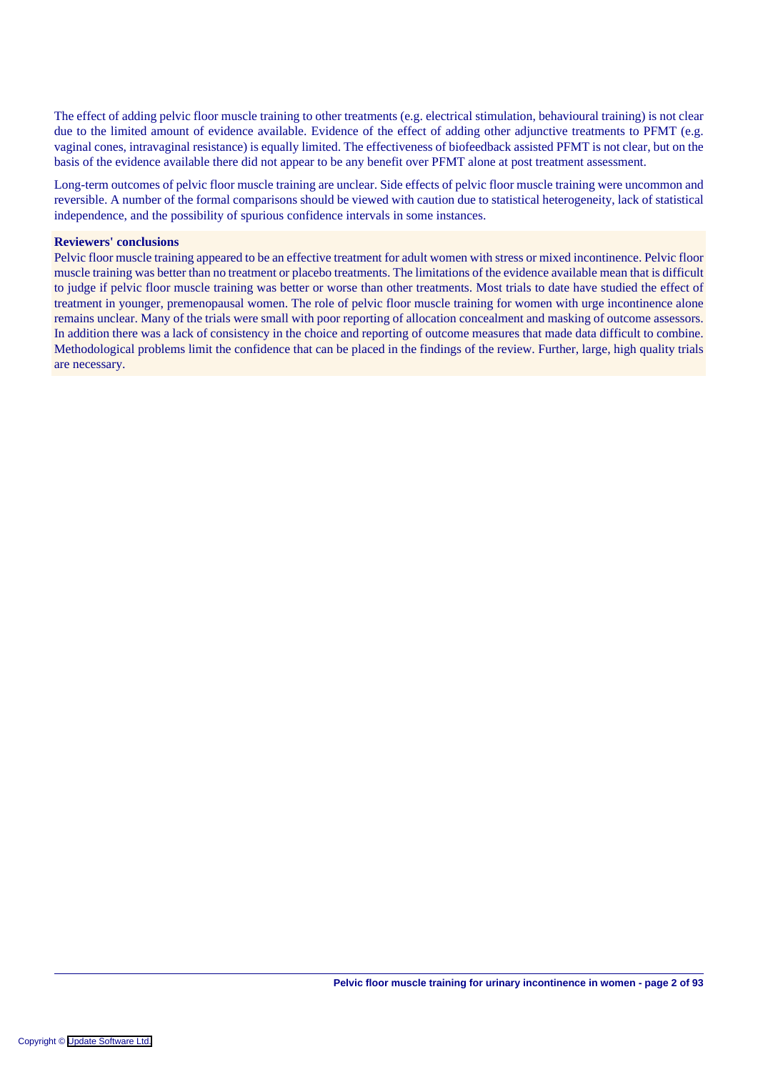The effect of adding pelvic floor muscle training to other treatments (e.g. electrical stimulation, behavioural training) is not clear due to the limited amount of evidence available. Evidence of the effect of adding other adjunctive treatments to PFMT (e.g. vaginal cones, intravaginal resistance) is equally limited. The effectiveness of biofeedback assisted PFMT is not clear, but on the basis of the evidence available there did not appear to be any benefit over PFMT alone at post treatment assessment.

Long-term outcomes of pelvic floor muscle training are unclear. Side effects of pelvic floor muscle training were uncommon and reversible. A number of the formal comparisons should be viewed with caution due to statistical heterogeneity, lack of statistical independence, and the possibility of spurious confidence intervals in some instances.

### **Reviewers' conclusions**

Pelvic floor muscle training appeared to be an effective treatment for adult women with stress or mixed incontinence. Pelvic floor muscle training was better than no treatment or placebo treatments. The limitations of the evidence available mean that is difficult to judge if pelvic floor muscle training was better or worse than other treatments. Most trials to date have studied the effect of treatment in younger, premenopausal women. The role of pelvic floor muscle training for women with urge incontinence alone remains unclear. Many of the trials were small with poor reporting of allocation concealment and masking of outcome assessors. In addition there was a lack of consistency in the choice and reporting of outcome measures that made data difficult to combine. Methodological problems limit the confidence that can be placed in the findings of the review. Further, large, high quality trials are necessary.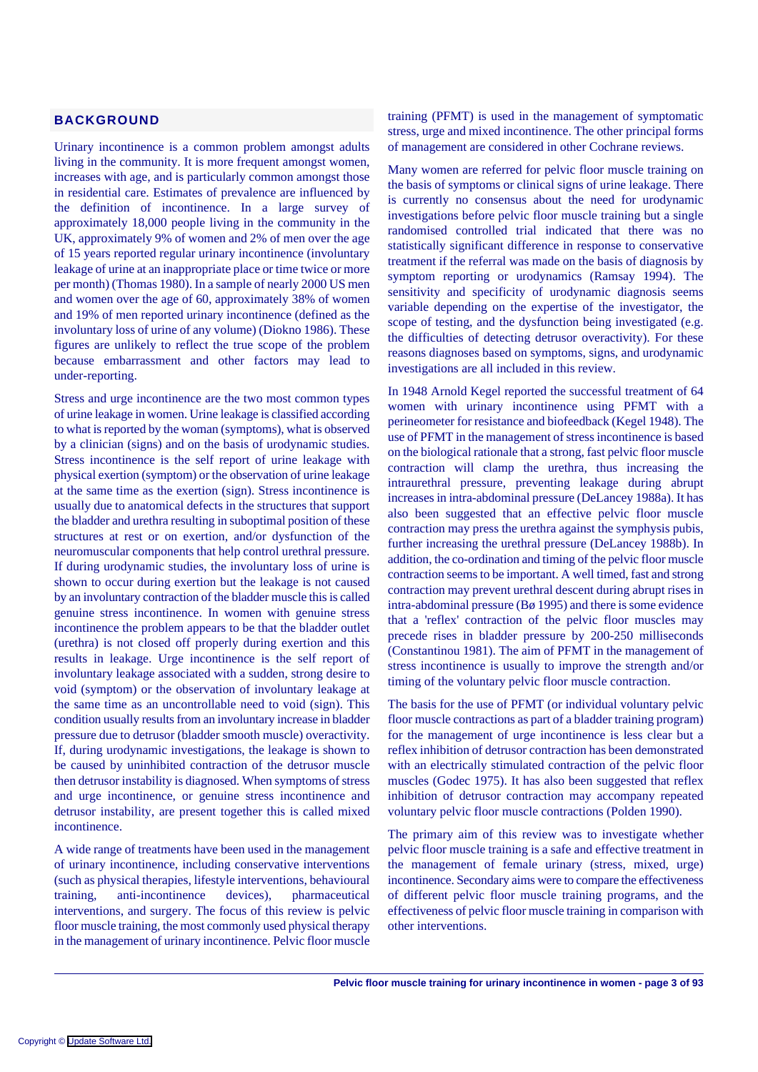# <span id="page-6-0"></span>**BACKGROUND**

Urinary incontinence is a common problem amongst adults living in the community. It is more frequent amongst women, increases with age, and is particularly common amongst those in residential care. Estimates of prevalence are influenced by the definition of incontinence. In a large survey of approximately 18,000 people living in the community in the UK, approximately 9% of women and 2% of men over the age of 15 years reported regular urinary incontinence (involuntary leakage of urine at an inappropriate place or time twice or more per month) (Thomas 1980). In a sample of nearly 2000 US men and women over the age of 60, approximately 38% of women and 19% of men reported urinary incontinence (defined as the involuntary loss of urine of any volume) (Diokno 1986). These figures are unlikely to reflect the true scope of the problem because embarrassment and other factors may lead to under-reporting.

Stress and urge incontinence are the two most common types of urine leakage in women. Urine leakage is classified according to what is reported by the woman (symptoms), what is observed by a clinician (signs) and on the basis of urodynamic studies. Stress incontinence is the self report of urine leakage with physical exertion (symptom) or the observation of urine leakage at the same time as the exertion (sign). Stress incontinence is usually due to anatomical defects in the structures that support the bladder and urethra resulting in suboptimal position of these structures at rest or on exertion, and/or dysfunction of the neuromuscular components that help control urethral pressure. If during urodynamic studies, the involuntary loss of urine is shown to occur during exertion but the leakage is not caused by an involuntary contraction of the bladder muscle this is called genuine stress incontinence. In women with genuine stress incontinence the problem appears to be that the bladder outlet (urethra) is not closed off properly during exertion and this results in leakage. Urge incontinence is the self report of involuntary leakage associated with a sudden, strong desire to void (symptom) or the observation of involuntary leakage at the same time as an uncontrollable need to void (sign). This condition usually results from an involuntary increase in bladder pressure due to detrusor (bladder smooth muscle) overactivity. If, during urodynamic investigations, the leakage is shown to be caused by uninhibited contraction of the detrusor muscle then detrusor instability is diagnosed. When symptoms of stress and urge incontinence, or genuine stress incontinence and detrusor instability, are present together this is called mixed incontinence.

A wide range of treatments have been used in the management of urinary incontinence, including conservative interventions (such as physical therapies, lifestyle interventions, behavioural training, anti-incontinence devices), pharmaceutical interventions, and surgery. The focus of this review is pelvic floor muscle training, the most commonly used physical therapy in the management of urinary incontinence. Pelvic floor muscle training (PFMT) is used in the management of symptomatic stress, urge and mixed incontinence. The other principal forms of management are considered in other Cochrane reviews.

Many women are referred for pelvic floor muscle training on the basis of symptoms or clinical signs of urine leakage. There is currently no consensus about the need for urodynamic investigations before pelvic floor muscle training but a single randomised controlled trial indicated that there was no statistically significant difference in response to conservative treatment if the referral was made on the basis of diagnosis by symptom reporting or urodynamics (Ramsay 1994). The sensitivity and specificity of urodynamic diagnosis seems variable depending on the expertise of the investigator, the scope of testing, and the dysfunction being investigated (e.g. the difficulties of detecting detrusor overactivity). For these reasons diagnoses based on symptoms, signs, and urodynamic investigations are all included in this review.

In 1948 Arnold Kegel reported the successful treatment of 64 women with urinary incontinence using PFMT with a perineometer for resistance and biofeedback (Kegel 1948). The use of PFMT in the management of stress incontinence is based on the biological rationale that a strong, fast pelvic floor muscle contraction will clamp the urethra, thus increasing the intraurethral pressure, preventing leakage during abrupt increases in intra-abdominal pressure (DeLancey 1988a). It has also been suggested that an effective pelvic floor muscle contraction may press the urethra against the symphysis pubis, further increasing the urethral pressure (DeLancey 1988b). In addition, the co-ordination and timing of the pelvic floor muscle contraction seems to be important. A well timed, fast and strong contraction may prevent urethral descent during abrupt rises in intra-abdominal pressure (Bø 1995) and there is some evidence that a 'reflex' contraction of the pelvic floor muscles may precede rises in bladder pressure by 200-250 milliseconds (Constantinou 1981). The aim of PFMT in the management of stress incontinence is usually to improve the strength and/or timing of the voluntary pelvic floor muscle contraction.

The basis for the use of PFMT (or individual voluntary pelvic floor muscle contractions as part of a bladder training program) for the management of urge incontinence is less clear but a reflex inhibition of detrusor contraction has been demonstrated with an electrically stimulated contraction of the pelvic floor muscles (Godec 1975). It has also been suggested that reflex inhibition of detrusor contraction may accompany repeated voluntary pelvic floor muscle contractions (Polden 1990).

The primary aim of this review was to investigate whether pelvic floor muscle training is a safe and effective treatment in the management of female urinary (stress, mixed, urge) incontinence. Secondary aims were to compare the effectiveness of different pelvic floor muscle training programs, and the effectiveness of pelvic floor muscle training in comparison with other interventions.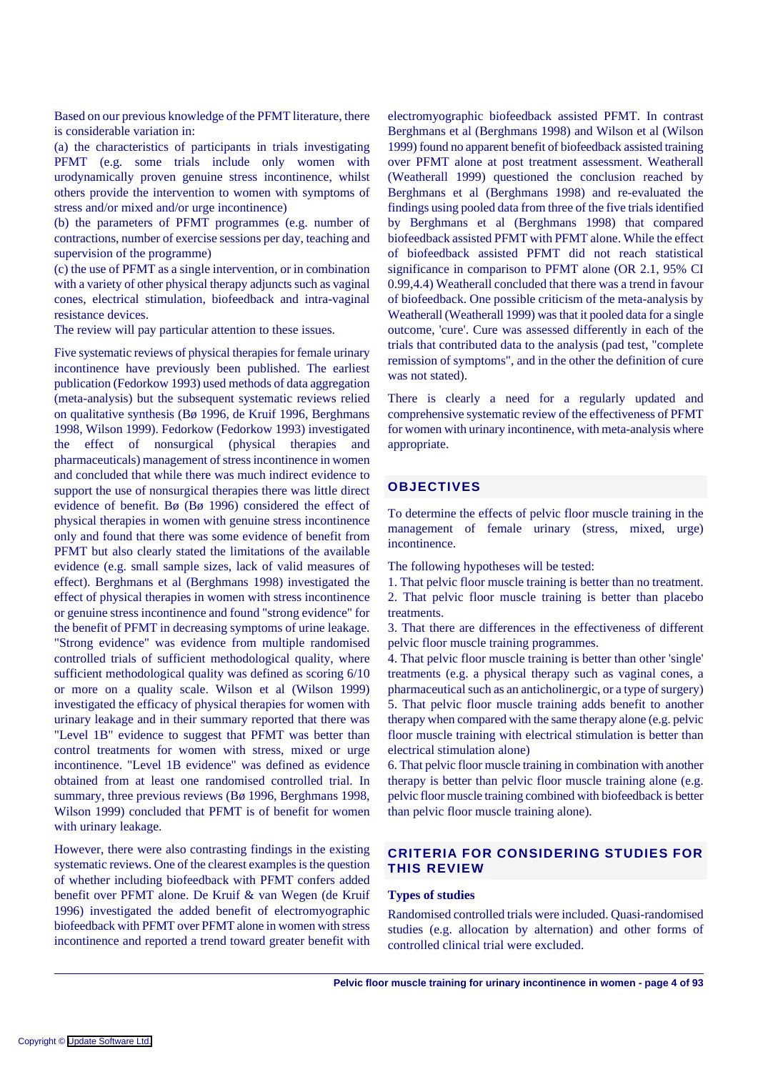(a) the characteristics of participants in trials investigating PFMT (e.g. some trials include only women with urodynamically proven genuine stress incontinence, whilst others provide the intervention to women with symptoms of stress and/or mixed and/or urge incontinence)

(b) the parameters of PFMT programmes (e.g. number of contractions, number of exercise sessions per day, teaching and supervision of the programme)

(c) the use of PFMT as a single intervention, or in combination with a variety of other physical therapy adjuncts such as vaginal cones, electrical stimulation, biofeedback and intra-vaginal resistance devices.

The review will pay particular attention to these issues.

Five systematic reviews of physical therapies for female urinary incontinence have previously been published. The earliest publication (Fedorkow 1993) used methods of data aggregation (meta-analysis) but the subsequent systematic reviews relied on qualitative synthesis (Bø 1996, de Kruif 1996, Berghmans 1998, Wilson 1999). Fedorkow (Fedorkow 1993) investigated the effect of nonsurgical (physical therapies and pharmaceuticals) management of stress incontinence in women and concluded that while there was much indirect evidence to support the use of nonsurgical therapies there was little direct evidence of benefit. Bø (Bø 1996) considered the effect of physical therapies in women with genuine stress incontinence only and found that there was some evidence of benefit from PFMT but also clearly stated the limitations of the available evidence (e.g. small sample sizes, lack of valid measures of effect). Berghmans et al (Berghmans 1998) investigated the effect of physical therapies in women with stress incontinence or genuine stress incontinence and found "strong evidence" for the benefit of PFMT in decreasing symptoms of urine leakage. "Strong evidence" was evidence from multiple randomised controlled trials of sufficient methodological quality, where sufficient methodological quality was defined as scoring 6/10 or more on a quality scale. Wilson et al (Wilson 1999) investigated the efficacy of physical therapies for women with urinary leakage and in their summary reported that there was "Level 1B" evidence to suggest that PFMT was better than control treatments for women with stress, mixed or urge incontinence. "Level 1B evidence" was defined as evidence obtained from at least one randomised controlled trial. In summary, three previous reviews (Bø 1996, Berghmans 1998, Wilson 1999) concluded that PFMT is of benefit for women with urinary leakage.

However, there were also contrasting findings in the existing systematic reviews. One of the clearest examples is the question of whether including biofeedback with PFMT confers added benefit over PFMT alone. De Kruif & van Wegen (de Kruif 1996) investigated the added benefit of electromyographic biofeedback with PFMT over PFMT alone in women with stress incontinence and reported a trend toward greater benefit with electromyographic biofeedback assisted PFMT. In contrast Berghmans et al (Berghmans 1998) and Wilson et al (Wilson 1999) found no apparent benefit of biofeedback assisted training over PFMT alone at post treatment assessment. Weatherall (Weatherall 1999) questioned the conclusion reached by Berghmans et al (Berghmans 1998) and re-evaluated the findings using pooled data from three of the five trials identified by Berghmans et al (Berghmans 1998) that compared biofeedback assisted PFMT with PFMT alone. While the effect of biofeedback assisted PFMT did not reach statistical significance in comparison to PFMT alone (OR 2.1, 95% CI 0.99,4.4) Weatherall concluded that there was a trend in favour of biofeedback. One possible criticism of the meta-analysis by Weatherall (Weatherall 1999) was that it pooled data for a single outcome, 'cure'. Cure was assessed differently in each of the trials that contributed data to the analysis (pad test, "complete remission of symptoms", and in the other the definition of cure was not stated).

<span id="page-7-0"></span>There is clearly a need for a regularly updated and comprehensive systematic review of the effectiveness of PFMT for women with urinary incontinence, with meta-analysis where appropriate.

# **OBJECTIVES**

To determine the effects of pelvic floor muscle training in the management of female urinary (stress, mixed, urge) incontinence.

The following hypotheses will be tested:

1. That pelvic floor muscle training is better than no treatment. 2. That pelvic floor muscle training is better than placebo

treatments. 3. That there are differences in the effectiveness of different pelvic floor muscle training programmes.

4. That pelvic floor muscle training is better than other 'single' treatments (e.g. a physical therapy such as vaginal cones, a pharmaceutical such as an anticholinergic, or a type of surgery) 5. That pelvic floor muscle training adds benefit to another therapy when compared with the same therapy alone (e.g. pelvic floor muscle training with electrical stimulation is better than electrical stimulation alone)

<span id="page-7-1"></span>6. That pelvic floor muscle training in combination with another therapy is better than pelvic floor muscle training alone (e.g. pelvic floor muscle training combined with biofeedback is better than pelvic floor muscle training alone).

# **CRITERIA FOR CONSIDERING STUDIES FOR THIS REVIEW**

# **Types of studies**

Randomised controlled trials were included. Quasi-randomised studies (e.g. allocation by alternation) and other forms of controlled clinical trial were excluded.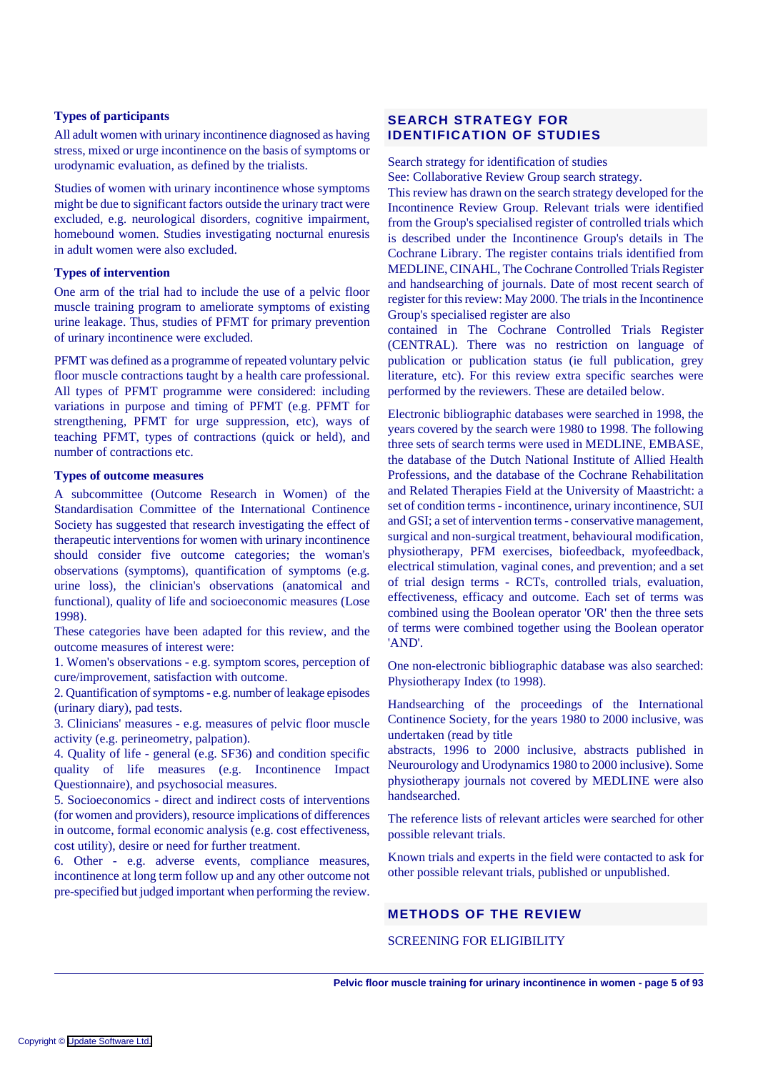### **Types of participants**

All adult women with urinary incontinence diagnosed as having stress, mixed or urge incontinence on the basis of symptoms or urodynamic evaluation, as defined by the trialists.

Studies of women with urinary incontinence whose symptoms might be due to significant factors outside the urinary tract were excluded, e.g. neurological disorders, cognitive impairment, homebound women. Studies investigating nocturnal enuresis in adult women were also excluded.

### **Types of intervention**

One arm of the trial had to include the use of a pelvic floor muscle training program to ameliorate symptoms of existing urine leakage. Thus, studies of PFMT for primary prevention of urinary incontinence were excluded.

PFMT was defined as a programme of repeated voluntary pelvic floor muscle contractions taught by a health care professional. All types of PFMT programme were considered: including variations in purpose and timing of PFMT (e.g. PFMT for strengthening, PFMT for urge suppression, etc), ways of teaching PFMT, types of contractions (quick or held), and number of contractions etc.

#### **Types of outcome measures**

A subcommittee (Outcome Research in Women) of the Standardisation Committee of the International Continence Society has suggested that research investigating the effect of therapeutic interventions for women with urinary incontinence should consider five outcome categories; the woman's observations (symptoms), quantification of symptoms (e.g. urine loss), the clinician's observations (anatomical and functional), quality of life and socioeconomic measures (Lose 1998).

These categories have been adapted for this review, and the outcome measures of interest were:

1. Women's observations - e.g. symptom scores, perception of cure/improvement, satisfaction with outcome.

2. Quantification of symptoms - e.g. number of leakage episodes (urinary diary), pad tests.

3. Clinicians' measures - e.g. measures of pelvic floor muscle activity (e.g. perineometry, palpation).

4. Quality of life - general (e.g. SF36) and condition specific quality of life measures (e.g. Incontinence Impact Questionnaire), and psychosocial measures.

5. Socioeconomics - direct and indirect costs of interventions (for women and providers), resource implications of differences in outcome, formal economic analysis (e.g. cost effectiveness, cost utility), desire or need for further treatment.

6. Other - e.g. adverse events, compliance measures, incontinence at long term follow up and any other outcome not pre-specified but judged important when performing the review.

# <span id="page-8-0"></span>**SEARCH STRATEGY FOR IDENTIFICATION OF STUDIES**

Search strategy for identification of studies

See: Collaborative Review Group search strategy.

This review has drawn on the search strategy developed for the Incontinence Review Group. Relevant trials were identified from the Group's specialised register of controlled trials which is described under the Incontinence Group's details in The Cochrane Library. The register contains trials identified from MEDLINE, CINAHL, The Cochrane Controlled Trials Register and handsearching of journals. Date of most recent search of register for this review: May 2000. The trials in the Incontinence Group's specialised register are also

contained in The Cochrane Controlled Trials Register (CENTRAL). There was no restriction on language of publication or publication status (ie full publication, grey literature, etc). For this review extra specific searches were performed by the reviewers. These are detailed below.

Electronic bibliographic databases were searched in 1998, the years covered by the search were 1980 to 1998. The following three sets of search terms were used in MEDLINE, EMBASE, the database of the Dutch National Institute of Allied Health Professions, and the database of the Cochrane Rehabilitation and Related Therapies Field at the University of Maastricht: a set of condition terms - incontinence, urinary incontinence, SUI and GSI; a set of intervention terms - conservative management, surgical and non-surgical treatment, behavioural modification, physiotherapy, PFM exercises, biofeedback, myofeedback, electrical stimulation, vaginal cones, and prevention; and a set of trial design terms - RCTs, controlled trials, evaluation, effectiveness, efficacy and outcome. Each set of terms was combined using the Boolean operator 'OR' then the three sets of terms were combined together using the Boolean operator 'AND'.

One non-electronic bibliographic database was also searched: Physiotherapy Index (to 1998).

Handsearching of the proceedings of the International Continence Society, for the years 1980 to 2000 inclusive, was undertaken (read by title

abstracts, 1996 to 2000 inclusive, abstracts published in Neurourology and Urodynamics 1980 to 2000 inclusive). Some physiotherapy journals not covered by MEDLINE were also handsearched.

<span id="page-8-1"></span>The reference lists of relevant articles were searched for other possible relevant trials.

Known trials and experts in the field were contacted to ask for other possible relevant trials, published or unpublished.

# **METHODS OF THE REVIEW**

# SCREENING FOR ELIGIBILITY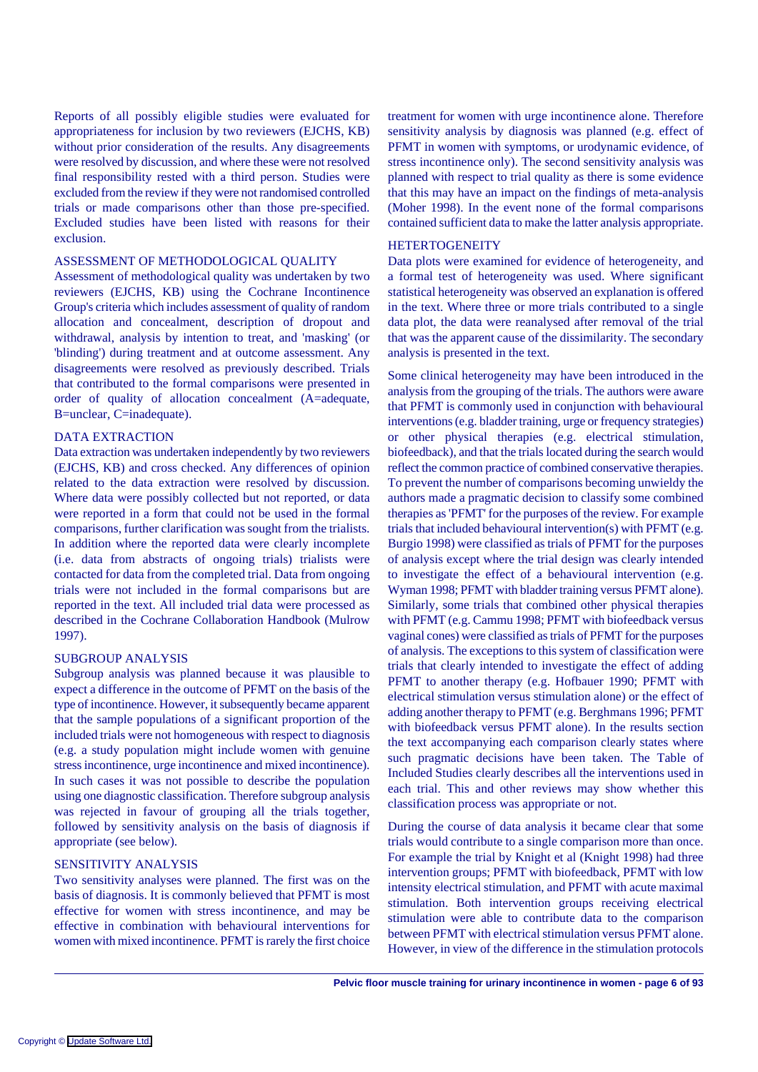Reports of all possibly eligible studies were evaluated for appropriateness for inclusion by two reviewers (EJCHS, KB) without prior consideration of the results. Any disagreements were resolved by discussion, and where these were not resolved final responsibility rested with a third person. Studies were excluded from the review if they were not randomised controlled trials or made comparisons other than those pre-specified. Excluded studies have been listed with reasons for their exclusion.

# ASSESSMENT OF METHODOLOGICAL QUALITY

Assessment of methodological quality was undertaken by two reviewers (EJCHS, KB) using the Cochrane Incontinence Group's criteria which includes assessment of quality of random allocation and concealment, description of dropout and withdrawal, analysis by intention to treat, and 'masking' (or 'blinding') during treatment and at outcome assessment. Any disagreements were resolved as previously described. Trials that contributed to the formal comparisons were presented in order of quality of allocation concealment (A=adequate, B=unclear, C=inadequate).

### DATA EXTRACTION

Data extraction was undertaken independently by two reviewers (EJCHS, KB) and cross checked. Any differences of opinion related to the data extraction were resolved by discussion. Where data were possibly collected but not reported, or data were reported in a form that could not be used in the formal comparisons, further clarification was sought from the trialists. In addition where the reported data were clearly incomplete (i.e. data from abstracts of ongoing trials) trialists were contacted for data from the completed trial. Data from ongoing trials were not included in the formal comparisons but are reported in the text. All included trial data were processed as described in the Cochrane Collaboration Handbook (Mulrow 1997).

#### SUBGROUP ANALYSIS

Subgroup analysis was planned because it was plausible to expect a difference in the outcome of PFMT on the basis of the type of incontinence. However, it subsequently became apparent that the sample populations of a significant proportion of the included trials were not homogeneous with respect to diagnosis (e.g. a study population might include women with genuine stress incontinence, urge incontinence and mixed incontinence). In such cases it was not possible to describe the population using one diagnostic classification. Therefore subgroup analysis was rejected in favour of grouping all the trials together, followed by sensitivity analysis on the basis of diagnosis if appropriate (see below).

### SENSITIVITY ANALYSIS

Two sensitivity analyses were planned. The first was on the basis of diagnosis. It is commonly believed that PFMT is most effective for women with stress incontinence, and may be effective in combination with behavioural interventions for women with mixed incontinence. PFMT is rarely the first choice

treatment for women with urge incontinence alone. Therefore sensitivity analysis by diagnosis was planned (e.g. effect of PFMT in women with symptoms, or urodynamic evidence, of stress incontinence only). The second sensitivity analysis was planned with respect to trial quality as there is some evidence that this may have an impact on the findings of meta-analysis (Moher 1998). In the event none of the formal comparisons contained sufficient data to make the latter analysis appropriate.

#### **HETERTOGENEITY**

Data plots were examined for evidence of heterogeneity, and a formal test of heterogeneity was used. Where significant statistical heterogeneity was observed an explanation is offered in the text. Where three or more trials contributed to a single data plot, the data were reanalysed after removal of the trial that was the apparent cause of the dissimilarity. The secondary analysis is presented in the text.

Some clinical heterogeneity may have been introduced in the analysis from the grouping of the trials. The authors were aware that PFMT is commonly used in conjunction with behavioural interventions (e.g. bladder training, urge or frequency strategies) or other physical therapies (e.g. electrical stimulation, biofeedback), and that the trials located during the search would reflect the common practice of combined conservative therapies. To prevent the number of comparisons becoming unwieldy the authors made a pragmatic decision to classify some combined therapies as 'PFMT' for the purposes of the review. For example trials that included behavioural intervention(s) with PFMT (e.g. Burgio 1998) were classified as trials of PFMT for the purposes of analysis except where the trial design was clearly intended to investigate the effect of a behavioural intervention (e.g. Wyman 1998; PFMT with bladder training versus PFMT alone). Similarly, some trials that combined other physical therapies with PFMT (e.g. Cammu 1998; PFMT with biofeedback versus vaginal cones) were classified as trials of PFMT for the purposes of analysis. The exceptions to this system of classification were trials that clearly intended to investigate the effect of adding PFMT to another therapy (e.g. Hofbauer 1990; PFMT with electrical stimulation versus stimulation alone) or the effect of adding another therapy to PFMT (e.g. Berghmans 1996; PFMT with biofeedback versus PFMT alone). In the results section the text accompanying each comparison clearly states where such pragmatic decisions have been taken. The Table of Included Studies clearly describes all the interventions used in each trial. This and other reviews may show whether this classification process was appropriate or not.

During the course of data analysis it became clear that some trials would contribute to a single comparison more than once. For example the trial by Knight et al (Knight 1998) had three intervention groups; PFMT with biofeedback, PFMT with low intensity electrical stimulation, and PFMT with acute maximal stimulation. Both intervention groups receiving electrical stimulation were able to contribute data to the comparison between PFMT with electrical stimulation versus PFMT alone. However, in view of the difference in the stimulation protocols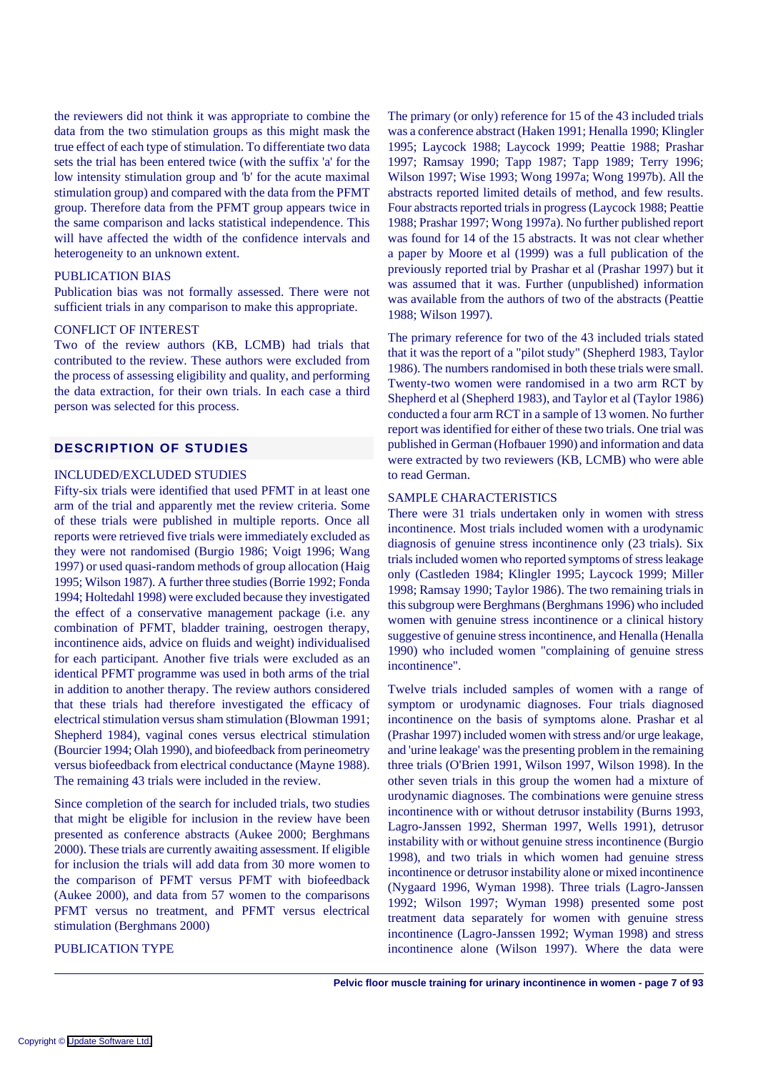the reviewers did not think it was appropriate to combine the data from the two stimulation groups as this might mask the true effect of each type of stimulation. To differentiate two data sets the trial has been entered twice (with the suffix 'a' for the low intensity stimulation group and 'b' for the acute maximal stimulation group) and compared with the data from the PFMT group. Therefore data from the PFMT group appears twice in the same comparison and lacks statistical independence. This will have affected the width of the confidence intervals and heterogeneity to an unknown extent.

### PUBLICATION BIAS

Publication bias was not formally assessed. There were not sufficient trials in any comparison to make this appropriate.

### CONFLICT OF INTEREST

Two of the review authors (KB, LCMB) had trials that contributed to the review. These authors were excluded from the process of assessing eligibility and quality, and performing the data extraction, for their own trials. In each case a third person was selected for this process.

# <span id="page-10-0"></span>**DESCRIPTION OF STUDIES**

#### INCLUDED/EXCLUDED STUDIES

Fifty-six trials were identified that used PFMT in at least one arm of the trial and apparently met the review criteria. Some of these trials were published in multiple reports. Once all reports were retrieved five trials were immediately excluded as they were not randomised (Burgio 1986; Voigt 1996; Wang 1997) or used quasi-random methods of group allocation (Haig 1995; Wilson 1987). A further three studies (Borrie 1992; Fonda 1994; Holtedahl 1998) were excluded because they investigated the effect of a conservative management package (i.e. any combination of PFMT, bladder training, oestrogen therapy, incontinence aids, advice on fluids and weight) individualised for each participant. Another five trials were excluded as an identical PFMT programme was used in both arms of the trial in addition to another therapy. The review authors considered that these trials had therefore investigated the efficacy of electrical stimulation versus sham stimulation (Blowman 1991; Shepherd 1984), vaginal cones versus electrical stimulation (Bourcier 1994; Olah 1990), and biofeedback from perineometry versus biofeedback from electrical conductance (Mayne 1988). The remaining 43 trials were included in the review.

Since completion of the search for included trials, two studies that might be eligible for inclusion in the review have been presented as conference abstracts (Aukee 2000; Berghmans 2000). These trials are currently awaiting assessment. If eligible for inclusion the trials will add data from 30 more women to the comparison of PFMT versus PFMT with biofeedback (Aukee 2000), and data from 57 women to the comparisons PFMT versus no treatment, and PFMT versus electrical stimulation (Berghmans 2000)

### PUBLICATION TYPE

The primary (or only) reference for 15 of the 43 included trials was a conference abstract (Haken 1991; Henalla 1990; Klingler 1995; Laycock 1988; Laycock 1999; Peattie 1988; Prashar 1997; Ramsay 1990; Tapp 1987; Tapp 1989; Terry 1996; Wilson 1997; Wise 1993; Wong 1997a; Wong 1997b). All the abstracts reported limited details of method, and few results. Four abstracts reported trials in progress (Laycock 1988; Peattie 1988; Prashar 1997; Wong 1997a). No further published report was found for 14 of the 15 abstracts. It was not clear whether a paper by Moore et al (1999) was a full publication of the previously reported trial by Prashar et al (Prashar 1997) but it was assumed that it was. Further (unpublished) information was available from the authors of two of the abstracts (Peattie 1988; Wilson 1997).

The primary reference for two of the 43 included trials stated that it was the report of a "pilot study" (Shepherd 1983, Taylor 1986). The numbers randomised in both these trials were small. Twenty-two women were randomised in a two arm RCT by Shepherd et al (Shepherd 1983), and Taylor et al (Taylor 1986) conducted a four arm RCT in a sample of 13 women. No further report was identified for either of these two trials. One trial was published in German (Hofbauer 1990) and information and data were extracted by two reviewers (KB, LCMB) who were able to read German.

# SAMPLE CHARACTERISTICS

There were 31 trials undertaken only in women with stress incontinence. Most trials included women with a urodynamic diagnosis of genuine stress incontinence only (23 trials). Six trials included women who reported symptoms of stress leakage only (Castleden 1984; Klingler 1995; Laycock 1999; Miller 1998; Ramsay 1990; Taylor 1986). The two remaining trials in this subgroup were Berghmans (Berghmans 1996) who included women with genuine stress incontinence or a clinical history suggestive of genuine stress incontinence, and Henalla (Henalla 1990) who included women "complaining of genuine stress incontinence".

Twelve trials included samples of women with a range of symptom or urodynamic diagnoses. Four trials diagnosed incontinence on the basis of symptoms alone. Prashar et al (Prashar 1997) included women with stress and/or urge leakage, and 'urine leakage' was the presenting problem in the remaining three trials (O'Brien 1991, Wilson 1997, Wilson 1998). In the other seven trials in this group the women had a mixture of urodynamic diagnoses. The combinations were genuine stress incontinence with or without detrusor instability (Burns 1993, Lagro-Janssen 1992, Sherman 1997, Wells 1991), detrusor instability with or without genuine stress incontinence (Burgio 1998), and two trials in which women had genuine stress incontinence or detrusor instability alone or mixed incontinence (Nygaard 1996, Wyman 1998). Three trials (Lagro-Janssen 1992; Wilson 1997; Wyman 1998) presented some post treatment data separately for women with genuine stress incontinence (Lagro-Janssen 1992; Wyman 1998) and stress incontinence alone (Wilson 1997). Where the data were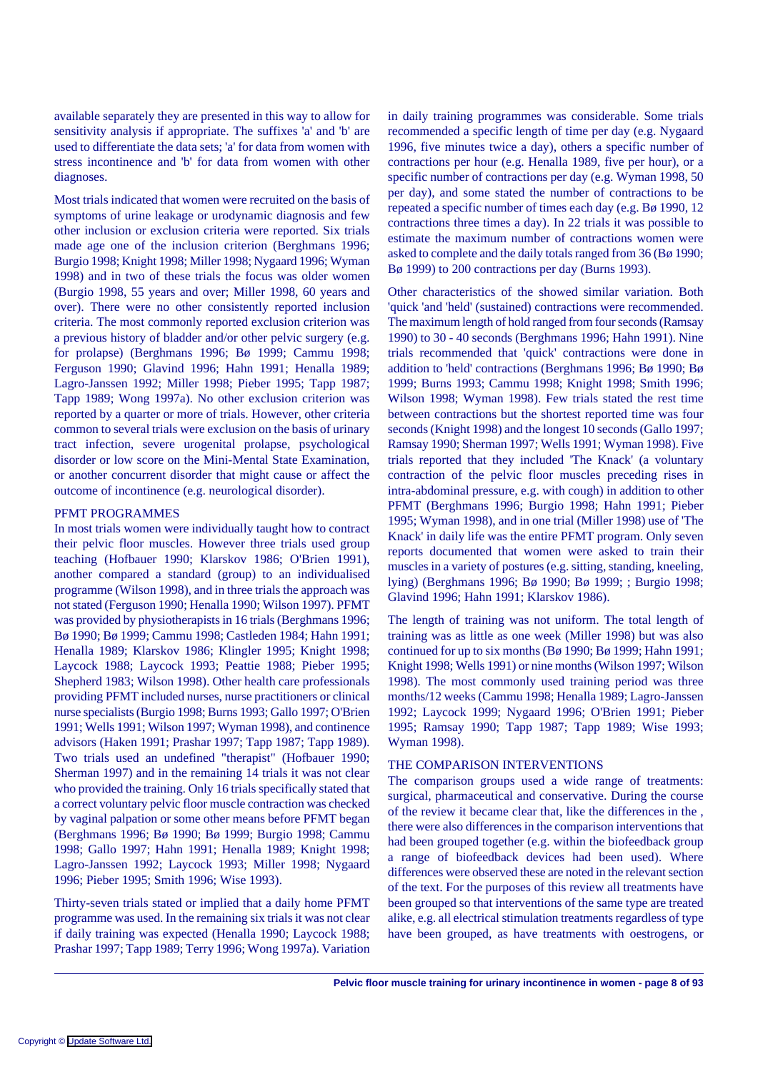available separately they are presented in this way to allow for sensitivity analysis if appropriate. The suffixes 'a' and 'b' are used to differentiate the data sets; 'a' for data from women with stress incontinence and 'b' for data from women with other diagnoses.

Most trials indicated that women were recruited on the basis of symptoms of urine leakage or urodynamic diagnosis and few other inclusion or exclusion criteria were reported. Six trials made age one of the inclusion criterion (Berghmans 1996; Burgio 1998; Knight 1998; Miller 1998; Nygaard 1996; Wyman 1998) and in two of these trials the focus was older women (Burgio 1998, 55 years and over; Miller 1998, 60 years and over). There were no other consistently reported inclusion criteria. The most commonly reported exclusion criterion was a previous history of bladder and/or other pelvic surgery (e.g. for prolapse) (Berghmans 1996; Bø 1999; Cammu 1998; Ferguson 1990; Glavind 1996; Hahn 1991; Henalla 1989; Lagro-Janssen 1992; Miller 1998; Pieber 1995; Tapp 1987; Tapp 1989; Wong 1997a). No other exclusion criterion was reported by a quarter or more of trials. However, other criteria common to several trials were exclusion on the basis of urinary tract infection, severe urogenital prolapse, psychological disorder or low score on the Mini-Mental State Examination, or another concurrent disorder that might cause or affect the outcome of incontinence (e.g. neurological disorder).

# PFMT PROGRAMMES

In most trials women were individually taught how to contract their pelvic floor muscles. However three trials used group teaching (Hofbauer 1990; Klarskov 1986; O'Brien 1991), another compared a standard (group) to an individualised programme (Wilson 1998), and in three trials the approach was not stated (Ferguson 1990; Henalla 1990; Wilson 1997). PFMT was provided by physiotherapists in 16 trials (Berghmans 1996; Bø 1990; Bø 1999; Cammu 1998; Castleden 1984; Hahn 1991; Henalla 1989; Klarskov 1986; Klingler 1995; Knight 1998; Laycock 1988; Laycock 1993; Peattie 1988; Pieber 1995; Shepherd 1983; Wilson 1998). Other health care professionals providing PFMT included nurses, nurse practitioners or clinical nurse specialists (Burgio 1998; Burns 1993; Gallo 1997; O'Brien 1991; Wells 1991; Wilson 1997; Wyman 1998), and continence advisors (Haken 1991; Prashar 1997; Tapp 1987; Tapp 1989). Two trials used an undefined "therapist" (Hofbauer 1990; Sherman 1997) and in the remaining 14 trials it was not clear who provided the training. Only 16 trials specifically stated that a correct voluntary pelvic floor muscle contraction was checked by vaginal palpation or some other means before PFMT began (Berghmans 1996; Bø 1990; Bø 1999; Burgio 1998; Cammu 1998; Gallo 1997; Hahn 1991; Henalla 1989; Knight 1998; Lagro-Janssen 1992; Laycock 1993; Miller 1998; Nygaard 1996; Pieber 1995; Smith 1996; Wise 1993).

Thirty-seven trials stated or implied that a daily home PFMT programme was used. In the remaining six trials it was not clear if daily training was expected (Henalla 1990; Laycock 1988; Prashar 1997; Tapp 1989; Terry 1996; Wong 1997a). Variation in daily training programmes was considerable. Some trials recommended a specific length of time per day (e.g. Nygaard 1996, five minutes twice a day), others a specific number of contractions per hour (e.g. Henalla 1989, five per hour), or a specific number of contractions per day (e.g. Wyman 1998, 50 per day), and some stated the number of contractions to be repeated a specific number of times each day (e.g. Bø 1990, 12 contractions three times a day). In 22 trials it was possible to estimate the maximum number of contractions women were asked to complete and the daily totals ranged from 36 (Bø 1990; Bø 1999) to 200 contractions per day (Burns 1993).

Other characteristics of the showed similar variation. Both 'quick 'and 'held' (sustained) contractions were recommended. The maximum length of hold ranged from four seconds (Ramsay 1990) to 30 - 40 seconds (Berghmans 1996; Hahn 1991). Nine trials recommended that 'quick' contractions were done in addition to 'held' contractions (Berghmans 1996; Bø 1990; Bø 1999; Burns 1993; Cammu 1998; Knight 1998; Smith 1996; Wilson 1998; Wyman 1998). Few trials stated the rest time between contractions but the shortest reported time was four seconds (Knight 1998) and the longest 10 seconds (Gallo 1997; Ramsay 1990; Sherman 1997; Wells 1991; Wyman 1998). Five trials reported that they included 'The Knack' (a voluntary contraction of the pelvic floor muscles preceding rises in intra-abdominal pressure, e.g. with cough) in addition to other PFMT (Berghmans 1996; Burgio 1998; Hahn 1991; Pieber 1995; Wyman 1998), and in one trial (Miller 1998) use of 'The Knack' in daily life was the entire PFMT program. Only seven reports documented that women were asked to train their muscles in a variety of postures (e.g. sitting, standing, kneeling, lying) (Berghmans 1996; Bø 1990; Bø 1999; ; Burgio 1998; Glavind 1996; Hahn 1991; Klarskov 1986).

The length of training was not uniform. The total length of training was as little as one week (Miller 1998) but was also continued for up to six months (Bø 1990; Bø 1999; Hahn 1991; Knight 1998; Wells 1991) or nine months (Wilson 1997; Wilson 1998). The most commonly used training period was three months/12 weeks (Cammu 1998; Henalla 1989; Lagro-Janssen 1992; Laycock 1999; Nygaard 1996; O'Brien 1991; Pieber 1995; Ramsay 1990; Tapp 1987; Tapp 1989; Wise 1993; Wyman 1998).

### THE COMPARISON INTERVENTIONS

The comparison groups used a wide range of treatments: surgical, pharmaceutical and conservative. During the course of the review it became clear that, like the differences in the , there were also differences in the comparison interventions that had been grouped together (e.g. within the biofeedback group a range of biofeedback devices had been used). Where differences were observed these are noted in the relevant section of the text. For the purposes of this review all treatments have been grouped so that interventions of the same type are treated alike, e.g. all electrical stimulation treatments regardless of type have been grouped, as have treatments with oestrogens, or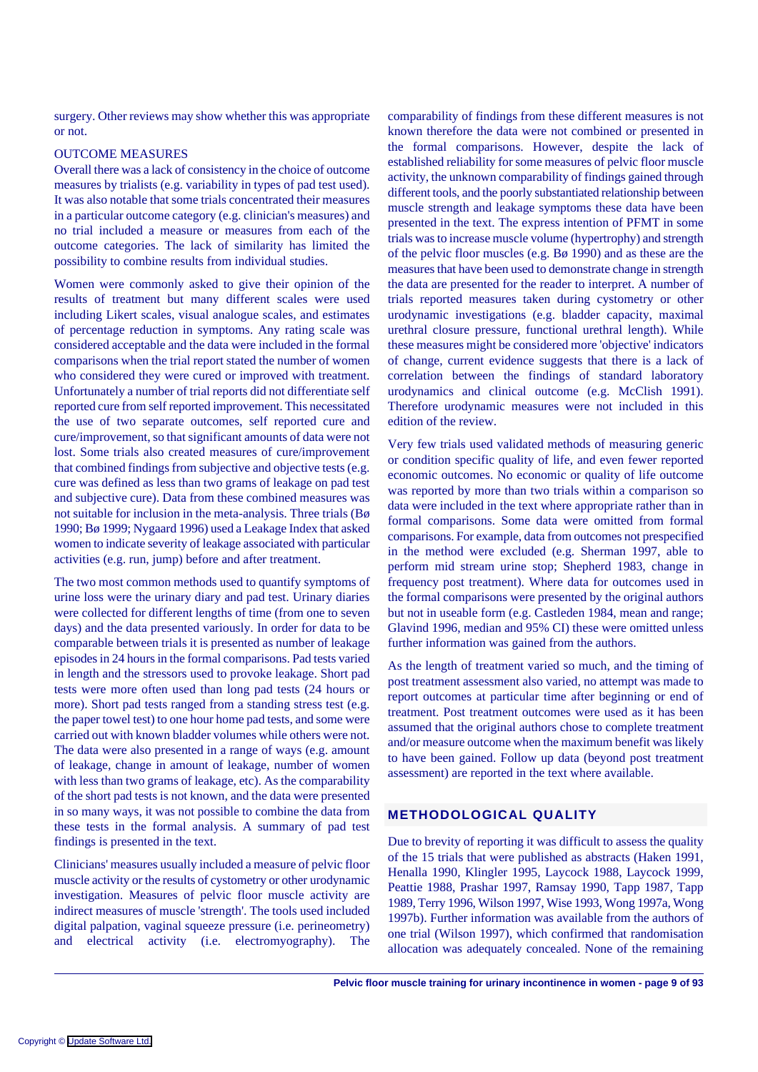surgery. Other reviews may show whether this was appropriate or not.

# OUTCOME MEASURES

Overall there was a lack of consistency in the choice of outcome measures by trialists (e.g. variability in types of pad test used). It was also notable that some trials concentrated their measures in a particular outcome category (e.g. clinician's measures) and no trial included a measure or measures from each of the outcome categories. The lack of similarity has limited the possibility to combine results from individual studies.

Women were commonly asked to give their opinion of the results of treatment but many different scales were used including Likert scales, visual analogue scales, and estimates of percentage reduction in symptoms. Any rating scale was considered acceptable and the data were included in the formal comparisons when the trial report stated the number of women who considered they were cured or improved with treatment. Unfortunately a number of trial reports did not differentiate self reported cure from self reported improvement. This necessitated the use of two separate outcomes, self reported cure and cure/improvement, so that significant amounts of data were not lost. Some trials also created measures of cure/improvement that combined findings from subjective and objective tests (e.g. cure was defined as less than two grams of leakage on pad test and subjective cure). Data from these combined measures was not suitable for inclusion in the meta-analysis. Three trials (Bø 1990; Bø 1999; Nygaard 1996) used a Leakage Index that asked women to indicate severity of leakage associated with particular activities (e.g. run, jump) before and after treatment.

The two most common methods used to quantify symptoms of urine loss were the urinary diary and pad test. Urinary diaries were collected for different lengths of time (from one to seven days) and the data presented variously. In order for data to be comparable between trials it is presented as number of leakage episodes in 24 hours in the formal comparisons. Pad tests varied in length and the stressors used to provoke leakage. Short pad tests were more often used than long pad tests (24 hours or more). Short pad tests ranged from a standing stress test (e.g. the paper towel test) to one hour home pad tests, and some were carried out with known bladder volumes while others were not. The data were also presented in a range of ways (e.g. amount of leakage, change in amount of leakage, number of women with less than two grams of leakage, etc). As the comparability of the short pad tests is not known, and the data were presented in so many ways, it was not possible to combine the data from these tests in the formal analysis. A summary of pad test findings is presented in the text.

Clinicians' measures usually included a measure of pelvic floor muscle activity or the results of cystometry or other urodynamic investigation. Measures of pelvic floor muscle activity are indirect measures of muscle 'strength'. The tools used included digital palpation, vaginal squeeze pressure (i.e. perineometry) and electrical activity (i.e. electromyography). The comparability of findings from these different measures is not known therefore the data were not combined or presented in the formal comparisons. However, despite the lack of established reliability for some measures of pelvic floor muscle activity, the unknown comparability of findings gained through different tools, and the poorly substantiated relationship between muscle strength and leakage symptoms these data have been presented in the text. The express intention of PFMT in some trials was to increase muscle volume (hypertrophy) and strength of the pelvic floor muscles (e.g. Bø 1990) and as these are the measures that have been used to demonstrate change in strength the data are presented for the reader to interpret. A number of trials reported measures taken during cystometry or other urodynamic investigations (e.g. bladder capacity, maximal urethral closure pressure, functional urethral length). While these measures might be considered more 'objective' indicators of change, current evidence suggests that there is a lack of correlation between the findings of standard laboratory urodynamics and clinical outcome (e.g. McClish 1991). Therefore urodynamic measures were not included in this edition of the review.

Very few trials used validated methods of measuring generic or condition specific quality of life, and even fewer reported economic outcomes. No economic or quality of life outcome was reported by more than two trials within a comparison so data were included in the text where appropriate rather than in formal comparisons. Some data were omitted from formal comparisons. For example, data from outcomes not prespecified in the method were excluded (e.g. Sherman 1997, able to perform mid stream urine stop; Shepherd 1983, change in frequency post treatment). Where data for outcomes used in the formal comparisons were presented by the original authors but not in useable form (e.g. Castleden 1984, mean and range; Glavind 1996, median and 95% CI) these were omitted unless further information was gained from the authors.

<span id="page-12-0"></span>As the length of treatment varied so much, and the timing of post treatment assessment also varied, no attempt was made to report outcomes at particular time after beginning or end of treatment. Post treatment outcomes were used as it has been assumed that the original authors chose to complete treatment and/or measure outcome when the maximum benefit was likely to have been gained. Follow up data (beyond post treatment assessment) are reported in the text where available.

# **METHODOLOGICAL QUALITY**

Due to brevity of reporting it was difficult to assess the quality of the 15 trials that were published as abstracts (Haken 1991, Henalla 1990, Klingler 1995, Laycock 1988, Laycock 1999, Peattie 1988, Prashar 1997, Ramsay 1990, Tapp 1987, Tapp 1989, Terry 1996, Wilson 1997, Wise 1993, Wong 1997a, Wong 1997b). Further information was available from the authors of one trial (Wilson 1997), which confirmed that randomisation allocation was adequately concealed. None of the remaining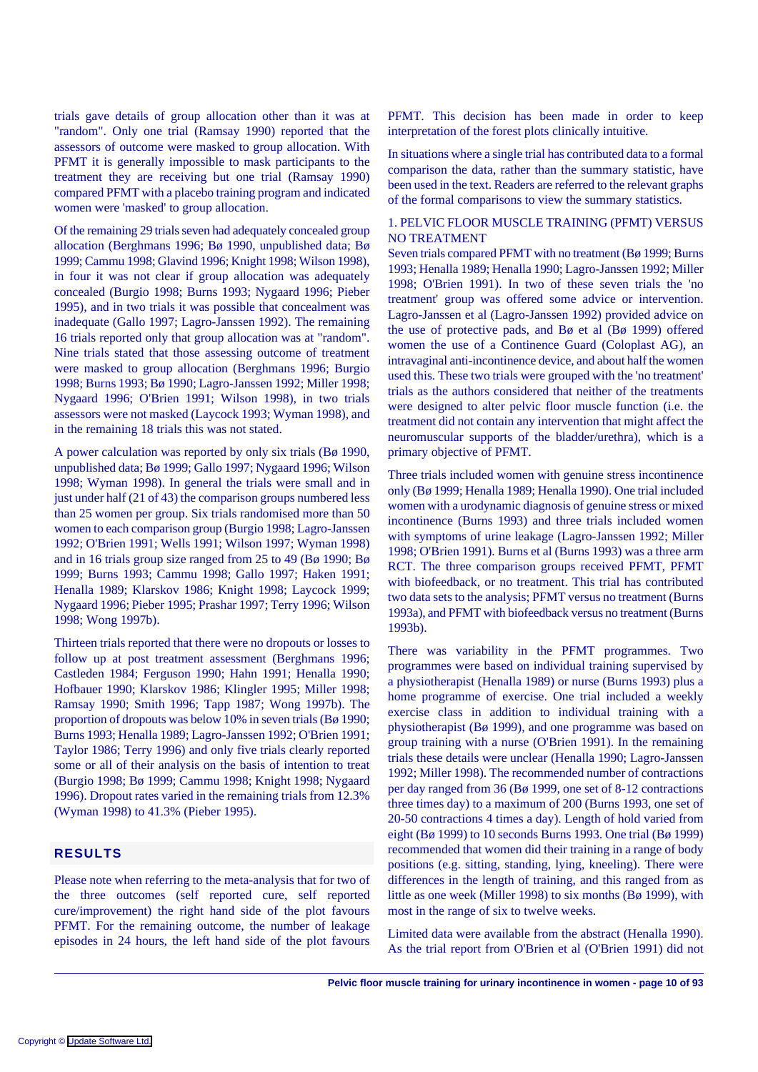trials gave details of group allocation other than it was at "random". Only one trial (Ramsay 1990) reported that the assessors of outcome were masked to group allocation. With PFMT it is generally impossible to mask participants to the treatment they are receiving but one trial (Ramsay 1990) compared PFMT with a placebo training program and indicated women were 'masked' to group allocation.

Of the remaining 29 trials seven had adequately concealed group allocation (Berghmans 1996; Bø 1990, unpublished data; Bø 1999; Cammu 1998; Glavind 1996; Knight 1998; Wilson 1998), in four it was not clear if group allocation was adequately concealed (Burgio 1998; Burns 1993; Nygaard 1996; Pieber 1995), and in two trials it was possible that concealment was inadequate (Gallo 1997; Lagro-Janssen 1992). The remaining 16 trials reported only that group allocation was at "random". Nine trials stated that those assessing outcome of treatment were masked to group allocation (Berghmans 1996; Burgio 1998; Burns 1993; Bø 1990; Lagro-Janssen 1992; Miller 1998; Nygaard 1996; O'Brien 1991; Wilson 1998), in two trials assessors were not masked (Laycock 1993; Wyman 1998), and in the remaining 18 trials this was not stated.

A power calculation was reported by only six trials (Bø 1990, unpublished data; Bø 1999; Gallo 1997; Nygaard 1996; Wilson 1998; Wyman 1998). In general the trials were small and in just under half (21 of 43) the comparison groups numbered less than 25 women per group. Six trials randomised more than 50 women to each comparison group (Burgio 1998; Lagro-Janssen 1992; O'Brien 1991; Wells 1991; Wilson 1997; Wyman 1998) and in 16 trials group size ranged from 25 to 49 (Bø 1990; Bø 1999; Burns 1993; Cammu 1998; Gallo 1997; Haken 1991; Henalla 1989; Klarskov 1986; Knight 1998; Laycock 1999; Nygaard 1996; Pieber 1995; Prashar 1997; Terry 1996; Wilson 1998; Wong 1997b).

Thirteen trials reported that there were no dropouts or losses to follow up at post treatment assessment (Berghmans 1996; Castleden 1984; Ferguson 1990; Hahn 1991; Henalla 1990; Hofbauer 1990; Klarskov 1986; Klingler 1995; Miller 1998; Ramsay 1990; Smith 1996; Tapp 1987; Wong 1997b). The proportion of dropouts was below 10% in seven trials (Bø 1990; Burns 1993; Henalla 1989; Lagro-Janssen 1992; O'Brien 1991; Taylor 1986; Terry 1996) and only five trials clearly reported some or all of their analysis on the basis of intention to treat (Burgio 1998; Bø 1999; Cammu 1998; Knight 1998; Nygaard 1996). Dropout rates varied in the remaining trials from 12.3% (Wyman 1998) to 41.3% (Pieber 1995).

# <span id="page-13-0"></span>**RESULTS**

Please note when referring to the meta-analysis that for two of the three outcomes (self reported cure, self reported cure/improvement) the right hand side of the plot favours PFMT. For the remaining outcome, the number of leakage episodes in 24 hours, the left hand side of the plot favours PFMT. This decision has been made in order to keep interpretation of the forest plots clinically intuitive.

In situations where a single trial has contributed data to a formal comparison the data, rather than the summary statistic, have been used in the text. Readers are referred to the relevant graphs of the formal comparisons to view the summary statistics.

### 1. PELVIC FLOOR MUSCLE TRAINING (PFMT) VERSUS NO TREATMENT

Seven trials compared PFMT with no treatment (Bø 1999; Burns 1993; Henalla 1989; Henalla 1990; Lagro-Janssen 1992; Miller 1998; O'Brien 1991). In two of these seven trials the 'no treatment' group was offered some advice or intervention. Lagro-Janssen et al (Lagro-Janssen 1992) provided advice on the use of protective pads, and Bø et al (Bø 1999) offered women the use of a Continence Guard (Coloplast AG), an intravaginal anti-incontinence device, and about half the women used this. These two trials were grouped with the 'no treatment' trials as the authors considered that neither of the treatments were designed to alter pelvic floor muscle function (i.e. the treatment did not contain any intervention that might affect the neuromuscular supports of the bladder/urethra), which is a primary objective of PFMT.

Three trials included women with genuine stress incontinence only (Bø 1999; Henalla 1989; Henalla 1990). One trial included women with a urodynamic diagnosis of genuine stress or mixed incontinence (Burns 1993) and three trials included women with symptoms of urine leakage (Lagro-Janssen 1992; Miller 1998; O'Brien 1991). Burns et al (Burns 1993) was a three arm RCT. The three comparison groups received PFMT, PFMT with biofeedback, or no treatment. This trial has contributed two data sets to the analysis; PFMT versus no treatment (Burns 1993a), and PFMT with biofeedback versus no treatment (Burns 1993b).

There was variability in the PFMT programmes. Two programmes were based on individual training supervised by a physiotherapist (Henalla 1989) or nurse (Burns 1993) plus a home programme of exercise. One trial included a weekly exercise class in addition to individual training with a physiotherapist (Bø 1999), and one programme was based on group training with a nurse (O'Brien 1991). In the remaining trials these details were unclear (Henalla 1990; Lagro-Janssen 1992; Miller 1998). The recommended number of contractions per day ranged from 36 (Bø 1999, one set of 8-12 contractions three times day) to a maximum of 200 (Burns 1993, one set of 20-50 contractions 4 times a day). Length of hold varied from eight (Bø 1999) to 10 seconds Burns 1993. One trial (Bø 1999) recommended that women did their training in a range of body positions (e.g. sitting, standing, lying, kneeling). There were differences in the length of training, and this ranged from as little as one week (Miller 1998) to six months (Bø 1999), with most in the range of six to twelve weeks.

Limited data were available from the abstract (Henalla 1990). As the trial report from O'Brien et al (O'Brien 1991) did not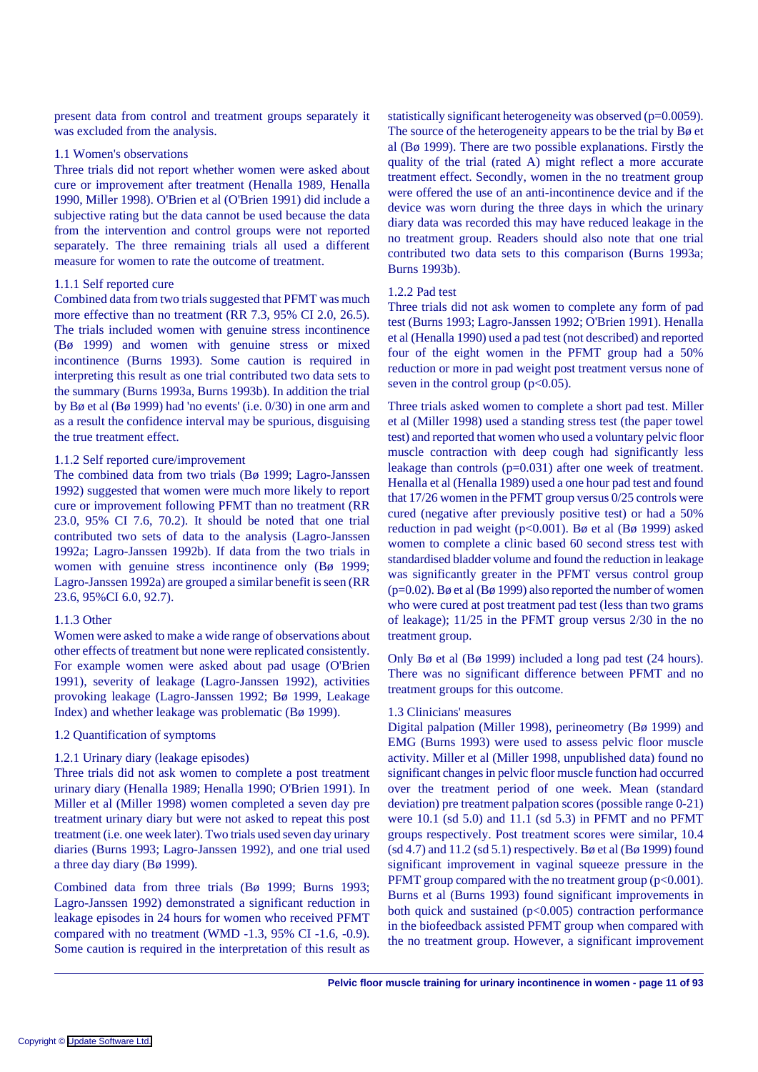present data from control and treatment groups separately it was excluded from the analysis.

### 1.1 Women's observations

Three trials did not report whether women were asked about cure or improvement after treatment (Henalla 1989, Henalla 1990, Miller 1998). O'Brien et al (O'Brien 1991) did include a subjective rating but the data cannot be used because the data from the intervention and control groups were not reported separately. The three remaining trials all used a different measure for women to rate the outcome of treatment.

# 1.1.1 Self reported cure

Combined data from two trials suggested that PFMT was much more effective than no treatment (RR 7.3, 95% CI 2.0, 26.5). The trials included women with genuine stress incontinence (Bø 1999) and women with genuine stress or mixed incontinence (Burns 1993). Some caution is required in interpreting this result as one trial contributed two data sets to the summary (Burns 1993a, Burns 1993b). In addition the trial by Bø et al (Bø 1999) had 'no events' (i.e. 0/30) in one arm and as a result the confidence interval may be spurious, disguising the true treatment effect.

# 1.1.2 Self reported cure/improvement

The combined data from two trials (Bø 1999; Lagro-Janssen 1992) suggested that women were much more likely to report cure or improvement following PFMT than no treatment (RR 23.0, 95% CI 7.6, 70.2). It should be noted that one trial contributed two sets of data to the analysis (Lagro-Janssen 1992a; Lagro-Janssen 1992b). If data from the two trials in women with genuine stress incontinence only (Bø 1999; Lagro-Janssen 1992a) are grouped a similar benefit is seen (RR 23.6, 95%CI 6.0, 92.7).

### 1.1.3 Other

Women were asked to make a wide range of observations about other effects of treatment but none were replicated consistently. For example women were asked about pad usage (O'Brien 1991), severity of leakage (Lagro-Janssen 1992), activities provoking leakage (Lagro-Janssen 1992; Bø 1999, Leakage Index) and whether leakage was problematic (Bø 1999).

# 1.2 Quantification of symptoms

# 1.2.1 Urinary diary (leakage episodes)

Three trials did not ask women to complete a post treatment urinary diary (Henalla 1989; Henalla 1990; O'Brien 1991). In Miller et al (Miller 1998) women completed a seven day pre treatment urinary diary but were not asked to repeat this post treatment (i.e. one week later). Two trials used seven day urinary diaries (Burns 1993; Lagro-Janssen 1992), and one trial used a three day diary (Bø 1999).

Combined data from three trials (Bø 1999; Burns 1993; Lagro-Janssen 1992) demonstrated a significant reduction in leakage episodes in 24 hours for women who received PFMT compared with no treatment (WMD -1.3, 95% CI -1.6, -0.9). Some caution is required in the interpretation of this result as statistically significant heterogeneity was observed (p=0.0059). The source of the heterogeneity appears to be the trial by Bø et al ( $B\phi$  1999). There are two possible explanations. Firstly the quality of the trial (rated A) might reflect a more accurate treatment effect. Secondly, women in the no treatment group were offered the use of an anti-incontinence device and if the device was worn during the three days in which the urinary diary data was recorded this may have reduced leakage in the no treatment group. Readers should also note that one trial contributed two data sets to this comparison (Burns 1993a; Burns 1993b).

# 1.2.2 Pad test

Three trials did not ask women to complete any form of pad test (Burns 1993; Lagro-Janssen 1992; O'Brien 1991). Henalla et al (Henalla 1990) used a pad test (not described) and reported four of the eight women in the PFMT group had a 50% reduction or more in pad weight post treatment versus none of seven in the control group  $(p<0.05)$ .

Three trials asked women to complete a short pad test. Miller et al (Miller 1998) used a standing stress test (the paper towel test) and reported that women who used a voluntary pelvic floor muscle contraction with deep cough had significantly less leakage than controls (p=0.031) after one week of treatment. Henalla et al (Henalla 1989) used a one hour pad test and found that 17/26 women in the PFMT group versus 0/25 controls were cured (negative after previously positive test) or had a 50% reduction in pad weight ( $p<0.001$ ). Bø et al (Bø 1999) asked women to complete a clinic based 60 second stress test with standardised bladder volume and found the reduction in leakage was significantly greater in the PFMT versus control group ( $p=0.02$ ). Bø et al (Bø 1999) also reported the number of women who were cured at post treatment pad test (less than two grams of leakage); 11/25 in the PFMT group versus 2/30 in the no treatment group.

Only Bø et al (Bø 1999) included a long pad test (24 hours). There was no significant difference between PFMT and no treatment groups for this outcome.

# 1.3 Clinicians' measures

Digital palpation (Miller 1998), perineometry (Bø 1999) and EMG (Burns 1993) were used to assess pelvic floor muscle activity. Miller et al (Miller 1998, unpublished data) found no significant changes in pelvic floor muscle function had occurred over the treatment period of one week. Mean (standard deviation) pre treatment palpation scores (possible range 0-21) were 10.1 (sd 5.0) and 11.1 (sd 5.3) in PFMT and no PFMT groups respectively. Post treatment scores were similar, 10.4  $(sd 4.7)$  and  $11.2$   $(sd 5.1)$  respectively. Bø et al  $(B\phi 1999)$  found significant improvement in vaginal squeeze pressure in the PFMT group compared with the no treatment group  $(p<0.001)$ . Burns et al (Burns 1993) found significant improvements in both quick and sustained  $(p<0.005)$  contraction performance in the biofeedback assisted PFMT group when compared with the no treatment group. However, a significant improvement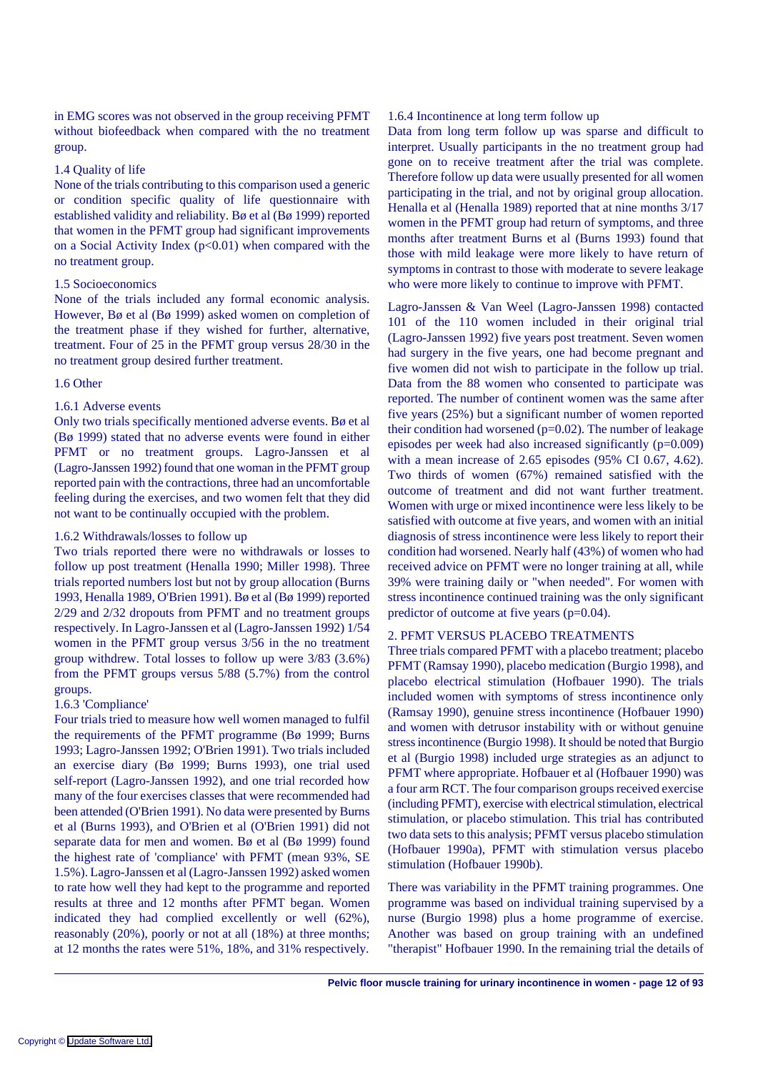in EMG scores was not observed in the group receiving PFMT without biofeedback when compared with the no treatment group.

### 1.4 Quality of life

None of the trials contributing to this comparison used a generic or condition specific quality of life questionnaire with established validity and reliability. Bø et al (Bø 1999) reported that women in the PFMT group had significant improvements on a Social Activity Index  $(p<0.01)$  when compared with the no treatment group.

#### 1.5 Socioeconomics

None of the trials included any formal economic analysis. However, Bø et al (Bø 1999) asked women on completion of the treatment phase if they wished for further, alternative, treatment. Four of 25 in the PFMT group versus 28/30 in the no treatment group desired further treatment.

# 1.6 Other

#### 1.6.1 Adverse events

Only two trials specifically mentioned adverse events. Bø et al (Bø 1999) stated that no adverse events were found in either PFMT or no treatment groups. Lagro-Janssen et al (Lagro-Janssen 1992) found that one woman in the PFMT group reported pain with the contractions, three had an uncomfortable feeling during the exercises, and two women felt that they did not want to be continually occupied with the problem.

# 1.6.2 Withdrawals/losses to follow up

Two trials reported there were no withdrawals or losses to follow up post treatment (Henalla 1990; Miller 1998). Three trials reported numbers lost but not by group allocation (Burns 1993, Henalla 1989, O'Brien 1991). Bø et al (Bø 1999) reported 2/29 and 2/32 dropouts from PFMT and no treatment groups respectively. In Lagro-Janssen et al (Lagro-Janssen 1992) 1/54 women in the PFMT group versus 3/56 in the no treatment group withdrew. Total losses to follow up were 3/83 (3.6%) from the PFMT groups versus 5/88 (5.7%) from the control groups.

### 1.6.3 'Compliance'

Four trials tried to measure how well women managed to fulfil the requirements of the PFMT programme (Bø 1999; Burns 1993; Lagro-Janssen 1992; O'Brien 1991). Two trials included an exercise diary (Bø 1999; Burns 1993), one trial used self-report (Lagro-Janssen 1992), and one trial recorded how many of the four exercises classes that were recommended had been attended (O'Brien 1991). No data were presented by Burns et al (Burns 1993), and O'Brien et al (O'Brien 1991) did not separate data for men and women. Bø et al (Bø 1999) found the highest rate of 'compliance' with PFMT (mean 93%, SE 1.5%). Lagro-Janssen et al (Lagro-Janssen 1992) asked women to rate how well they had kept to the programme and reported results at three and 12 months after PFMT began. Women indicated they had complied excellently or well (62%), reasonably (20%), poorly or not at all (18%) at three months; at 12 months the rates were 51%, 18%, and 31% respectively.

### 1.6.4 Incontinence at long term follow up

Data from long term follow up was sparse and difficult to interpret. Usually participants in the no treatment group had gone on to receive treatment after the trial was complete. Therefore follow up data were usually presented for all women participating in the trial, and not by original group allocation. Henalla et al (Henalla 1989) reported that at nine months 3/17 women in the PFMT group had return of symptoms, and three months after treatment Burns et al (Burns 1993) found that those with mild leakage were more likely to have return of symptoms in contrast to those with moderate to severe leakage who were more likely to continue to improve with PFMT.

Lagro-Janssen & Van Weel (Lagro-Janssen 1998) contacted 101 of the 110 women included in their original trial (Lagro-Janssen 1992) five years post treatment. Seven women had surgery in the five years, one had become pregnant and five women did not wish to participate in the follow up trial. Data from the 88 women who consented to participate was reported. The number of continent women was the same after five years (25%) but a significant number of women reported their condition had worsened ( $p=0.02$ ). The number of leakage episodes per week had also increased significantly (p=0.009) with a mean increase of 2.65 episodes (95% CI 0.67, 4.62). Two thirds of women (67%) remained satisfied with the outcome of treatment and did not want further treatment. Women with urge or mixed incontinence were less likely to be satisfied with outcome at five years, and women with an initial diagnosis of stress incontinence were less likely to report their condition had worsened. Nearly half (43%) of women who had received advice on PFMT were no longer training at all, while 39% were training daily or "when needed". For women with stress incontinence continued training was the only significant predictor of outcome at five years (p=0.04).

#### 2. PFMT VERSUS PLACEBO TREATMENTS

Three trials compared PFMT with a placebo treatment; placebo PFMT (Ramsay 1990), placebo medication (Burgio 1998), and placebo electrical stimulation (Hofbauer 1990). The trials included women with symptoms of stress incontinence only (Ramsay 1990), genuine stress incontinence (Hofbauer 1990) and women with detrusor instability with or without genuine stress incontinence (Burgio 1998). It should be noted that Burgio et al (Burgio 1998) included urge strategies as an adjunct to PFMT where appropriate. Hofbauer et al (Hofbauer 1990) was a four arm RCT. The four comparison groups received exercise (including PFMT), exercise with electrical stimulation, electrical stimulation, or placebo stimulation. This trial has contributed two data sets to this analysis; PFMT versus placebo stimulation (Hofbauer 1990a), PFMT with stimulation versus placebo stimulation (Hofbauer 1990b).

There was variability in the PFMT training programmes. One programme was based on individual training supervised by a nurse (Burgio 1998) plus a home programme of exercise. Another was based on group training with an undefined "therapist" Hofbauer 1990. In the remaining trial the details of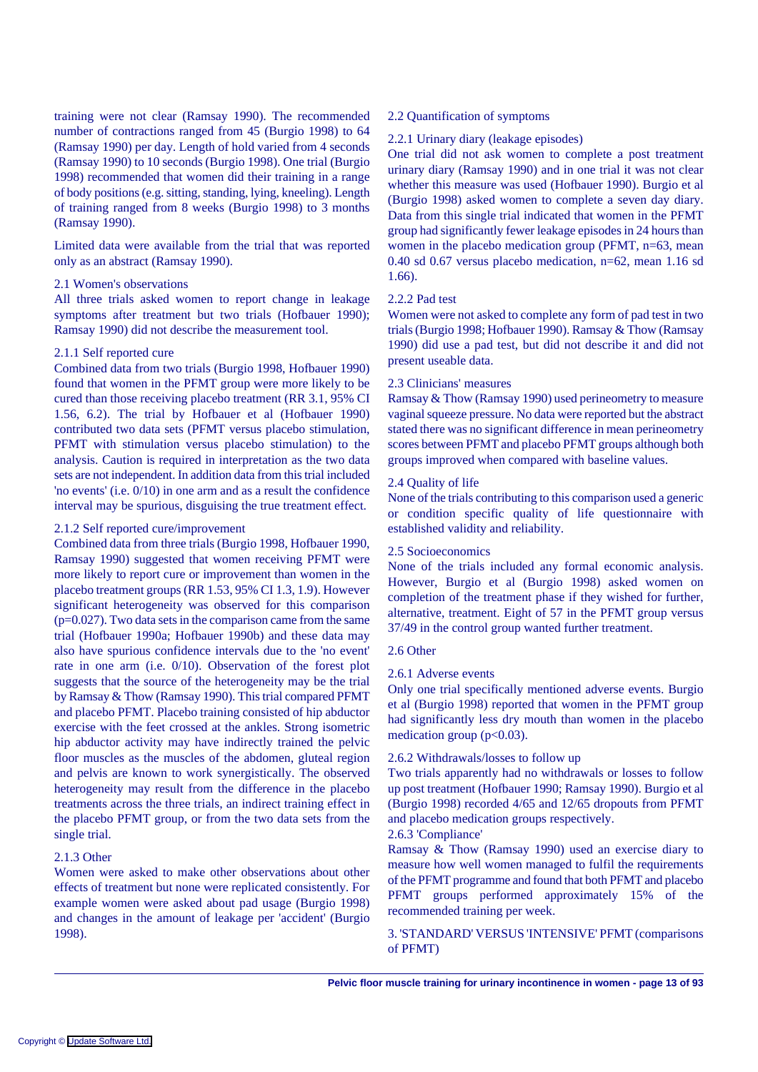training were not clear (Ramsay 1990). The recommended number of contractions ranged from 45 (Burgio 1998) to 64 (Ramsay 1990) per day. Length of hold varied from 4 seconds (Ramsay 1990) to 10 seconds (Burgio 1998). One trial (Burgio 1998) recommended that women did their training in a range of body positions (e.g. sitting, standing, lying, kneeling). Length of training ranged from 8 weeks (Burgio 1998) to 3 months (Ramsay 1990).

Limited data were available from the trial that was reported only as an abstract (Ramsay 1990).

### 2.1 Women's observations

All three trials asked women to report change in leakage symptoms after treatment but two trials (Hofbauer 1990); Ramsay 1990) did not describe the measurement tool.

# 2.1.1 Self reported cure

Combined data from two trials (Burgio 1998, Hofbauer 1990) found that women in the PFMT group were more likely to be cured than those receiving placebo treatment (RR 3.1, 95% CI 1.56, 6.2). The trial by Hofbauer et al (Hofbauer 1990) contributed two data sets (PFMT versus placebo stimulation, PFMT with stimulation versus placebo stimulation) to the analysis. Caution is required in interpretation as the two data sets are not independent. In addition data from this trial included 'no events' (i.e. 0/10) in one arm and as a result the confidence interval may be spurious, disguising the true treatment effect.

# 2.1.2 Self reported cure/improvement

Combined data from three trials (Burgio 1998, Hofbauer 1990, Ramsay 1990) suggested that women receiving PFMT were more likely to report cure or improvement than women in the placebo treatment groups (RR 1.53, 95% CI 1.3, 1.9). However significant heterogeneity was observed for this comparison  $(p=0.027)$ . Two data sets in the comparison came from the same trial (Hofbauer 1990a; Hofbauer 1990b) and these data may also have spurious confidence intervals due to the 'no event' rate in one arm (i.e. 0/10). Observation of the forest plot suggests that the source of the heterogeneity may be the trial by Ramsay & Thow (Ramsay 1990). This trial compared PFMT and placebo PFMT. Placebo training consisted of hip abductor exercise with the feet crossed at the ankles. Strong isometric hip abductor activity may have indirectly trained the pelvic floor muscles as the muscles of the abdomen, gluteal region and pelvis are known to work synergistically. The observed heterogeneity may result from the difference in the placebo treatments across the three trials, an indirect training effect in the placebo PFMT group, or from the two data sets from the single trial.

# 2.1.3 Other

Women were asked to make other observations about other effects of treatment but none were replicated consistently. For example women were asked about pad usage (Burgio 1998) and changes in the amount of leakage per 'accident' (Burgio 1998).

### 2.2 Quantification of symptoms

# 2.2.1 Urinary diary (leakage episodes)

One trial did not ask women to complete a post treatment urinary diary (Ramsay 1990) and in one trial it was not clear whether this measure was used (Hofbauer 1990). Burgio et al (Burgio 1998) asked women to complete a seven day diary. Data from this single trial indicated that women in the PFMT group had significantly fewer leakage episodes in 24 hours than women in the placebo medication group (PFMT, n=63, mean 0.40 sd 0.67 versus placebo medication, n=62, mean 1.16 sd 1.66).

# 2.2.2 Pad test

Women were not asked to complete any form of pad test in two trials (Burgio 1998; Hofbauer 1990). Ramsay & Thow (Ramsay 1990) did use a pad test, but did not describe it and did not present useable data.

# 2.3 Clinicians' measures

Ramsay & Thow (Ramsay 1990) used perineometry to measure vaginal squeeze pressure. No data were reported but the abstract stated there was no significant difference in mean perineometry scores between PFMT and placebo PFMT groups although both groups improved when compared with baseline values.

# 2.4 Quality of life

None of the trials contributing to this comparison used a generic or condition specific quality of life questionnaire with established validity and reliability.

# 2.5 Socioeconomics

None of the trials included any formal economic analysis. However, Burgio et al (Burgio 1998) asked women on completion of the treatment phase if they wished for further, alternative, treatment. Eight of 57 in the PFMT group versus 37/49 in the control group wanted further treatment.

### 2.6 Other

# 2.6.1 Adverse events

Only one trial specifically mentioned adverse events. Burgio et al (Burgio 1998) reported that women in the PFMT group had significantly less dry mouth than women in the placebo medication group  $(p<0.03)$ .

# 2.6.2 Withdrawals/losses to follow up

Two trials apparently had no withdrawals or losses to follow up post treatment (Hofbauer 1990; Ramsay 1990). Burgio et al (Burgio 1998) recorded 4/65 and 12/65 dropouts from PFMT and placebo medication groups respectively.

## 2.6.3 'Compliance'

Ramsay & Thow (Ramsay 1990) used an exercise diary to measure how well women managed to fulfil the requirements of the PFMT programme and found that both PFMT and placebo PFMT groups performed approximately 15% of the recommended training per week.

# 3. 'STANDARD' VERSUS 'INTENSIVE' PFMT (comparisons of PFMT)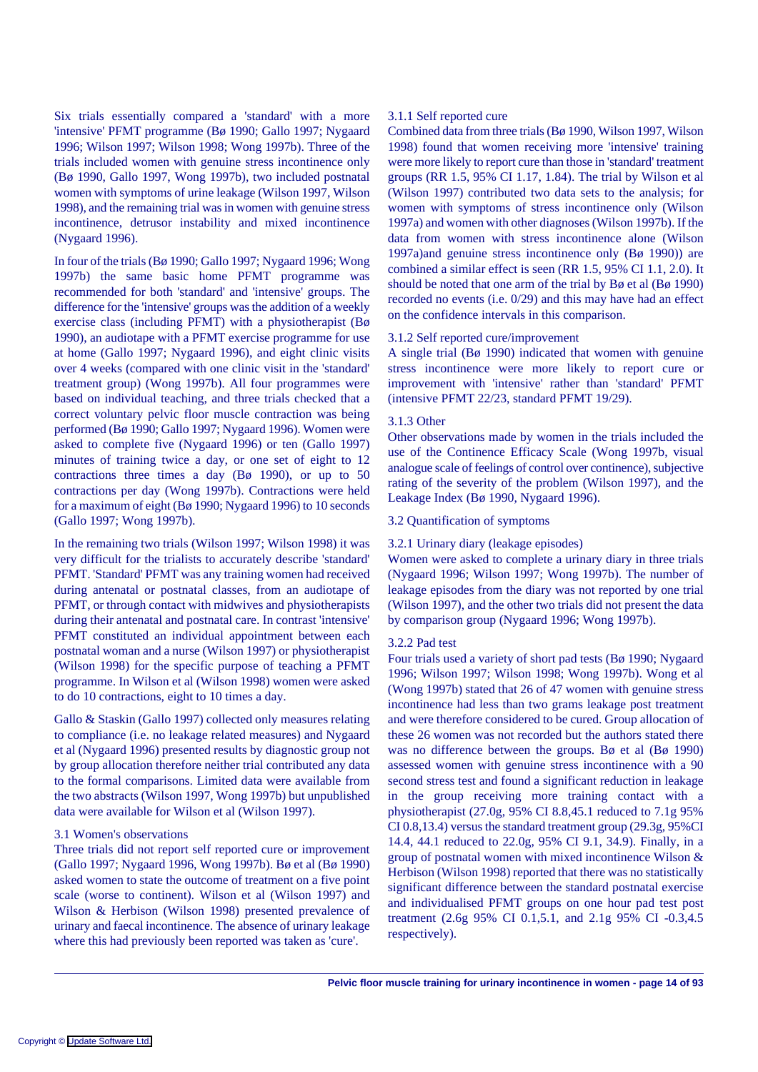Six trials essentially compared a 'standard' with a more 'intensive' PFMT programme (Bø 1990; Gallo 1997; Nygaard 1996; Wilson 1997; Wilson 1998; Wong 1997b). Three of the trials included women with genuine stress incontinence only (Bø 1990, Gallo 1997, Wong 1997b), two included postnatal women with symptoms of urine leakage (Wilson 1997, Wilson 1998), and the remaining trial was in women with genuine stress incontinence, detrusor instability and mixed incontinence (Nygaard 1996).

In four of the trials (Bø 1990; Gallo 1997; Nygaard 1996; Wong 1997b) the same basic home PFMT programme was recommended for both 'standard' and 'intensive' groups. The difference for the 'intensive' groups was the addition of a weekly exercise class (including PFMT) with a physiotherapist (Bø 1990), an audiotape with a PFMT exercise programme for use at home (Gallo 1997; Nygaard 1996), and eight clinic visits over 4 weeks (compared with one clinic visit in the 'standard' treatment group) (Wong 1997b). All four programmes were based on individual teaching, and three trials checked that a correct voluntary pelvic floor muscle contraction was being performed (Bø 1990; Gallo 1997; Nygaard 1996). Women were asked to complete five (Nygaard 1996) or ten (Gallo 1997) minutes of training twice a day, or one set of eight to 12 contractions three times a day (Bø 1990), or up to 50 contractions per day (Wong 1997b). Contractions were held for a maximum of eight (Bø 1990; Nygaard 1996) to 10 seconds (Gallo 1997; Wong 1997b).

In the remaining two trials (Wilson 1997; Wilson 1998) it was very difficult for the trialists to accurately describe 'standard' PFMT. 'Standard' PFMT was any training women had received during antenatal or postnatal classes, from an audiotape of PFMT, or through contact with midwives and physiotherapists during their antenatal and postnatal care. In contrast 'intensive' PFMT constituted an individual appointment between each postnatal woman and a nurse (Wilson 1997) or physiotherapist (Wilson 1998) for the specific purpose of teaching a PFMT programme. In Wilson et al (Wilson 1998) women were asked to do 10 contractions, eight to 10 times a day.

Gallo & Staskin (Gallo 1997) collected only measures relating to compliance (i.e. no leakage related measures) and Nygaard et al (Nygaard 1996) presented results by diagnostic group not by group allocation therefore neither trial contributed any data to the formal comparisons. Limited data were available from the two abstracts (Wilson 1997, Wong 1997b) but unpublished data were available for Wilson et al (Wilson 1997).

### 3.1 Women's observations

Three trials did not report self reported cure or improvement (Gallo 1997; Nygaard 1996, Wong 1997b). Bø et al (Bø 1990) asked women to state the outcome of treatment on a five point scale (worse to continent). Wilson et al (Wilson 1997) and Wilson & Herbison (Wilson 1998) presented prevalence of urinary and faecal incontinence. The absence of urinary leakage where this had previously been reported was taken as 'cure'.

### 3.1.1 Self reported cure

Combined data from three trials (Bø 1990, Wilson 1997, Wilson 1998) found that women receiving more 'intensive' training were more likely to report cure than those in 'standard' treatment groups (RR 1.5, 95% CI 1.17, 1.84). The trial by Wilson et al (Wilson 1997) contributed two data sets to the analysis; for women with symptoms of stress incontinence only (Wilson 1997a) and women with other diagnoses (Wilson 1997b). If the data from women with stress incontinence alone (Wilson 1997a)and genuine stress incontinence only (Bø 1990)) are combined a similar effect is seen (RR 1.5, 95% CI 1.1, 2.0). It should be noted that one arm of the trial by Bø et al (Bø 1990) recorded no events (i.e. 0/29) and this may have had an effect on the confidence intervals in this comparison.

# 3.1.2 Self reported cure/improvement

A single trial (Bø 1990) indicated that women with genuine stress incontinence were more likely to report cure or improvement with 'intensive' rather than 'standard' PFMT (intensive PFMT 22/23, standard PFMT 19/29).

# 3.1.3 Other

Other observations made by women in the trials included the use of the Continence Efficacy Scale (Wong 1997b, visual analogue scale of feelings of control over continence), subjective rating of the severity of the problem (Wilson 1997), and the Leakage Index (Bø 1990, Nygaard 1996).

### 3.2 Quantification of symptoms

### 3.2.1 Urinary diary (leakage episodes)

Women were asked to complete a urinary diary in three trials (Nygaard 1996; Wilson 1997; Wong 1997b). The number of leakage episodes from the diary was not reported by one trial (Wilson 1997), and the other two trials did not present the data by comparison group (Nygaard 1996; Wong 1997b).

#### 3.2.2 Pad test

Four trials used a variety of short pad tests (Bø 1990; Nygaard 1996; Wilson 1997; Wilson 1998; Wong 1997b). Wong et al (Wong 1997b) stated that 26 of 47 women with genuine stress incontinence had less than two grams leakage post treatment and were therefore considered to be cured. Group allocation of these 26 women was not recorded but the authors stated there was no difference between the groups. Bø et al (Bø 1990) assessed women with genuine stress incontinence with a 90 second stress test and found a significant reduction in leakage in the group receiving more training contact with a physiotherapist (27.0g, 95% CI 8.8,45.1 reduced to 7.1g 95% CI 0.8,13.4) versus the standard treatment group (29.3g, 95%CI 14.4, 44.1 reduced to 22.0g, 95% CI 9.1, 34.9). Finally, in a group of postnatal women with mixed incontinence Wilson & Herbison (Wilson 1998) reported that there was no statistically significant difference between the standard postnatal exercise and individualised PFMT groups on one hour pad test post treatment (2.6g 95% CI 0.1,5.1, and 2.1g 95% CI -0.3,4.5 respectively).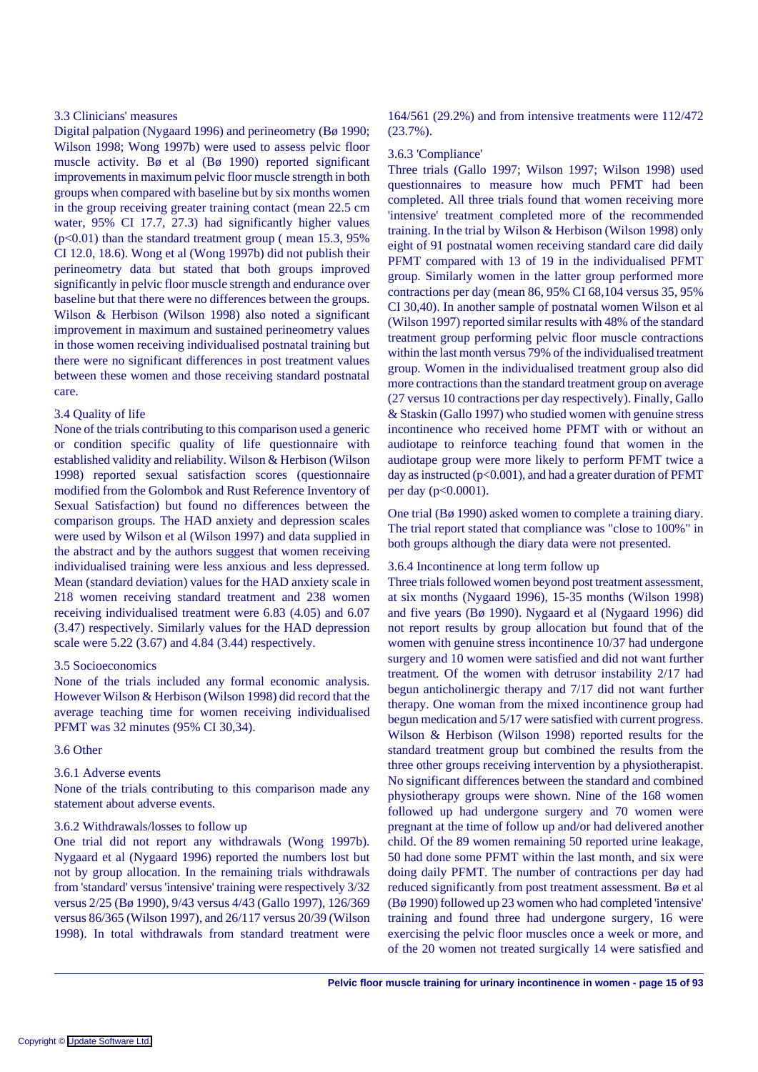### 3.3 Clinicians' measures

Digital palpation (Nygaard 1996) and perineometry (Bø 1990; Wilson 1998; Wong 1997b) were used to assess pelvic floor muscle activity. Bø et al (Bø 1990) reported significant improvements in maximum pelvic floor muscle strength in both groups when compared with baseline but by six months women in the group receiving greater training contact (mean 22.5 cm water, 95% CI 17.7, 27.3) had significantly higher values  $(p<0.01)$  than the standard treatment group (mean 15.3, 95%) CI 12.0, 18.6). Wong et al (Wong 1997b) did not publish their perineometry data but stated that both groups improved significantly in pelvic floor muscle strength and endurance over baseline but that there were no differences between the groups. Wilson & Herbison (Wilson 1998) also noted a significant improvement in maximum and sustained perineometry values in those women receiving individualised postnatal training but there were no significant differences in post treatment values between these women and those receiving standard postnatal care.

#### 3.4 Quality of life

None of the trials contributing to this comparison used a generic or condition specific quality of life questionnaire with established validity and reliability. Wilson & Herbison (Wilson 1998) reported sexual satisfaction scores (questionnaire modified from the Golombok and Rust Reference Inventory of Sexual Satisfaction) but found no differences between the comparison groups. The HAD anxiety and depression scales were used by Wilson et al (Wilson 1997) and data supplied in the abstract and by the authors suggest that women receiving individualised training were less anxious and less depressed. Mean (standard deviation) values for the HAD anxiety scale in 218 women receiving standard treatment and 238 women receiving individualised treatment were 6.83 (4.05) and 6.07 (3.47) respectively. Similarly values for the HAD depression scale were 5.22 (3.67) and 4.84 (3.44) respectively.

#### 3.5 Socioeconomics

None of the trials included any formal economic analysis. However Wilson & Herbison (Wilson 1998) did record that the average teaching time for women receiving individualised PFMT was 32 minutes (95% CI 30,34).

#### 3.6 Other

# 3.6.1 Adverse events

None of the trials contributing to this comparison made any statement about adverse events.

### 3.6.2 Withdrawals/losses to follow up

One trial did not report any withdrawals (Wong 1997b). Nygaard et al (Nygaard 1996) reported the numbers lost but not by group allocation. In the remaining trials withdrawals from 'standard' versus 'intensive' training were respectively 3/32 versus 2/25 (Bø 1990), 9/43 versus 4/43 (Gallo 1997), 126/369 versus 86/365 (Wilson 1997), and 26/117 versus 20/39 (Wilson 1998). In total withdrawals from standard treatment were

164/561 (29.2%) and from intensive treatments were 112/472 (23.7%).

### 3.6.3 'Compliance'

Three trials (Gallo 1997; Wilson 1997; Wilson 1998) used questionnaires to measure how much PFMT had been completed. All three trials found that women receiving more 'intensive' treatment completed more of the recommended training. In the trial by Wilson & Herbison (Wilson 1998) only eight of 91 postnatal women receiving standard care did daily PFMT compared with 13 of 19 in the individualised PFMT group. Similarly women in the latter group performed more contractions per day (mean 86, 95% CI 68,104 versus 35, 95% CI 30,40). In another sample of postnatal women Wilson et al (Wilson 1997) reported similar results with 48% of the standard treatment group performing pelvic floor muscle contractions within the last month versus 79% of the individualised treatment group. Women in the individualised treatment group also did more contractions than the standard treatment group on average (27 versus 10 contractions per day respectively). Finally, Gallo & Staskin (Gallo 1997) who studied women with genuine stress incontinence who received home PFMT with or without an audiotape to reinforce teaching found that women in the audiotape group were more likely to perform PFMT twice a day as instructed ( $p<0.001$ ), and had a greater duration of PFMT per day (p<0.0001).

One trial (Bø 1990) asked women to complete a training diary. The trial report stated that compliance was "close to 100%" in both groups although the diary data were not presented.

### 3.6.4 Incontinence at long term follow up

Three trials followed women beyond post treatment assessment, at six months (Nygaard 1996), 15-35 months (Wilson 1998) and five years (Bø 1990). Nygaard et al (Nygaard 1996) did not report results by group allocation but found that of the women with genuine stress incontinence 10/37 had undergone surgery and 10 women were satisfied and did not want further treatment. Of the women with detrusor instability 2/17 had begun anticholinergic therapy and 7/17 did not want further therapy. One woman from the mixed incontinence group had begun medication and 5/17 were satisfied with current progress. Wilson & Herbison (Wilson 1998) reported results for the standard treatment group but combined the results from the three other groups receiving intervention by a physiotherapist. No significant differences between the standard and combined physiotherapy groups were shown. Nine of the 168 women followed up had undergone surgery and 70 women were pregnant at the time of follow up and/or had delivered another child. Of the 89 women remaining 50 reported urine leakage, 50 had done some PFMT within the last month, and six were doing daily PFMT. The number of contractions per day had reduced significantly from post treatment assessment. Bø et al (Bø 1990) followed up 23 women who had completed 'intensive' training and found three had undergone surgery, 16 were exercising the pelvic floor muscles once a week or more, and of the 20 women not treated surgically 14 were satisfied and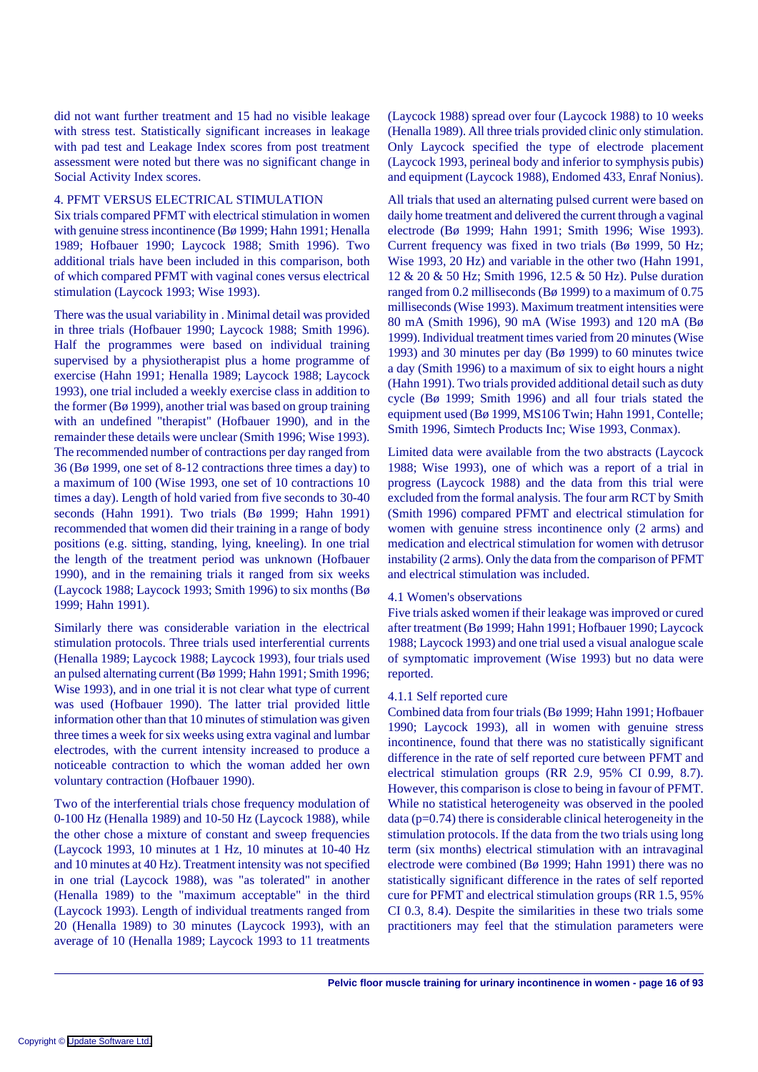did not want further treatment and 15 had no visible leakage with stress test. Statistically significant increases in leakage with pad test and Leakage Index scores from post treatment assessment were noted but there was no significant change in Social Activity Index scores.

### 4. PFMT VERSUS ELECTRICAL STIMULATION

Six trials compared PFMT with electrical stimulation in women with genuine stress incontinence (Bø 1999; Hahn 1991; Henalla 1989; Hofbauer 1990; Laycock 1988; Smith 1996). Two additional trials have been included in this comparison, both of which compared PFMT with vaginal cones versus electrical stimulation (Laycock 1993; Wise 1993).

There was the usual variability in . Minimal detail was provided in three trials (Hofbauer 1990; Laycock 1988; Smith 1996). Half the programmes were based on individual training supervised by a physiotherapist plus a home programme of exercise (Hahn 1991; Henalla 1989; Laycock 1988; Laycock 1993), one trial included a weekly exercise class in addition to the former (Bø 1999), another trial was based on group training with an undefined "therapist" (Hofbauer 1990), and in the remainder these details were unclear (Smith 1996; Wise 1993). The recommended number of contractions per day ranged from 36 (Bø 1999, one set of 8-12 contractions three times a day) to a maximum of 100 (Wise 1993, one set of 10 contractions 10 times a day). Length of hold varied from five seconds to 30-40 seconds (Hahn 1991). Two trials (Bø 1999; Hahn 1991) recommended that women did their training in a range of body positions (e.g. sitting, standing, lying, kneeling). In one trial the length of the treatment period was unknown (Hofbauer 1990), and in the remaining trials it ranged from six weeks (Laycock 1988; Laycock 1993; Smith 1996) to six months (Bø 1999; Hahn 1991).

Similarly there was considerable variation in the electrical stimulation protocols. Three trials used interferential currents (Henalla 1989; Laycock 1988; Laycock 1993), four trials used an pulsed alternating current (Bø 1999; Hahn 1991; Smith 1996; Wise 1993), and in one trial it is not clear what type of current was used (Hofbauer 1990). The latter trial provided little information other than that 10 minutes of stimulation was given three times a week for six weeks using extra vaginal and lumbar electrodes, with the current intensity increased to produce a noticeable contraction to which the woman added her own voluntary contraction (Hofbauer 1990).

Two of the interferential trials chose frequency modulation of 0-100 Hz (Henalla 1989) and 10-50 Hz (Laycock 1988), while the other chose a mixture of constant and sweep frequencies (Laycock 1993, 10 minutes at 1 Hz, 10 minutes at 10-40 Hz and 10 minutes at 40 Hz). Treatment intensity was not specified in one trial (Laycock 1988), was "as tolerated" in another (Henalla 1989) to the "maximum acceptable" in the third (Laycock 1993). Length of individual treatments ranged from 20 (Henalla 1989) to 30 minutes (Laycock 1993), with an average of 10 (Henalla 1989; Laycock 1993 to 11 treatments (Laycock 1988) spread over four (Laycock 1988) to 10 weeks (Henalla 1989). All three trials provided clinic only stimulation. Only Laycock specified the type of electrode placement (Laycock 1993, perineal body and inferior to symphysis pubis) and equipment (Laycock 1988), Endomed 433, Enraf Nonius).

All trials that used an alternating pulsed current were based on daily home treatment and delivered the current through a vaginal electrode (Bø 1999; Hahn 1991; Smith 1996; Wise 1993). Current frequency was fixed in two trials (Bø 1999, 50 Hz; Wise 1993, 20 Hz) and variable in the other two (Hahn 1991, 12 & 20 & 50 Hz; Smith 1996, 12.5 & 50 Hz). Pulse duration ranged from 0.2 milliseconds (Bø 1999) to a maximum of 0.75 milliseconds (Wise 1993). Maximum treatment intensities were 80 mA (Smith 1996), 90 mA (Wise 1993) and 120 mA (Bø 1999). Individual treatment times varied from 20 minutes (Wise 1993) and 30 minutes per day (Bø 1999) to 60 minutes twice a day (Smith 1996) to a maximum of six to eight hours a night (Hahn 1991). Two trials provided additional detail such as duty cycle (Bø 1999; Smith 1996) and all four trials stated the equipment used (Bø 1999, MS106 Twin; Hahn 1991, Contelle; Smith 1996, Simtech Products Inc; Wise 1993, Conmax).

Limited data were available from the two abstracts (Laycock 1988; Wise 1993), one of which was a report of a trial in progress (Laycock 1988) and the data from this trial were excluded from the formal analysis. The four arm RCT by Smith (Smith 1996) compared PFMT and electrical stimulation for women with genuine stress incontinence only (2 arms) and medication and electrical stimulation for women with detrusor instability (2 arms). Only the data from the comparison of PFMT and electrical stimulation was included.

### 4.1 Women's observations

Five trials asked women if their leakage was improved or cured after treatment (Bø 1999; Hahn 1991; Hofbauer 1990; Laycock 1988; Laycock 1993) and one trial used a visual analogue scale of symptomatic improvement (Wise 1993) but no data were reported.

### 4.1.1 Self reported cure

Combined data from four trials (Bø 1999; Hahn 1991; Hofbauer 1990; Laycock 1993), all in women with genuine stress incontinence, found that there was no statistically significant difference in the rate of self reported cure between PFMT and electrical stimulation groups (RR 2.9, 95% CI 0.99, 8.7). However, this comparison is close to being in favour of PFMT. While no statistical heterogeneity was observed in the pooled data (p=0.74) there is considerable clinical heterogeneity in the stimulation protocols. If the data from the two trials using long term (six months) electrical stimulation with an intravaginal electrode were combined (Bø 1999; Hahn 1991) there was no statistically significant difference in the rates of self reported cure for PFMT and electrical stimulation groups (RR 1.5, 95% CI 0.3, 8.4). Despite the similarities in these two trials some practitioners may feel that the stimulation parameters were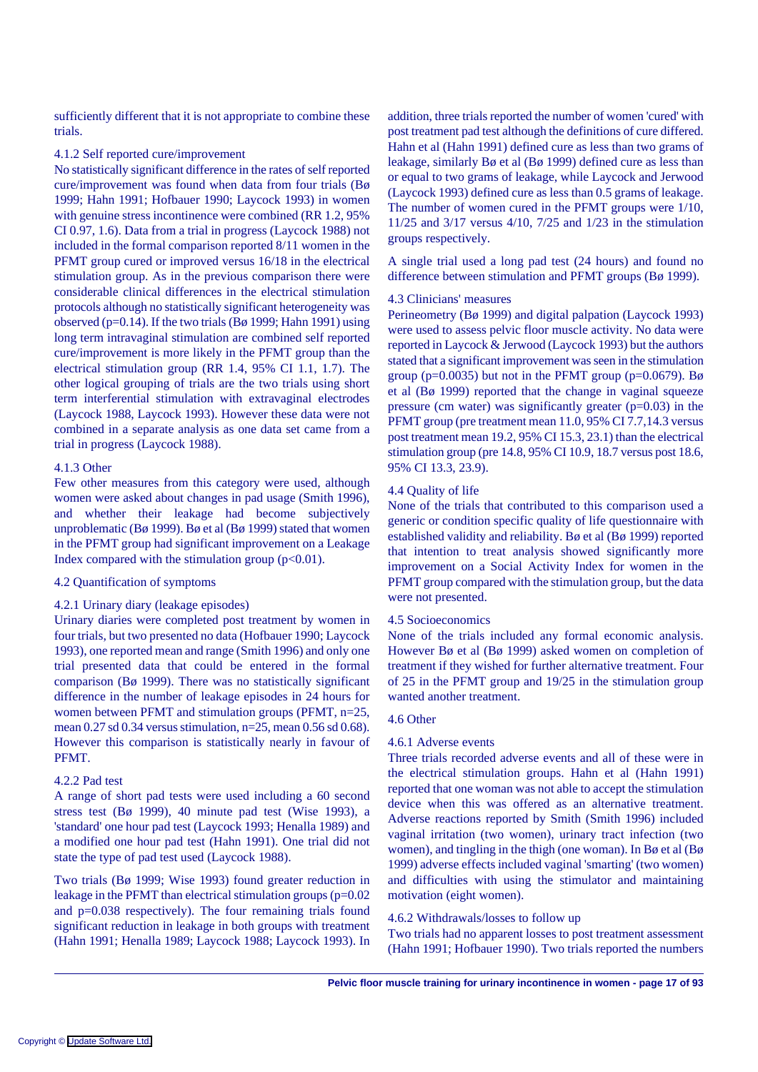sufficiently different that it is not appropriate to combine these trials.

# 4.1.2 Self reported cure/improvement

No statistically significant difference in the rates of self reported cure/improvement was found when data from four trials (Bø 1999; Hahn 1991; Hofbauer 1990; Laycock 1993) in women with genuine stress incontinence were combined (RR 1.2, 95% CI 0.97, 1.6). Data from a trial in progress (Laycock 1988) not included in the formal comparison reported 8/11 women in the PFMT group cured or improved versus 16/18 in the electrical stimulation group. As in the previous comparison there were considerable clinical differences in the electrical stimulation protocols although no statistically significant heterogeneity was observed (p=0.14). If the two trials (Bø 1999; Hahn 1991) using long term intravaginal stimulation are combined self reported cure/improvement is more likely in the PFMT group than the electrical stimulation group (RR 1.4, 95% CI 1.1, 1.7). The other logical grouping of trials are the two trials using short term interferential stimulation with extravaginal electrodes (Laycock 1988, Laycock 1993). However these data were not combined in a separate analysis as one data set came from a trial in progress (Laycock 1988).

### 4.1.3 Other

Few other measures from this category were used, although women were asked about changes in pad usage (Smith 1996), and whether their leakage had become subjectively unproblematic (Bø 1999). Bø et al (Bø 1999) stated that women in the PFMT group had significant improvement on a Leakage Index compared with the stimulation group  $(p<0.01)$ .

### 4.2 Quantification of symptoms

# 4.2.1 Urinary diary (leakage episodes)

Urinary diaries were completed post treatment by women in four trials, but two presented no data (Hofbauer 1990; Laycock 1993), one reported mean and range (Smith 1996) and only one trial presented data that could be entered in the formal comparison (Bø 1999). There was no statistically significant difference in the number of leakage episodes in 24 hours for women between PFMT and stimulation groups (PFMT, n=25, mean 0.27 sd 0.34 versus stimulation, n=25, mean 0.56 sd 0.68). However this comparison is statistically nearly in favour of PFMT.

### 4.2.2 Pad test

A range of short pad tests were used including a 60 second stress test (Bø 1999), 40 minute pad test (Wise 1993), a 'standard' one hour pad test (Laycock 1993; Henalla 1989) and a modified one hour pad test (Hahn 1991). One trial did not state the type of pad test used (Laycock 1988).

Two trials (Bø 1999; Wise 1993) found greater reduction in leakage in the PFMT than electrical stimulation groups (p=0.02 and p=0.038 respectively). The four remaining trials found significant reduction in leakage in both groups with treatment (Hahn 1991; Henalla 1989; Laycock 1988; Laycock 1993). In addition, three trials reported the number of women 'cured' with post treatment pad test although the definitions of cure differed. Hahn et al (Hahn 1991) defined cure as less than two grams of leakage, similarly Bø et al (Bø 1999) defined cure as less than or equal to two grams of leakage, while Laycock and Jerwood (Laycock 1993) defined cure as less than 0.5 grams of leakage. The number of women cured in the PFMT groups were 1/10, 11/25 and 3/17 versus 4/10, 7/25 and 1/23 in the stimulation groups respectively.

A single trial used a long pad test (24 hours) and found no difference between stimulation and PFMT groups (Bø 1999).

# 4.3 Clinicians' measures

Perineometry (Bø 1999) and digital palpation (Laycock 1993) were used to assess pelvic floor muscle activity. No data were reported in Laycock & Jerwood (Laycock 1993) but the authors stated that a significant improvement was seen in the stimulation group ( $p=0.0035$ ) but not in the PFMT group ( $p=0.0679$ ). Bø et al (Bø 1999) reported that the change in vaginal squeeze pressure (cm water) was significantly greater  $(p=0.03)$  in the PFMT group (pre treatment mean 11.0, 95% CI 7.7,14.3 versus post treatment mean 19.2, 95% CI 15.3, 23.1) than the electrical stimulation group (pre 14.8, 95% CI 10.9, 18.7 versus post 18.6, 95% CI 13.3, 23.9).

# 4.4 Quality of life

None of the trials that contributed to this comparison used a generic or condition specific quality of life questionnaire with established validity and reliability. Bø et al (Bø 1999) reported that intention to treat analysis showed significantly more improvement on a Social Activity Index for women in the PFMT group compared with the stimulation group, but the data were not presented.

### 4.5 Socioeconomics

None of the trials included any formal economic analysis. However Bø et al (Bø 1999) asked women on completion of treatment if they wished for further alternative treatment. Four of 25 in the PFMT group and 19/25 in the stimulation group wanted another treatment.

# 4.6 Other

## 4.6.1 Adverse events

Three trials recorded adverse events and all of these were in the electrical stimulation groups. Hahn et al (Hahn 1991) reported that one woman was not able to accept the stimulation device when this was offered as an alternative treatment. Adverse reactions reported by Smith (Smith 1996) included vaginal irritation (two women), urinary tract infection (two women), and tingling in the thigh (one woman). In Bø et al (Bø 1999) adverse effects included vaginal 'smarting' (two women) and difficulties with using the stimulator and maintaining motivation (eight women).

### 4.6.2 Withdrawals/losses to follow up

Two trials had no apparent losses to post treatment assessment (Hahn 1991; Hofbauer 1990). Two trials reported the numbers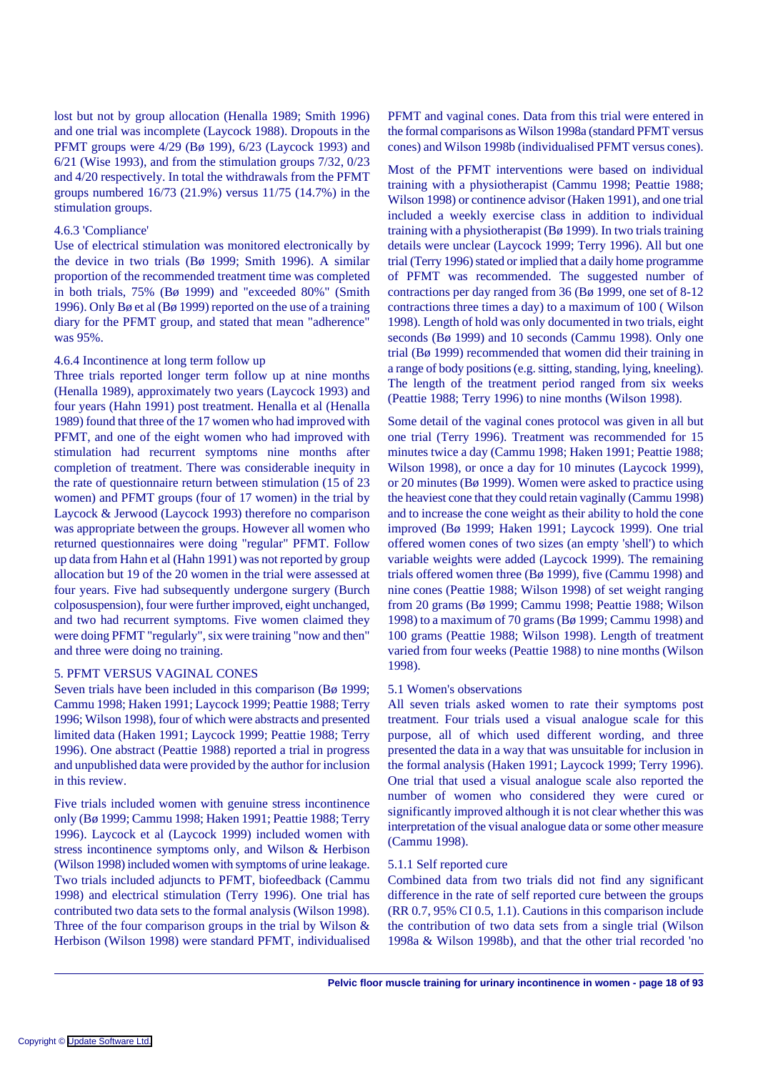lost but not by group allocation (Henalla 1989; Smith 1996) and one trial was incomplete (Laycock 1988). Dropouts in the PFMT groups were 4/29 (Bø 199), 6/23 (Laycock 1993) and 6/21 (Wise 1993), and from the stimulation groups 7/32, 0/23 and 4/20 respectively. In total the withdrawals from the PFMT groups numbered 16/73 (21.9%) versus 11/75 (14.7%) in the stimulation groups.

### 4.6.3 'Compliance'

Use of electrical stimulation was monitored electronically by the device in two trials (Bø 1999; Smith 1996). A similar proportion of the recommended treatment time was completed in both trials, 75% (Bø 1999) and "exceeded 80%" (Smith 1996). Only Bø et al (Bø 1999) reported on the use of a training diary for the PFMT group, and stated that mean "adherence" was 95%.

# 4.6.4 Incontinence at long term follow up

Three trials reported longer term follow up at nine months (Henalla 1989), approximately two years (Laycock 1993) and four years (Hahn 1991) post treatment. Henalla et al (Henalla 1989) found that three of the 17 women who had improved with PFMT, and one of the eight women who had improved with stimulation had recurrent symptoms nine months after completion of treatment. There was considerable inequity in the rate of questionnaire return between stimulation (15 of 23 women) and PFMT groups (four of 17 women) in the trial by Laycock & Jerwood (Laycock 1993) therefore no comparison was appropriate between the groups. However all women who returned questionnaires were doing "regular" PFMT. Follow up data from Hahn et al (Hahn 1991) was not reported by group allocation but 19 of the 20 women in the trial were assessed at four years. Five had subsequently undergone surgery (Burch colposuspension), four were further improved, eight unchanged, and two had recurrent symptoms. Five women claimed they were doing PFMT "regularly", six were training "now and then" and three were doing no training.

# 5. PFMT VERSUS VAGINAL CONES

Seven trials have been included in this comparison (Bø 1999; Cammu 1998; Haken 1991; Laycock 1999; Peattie 1988; Terry 1996; Wilson 1998), four of which were abstracts and presented limited data (Haken 1991; Laycock 1999; Peattie 1988; Terry 1996). One abstract (Peattie 1988) reported a trial in progress and unpublished data were provided by the author for inclusion in this review.

Five trials included women with genuine stress incontinence only (Bø 1999; Cammu 1998; Haken 1991; Peattie 1988; Terry 1996). Laycock et al (Laycock 1999) included women with stress incontinence symptoms only, and Wilson & Herbison (Wilson 1998) included women with symptoms of urine leakage. Two trials included adjuncts to PFMT, biofeedback (Cammu 1998) and electrical stimulation (Terry 1996). One trial has contributed two data sets to the formal analysis (Wilson 1998). Three of the four comparison groups in the trial by Wilson  $\&$ Herbison (Wilson 1998) were standard PFMT, individualised PFMT and vaginal cones. Data from this trial were entered in the formal comparisons as Wilson 1998a (standard PFMT versus cones) and Wilson 1998b (individualised PFMT versus cones).

Most of the PFMT interventions were based on individual training with a physiotherapist (Cammu 1998; Peattie 1988; Wilson 1998) or continence advisor (Haken 1991), and one trial included a weekly exercise class in addition to individual training with a physiotherapist (Bø 1999). In two trials training details were unclear (Laycock 1999; Terry 1996). All but one trial (Terry 1996) stated or implied that a daily home programme of PFMT was recommended. The suggested number of contractions per day ranged from 36 (Bø 1999, one set of 8-12 contractions three times a day) to a maximum of 100 ( Wilson 1998). Length of hold was only documented in two trials, eight seconds (Bø 1999) and 10 seconds (Cammu 1998). Only one trial (Bø 1999) recommended that women did their training in a range of body positions (e.g. sitting, standing, lying, kneeling). The length of the treatment period ranged from six weeks (Peattie 1988; Terry 1996) to nine months (Wilson 1998).

Some detail of the vaginal cones protocol was given in all but one trial (Terry 1996). Treatment was recommended for 15 minutes twice a day (Cammu 1998; Haken 1991; Peattie 1988; Wilson 1998), or once a day for 10 minutes (Laycock 1999), or 20 minutes (Bø 1999). Women were asked to practice using the heaviest cone that they could retain vaginally (Cammu 1998) and to increase the cone weight as their ability to hold the cone improved (Bø 1999; Haken 1991; Laycock 1999). One trial offered women cones of two sizes (an empty 'shell') to which variable weights were added (Laycock 1999). The remaining trials offered women three (Bø 1999), five (Cammu 1998) and nine cones (Peattie 1988; Wilson 1998) of set weight ranging from 20 grams (Bø 1999; Cammu 1998; Peattie 1988; Wilson 1998) to a maximum of 70 grams (Bø 1999; Cammu 1998) and 100 grams (Peattie 1988; Wilson 1998). Length of treatment varied from four weeks (Peattie 1988) to nine months (Wilson 1998).

### 5.1 Women's observations

All seven trials asked women to rate their symptoms post treatment. Four trials used a visual analogue scale for this purpose, all of which used different wording, and three presented the data in a way that was unsuitable for inclusion in the formal analysis (Haken 1991; Laycock 1999; Terry 1996). One trial that used a visual analogue scale also reported the number of women who considered they were cured or significantly improved although it is not clear whether this was interpretation of the visual analogue data or some other measure (Cammu 1998).

### 5.1.1 Self reported cure

Combined data from two trials did not find any significant difference in the rate of self reported cure between the groups (RR 0.7, 95% CI 0.5, 1.1). Cautions in this comparison include the contribution of two data sets from a single trial (Wilson 1998a & Wilson 1998b), and that the other trial recorded 'no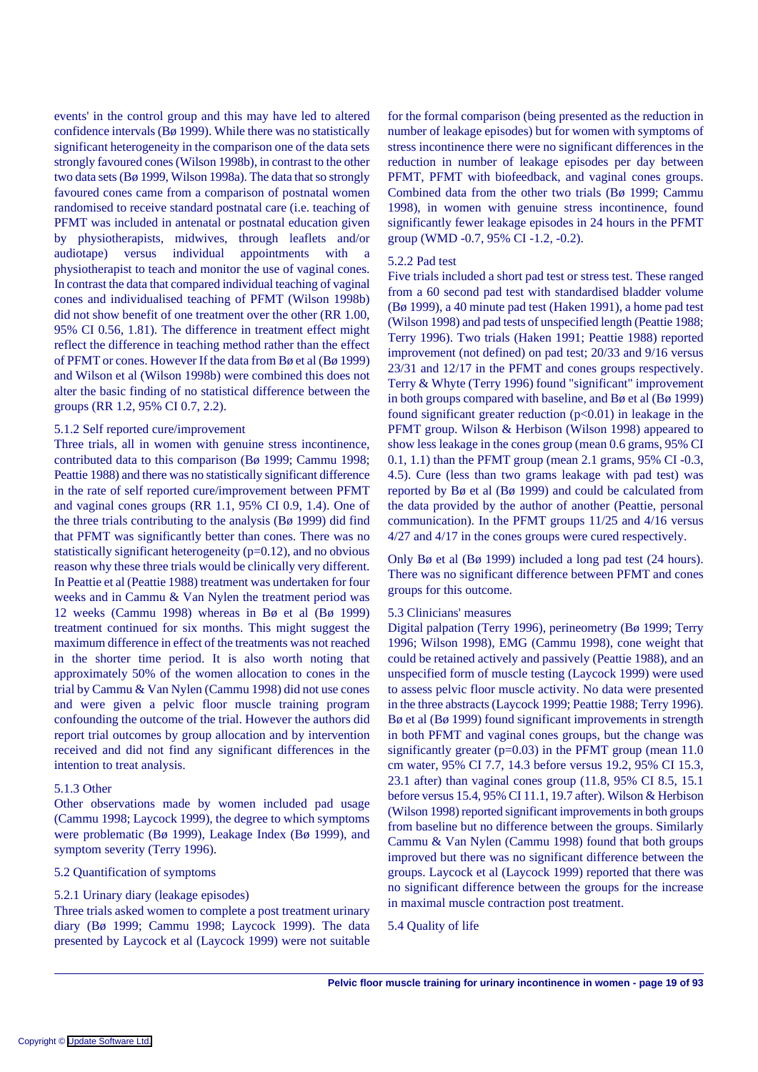events' in the control group and this may have led to altered confidence intervals (Bø 1999). While there was no statistically significant heterogeneity in the comparison one of the data sets strongly favoured cones (Wilson 1998b), in contrast to the other two data sets (Bø 1999, Wilson 1998a). The data that so strongly favoured cones came from a comparison of postnatal women randomised to receive standard postnatal care (i.e. teaching of PFMT was included in antenatal or postnatal education given by physiotherapists, midwives, through leaflets and/or audiotape) versus individual appointments with a physiotherapist to teach and monitor the use of vaginal cones. In contrast the data that compared individual teaching of vaginal cones and individualised teaching of PFMT (Wilson 1998b) did not show benefit of one treatment over the other (RR 1.00, 95% CI 0.56, 1.81). The difference in treatment effect might reflect the difference in teaching method rather than the effect of PFMT or cones. However If the data from Bø et al (Bø 1999) and Wilson et al (Wilson 1998b) were combined this does not alter the basic finding of no statistical difference between the groups (RR 1.2, 95% CI 0.7, 2.2).

# 5.1.2 Self reported cure/improvement

Three trials, all in women with genuine stress incontinence, contributed data to this comparison (Bø 1999; Cammu 1998; Peattie 1988) and there was no statistically significant difference in the rate of self reported cure/improvement between PFMT and vaginal cones groups (RR 1.1, 95% CI 0.9, 1.4). One of the three trials contributing to the analysis (Bø 1999) did find that PFMT was significantly better than cones. There was no statistically significant heterogeneity (p=0.12), and no obvious reason why these three trials would be clinically very different. In Peattie et al (Peattie 1988) treatment was undertaken for four weeks and in Cammu & Van Nylen the treatment period was 12 weeks (Cammu 1998) whereas in Bø et al (Bø 1999) treatment continued for six months. This might suggest the maximum difference in effect of the treatments was not reached in the shorter time period. It is also worth noting that approximately 50% of the women allocation to cones in the trial by Cammu & Van Nylen (Cammu 1998) did not use cones and were given a pelvic floor muscle training program confounding the outcome of the trial. However the authors did report trial outcomes by group allocation and by intervention received and did not find any significant differences in the intention to treat analysis.

### 5.1.3 Other

Other observations made by women included pad usage (Cammu 1998; Laycock 1999), the degree to which symptoms were problematic (Bø 1999), Leakage Index (Bø 1999), and symptom severity (Terry 1996).

# 5.2 Quantification of symptoms

### 5.2.1 Urinary diary (leakage episodes)

Three trials asked women to complete a post treatment urinary diary (Bø 1999; Cammu 1998; Laycock 1999). The data presented by Laycock et al (Laycock 1999) were not suitable for the formal comparison (being presented as the reduction in number of leakage episodes) but for women with symptoms of stress incontinence there were no significant differences in the reduction in number of leakage episodes per day between PFMT, PFMT with biofeedback, and vaginal cones groups. Combined data from the other two trials (Bø 1999; Cammu 1998), in women with genuine stress incontinence, found significantly fewer leakage episodes in 24 hours in the PFMT group (WMD -0.7, 95% CI -1.2, -0.2).

### 5.2.2 Pad test

Five trials included a short pad test or stress test. These ranged from a 60 second pad test with standardised bladder volume (Bø 1999), a 40 minute pad test (Haken 1991), a home pad test (Wilson 1998) and pad tests of unspecified length (Peattie 1988; Terry 1996). Two trials (Haken 1991; Peattie 1988) reported improvement (not defined) on pad test; 20/33 and 9/16 versus 23/31 and 12/17 in the PFMT and cones groups respectively. Terry & Whyte (Terry 1996) found "significant" improvement in both groups compared with baseline, and Bø et al (Bø 1999) found significant greater reduction  $(p<0.01)$  in leakage in the PFMT group. Wilson & Herbison (Wilson 1998) appeared to show less leakage in the cones group (mean 0.6 grams, 95% CI 0.1, 1.1) than the PFMT group (mean 2.1 grams, 95% CI -0.3, 4.5). Cure (less than two grams leakage with pad test) was reported by Bø et al (Bø 1999) and could be calculated from the data provided by the author of another (Peattie, personal communication). In the PFMT groups 11/25 and 4/16 versus 4/27 and 4/17 in the cones groups were cured respectively.

Only Bø et al (Bø 1999) included a long pad test (24 hours). There was no significant difference between PFMT and cones groups for this outcome.

# 5.3 Clinicians' measures

Digital palpation (Terry 1996), perineometry (Bø 1999; Terry 1996; Wilson 1998), EMG (Cammu 1998), cone weight that could be retained actively and passively (Peattie 1988), and an unspecified form of muscle testing (Laycock 1999) were used to assess pelvic floor muscle activity. No data were presented in the three abstracts (Laycock 1999; Peattie 1988; Terry 1996). Bø et al (Bø 1999) found significant improvements in strength in both PFMT and vaginal cones groups, but the change was significantly greater  $(p=0.03)$  in the PFMT group (mean 11.0) cm water, 95% CI 7.7, 14.3 before versus 19.2, 95% CI 15.3, 23.1 after) than vaginal cones group (11.8, 95% CI 8.5, 15.1 before versus 15.4, 95% CI 11.1, 19.7 after). Wilson & Herbison (Wilson 1998) reported significant improvements in both groups from baseline but no difference between the groups. Similarly Cammu & Van Nylen (Cammu 1998) found that both groups improved but there was no significant difference between the groups. Laycock et al (Laycock 1999) reported that there was no significant difference between the groups for the increase in maximal muscle contraction post treatment.

5.4 Quality of life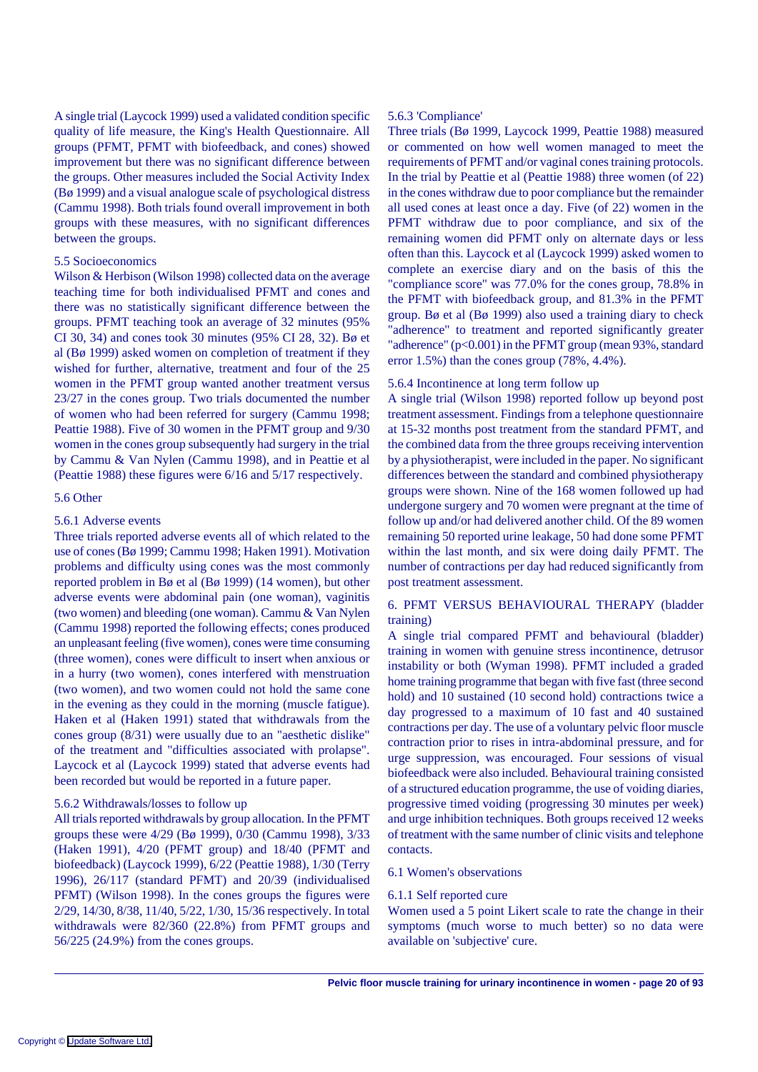A single trial (Laycock 1999) used a validated condition specific quality of life measure, the King's Health Questionnaire. All groups (PFMT, PFMT with biofeedback, and cones) showed improvement but there was no significant difference between the groups. Other measures included the Social Activity Index (Bø 1999) and a visual analogue scale of psychological distress (Cammu 1998). Both trials found overall improvement in both groups with these measures, with no significant differences between the groups.

#### 5.5 Socioeconomics

Wilson & Herbison (Wilson 1998) collected data on the average teaching time for both individualised PFMT and cones and there was no statistically significant difference between the groups. PFMT teaching took an average of 32 minutes (95% CI 30, 34) and cones took 30 minutes (95% CI 28, 32). Bø et al (Bø 1999) asked women on completion of treatment if they wished for further, alternative, treatment and four of the 25 women in the PFMT group wanted another treatment versus 23/27 in the cones group. Two trials documented the number of women who had been referred for surgery (Cammu 1998; Peattie 1988). Five of 30 women in the PFMT group and 9/30 women in the cones group subsequently had surgery in the trial by Cammu & Van Nylen (Cammu 1998), and in Peattie et al (Peattie 1988) these figures were 6/16 and 5/17 respectively.

# 5.6 Other

# 5.6.1 Adverse events

Three trials reported adverse events all of which related to the use of cones (Bø 1999; Cammu 1998; Haken 1991). Motivation problems and difficulty using cones was the most commonly reported problem in Bø et al (Bø 1999) (14 women), but other adverse events were abdominal pain (one woman), vaginitis (two women) and bleeding (one woman). Cammu & Van Nylen (Cammu 1998) reported the following effects; cones produced an unpleasant feeling (five women), cones were time consuming (three women), cones were difficult to insert when anxious or in a hurry (two women), cones interfered with menstruation (two women), and two women could not hold the same cone in the evening as they could in the morning (muscle fatigue). Haken et al (Haken 1991) stated that withdrawals from the cones group (8/31) were usually due to an "aesthetic dislike" of the treatment and "difficulties associated with prolapse". Laycock et al (Laycock 1999) stated that adverse events had been recorded but would be reported in a future paper.

### 5.6.2 Withdrawals/losses to follow up

All trials reported withdrawals by group allocation. In the PFMT groups these were 4/29 (Bø 1999), 0/30 (Cammu 1998), 3/33 (Haken 1991), 4/20 (PFMT group) and 18/40 (PFMT and biofeedback) (Laycock 1999), 6/22 (Peattie 1988), 1/30 (Terry 1996), 26/117 (standard PFMT) and 20/39 (individualised PFMT) (Wilson 1998). In the cones groups the figures were 2/29, 14/30, 8/38, 11/40, 5/22, 1/30, 15/36 respectively. In total withdrawals were 82/360 (22.8%) from PFMT groups and 56/225 (24.9%) from the cones groups.

#### 5.6.3 'Compliance'

Three trials (Bø 1999, Laycock 1999, Peattie 1988) measured or commented on how well women managed to meet the requirements of PFMT and/or vaginal cones training protocols. In the trial by Peattie et al (Peattie 1988) three women (of 22) in the cones withdraw due to poor compliance but the remainder all used cones at least once a day. Five (of 22) women in the PFMT withdraw due to poor compliance, and six of the remaining women did PFMT only on alternate days or less often than this. Laycock et al (Laycock 1999) asked women to complete an exercise diary and on the basis of this the "compliance score" was 77.0% for the cones group, 78.8% in the PFMT with biofeedback group, and 81.3% in the PFMT group. Bø et al (Bø 1999) also used a training diary to check "adherence" to treatment and reported significantly greater "adherence" (p<0.001) in the PFMT group (mean 93%, standard error 1.5%) than the cones group (78%, 4.4%).

#### 5.6.4 Incontinence at long term follow up

A single trial (Wilson 1998) reported follow up beyond post treatment assessment. Findings from a telephone questionnaire at 15-32 months post treatment from the standard PFMT, and the combined data from the three groups receiving intervention by a physiotherapist, were included in the paper. No significant differences between the standard and combined physiotherapy groups were shown. Nine of the 168 women followed up had undergone surgery and 70 women were pregnant at the time of follow up and/or had delivered another child. Of the 89 women remaining 50 reported urine leakage, 50 had done some PFMT within the last month, and six were doing daily PFMT. The number of contractions per day had reduced significantly from post treatment assessment.

# 6. PFMT VERSUS BEHAVIOURAL THERAPY (bladder training)

A single trial compared PFMT and behavioural (bladder) training in women with genuine stress incontinence, detrusor instability or both (Wyman 1998). PFMT included a graded home training programme that began with five fast (three second hold) and 10 sustained (10 second hold) contractions twice a day progressed to a maximum of 10 fast and 40 sustained contractions per day. The use of a voluntary pelvic floor muscle contraction prior to rises in intra-abdominal pressure, and for urge suppression, was encouraged. Four sessions of visual biofeedback were also included. Behavioural training consisted of a structured education programme, the use of voiding diaries, progressive timed voiding (progressing 30 minutes per week) and urge inhibition techniques. Both groups received 12 weeks of treatment with the same number of clinic visits and telephone contacts.

### 6.1 Women's observations

#### 6.1.1 Self reported cure

Women used a 5 point Likert scale to rate the change in their symptoms (much worse to much better) so no data were available on 'subjective' cure.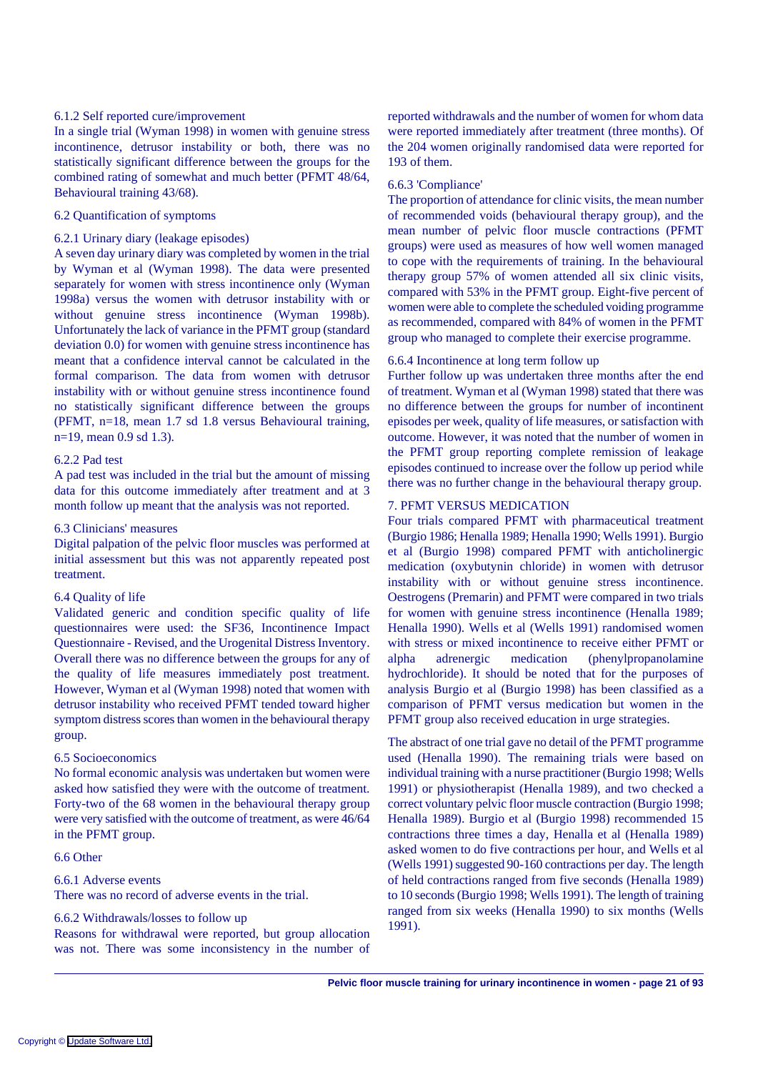### 6.1.2 Self reported cure/improvement

In a single trial (Wyman 1998) in women with genuine stress incontinence, detrusor instability or both, there was no statistically significant difference between the groups for the combined rating of somewhat and much better (PFMT 48/64, Behavioural training 43/68).

# 6.2 Quantification of symptoms

# 6.2.1 Urinary diary (leakage episodes)

A seven day urinary diary was completed by women in the trial by Wyman et al (Wyman 1998). The data were presented separately for women with stress incontinence only (Wyman 1998a) versus the women with detrusor instability with or without genuine stress incontinence (Wyman 1998b). Unfortunately the lack of variance in the PFMT group (standard deviation 0.0) for women with genuine stress incontinence has meant that a confidence interval cannot be calculated in the formal comparison. The data from women with detrusor instability with or without genuine stress incontinence found no statistically significant difference between the groups (PFMT, n=18, mean 1.7 sd 1.8 versus Behavioural training, n=19, mean 0.9 sd 1.3).

# 6.2.2 Pad test

A pad test was included in the trial but the amount of missing data for this outcome immediately after treatment and at 3 month follow up meant that the analysis was not reported.

# 6.3 Clinicians' measures

Digital palpation of the pelvic floor muscles was performed at initial assessment but this was not apparently repeated post treatment.

# 6.4 Quality of life

Validated generic and condition specific quality of life questionnaires were used: the SF36, Incontinence Impact Questionnaire - Revised, and the Urogenital Distress Inventory. Overall there was no difference between the groups for any of the quality of life measures immediately post treatment. However, Wyman et al (Wyman 1998) noted that women with detrusor instability who received PFMT tended toward higher symptom distress scores than women in the behavioural therapy group.

# 6.5 Socioeconomics

No formal economic analysis was undertaken but women were asked how satisfied they were with the outcome of treatment. Forty-two of the 68 women in the behavioural therapy group were very satisfied with the outcome of treatment, as were 46/64 in the PFMT group.

# 6.6 Other

### 6.6.1 Adverse events

There was no record of adverse events in the trial.

### 6.6.2 Withdrawals/losses to follow up

Reasons for withdrawal were reported, but group allocation was not. There was some inconsistency in the number of reported withdrawals and the number of women for whom data were reported immediately after treatment (three months). Of the 204 women originally randomised data were reported for 193 of them.

# 6.6.3 'Compliance'

The proportion of attendance for clinic visits, the mean number of recommended voids (behavioural therapy group), and the mean number of pelvic floor muscle contractions (PFMT groups) were used as measures of how well women managed to cope with the requirements of training. In the behavioural therapy group 57% of women attended all six clinic visits, compared with 53% in the PFMT group. Eight-five percent of women were able to complete the scheduled voiding programme as recommended, compared with 84% of women in the PFMT group who managed to complete their exercise programme.

# 6.6.4 Incontinence at long term follow up

Further follow up was undertaken three months after the end of treatment. Wyman et al (Wyman 1998) stated that there was no difference between the groups for number of incontinent episodes per week, quality of life measures, or satisfaction with outcome. However, it was noted that the number of women in the PFMT group reporting complete remission of leakage episodes continued to increase over the follow up period while there was no further change in the behavioural therapy group.

# 7. PFMT VERSUS MEDICATION

Four trials compared PFMT with pharmaceutical treatment (Burgio 1986; Henalla 1989; Henalla 1990; Wells 1991). Burgio et al (Burgio 1998) compared PFMT with anticholinergic medication (oxybutynin chloride) in women with detrusor instability with or without genuine stress incontinence. Oestrogens (Premarin) and PFMT were compared in two trials for women with genuine stress incontinence (Henalla 1989; Henalla 1990). Wells et al (Wells 1991) randomised women with stress or mixed incontinence to receive either PFMT or alpha adrenergic medication (phenylpropanolamine hydrochloride). It should be noted that for the purposes of analysis Burgio et al (Burgio 1998) has been classified as a comparison of PFMT versus medication but women in the PFMT group also received education in urge strategies.

The abstract of one trial gave no detail of the PFMT programme used (Henalla 1990). The remaining trials were based on individual training with a nurse practitioner (Burgio 1998; Wells 1991) or physiotherapist (Henalla 1989), and two checked a correct voluntary pelvic floor muscle contraction (Burgio 1998; Henalla 1989). Burgio et al (Burgio 1998) recommended 15 contractions three times a day, Henalla et al (Henalla 1989) asked women to do five contractions per hour, and Wells et al (Wells 1991) suggested 90-160 contractions per day. The length of held contractions ranged from five seconds (Henalla 1989) to 10 seconds (Burgio 1998; Wells 1991). The length of training ranged from six weeks (Henalla 1990) to six months (Wells 1991).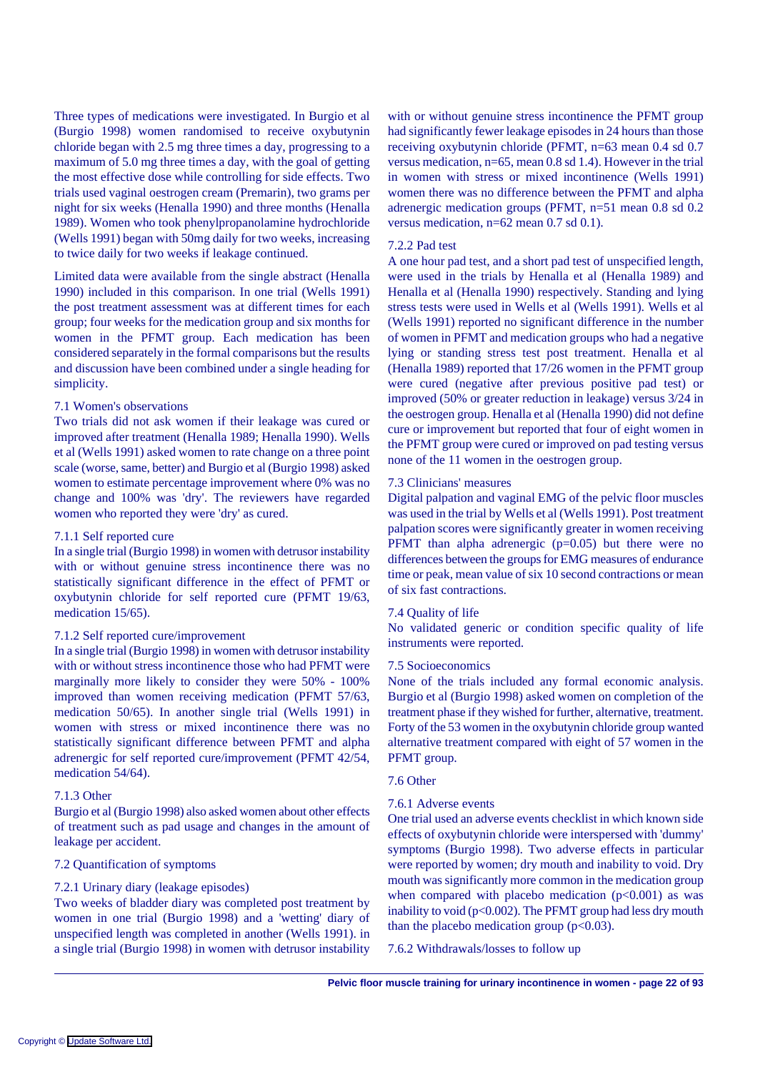Three types of medications were investigated. In Burgio et al (Burgio 1998) women randomised to receive oxybutynin chloride began with 2.5 mg three times a day, progressing to a maximum of 5.0 mg three times a day, with the goal of getting the most effective dose while controlling for side effects. Two trials used vaginal oestrogen cream (Premarin), two grams per night for six weeks (Henalla 1990) and three months (Henalla 1989). Women who took phenylpropanolamine hydrochloride (Wells 1991) began with 50mg daily for two weeks, increasing to twice daily for two weeks if leakage continued.

Limited data were available from the single abstract (Henalla 1990) included in this comparison. In one trial (Wells 1991) the post treatment assessment was at different times for each group; four weeks for the medication group and six months for women in the PFMT group. Each medication has been considered separately in the formal comparisons but the results and discussion have been combined under a single heading for simplicity.

#### 7.1 Women's observations

Two trials did not ask women if their leakage was cured or improved after treatment (Henalla 1989; Henalla 1990). Wells et al (Wells 1991) asked women to rate change on a three point scale (worse, same, better) and Burgio et al (Burgio 1998) asked women to estimate percentage improvement where 0% was no change and 100% was 'dry'. The reviewers have regarded women who reported they were 'dry' as cured.

### 7.1.1 Self reported cure

In a single trial (Burgio 1998) in women with detrusor instability with or without genuine stress incontinence there was no statistically significant difference in the effect of PFMT or oxybutynin chloride for self reported cure (PFMT 19/63, medication 15/65).

### 7.1.2 Self reported cure/improvement

In a single trial (Burgio 1998) in women with detrusor instability with or without stress incontinence those who had PFMT were marginally more likely to consider they were 50% - 100% improved than women receiving medication (PFMT 57/63, medication 50/65). In another single trial (Wells 1991) in women with stress or mixed incontinence there was no statistically significant difference between PFMT and alpha adrenergic for self reported cure/improvement (PFMT 42/54, medication 54/64).

#### 7.1.3 Other

Burgio et al (Burgio 1998) also asked women about other effects of treatment such as pad usage and changes in the amount of leakage per accident.

### 7.2 Quantification of symptoms

### 7.2.1 Urinary diary (leakage episodes)

Two weeks of bladder diary was completed post treatment by women in one trial (Burgio 1998) and a 'wetting' diary of unspecified length was completed in another (Wells 1991). in a single trial (Burgio 1998) in women with detrusor instability

with or without genuine stress incontinence the PFMT group had significantly fewer leakage episodes in 24 hours than those receiving oxybutynin chloride (PFMT, n=63 mean 0.4 sd 0.7 versus medication, n=65, mean 0.8 sd 1.4). However in the trial in women with stress or mixed incontinence (Wells 1991) women there was no difference between the PFMT and alpha adrenergic medication groups (PFMT, n=51 mean 0.8 sd 0.2 versus medication, n=62 mean 0.7 sd 0.1).

#### 7.2.2 Pad test

A one hour pad test, and a short pad test of unspecified length, were used in the trials by Henalla et al (Henalla 1989) and Henalla et al (Henalla 1990) respectively. Standing and lying stress tests were used in Wells et al (Wells 1991). Wells et al (Wells 1991) reported no significant difference in the number of women in PFMT and medication groups who had a negative lying or standing stress test post treatment. Henalla et al (Henalla 1989) reported that 17/26 women in the PFMT group were cured (negative after previous positive pad test) or improved (50% or greater reduction in leakage) versus 3/24 in the oestrogen group. Henalla et al (Henalla 1990) did not define cure or improvement but reported that four of eight women in the PFMT group were cured or improved on pad testing versus none of the 11 women in the oestrogen group.

#### 7.3 Clinicians' measures

Digital palpation and vaginal EMG of the pelvic floor muscles was used in the trial by Wells et al (Wells 1991). Post treatment palpation scores were significantly greater in women receiving PFMT than alpha adrenergic (p=0.05) but there were no differences between the groups for EMG measures of endurance time or peak, mean value of six 10 second contractions or mean of six fast contractions.

#### 7.4 Quality of life

No validated generic or condition specific quality of life instruments were reported.

# 7.5 Socioeconomics

None of the trials included any formal economic analysis. Burgio et al (Burgio 1998) asked women on completion of the treatment phase if they wished for further, alternative, treatment. Forty of the 53 women in the oxybutynin chloride group wanted alternative treatment compared with eight of 57 women in the PFMT group.

# 7.6 Other

# 7.6.1 Adverse events

One trial used an adverse events checklist in which known side effects of oxybutynin chloride were interspersed with 'dummy' symptoms (Burgio 1998). Two adverse effects in particular were reported by women; dry mouth and inability to void. Dry mouth was significantly more common in the medication group when compared with placebo medication  $(p<0.001)$  as was inability to void ( $p<0.002$ ). The PFMT group had less dry mouth than the placebo medication group  $(p<0.03)$ .

7.6.2 Withdrawals/losses to follow up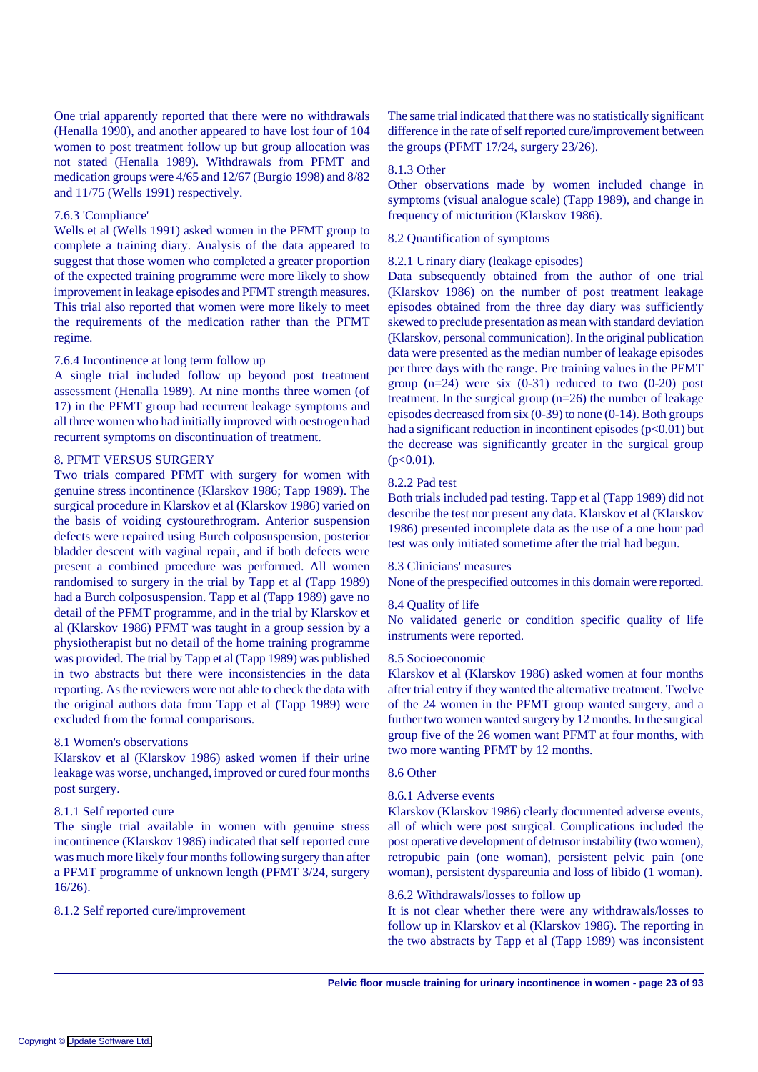One trial apparently reported that there were no withdrawals (Henalla 1990), and another appeared to have lost four of 104 women to post treatment follow up but group allocation was not stated (Henalla 1989). Withdrawals from PFMT and medication groups were 4/65 and 12/67 (Burgio 1998) and 8/82 and 11/75 (Wells 1991) respectively.

### 7.6.3 'Compliance'

Wells et al (Wells 1991) asked women in the PFMT group to complete a training diary. Analysis of the data appeared to suggest that those women who completed a greater proportion of the expected training programme were more likely to show improvement in leakage episodes and PFMT strength measures. This trial also reported that women were more likely to meet the requirements of the medication rather than the PFMT regime.

#### 7.6.4 Incontinence at long term follow up

A single trial included follow up beyond post treatment assessment (Henalla 1989). At nine months three women (of 17) in the PFMT group had recurrent leakage symptoms and all three women who had initially improved with oestrogen had recurrent symptoms on discontinuation of treatment.

### 8. PFMT VERSUS SURGERY

Two trials compared PFMT with surgery for women with genuine stress incontinence (Klarskov 1986; Tapp 1989). The surgical procedure in Klarskov et al (Klarskov 1986) varied on the basis of voiding cystourethrogram. Anterior suspension defects were repaired using Burch colposuspension, posterior bladder descent with vaginal repair, and if both defects were present a combined procedure was performed. All women randomised to surgery in the trial by Tapp et al (Tapp 1989) had a Burch colposuspension. Tapp et al (Tapp 1989) gave no detail of the PFMT programme, and in the trial by Klarskov et al (Klarskov 1986) PFMT was taught in a group session by a physiotherapist but no detail of the home training programme was provided. The trial by Tapp et al (Tapp 1989) was published in two abstracts but there were inconsistencies in the data reporting. As the reviewers were not able to check the data with the original authors data from Tapp et al (Tapp 1989) were excluded from the formal comparisons.

#### 8.1 Women's observations

Klarskov et al (Klarskov 1986) asked women if their urine leakage was worse, unchanged, improved or cured four months post surgery.

### 8.1.1 Self reported cure

The single trial available in women with genuine stress incontinence (Klarskov 1986) indicated that self reported cure was much more likely four months following surgery than after a PFMT programme of unknown length (PFMT 3/24, surgery 16/26).

# 8.1.2 Self reported cure/improvement

The same trial indicated that there was no statistically significant difference in the rate of self reported cure/improvement between the groups (PFMT 17/24, surgery 23/26).

#### 8.1.3 Other

Other observations made by women included change in symptoms (visual analogue scale) (Tapp 1989), and change in frequency of micturition (Klarskov 1986).

### 8.2 Quantification of symptoms

# 8.2.1 Urinary diary (leakage episodes)

Data subsequently obtained from the author of one trial (Klarskov 1986) on the number of post treatment leakage episodes obtained from the three day diary was sufficiently skewed to preclude presentation as mean with standard deviation (Klarskov, personal communication). In the original publication data were presented as the median number of leakage episodes per three days with the range. Pre training values in the PFMT group  $(n=24)$  were six  $(0-31)$  reduced to two  $(0-20)$  post treatment. In the surgical group (n=26) the number of leakage episodes decreased from six (0-39) to none (0-14). Both groups had a significant reduction in incontinent episodes ( $p$ <0.01) but the decrease was significantly greater in the surgical group  $(p<0.01)$ .

### 8.2.2 Pad test

Both trials included pad testing. Tapp et al (Tapp 1989) did not describe the test nor present any data. Klarskov et al (Klarskov 1986) presented incomplete data as the use of a one hour pad test was only initiated sometime after the trial had begun.

### 8.3 Clinicians' measures

None of the prespecified outcomes in this domain were reported.

### 8.4 Quality of life

No validated generic or condition specific quality of life instruments were reported.

### 8.5 Socioeconomic

Klarskov et al (Klarskov 1986) asked women at four months after trial entry if they wanted the alternative treatment. Twelve of the 24 women in the PFMT group wanted surgery, and a further two women wanted surgery by 12 months. In the surgical group five of the 26 women want PFMT at four months, with two more wanting PFMT by 12 months.

# 8.6 Other

#### 8.6.1 Adverse events

Klarskov (Klarskov 1986) clearly documented adverse events, all of which were post surgical. Complications included the post operative development of detrusor instability (two women), retropubic pain (one woman), persistent pelvic pain (one woman), persistent dyspareunia and loss of libido (1 woman).

#### 8.6.2 Withdrawals/losses to follow up

It is not clear whether there were any withdrawals/losses to follow up in Klarskov et al (Klarskov 1986). The reporting in the two abstracts by Tapp et al (Tapp 1989) was inconsistent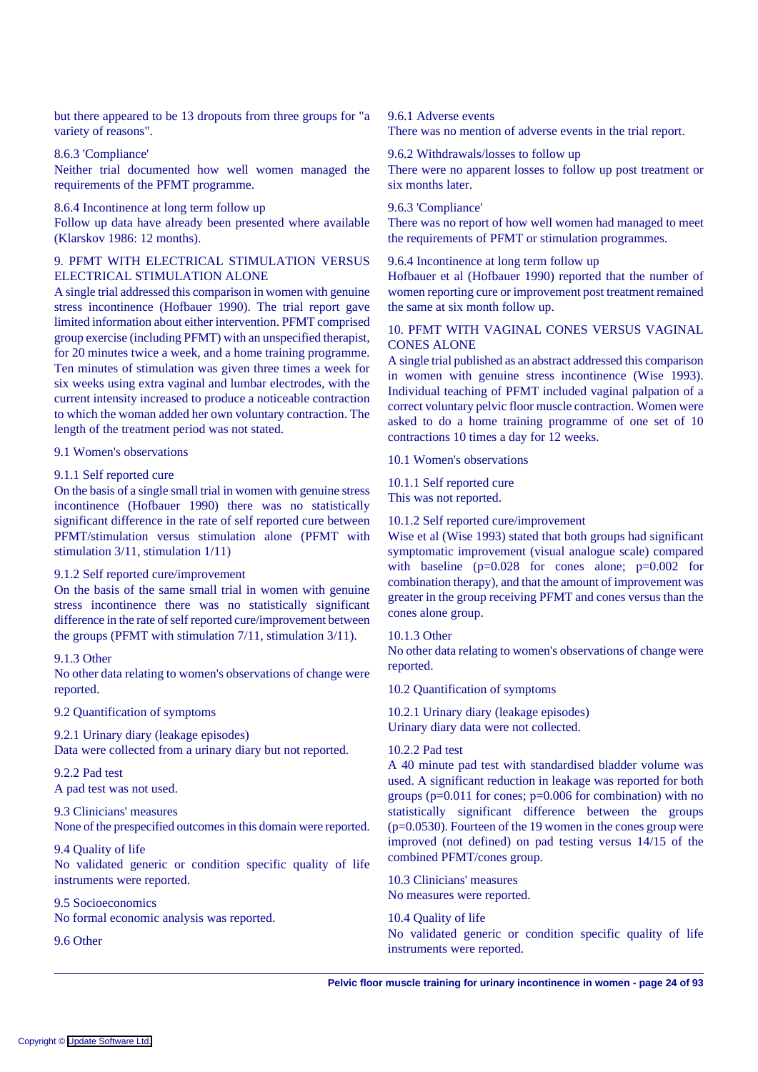but there appeared to be 13 dropouts from three groups for "a variety of reasons".

# 8.6.3 'Compliance'

Neither trial documented how well women managed the requirements of the PFMT programme.

8.6.4 Incontinence at long term follow up

Follow up data have already been presented where available (Klarskov 1986: 12 months).

# 9. PFMT WITH ELECTRICAL STIMULATION VERSUS ELECTRICAL STIMULATION ALONE

A single trial addressed this comparison in women with genuine stress incontinence (Hofbauer 1990). The trial report gave limited information about either intervention. PFMT comprised group exercise (including PFMT) with an unspecified therapist, for 20 minutes twice a week, and a home training programme. Ten minutes of stimulation was given three times a week for six weeks using extra vaginal and lumbar electrodes, with the current intensity increased to produce a noticeable contraction to which the woman added her own voluntary contraction. The length of the treatment period was not stated.

# 9.1 Women's observations

### 9.1.1 Self reported cure

On the basis of a single small trial in women with genuine stress incontinence (Hofbauer 1990) there was no statistically significant difference in the rate of self reported cure between PFMT/stimulation versus stimulation alone (PFMT with stimulation 3/11, stimulation 1/11)

### 9.1.2 Self reported cure/improvement

On the basis of the same small trial in women with genuine stress incontinence there was no statistically significant difference in the rate of self reported cure/improvement between the groups (PFMT with stimulation 7/11, stimulation 3/11).

#### 9.1.3 Other

No other data relating to women's observations of change were reported.

9.2 Quantification of symptoms

9.2.1 Urinary diary (leakage episodes) Data were collected from a urinary diary but not reported.

9.2.2 Pad test A pad test was not used.

9.3 Clinicians' measures None of the prespecified outcomes in this domain were reported.

9.4 Quality of life No validated generic or condition specific quality of life instruments were reported.

9.5 Socioeconomics No formal economic analysis was reported.

9.6 Other

### 9.6.1 Adverse events

There was no mention of adverse events in the trial report.

9.6.2 Withdrawals/losses to follow up There were no apparent losses to follow up post treatment or six months later.

### 9.6.3 'Compliance'

There was no report of how well women had managed to meet the requirements of PFMT or stimulation programmes.

9.6.4 Incontinence at long term follow up

Hofbauer et al (Hofbauer 1990) reported that the number of women reporting cure or improvement post treatment remained the same at six month follow up.

# 10. PFMT WITH VAGINAL CONES VERSUS VAGINAL CONES ALONE

A single trial published as an abstract addressed this comparison in women with genuine stress incontinence (Wise 1993). Individual teaching of PFMT included vaginal palpation of a correct voluntary pelvic floor muscle contraction. Women were asked to do a home training programme of one set of 10 contractions 10 times a day for 12 weeks.

10.1 Women's observations

10.1.1 Self reported cure This was not reported.

### 10.1.2 Self reported cure/improvement

Wise et al (Wise 1993) stated that both groups had significant symptomatic improvement (visual analogue scale) compared with baseline  $(p=0.028)$  for cones alone;  $p=0.002$  for combination therapy), and that the amount of improvement was greater in the group receiving PFMT and cones versus than the cones alone group.

#### 10.1.3 Other

No other data relating to women's observations of change were reported.

10.2 Quantification of symptoms

10.2.1 Urinary diary (leakage episodes) Urinary diary data were not collected.

#### 10.2.2 Pad test

A 40 minute pad test with standardised bladder volume was used. A significant reduction in leakage was reported for both groups ( $p=0.011$  for cones;  $p=0.006$  for combination) with no statistically significant difference between the groups (p=0.0530). Fourteen of the 19 women in the cones group were improved (not defined) on pad testing versus 14/15 of the combined PFMT/cones group.

10.3 Clinicians' measures No measures were reported.

# 10.4 Quality of life No validated generic or condition specific quality of life instruments were reported.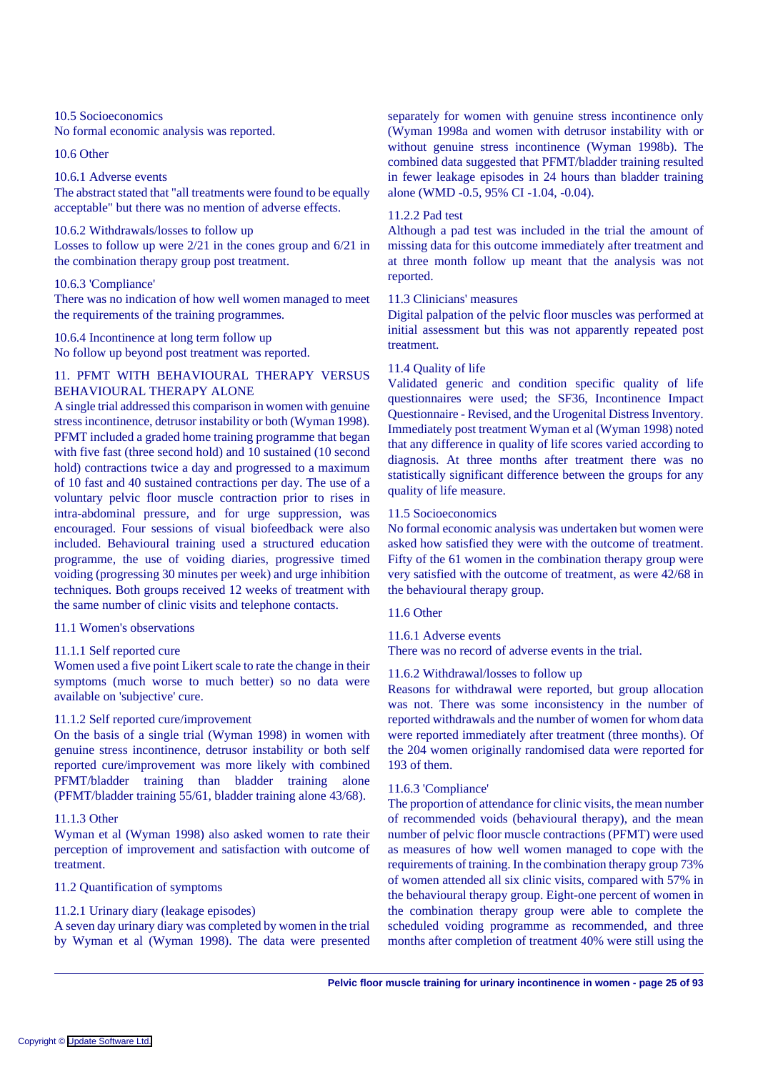### 10.5 Socioeconomics

No formal economic analysis was reported.

# 10.6 Other

# 10.6.1 Adverse events

The abstract stated that "all treatments were found to be equally acceptable" but there was no mention of adverse effects.

# 10.6.2 Withdrawals/losses to follow up

Losses to follow up were 2/21 in the cones group and 6/21 in the combination therapy group post treatment.

# 10.6.3 'Compliance'

There was no indication of how well women managed to meet the requirements of the training programmes.

10.6.4 Incontinence at long term follow up No follow up beyond post treatment was reported.

# 11. PFMT WITH BEHAVIOURAL THERAPY VERSUS BEHAVIOURAL THERAPY ALONE

A single trial addressed this comparison in women with genuine stress incontinence, detrusor instability or both (Wyman 1998). PFMT included a graded home training programme that began with five fast (three second hold) and 10 sustained (10 second hold) contractions twice a day and progressed to a maximum of 10 fast and 40 sustained contractions per day. The use of a voluntary pelvic floor muscle contraction prior to rises in intra-abdominal pressure, and for urge suppression, was encouraged. Four sessions of visual biofeedback were also included. Behavioural training used a structured education programme, the use of voiding diaries, progressive timed voiding (progressing 30 minutes per week) and urge inhibition techniques. Both groups received 12 weeks of treatment with the same number of clinic visits and telephone contacts.

### 11.1 Women's observations

# 11.1.1 Self reported cure

Women used a five point Likert scale to rate the change in their symptoms (much worse to much better) so no data were available on 'subjective' cure.

### 11.1.2 Self reported cure/improvement

On the basis of a single trial (Wyman 1998) in women with genuine stress incontinence, detrusor instability or both self reported cure/improvement was more likely with combined PFMT/bladder training than bladder training alone (PFMT/bladder training 55/61, bladder training alone 43/68).

#### 11.1.3 Other

Wyman et al (Wyman 1998) also asked women to rate their perception of improvement and satisfaction with outcome of treatment.

# 11.2 Quantification of symptoms

# 11.2.1 Urinary diary (leakage episodes)

A seven day urinary diary was completed by women in the trial by Wyman et al (Wyman 1998). The data were presented separately for women with genuine stress incontinence only (Wyman 1998a and women with detrusor instability with or without genuine stress incontinence (Wyman 1998b). The combined data suggested that PFMT/bladder training resulted in fewer leakage episodes in 24 hours than bladder training alone (WMD -0.5, 95% CI -1.04, -0.04).

# 11.2.2 Pad test

Although a pad test was included in the trial the amount of missing data for this outcome immediately after treatment and at three month follow up meant that the analysis was not reported.

## 11.3 Clinicians' measures

Digital palpation of the pelvic floor muscles was performed at initial assessment but this was not apparently repeated post treatment.

# 11.4 Quality of life

Validated generic and condition specific quality of life questionnaires were used; the SF36, Incontinence Impact Questionnaire - Revised, and the Urogenital Distress Inventory. Immediately post treatment Wyman et al (Wyman 1998) noted that any difference in quality of life scores varied according to diagnosis. At three months after treatment there was no statistically significant difference between the groups for any quality of life measure.

### 11.5 Socioeconomics

No formal economic analysis was undertaken but women were asked how satisfied they were with the outcome of treatment. Fifty of the 61 women in the combination therapy group were very satisfied with the outcome of treatment, as were 42/68 in the behavioural therapy group.

11.6 Other

### 11.6.1 Adverse events

There was no record of adverse events in the trial.

### 11.6.2 Withdrawal/losses to follow up

Reasons for withdrawal were reported, but group allocation was not. There was some inconsistency in the number of reported withdrawals and the number of women for whom data were reported immediately after treatment (three months). Of the 204 women originally randomised data were reported for 193 of them.

# 11.6.3 'Compliance'

The proportion of attendance for clinic visits, the mean number of recommended voids (behavioural therapy), and the mean number of pelvic floor muscle contractions (PFMT) were used as measures of how well women managed to cope with the requirements of training. In the combination therapy group 73% of women attended all six clinic visits, compared with 57% in the behavioural therapy group. Eight-one percent of women in the combination therapy group were able to complete the scheduled voiding programme as recommended, and three months after completion of treatment 40% were still using the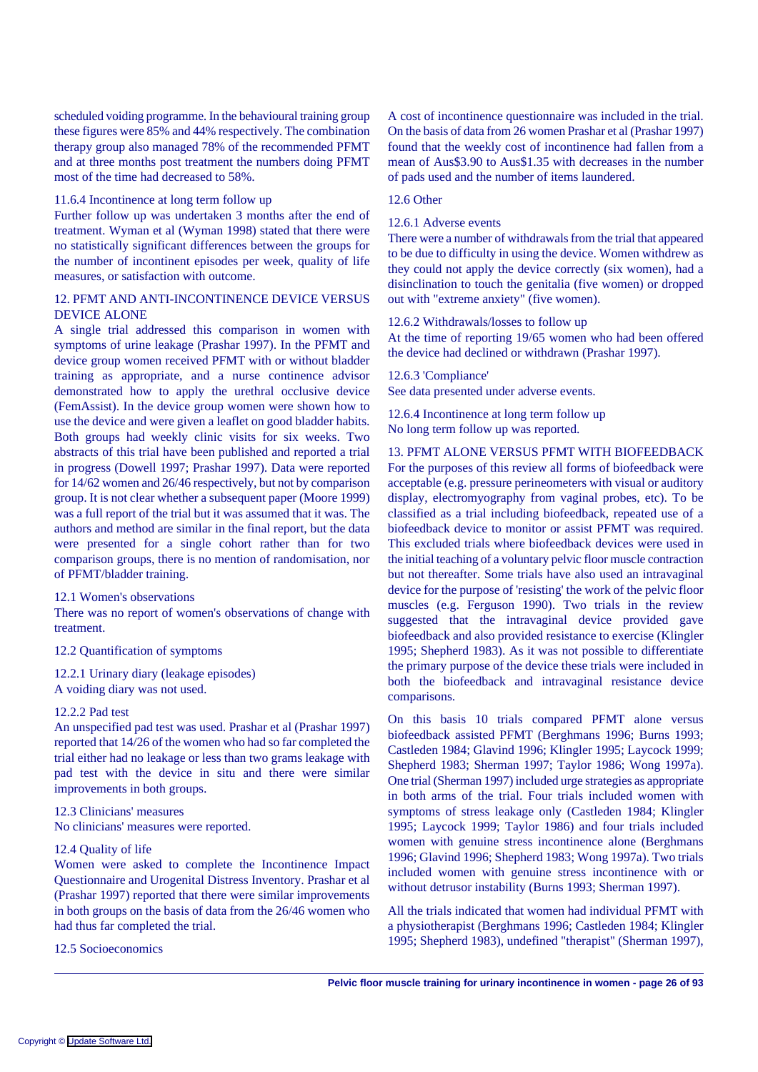scheduled voiding programme. In the behavioural training group these figures were 85% and 44% respectively. The combination therapy group also managed 78% of the recommended PFMT and at three months post treatment the numbers doing PFMT most of the time had decreased to 58%.

### 11.6.4 Incontinence at long term follow up

Further follow up was undertaken 3 months after the end of treatment. Wyman et al (Wyman 1998) stated that there were no statistically significant differences between the groups for the number of incontinent episodes per week, quality of life measures, or satisfaction with outcome.

# 12. PFMT AND ANTI-INCONTINENCE DEVICE VERSUS DEVICE ALONE

A single trial addressed this comparison in women with symptoms of urine leakage (Prashar 1997). In the PFMT and device group women received PFMT with or without bladder training as appropriate, and a nurse continence advisor demonstrated how to apply the urethral occlusive device (FemAssist). In the device group women were shown how to use the device and were given a leaflet on good bladder habits. Both groups had weekly clinic visits for six weeks. Two abstracts of this trial have been published and reported a trial in progress (Dowell 1997; Prashar 1997). Data were reported for 14/62 women and 26/46 respectively, but not by comparison group. It is not clear whether a subsequent paper (Moore 1999) was a full report of the trial but it was assumed that it was. The authors and method are similar in the final report, but the data were presented for a single cohort rather than for two comparison groups, there is no mention of randomisation, nor of PFMT/bladder training.

#### 12.1 Women's observations

There was no report of women's observations of change with treatment.

### 12.2 Quantification of symptoms

12.2.1 Urinary diary (leakage episodes) A voiding diary was not used.

#### 12.2.2 Pad test

An unspecified pad test was used. Prashar et al (Prashar 1997) reported that 14/26 of the women who had so far completed the trial either had no leakage or less than two grams leakage with pad test with the device in situ and there were similar improvements in both groups.

### 12.3 Clinicians' measures

No clinicians' measures were reported.

### 12.4 Quality of life

Women were asked to complete the Incontinence Impact Questionnaire and Urogenital Distress Inventory. Prashar et al (Prashar 1997) reported that there were similar improvements in both groups on the basis of data from the 26/46 women who had thus far completed the trial.

### 12.5 Socioeconomics

A cost of incontinence questionnaire was included in the trial. On the basis of data from 26 women Prashar et al (Prashar 1997) found that the weekly cost of incontinence had fallen from a mean of Aus\$3.90 to Aus\$1.35 with decreases in the number of pads used and the number of items laundered.

### 12.6 Other

# 12.6.1 Adverse events

There were a number of withdrawals from the trial that appeared to be due to difficulty in using the device. Women withdrew as they could not apply the device correctly (six women), had a disinclination to touch the genitalia (five women) or dropped out with "extreme anxiety" (five women).

12.6.2 Withdrawals/losses to follow up

At the time of reporting 19/65 women who had been offered the device had declined or withdrawn (Prashar 1997).

#### 12.6.3 'Compliance'

See data presented under adverse events.

12.6.4 Incontinence at long term follow up No long term follow up was reported.

13. PFMT ALONE VERSUS PFMT WITH BIOFEEDBACK For the purposes of this review all forms of biofeedback were acceptable (e.g. pressure perineometers with visual or auditory display, electromyography from vaginal probes, etc). To be classified as a trial including biofeedback, repeated use of a biofeedback device to monitor or assist PFMT was required. This excluded trials where biofeedback devices were used in the initial teaching of a voluntary pelvic floor muscle contraction but not thereafter. Some trials have also used an intravaginal device for the purpose of 'resisting' the work of the pelvic floor muscles (e.g. Ferguson 1990). Two trials in the review suggested that the intravaginal device provided gave biofeedback and also provided resistance to exercise (Klingler 1995; Shepherd 1983). As it was not possible to differentiate the primary purpose of the device these trials were included in both the biofeedback and intravaginal resistance device comparisons.

On this basis 10 trials compared PFMT alone versus biofeedback assisted PFMT (Berghmans 1996; Burns 1993; Castleden 1984; Glavind 1996; Klingler 1995; Laycock 1999; Shepherd 1983; Sherman 1997; Taylor 1986; Wong 1997a). One trial (Sherman 1997) included urge strategies as appropriate in both arms of the trial. Four trials included women with symptoms of stress leakage only (Castleden 1984; Klingler 1995; Laycock 1999; Taylor 1986) and four trials included women with genuine stress incontinence alone (Berghmans 1996; Glavind 1996; Shepherd 1983; Wong 1997a). Two trials included women with genuine stress incontinence with or without detrusor instability (Burns 1993; Sherman 1997).

All the trials indicated that women had individual PFMT with a physiotherapist (Berghmans 1996; Castleden 1984; Klingler 1995; Shepherd 1983), undefined "therapist" (Sherman 1997),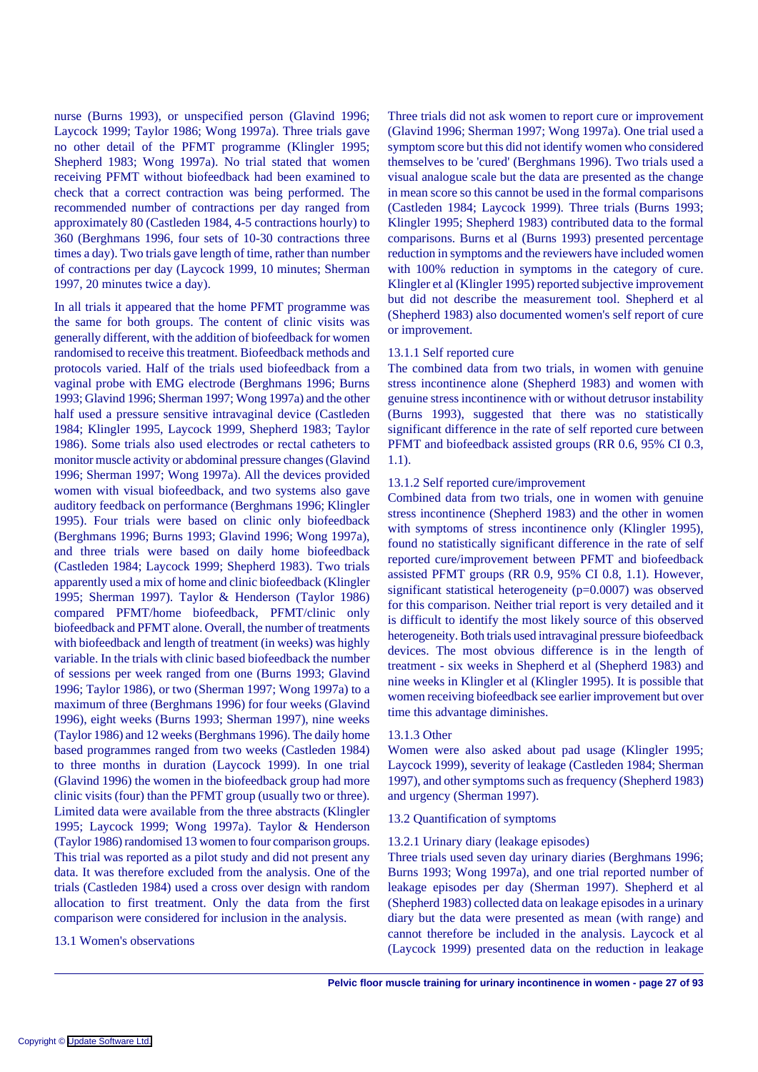nurse (Burns 1993), or unspecified person (Glavind 1996; Laycock 1999; Taylor 1986; Wong 1997a). Three trials gave no other detail of the PFMT programme (Klingler 1995; Shepherd 1983; Wong 1997a). No trial stated that women receiving PFMT without biofeedback had been examined to check that a correct contraction was being performed. The recommended number of contractions per day ranged from approximately 80 (Castleden 1984, 4-5 contractions hourly) to 360 (Berghmans 1996, four sets of 10-30 contractions three times a day). Two trials gave length of time, rather than number of contractions per day (Laycock 1999, 10 minutes; Sherman 1997, 20 minutes twice a day).

In all trials it appeared that the home PFMT programme was the same for both groups. The content of clinic visits was generally different, with the addition of biofeedback for women randomised to receive this treatment. Biofeedback methods and protocols varied. Half of the trials used biofeedback from a vaginal probe with EMG electrode (Berghmans 1996; Burns 1993; Glavind 1996; Sherman 1997; Wong 1997a) and the other half used a pressure sensitive intravaginal device (Castleden 1984; Klingler 1995, Laycock 1999, Shepherd 1983; Taylor 1986). Some trials also used electrodes or rectal catheters to monitor muscle activity or abdominal pressure changes (Glavind 1996; Sherman 1997; Wong 1997a). All the devices provided women with visual biofeedback, and two systems also gave auditory feedback on performance (Berghmans 1996; Klingler 1995). Four trials were based on clinic only biofeedback (Berghmans 1996; Burns 1993; Glavind 1996; Wong 1997a), and three trials were based on daily home biofeedback (Castleden 1984; Laycock 1999; Shepherd 1983). Two trials apparently used a mix of home and clinic biofeedback (Klingler 1995; Sherman 1997). Taylor & Henderson (Taylor 1986) compared PFMT/home biofeedback, PFMT/clinic only biofeedback and PFMT alone. Overall, the number of treatments with biofeedback and length of treatment (in weeks) was highly variable. In the trials with clinic based biofeedback the number of sessions per week ranged from one (Burns 1993; Glavind 1996; Taylor 1986), or two (Sherman 1997; Wong 1997a) to a maximum of three (Berghmans 1996) for four weeks (Glavind 1996), eight weeks (Burns 1993; Sherman 1997), nine weeks (Taylor 1986) and 12 weeks (Berghmans 1996). The daily home based programmes ranged from two weeks (Castleden 1984) to three months in duration (Laycock 1999). In one trial (Glavind 1996) the women in the biofeedback group had more clinic visits (four) than the PFMT group (usually two or three). Limited data were available from the three abstracts (Klingler 1995; Laycock 1999; Wong 1997a). Taylor & Henderson (Taylor 1986) randomised 13 women to four comparison groups. This trial was reported as a pilot study and did not present any data. It was therefore excluded from the analysis. One of the trials (Castleden 1984) used a cross over design with random allocation to first treatment. Only the data from the first comparison were considered for inclusion in the analysis.

### 13.1 Women's observations

Three trials did not ask women to report cure or improvement (Glavind 1996; Sherman 1997; Wong 1997a). One trial used a symptom score but this did not identify women who considered themselves to be 'cured' (Berghmans 1996). Two trials used a visual analogue scale but the data are presented as the change in mean score so this cannot be used in the formal comparisons (Castleden 1984; Laycock 1999). Three trials (Burns 1993; Klingler 1995; Shepherd 1983) contributed data to the formal comparisons. Burns et al (Burns 1993) presented percentage reduction in symptoms and the reviewers have included women with 100% reduction in symptoms in the category of cure. Klingler et al (Klingler 1995) reported subjective improvement but did not describe the measurement tool. Shepherd et al (Shepherd 1983) also documented women's self report of cure or improvement.

### 13.1.1 Self reported cure

The combined data from two trials, in women with genuine stress incontinence alone (Shepherd 1983) and women with genuine stress incontinence with or without detrusor instability (Burns 1993), suggested that there was no statistically significant difference in the rate of self reported cure between PFMT and biofeedback assisted groups (RR 0.6, 95% CI 0.3, 1.1).

### 13.1.2 Self reported cure/improvement

Combined data from two trials, one in women with genuine stress incontinence (Shepherd 1983) and the other in women with symptoms of stress incontinence only (Klingler 1995), found no statistically significant difference in the rate of self reported cure/improvement between PFMT and biofeedback assisted PFMT groups (RR 0.9, 95% CI 0.8, 1.1). However, significant statistical heterogeneity (p=0.0007) was observed for this comparison. Neither trial report is very detailed and it is difficult to identify the most likely source of this observed heterogeneity. Both trials used intravaginal pressure biofeedback devices. The most obvious difference is in the length of treatment - six weeks in Shepherd et al (Shepherd 1983) and nine weeks in Klingler et al (Klingler 1995). It is possible that women receiving biofeedback see earlier improvement but over time this advantage diminishes.

#### 13.1.3 Other

Women were also asked about pad usage (Klingler 1995; Laycock 1999), severity of leakage (Castleden 1984; Sherman 1997), and other symptoms such as frequency (Shepherd 1983) and urgency (Sherman 1997).

## 13.2 Quantification of symptoms

### 13.2.1 Urinary diary (leakage episodes)

Three trials used seven day urinary diaries (Berghmans 1996; Burns 1993; Wong 1997a), and one trial reported number of leakage episodes per day (Sherman 1997). Shepherd et al (Shepherd 1983) collected data on leakage episodes in a urinary diary but the data were presented as mean (with range) and cannot therefore be included in the analysis. Laycock et al (Laycock 1999) presented data on the reduction in leakage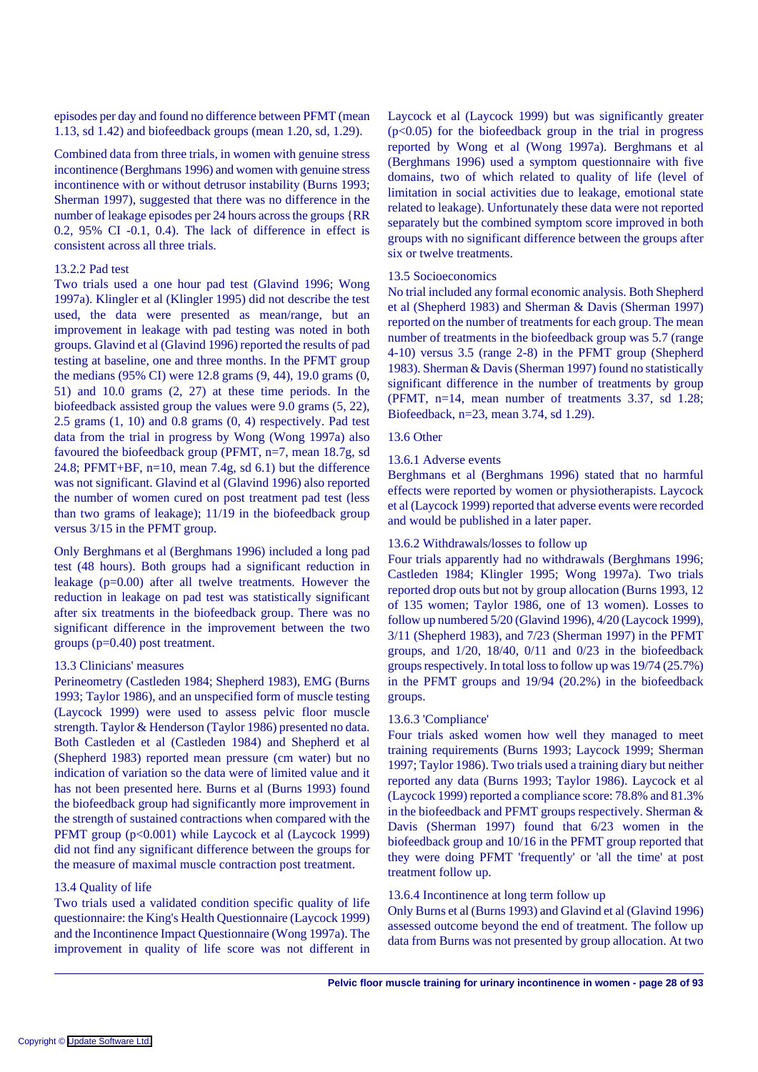episodes per day and found no difference between PFMT (mean 1.13, sd 1.42) and biofeedback groups (mean 1.20, sd, 1.29).

Combined data from three trials, in women with genuine stress incontinence (Berghmans 1996) and women with genuine stress incontinence with or without detrusor instability (Burns 1993; Sherman 1997), suggested that there was no difference in the number of leakage episodes per 24 hours across the groups {RR 0.2, 95% CI -0.1, 0.4). The lack of difference in effect is consistent across all three trials.

# 13.2.2 Pad test

Two trials used a one hour pad test (Glavind 1996; Wong 1997a). Klingler et al (Klingler 1995) did not describe the test used, the data were presented as mean/range, but an improvement in leakage with pad testing was noted in both groups. Glavind et al (Glavind 1996) reported the results of pad testing at baseline, one and three months. In the PFMT group the medians (95% CI) were 12.8 grams (9, 44), 19.0 grams (0, 51) and 10.0 grams (2, 27) at these time periods. In the biofeedback assisted group the values were 9.0 grams (5, 22), 2.5 grams (1, 10) and 0.8 grams (0, 4) respectively. Pad test data from the trial in progress by Wong (Wong 1997a) also favoured the biofeedback group (PFMT, n=7, mean 18.7g, sd 24.8; PFMT+BF,  $n=10$ , mean 7.4g, sd 6.1) but the difference was not significant. Glavind et al (Glavind 1996) also reported the number of women cured on post treatment pad test (less than two grams of leakage); 11/19 in the biofeedback group versus 3/15 in the PFMT group.

Only Berghmans et al (Berghmans 1996) included a long pad test (48 hours). Both groups had a significant reduction in leakage (p=0.00) after all twelve treatments. However the reduction in leakage on pad test was statistically significant after six treatments in the biofeedback group. There was no significant difference in the improvement between the two groups (p=0.40) post treatment.

### 13.3 Clinicians' measures

Perineometry (Castleden 1984; Shepherd 1983), EMG (Burns 1993; Taylor 1986), and an unspecified form of muscle testing (Laycock 1999) were used to assess pelvic floor muscle strength. Taylor & Henderson (Taylor 1986) presented no data. Both Castleden et al (Castleden 1984) and Shepherd et al (Shepherd 1983) reported mean pressure (cm water) but no indication of variation so the data were of limited value and it has not been presented here. Burns et al (Burns 1993) found the biofeedback group had significantly more improvement in the strength of sustained contractions when compared with the PFMT group (p<0.001) while Laycock et al (Laycock 1999) did not find any significant difference between the groups for the measure of maximal muscle contraction post treatment.

### 13.4 Quality of life

Two trials used a validated condition specific quality of life questionnaire: the King's Health Questionnaire (Laycock 1999) and the Incontinence Impact Questionnaire (Wong 1997a). The improvement in quality of life score was not different in Laycock et al (Laycock 1999) but was significantly greater  $(p<0.05)$  for the biofeedback group in the trial in progress reported by Wong et al (Wong 1997a). Berghmans et al (Berghmans 1996) used a symptom questionnaire with five domains, two of which related to quality of life (level of limitation in social activities due to leakage, emotional state related to leakage). Unfortunately these data were not reported separately but the combined symptom score improved in both groups with no significant difference between the groups after six or twelve treatments.

### 13.5 Socioeconomics

No trial included any formal economic analysis. Both Shepherd et al (Shepherd 1983) and Sherman & Davis (Sherman 1997) reported on the number of treatments for each group. The mean number of treatments in the biofeedback group was 5.7 (range 4-10) versus 3.5 (range 2-8) in the PFMT group (Shepherd 1983). Sherman & Davis (Sherman 1997) found no statistically significant difference in the number of treatments by group (PFMT, n=14, mean number of treatments 3.37, sd 1.28; Biofeedback, n=23, mean 3.74, sd 1.29).

### 13.6 Other

### 13.6.1 Adverse events

Berghmans et al (Berghmans 1996) stated that no harmful effects were reported by women or physiotherapists. Laycock et al (Laycock 1999) reported that adverse events were recorded and would be published in a later paper.

### 13.6.2 Withdrawals/losses to follow up

Four trials apparently had no withdrawals (Berghmans 1996; Castleden 1984; Klingler 1995; Wong 1997a). Two trials reported drop outs but not by group allocation (Burns 1993, 12 of 135 women; Taylor 1986, one of 13 women). Losses to follow up numbered 5/20 (Glavind 1996), 4/20 (Laycock 1999), 3/11 (Shepherd 1983), and 7/23 (Sherman 1997) in the PFMT groups, and 1/20, 18/40, 0/11 and 0/23 in the biofeedback groups respectively. In total loss to follow up was 19/74 (25.7%) in the PFMT groups and 19/94 (20.2%) in the biofeedback groups.

### 13.6.3 'Compliance'

Four trials asked women how well they managed to meet training requirements (Burns 1993; Laycock 1999; Sherman 1997; Taylor 1986). Two trials used a training diary but neither reported any data (Burns 1993; Taylor 1986). Laycock et al (Laycock 1999) reported a compliance score: 78.8% and 81.3% in the biofeedback and PFMT groups respectively. Sherman & Davis (Sherman 1997) found that 6/23 women in the biofeedback group and 10/16 in the PFMT group reported that they were doing PFMT 'frequently' or 'all the time' at post treatment follow up.

### 13.6.4 Incontinence at long term follow up

Only Burns et al (Burns 1993) and Glavind et al (Glavind 1996) assessed outcome beyond the end of treatment. The follow up data from Burns was not presented by group allocation. At two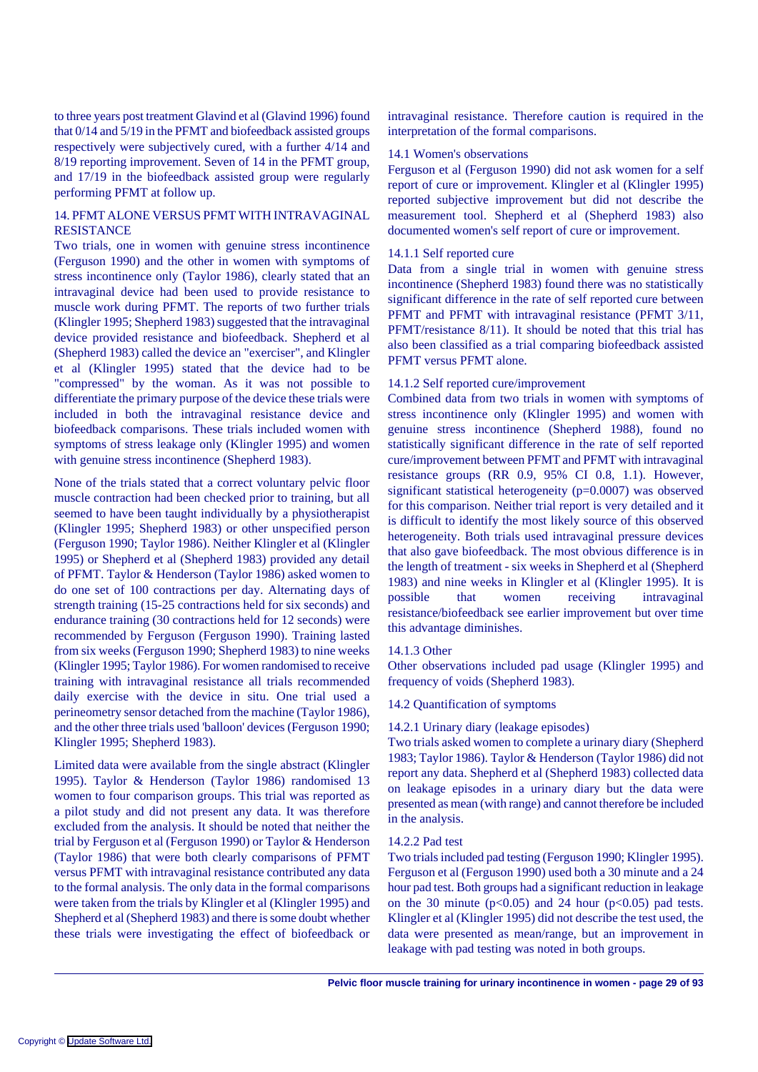to three years post treatment Glavind et al (Glavind 1996) found that 0/14 and 5/19 in the PFMT and biofeedback assisted groups respectively were subjectively cured, with a further 4/14 and 8/19 reporting improvement. Seven of 14 in the PFMT group, and 17/19 in the biofeedback assisted group were regularly performing PFMT at follow up.

# 14. PFMT ALONE VERSUS PFMT WITH INTRAVAGINAL **RESISTANCE**

Two trials, one in women with genuine stress incontinence (Ferguson 1990) and the other in women with symptoms of stress incontinence only (Taylor 1986), clearly stated that an intravaginal device had been used to provide resistance to muscle work during PFMT. The reports of two further trials (Klingler 1995; Shepherd 1983) suggested that the intravaginal device provided resistance and biofeedback. Shepherd et al (Shepherd 1983) called the device an "exerciser", and Klingler et al (Klingler 1995) stated that the device had to be "compressed" by the woman. As it was not possible to differentiate the primary purpose of the device these trials were included in both the intravaginal resistance device and biofeedback comparisons. These trials included women with symptoms of stress leakage only (Klingler 1995) and women with genuine stress incontinence (Shepherd 1983).

None of the trials stated that a correct voluntary pelvic floor muscle contraction had been checked prior to training, but all seemed to have been taught individually by a physiotherapist (Klingler 1995; Shepherd 1983) or other unspecified person (Ferguson 1990; Taylor 1986). Neither Klingler et al (Klingler 1995) or Shepherd et al (Shepherd 1983) provided any detail of PFMT. Taylor & Henderson (Taylor 1986) asked women to do one set of 100 contractions per day. Alternating days of strength training (15-25 contractions held for six seconds) and endurance training (30 contractions held for 12 seconds) were recommended by Ferguson (Ferguson 1990). Training lasted from six weeks (Ferguson 1990; Shepherd 1983) to nine weeks (Klingler 1995; Taylor 1986). For women randomised to receive training with intravaginal resistance all trials recommended daily exercise with the device in situ. One trial used a perineometry sensor detached from the machine (Taylor 1986), and the other three trials used 'balloon' devices (Ferguson 1990; Klingler 1995; Shepherd 1983).

Limited data were available from the single abstract (Klingler 1995). Taylor & Henderson (Taylor 1986) randomised 13 women to four comparison groups. This trial was reported as a pilot study and did not present any data. It was therefore excluded from the analysis. It should be noted that neither the trial by Ferguson et al (Ferguson 1990) or Taylor & Henderson (Taylor 1986) that were both clearly comparisons of PFMT versus PFMT with intravaginal resistance contributed any data to the formal analysis. The only data in the formal comparisons were taken from the trials by Klingler et al (Klingler 1995) and Shepherd et al (Shepherd 1983) and there is some doubt whether these trials were investigating the effect of biofeedback or intravaginal resistance. Therefore caution is required in the interpretation of the formal comparisons.

# 14.1 Women's observations

Ferguson et al (Ferguson 1990) did not ask women for a self report of cure or improvement. Klingler et al (Klingler 1995) reported subjective improvement but did not describe the measurement tool. Shepherd et al (Shepherd 1983) also documented women's self report of cure or improvement.

### 14.1.1 Self reported cure

Data from a single trial in women with genuine stress incontinence (Shepherd 1983) found there was no statistically significant difference in the rate of self reported cure between PFMT and PFMT with intravaginal resistance (PFMT 3/11, PFMT/resistance 8/11). It should be noted that this trial has also been classified as a trial comparing biofeedback assisted PFMT versus PFMT alone.

# 14.1.2 Self reported cure/improvement

Combined data from two trials in women with symptoms of stress incontinence only (Klingler 1995) and women with genuine stress incontinence (Shepherd 1988), found no statistically significant difference in the rate of self reported cure/improvement between PFMT and PFMT with intravaginal resistance groups (RR 0.9, 95% CI 0.8, 1.1). However, significant statistical heterogeneity (p=0.0007) was observed for this comparison. Neither trial report is very detailed and it is difficult to identify the most likely source of this observed heterogeneity. Both trials used intravaginal pressure devices that also gave biofeedback. The most obvious difference is in the length of treatment - six weeks in Shepherd et al (Shepherd 1983) and nine weeks in Klingler et al (Klingler 1995). It is possible that women receiving intravaginal resistance/biofeedback see earlier improvement but over time this advantage diminishes.

### 14.1.3 Other

Other observations included pad usage (Klingler 1995) and frequency of voids (Shepherd 1983).

### 14.2 Quantification of symptoms

### 14.2.1 Urinary diary (leakage episodes)

Two trials asked women to complete a urinary diary (Shepherd 1983; Taylor 1986). Taylor & Henderson (Taylor 1986) did not report any data. Shepherd et al (Shepherd 1983) collected data on leakage episodes in a urinary diary but the data were presented as mean (with range) and cannot therefore be included in the analysis.

### 14.2.2 Pad test

Two trials included pad testing (Ferguson 1990; Klingler 1995). Ferguson et al (Ferguson 1990) used both a 30 minute and a 24 hour pad test. Both groups had a significant reduction in leakage on the 30 minute ( $p<0.05$ ) and 24 hour ( $p<0.05$ ) pad tests. Klingler et al (Klingler 1995) did not describe the test used, the data were presented as mean/range, but an improvement in leakage with pad testing was noted in both groups.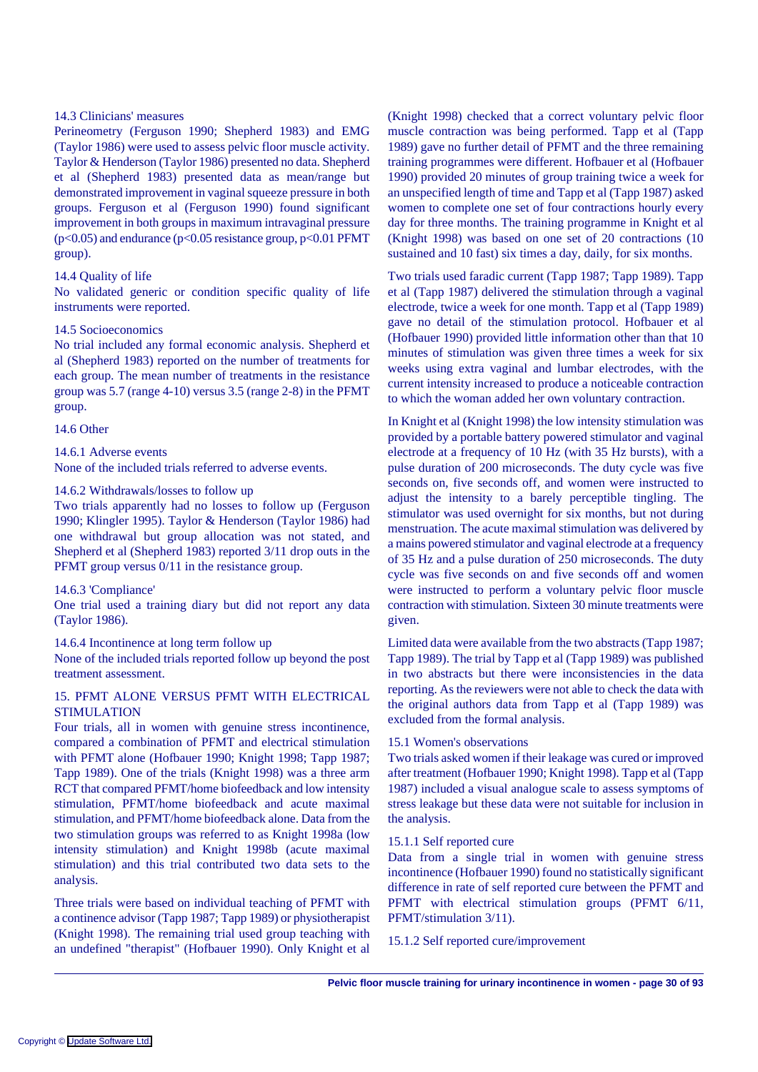### 14.3 Clinicians' measures

Perineometry (Ferguson 1990; Shepherd 1983) and EMG (Taylor 1986) were used to assess pelvic floor muscle activity. Taylor & Henderson (Taylor 1986) presented no data. Shepherd et al (Shepherd 1983) presented data as mean/range but demonstrated improvement in vaginal squeeze pressure in both groups. Ferguson et al (Ferguson 1990) found significant improvement in both groups in maximum intravaginal pressure  $(p<0.05)$  and endurance  $(p<0.05$  resistance group,  $p<0.01$  PFMT group).

# 14.4 Quality of life

No validated generic or condition specific quality of life instruments were reported.

### 14.5 Socioeconomics

No trial included any formal economic analysis. Shepherd et al (Shepherd 1983) reported on the number of treatments for each group. The mean number of treatments in the resistance group was 5.7 (range 4-10) versus 3.5 (range 2-8) in the PFMT group.

14.6 Other

14.6.1 Adverse events

None of the included trials referred to adverse events.

# 14.6.2 Withdrawals/losses to follow up

Two trials apparently had no losses to follow up (Ferguson 1990; Klingler 1995). Taylor & Henderson (Taylor 1986) had one withdrawal but group allocation was not stated, and Shepherd et al (Shepherd 1983) reported 3/11 drop outs in the PFMT group versus 0/11 in the resistance group.

# 14.6.3 'Compliance'

One trial used a training diary but did not report any data (Taylor 1986).

# 14.6.4 Incontinence at long term follow up

None of the included trials reported follow up beyond the post treatment assessment.

# 15. PFMT ALONE VERSUS PFMT WITH ELECTRICAL STIMULATION

Four trials, all in women with genuine stress incontinence, compared a combination of PFMT and electrical stimulation with PFMT alone (Hofbauer 1990; Knight 1998; Tapp 1987; Tapp 1989). One of the trials (Knight 1998) was a three arm RCT that compared PFMT/home biofeedback and low intensity stimulation, PFMT/home biofeedback and acute maximal stimulation, and PFMT/home biofeedback alone. Data from the two stimulation groups was referred to as Knight 1998a (low intensity stimulation) and Knight 1998b (acute maximal stimulation) and this trial contributed two data sets to the analysis.

Three trials were based on individual teaching of PFMT with a continence advisor (Tapp 1987; Tapp 1989) or physiotherapist (Knight 1998). The remaining trial used group teaching with an undefined "therapist" (Hofbauer 1990). Only Knight et al (Knight 1998) checked that a correct voluntary pelvic floor muscle contraction was being performed. Tapp et al (Tapp 1989) gave no further detail of PFMT and the three remaining training programmes were different. Hofbauer et al (Hofbauer 1990) provided 20 minutes of group training twice a week for an unspecified length of time and Tapp et al (Tapp 1987) asked women to complete one set of four contractions hourly every day for three months. The training programme in Knight et al (Knight 1998) was based on one set of 20 contractions (10 sustained and 10 fast) six times a day, daily, for six months.

Two trials used faradic current (Tapp 1987; Tapp 1989). Tapp et al (Tapp 1987) delivered the stimulation through a vaginal electrode, twice a week for one month. Tapp et al (Tapp 1989) gave no detail of the stimulation protocol. Hofbauer et al (Hofbauer 1990) provided little information other than that 10 minutes of stimulation was given three times a week for six weeks using extra vaginal and lumbar electrodes, with the current intensity increased to produce a noticeable contraction to which the woman added her own voluntary contraction.

In Knight et al (Knight 1998) the low intensity stimulation was provided by a portable battery powered stimulator and vaginal electrode at a frequency of 10 Hz (with 35 Hz bursts), with a pulse duration of 200 microseconds. The duty cycle was five seconds on, five seconds off, and women were instructed to adjust the intensity to a barely perceptible tingling. The stimulator was used overnight for six months, but not during menstruation. The acute maximal stimulation was delivered by a mains powered stimulator and vaginal electrode at a frequency of 35 Hz and a pulse duration of 250 microseconds. The duty cycle was five seconds on and five seconds off and women were instructed to perform a voluntary pelvic floor muscle contraction with stimulation. Sixteen 30 minute treatments were given.

Limited data were available from the two abstracts (Tapp 1987; Tapp 1989). The trial by Tapp et al (Tapp 1989) was published in two abstracts but there were inconsistencies in the data reporting. As the reviewers were not able to check the data with the original authors data from Tapp et al (Tapp 1989) was excluded from the formal analysis.

# 15.1 Women's observations

Two trials asked women if their leakage was cured or improved after treatment (Hofbauer 1990; Knight 1998). Tapp et al (Tapp 1987) included a visual analogue scale to assess symptoms of stress leakage but these data were not suitable for inclusion in the analysis.

### 15.1.1 Self reported cure

Data from a single trial in women with genuine stress incontinence (Hofbauer 1990) found no statistically significant difference in rate of self reported cure between the PFMT and PFMT with electrical stimulation groups (PFMT 6/11, PFMT/stimulation 3/11).

15.1.2 Self reported cure/improvement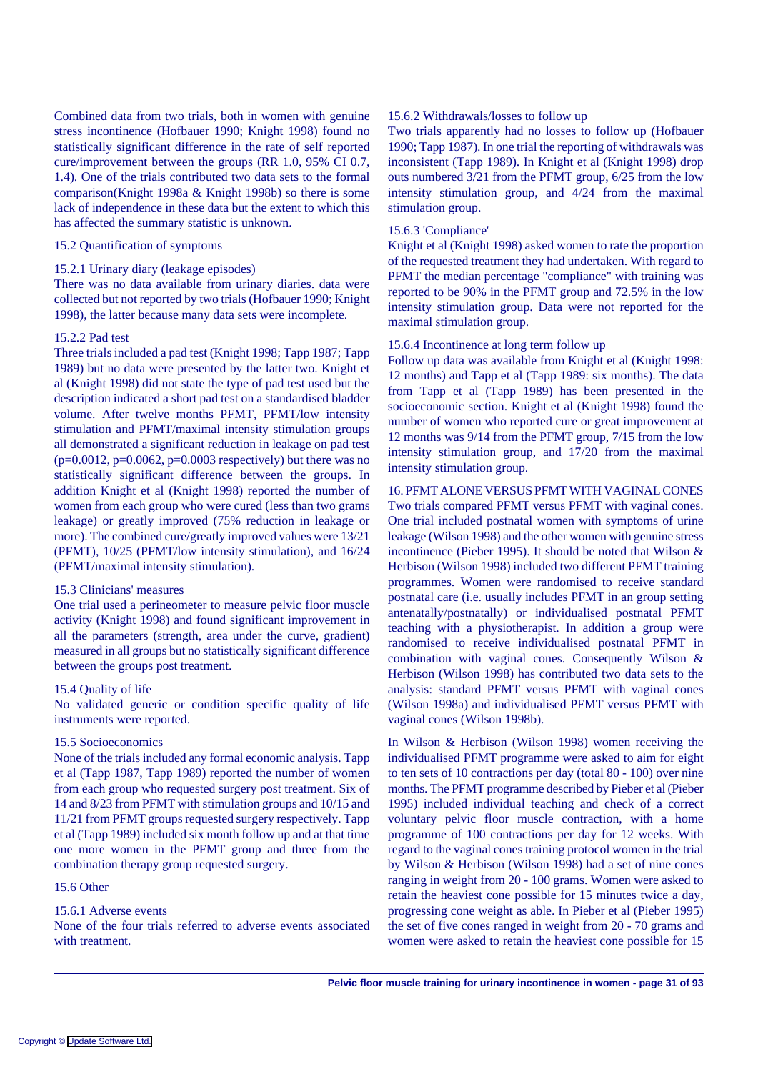Combined data from two trials, both in women with genuine stress incontinence (Hofbauer 1990; Knight 1998) found no statistically significant difference in the rate of self reported cure/improvement between the groups (RR 1.0, 95% CI 0.7, 1.4). One of the trials contributed two data sets to the formal comparison(Knight 1998a & Knight 1998b) so there is some lack of independence in these data but the extent to which this has affected the summary statistic is unknown.

### 15.2 Quantification of symptoms

### 15.2.1 Urinary diary (leakage episodes)

There was no data available from urinary diaries. data were collected but not reported by two trials (Hofbauer 1990; Knight 1998), the latter because many data sets were incomplete.

#### 15.2.2 Pad test

Three trials included a pad test (Knight 1998; Tapp 1987; Tapp 1989) but no data were presented by the latter two. Knight et al (Knight 1998) did not state the type of pad test used but the description indicated a short pad test on a standardised bladder volume. After twelve months PFMT, PFMT/low intensity stimulation and PFMT/maximal intensity stimulation groups all demonstrated a significant reduction in leakage on pad test  $(p=0.0012, p=0.0062, p=0.0003$  respectively) but there was no statistically significant difference between the groups. In addition Knight et al (Knight 1998) reported the number of women from each group who were cured (less than two grams leakage) or greatly improved (75% reduction in leakage or more). The combined cure/greatly improved values were 13/21 (PFMT), 10/25 (PFMT/low intensity stimulation), and 16/24 (PFMT/maximal intensity stimulation).

#### 15.3 Clinicians' measures

One trial used a perineometer to measure pelvic floor muscle activity (Knight 1998) and found significant improvement in all the parameters (strength, area under the curve, gradient) measured in all groups but no statistically significant difference between the groups post treatment.

#### 15.4 Quality of life

No validated generic or condition specific quality of life instruments were reported.

### 15.5 Socioeconomics

None of the trials included any formal economic analysis. Tapp et al (Tapp 1987, Tapp 1989) reported the number of women from each group who requested surgery post treatment. Six of 14 and 8/23 from PFMT with stimulation groups and 10/15 and 11/21 from PFMT groups requested surgery respectively. Tapp et al (Tapp 1989) included six month follow up and at that time one more women in the PFMT group and three from the combination therapy group requested surgery.

# 15.6 Other

# 15.6.1 Adverse events

None of the four trials referred to adverse events associated with treatment.

### 15.6.2 Withdrawals/losses to follow up

Two trials apparently had no losses to follow up (Hofbauer 1990; Tapp 1987). In one trial the reporting of withdrawals was inconsistent (Tapp 1989). In Knight et al (Knight 1998) drop outs numbered 3/21 from the PFMT group, 6/25 from the low intensity stimulation group, and 4/24 from the maximal stimulation group.

#### 15.6.3 'Compliance'

Knight et al (Knight 1998) asked women to rate the proportion of the requested treatment they had undertaken. With regard to PFMT the median percentage "compliance" with training was reported to be 90% in the PFMT group and 72.5% in the low intensity stimulation group. Data were not reported for the maximal stimulation group.

### 15.6.4 Incontinence at long term follow up

Follow up data was available from Knight et al (Knight 1998: 12 months) and Tapp et al (Tapp 1989: six months). The data from Tapp et al (Tapp 1989) has been presented in the socioeconomic section. Knight et al (Knight 1998) found the number of women who reported cure or great improvement at 12 months was 9/14 from the PFMT group, 7/15 from the low intensity stimulation group, and 17/20 from the maximal intensity stimulation group.

#### 16. PFMT ALONE VERSUS PFMT WITH VAGINAL CONES

Two trials compared PFMT versus PFMT with vaginal cones. One trial included postnatal women with symptoms of urine leakage (Wilson 1998) and the other women with genuine stress incontinence (Pieber 1995). It should be noted that Wilson & Herbison (Wilson 1998) included two different PFMT training programmes. Women were randomised to receive standard postnatal care (i.e. usually includes PFMT in an group setting antenatally/postnatally) or individualised postnatal PFMT teaching with a physiotherapist. In addition a group were randomised to receive individualised postnatal PFMT in combination with vaginal cones. Consequently Wilson & Herbison (Wilson 1998) has contributed two data sets to the analysis: standard PFMT versus PFMT with vaginal cones (Wilson 1998a) and individualised PFMT versus PFMT with vaginal cones (Wilson 1998b).

In Wilson & Herbison (Wilson 1998) women receiving the individualised PFMT programme were asked to aim for eight to ten sets of 10 contractions per day (total 80 - 100) over nine months. The PFMT programme described by Pieber et al (Pieber 1995) included individual teaching and check of a correct voluntary pelvic floor muscle contraction, with a home programme of 100 contractions per day for 12 weeks. With regard to the vaginal cones training protocol women in the trial by Wilson & Herbison (Wilson 1998) had a set of nine cones ranging in weight from 20 - 100 grams. Women were asked to retain the heaviest cone possible for 15 minutes twice a day, progressing cone weight as able. In Pieber et al (Pieber 1995) the set of five cones ranged in weight from 20 - 70 grams and women were asked to retain the heaviest cone possible for 15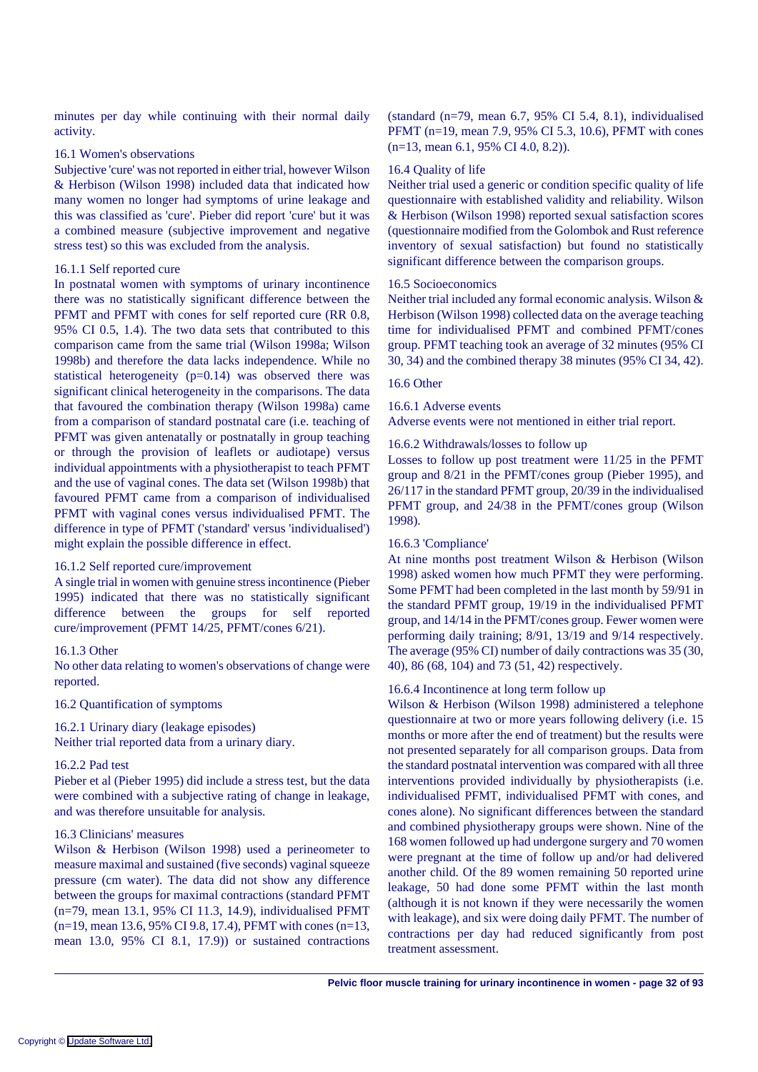minutes per day while continuing with their normal daily activity.

### 16.1 Women's observations

Subjective 'cure' was not reported in either trial, however Wilson & Herbison (Wilson 1998) included data that indicated how many women no longer had symptoms of urine leakage and this was classified as 'cure'. Pieber did report 'cure' but it was a combined measure (subjective improvement and negative stress test) so this was excluded from the analysis.

### 16.1.1 Self reported cure

In postnatal women with symptoms of urinary incontinence there was no statistically significant difference between the PFMT and PFMT with cones for self reported cure (RR 0.8, 95% CI 0.5, 1.4). The two data sets that contributed to this comparison came from the same trial (Wilson 1998a; Wilson 1998b) and therefore the data lacks independence. While no statistical heterogeneity (p=0.14) was observed there was significant clinical heterogeneity in the comparisons. The data that favoured the combination therapy (Wilson 1998a) came from a comparison of standard postnatal care (i.e. teaching of PFMT was given antenatally or postnatally in group teaching or through the provision of leaflets or audiotape) versus individual appointments with a physiotherapist to teach PFMT and the use of vaginal cones. The data set (Wilson 1998b) that favoured PFMT came from a comparison of individualised PFMT with vaginal cones versus individualised PFMT. The difference in type of PFMT ('standard' versus 'individualised') might explain the possible difference in effect.

### 16.1.2 Self reported cure/improvement

A single trial in women with genuine stress incontinence (Pieber 1995) indicated that there was no statistically significant difference between the groups for self reported cure/improvement (PFMT 14/25, PFMT/cones 6/21).

#### 16.1.3 Other

No other data relating to women's observations of change were reported.

### 16.2 Quantification of symptoms

16.2.1 Urinary diary (leakage episodes) Neither trial reported data from a urinary diary.

#### 16.2.2 Pad test

Pieber et al (Pieber 1995) did include a stress test, but the data were combined with a subjective rating of change in leakage, and was therefore unsuitable for analysis.

### 16.3 Clinicians' measures

Wilson & Herbison (Wilson 1998) used a perineometer to measure maximal and sustained (five seconds) vaginal squeeze pressure (cm water). The data did not show any difference between the groups for maximal contractions (standard PFMT (n=79, mean 13.1, 95% CI 11.3, 14.9), individualised PFMT (n=19, mean 13.6, 95% CI 9.8, 17.4), PFMT with cones (n=13, mean 13.0, 95% CI 8.1, 17.9)) or sustained contractions (standard (n=79, mean 6.7, 95% CI 5.4, 8.1), individualised PFMT (n=19, mean 7.9, 95% CI 5.3, 10.6), PFMT with cones (n=13, mean 6.1, 95% CI 4.0, 8.2)).

#### 16.4 Quality of life

Neither trial used a generic or condition specific quality of life questionnaire with established validity and reliability. Wilson & Herbison (Wilson 1998) reported sexual satisfaction scores (questionnaire modified from the Golombok and Rust reference inventory of sexual satisfaction) but found no statistically significant difference between the comparison groups.

### 16.5 Socioeconomics

Neither trial included any formal economic analysis. Wilson & Herbison (Wilson 1998) collected data on the average teaching time for individualised PFMT and combined PFMT/cones group. PFMT teaching took an average of 32 minutes (95% CI 30, 34) and the combined therapy 38 minutes (95% CI 34, 42).

# 16.6 Other

### 16.6.1 Adverse events

Adverse events were not mentioned in either trial report.

# 16.6.2 Withdrawals/losses to follow up

Losses to follow up post treatment were 11/25 in the PFMT group and 8/21 in the PFMT/cones group (Pieber 1995), and 26/117 in the standard PFMT group, 20/39 in the individualised PFMT group, and 24/38 in the PFMT/cones group (Wilson 1998).

### 16.6.3 'Compliance'

At nine months post treatment Wilson & Herbison (Wilson 1998) asked women how much PFMT they were performing. Some PFMT had been completed in the last month by 59/91 in the standard PFMT group, 19/19 in the individualised PFMT group, and 14/14 in the PFMT/cones group. Fewer women were performing daily training; 8/91, 13/19 and 9/14 respectively. The average (95% CI) number of daily contractions was 35 (30, 40), 86 (68, 104) and 73 (51, 42) respectively.

# 16.6.4 Incontinence at long term follow up

Wilson & Herbison (Wilson 1998) administered a telephone questionnaire at two or more years following delivery (i.e. 15 months or more after the end of treatment) but the results were not presented separately for all comparison groups. Data from the standard postnatal intervention was compared with all three interventions provided individually by physiotherapists (i.e. individualised PFMT, individualised PFMT with cones, and cones alone). No significant differences between the standard and combined physiotherapy groups were shown. Nine of the 168 women followed up had undergone surgery and 70 women were pregnant at the time of follow up and/or had delivered another child. Of the 89 women remaining 50 reported urine leakage, 50 had done some PFMT within the last month (although it is not known if they were necessarily the women with leakage), and six were doing daily PFMT. The number of contractions per day had reduced significantly from post treatment assessment.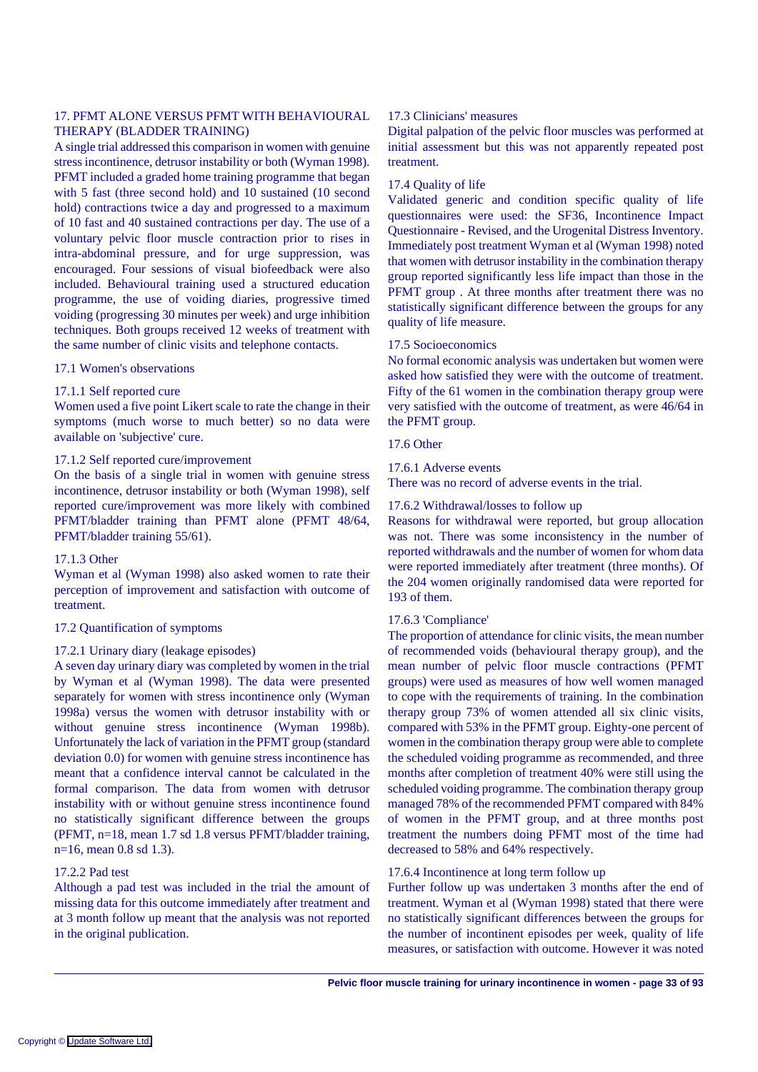# 17. PFMT ALONE VERSUS PFMT WITH BEHAVIOURAL THERAPY (BLADDER TRAINING)

A single trial addressed this comparison in women with genuine stress incontinence, detrusor instability or both (Wyman 1998). PFMT included a graded home training programme that began with 5 fast (three second hold) and 10 sustained (10 second hold) contractions twice a day and progressed to a maximum of 10 fast and 40 sustained contractions per day. The use of a voluntary pelvic floor muscle contraction prior to rises in intra-abdominal pressure, and for urge suppression, was encouraged. Four sessions of visual biofeedback were also included. Behavioural training used a structured education programme, the use of voiding diaries, progressive timed voiding (progressing 30 minutes per week) and urge inhibition techniques. Both groups received 12 weeks of treatment with the same number of clinic visits and telephone contacts.

# 17.1 Women's observations

# 17.1.1 Self reported cure

Women used a five point Likert scale to rate the change in their symptoms (much worse to much better) so no data were available on 'subjective' cure.

# 17.1.2 Self reported cure/improvement

On the basis of a single trial in women with genuine stress incontinence, detrusor instability or both (Wyman 1998), self reported cure/improvement was more likely with combined PFMT/bladder training than PFMT alone (PFMT 48/64, PFMT/bladder training 55/61).

# 17.1.3 Other

Wyman et al (Wyman 1998) also asked women to rate their perception of improvement and satisfaction with outcome of treatment.

# 17.2 Quantification of symptoms

# 17.2.1 Urinary diary (leakage episodes)

A seven day urinary diary was completed by women in the trial by Wyman et al (Wyman 1998). The data were presented separately for women with stress incontinence only (Wyman 1998a) versus the women with detrusor instability with or without genuine stress incontinence (Wyman 1998b). Unfortunately the lack of variation in the PFMT group (standard deviation 0.0) for women with genuine stress incontinence has meant that a confidence interval cannot be calculated in the formal comparison. The data from women with detrusor instability with or without genuine stress incontinence found no statistically significant difference between the groups (PFMT, n=18, mean 1.7 sd 1.8 versus PFMT/bladder training, n=16, mean 0.8 sd 1.3).

# 17.2.2 Pad test

Although a pad test was included in the trial the amount of missing data for this outcome immediately after treatment and at 3 month follow up meant that the analysis was not reported in the original publication.

# 17.3 Clinicians' measures

Digital palpation of the pelvic floor muscles was performed at initial assessment but this was not apparently repeated post treatment.

# 17.4 Quality of life

Validated generic and condition specific quality of life questionnaires were used: the SF36, Incontinence Impact Questionnaire - Revised, and the Urogenital Distress Inventory. Immediately post treatment Wyman et al (Wyman 1998) noted that women with detrusor instability in the combination therapy group reported significantly less life impact than those in the PFMT group . At three months after treatment there was no statistically significant difference between the groups for any quality of life measure.

# 17.5 Socioeconomics

No formal economic analysis was undertaken but women were asked how satisfied they were with the outcome of treatment. Fifty of the 61 women in the combination therapy group were very satisfied with the outcome of treatment, as were 46/64 in the PFMT group.

# 17.6 Other

17.6.1 Adverse events

There was no record of adverse events in the trial.

# 17.6.2 Withdrawal/losses to follow up

Reasons for withdrawal were reported, but group allocation was not. There was some inconsistency in the number of reported withdrawals and the number of women for whom data were reported immediately after treatment (three months). Of the 204 women originally randomised data were reported for 193 of them.

# 17.6.3 'Compliance'

The proportion of attendance for clinic visits, the mean number of recommended voids (behavioural therapy group), and the mean number of pelvic floor muscle contractions (PFMT groups) were used as measures of how well women managed to cope with the requirements of training. In the combination therapy group 73% of women attended all six clinic visits, compared with 53% in the PFMT group. Eighty-one percent of women in the combination therapy group were able to complete the scheduled voiding programme as recommended, and three months after completion of treatment 40% were still using the scheduled voiding programme. The combination therapy group managed 78% of the recommended PFMT compared with 84% of women in the PFMT group, and at three months post treatment the numbers doing PFMT most of the time had decreased to 58% and 64% respectively.

# 17.6.4 Incontinence at long term follow up

Further follow up was undertaken 3 months after the end of treatment. Wyman et al (Wyman 1998) stated that there were no statistically significant differences between the groups for the number of incontinent episodes per week, quality of life measures, or satisfaction with outcome. However it was noted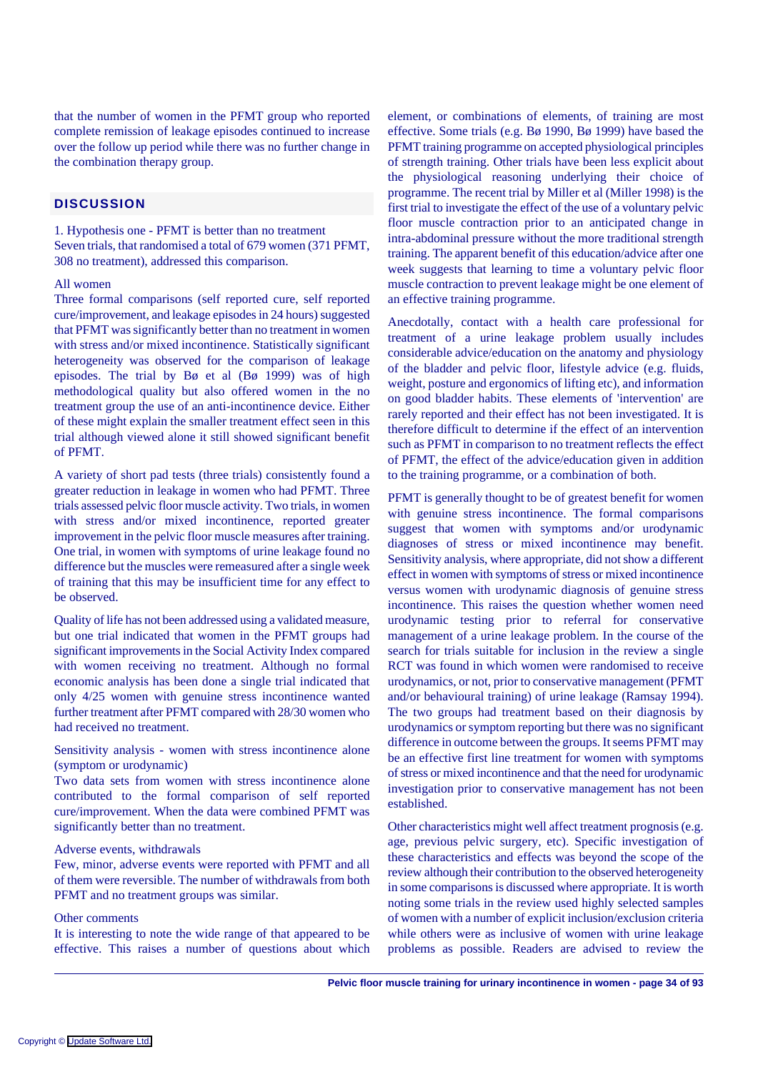that the number of women in the PFMT group who reported complete remission of leakage episodes continued to increase over the follow up period while there was no further change in the combination therapy group.

# **DISCUSSION**

1. Hypothesis one - PFMT is better than no treatment Seven trials, that randomised a total of 679 women (371 PFMT, 308 no treatment), addressed this comparison.

# All women

Three formal comparisons (self reported cure, self reported cure/improvement, and leakage episodes in 24 hours) suggested that PFMT was significantly better than no treatment in women with stress and/or mixed incontinence. Statistically significant heterogeneity was observed for the comparison of leakage episodes. The trial by Bø et al (Bø 1999) was of high methodological quality but also offered women in the no treatment group the use of an anti-incontinence device. Either of these might explain the smaller treatment effect seen in this trial although viewed alone it still showed significant benefit of PFMT.

A variety of short pad tests (three trials) consistently found a greater reduction in leakage in women who had PFMT. Three trials assessed pelvic floor muscle activity. Two trials, in women with stress and/or mixed incontinence, reported greater improvement in the pelvic floor muscle measures after training. One trial, in women with symptoms of urine leakage found no difference but the muscles were remeasured after a single week of training that this may be insufficient time for any effect to be observed.

Quality of life has not been addressed using a validated measure, but one trial indicated that women in the PFMT groups had significant improvements in the Social Activity Index compared with women receiving no treatment. Although no formal economic analysis has been done a single trial indicated that only 4/25 women with genuine stress incontinence wanted further treatment after PFMT compared with 28/30 women who had received no treatment.

Sensitivity analysis - women with stress incontinence alone (symptom or urodynamic)

Two data sets from women with stress incontinence alone contributed to the formal comparison of self reported cure/improvement. When the data were combined PFMT was significantly better than no treatment.

# Adverse events, withdrawals

Few, minor, adverse events were reported with PFMT and all of them were reversible. The number of withdrawals from both PFMT and no treatment groups was similar.

# Other comments

It is interesting to note the wide range of that appeared to be effective. This raises a number of questions about which element, or combinations of elements, of training are most effective. Some trials (e.g. Bø 1990, Bø 1999) have based the PFMT training programme on accepted physiological principles of strength training. Other trials have been less explicit about the physiological reasoning underlying their choice of programme. The recent trial by Miller et al (Miller 1998) is the first trial to investigate the effect of the use of a voluntary pelvic floor muscle contraction prior to an anticipated change in intra-abdominal pressure without the more traditional strength training. The apparent benefit of this education/advice after one week suggests that learning to time a voluntary pelvic floor muscle contraction to prevent leakage might be one element of an effective training programme.

Anecdotally, contact with a health care professional for treatment of a urine leakage problem usually includes considerable advice/education on the anatomy and physiology of the bladder and pelvic floor, lifestyle advice (e.g. fluids, weight, posture and ergonomics of lifting etc), and information on good bladder habits. These elements of 'intervention' are rarely reported and their effect has not been investigated. It is therefore difficult to determine if the effect of an intervention such as PFMT in comparison to no treatment reflects the effect of PFMT, the effect of the advice/education given in addition to the training programme, or a combination of both.

PFMT is generally thought to be of greatest benefit for women with genuine stress incontinence. The formal comparisons suggest that women with symptoms and/or urodynamic diagnoses of stress or mixed incontinence may benefit. Sensitivity analysis, where appropriate, did not show a different effect in women with symptoms of stress or mixed incontinence versus women with urodynamic diagnosis of genuine stress incontinence. This raises the question whether women need urodynamic testing prior to referral for conservative management of a urine leakage problem. In the course of the search for trials suitable for inclusion in the review a single RCT was found in which women were randomised to receive urodynamics, or not, prior to conservative management (PFMT and/or behavioural training) of urine leakage (Ramsay 1994). The two groups had treatment based on their diagnosis by urodynamics or symptom reporting but there was no significant difference in outcome between the groups. It seems PFMT may be an effective first line treatment for women with symptoms of stress or mixed incontinence and that the need for urodynamic investigation prior to conservative management has not been established.

Other characteristics might well affect treatment prognosis (e.g. age, previous pelvic surgery, etc). Specific investigation of these characteristics and effects was beyond the scope of the review although their contribution to the observed heterogeneity in some comparisons is discussed where appropriate. It is worth noting some trials in the review used highly selected samples of women with a number of explicit inclusion/exclusion criteria while others were as inclusive of women with urine leakage problems as possible. Readers are advised to review the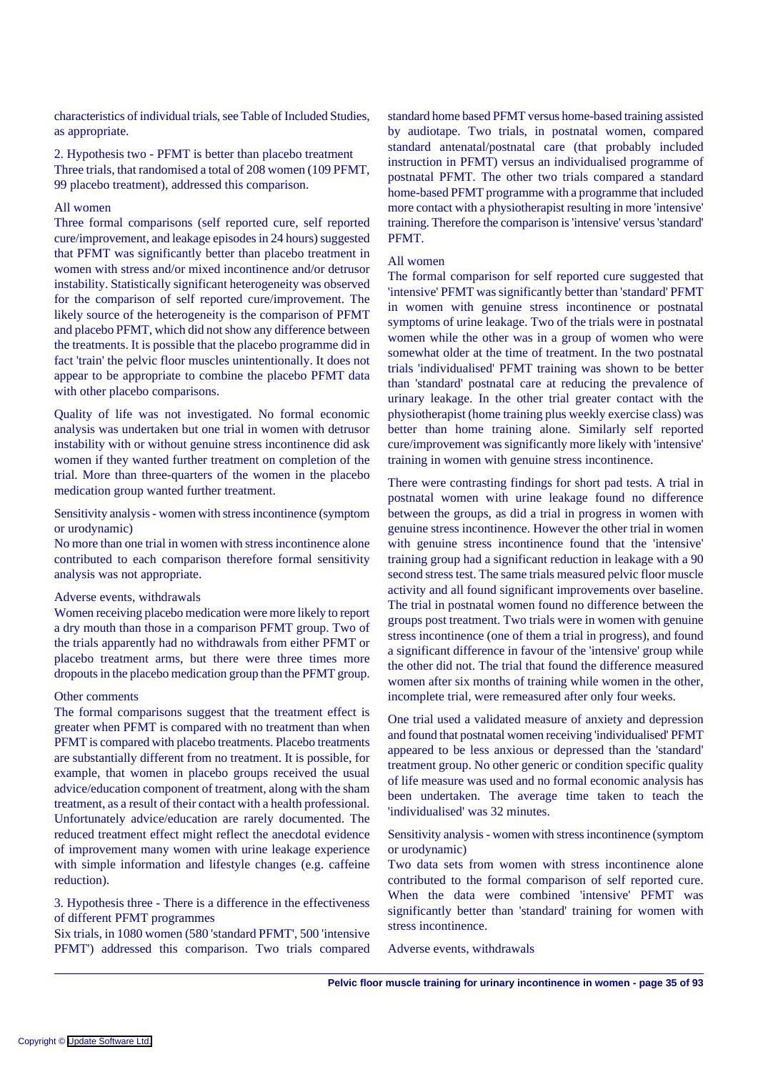characteristics of individual trials, see Table of Included Studies, as appropriate.

2. Hypothesis two - PFMT is better than placebo treatment Three trials, that randomised a total of 208 women (109 PFMT, 99 placebo treatment), addressed this comparison.

# All women

Three formal comparisons (self reported cure, self reported cure/improvement, and leakage episodes in 24 hours) suggested that PFMT was significantly better than placebo treatment in women with stress and/or mixed incontinence and/or detrusor instability. Statistically significant heterogeneity was observed for the comparison of self reported cure/improvement. The likely source of the heterogeneity is the comparison of PFMT and placebo PFMT, which did not show any difference between the treatments. It is possible that the placebo programme did in fact 'train' the pelvic floor muscles unintentionally. It does not appear to be appropriate to combine the placebo PFMT data with other placebo comparisons.

Quality of life was not investigated. No formal economic analysis was undertaken but one trial in women with detrusor instability with or without genuine stress incontinence did ask women if they wanted further treatment on completion of the trial. More than three-quarters of the women in the placebo medication group wanted further treatment.

Sensitivity analysis - women with stress incontinence (symptom or urodynamic)

No more than one trial in women with stress incontinence alone contributed to each comparison therefore formal sensitivity analysis was not appropriate.

# Adverse events, withdrawals

Women receiving placebo medication were more likely to report a dry mouth than those in a comparison PFMT group. Two of the trials apparently had no withdrawals from either PFMT or placebo treatment arms, but there were three times more dropouts in the placebo medication group than the PFMT group.

# Other comments

The formal comparisons suggest that the treatment effect is greater when PFMT is compared with no treatment than when PFMT is compared with placebo treatments. Placebo treatments are substantially different from no treatment. It is possible, for example, that women in placebo groups received the usual advice/education component of treatment, along with the sham treatment, as a result of their contact with a health professional. Unfortunately advice/education are rarely documented. The reduced treatment effect might reflect the anecdotal evidence of improvement many women with urine leakage experience with simple information and lifestyle changes (e.g. caffeine reduction).

3. Hypothesis three - There is a difference in the effectiveness of different PFMT programmes

Six trials, in 1080 women (580 'standard PFMT', 500 'intensive PFMT') addressed this comparison. Two trials compared

standard home based PFMT versus home-based training assisted by audiotape. Two trials, in postnatal women, compared standard antenatal/postnatal care (that probably included instruction in PFMT) versus an individualised programme of postnatal PFMT. The other two trials compared a standard home-based PFMT programme with a programme that included more contact with a physiotherapist resulting in more 'intensive' training. Therefore the comparison is 'intensive' versus 'standard' PFMT.

## All women

The formal comparison for self reported cure suggested that 'intensive' PFMT was significantly better than 'standard' PFMT in women with genuine stress incontinence or postnatal symptoms of urine leakage. Two of the trials were in postnatal women while the other was in a group of women who were somewhat older at the time of treatment. In the two postnatal trials 'individualised' PFMT training was shown to be better than 'standard' postnatal care at reducing the prevalence of urinary leakage. In the other trial greater contact with the physiotherapist (home training plus weekly exercise class) was better than home training alone. Similarly self reported cure/improvement was significantly more likely with 'intensive' training in women with genuine stress incontinence.

There were contrasting findings for short pad tests. A trial in postnatal women with urine leakage found no difference between the groups, as did a trial in progress in women with genuine stress incontinence. However the other trial in women with genuine stress incontinence found that the 'intensive' training group had a significant reduction in leakage with a 90 second stress test. The same trials measured pelvic floor muscle activity and all found significant improvements over baseline. The trial in postnatal women found no difference between the groups post treatment. Two trials were in women with genuine stress incontinence (one of them a trial in progress), and found a significant difference in favour of the 'intensive' group while the other did not. The trial that found the difference measured women after six months of training while women in the other, incomplete trial, were remeasured after only four weeks.

One trial used a validated measure of anxiety and depression and found that postnatal women receiving 'individualised' PFMT appeared to be less anxious or depressed than the 'standard' treatment group. No other generic or condition specific quality of life measure was used and no formal economic analysis has been undertaken. The average time taken to teach the 'individualised' was 32 minutes.

Sensitivity analysis - women with stress incontinence (symptom or urodynamic)

Two data sets from women with stress incontinence alone contributed to the formal comparison of self reported cure. When the data were combined 'intensive' PFMT was significantly better than 'standard' training for women with stress incontinence.

Adverse events, withdrawals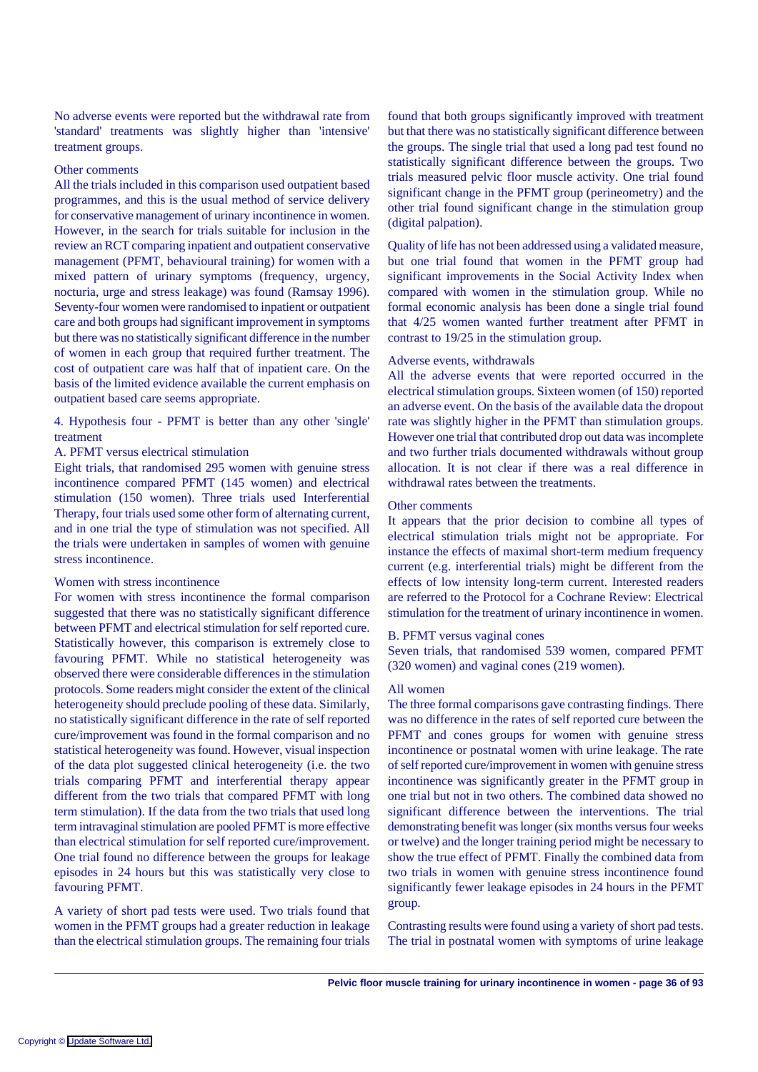No adverse events were reported but the withdrawal rate from 'standard' treatments was slightly higher than 'intensive' treatment groups.

## Other comments

All the trials included in this comparison used outpatient based programmes, and this is the usual method of service delivery for conservative management of urinary incontinence in women. However, in the search for trials suitable for inclusion in the review an RCT comparing inpatient and outpatient conservative management (PFMT, behavioural training) for women with a mixed pattern of urinary symptoms (frequency, urgency, nocturia, urge and stress leakage) was found (Ramsay 1996). Seventy-four women were randomised to inpatient or outpatient care and both groups had significant improvement in symptoms but there was no statistically significant difference in the number of women in each group that required further treatment. The cost of outpatient care was half that of inpatient care. On the basis of the limited evidence available the current emphasis on outpatient based care seems appropriate.

4. Hypothesis four - PFMT is better than any other 'single' treatment

## A. PFMT versus electrical stimulation

Eight trials, that randomised 295 women with genuine stress incontinence compared PFMT (145 women) and electrical stimulation (150 women). Three trials used Interferential Therapy, four trials used some other form of alternating current, and in one trial the type of stimulation was not specified. All the trials were undertaken in samples of women with genuine stress incontinence.

# Women with stress incontinence

For women with stress incontinence the formal comparison suggested that there was no statistically significant difference between PFMT and electrical stimulation for self reported cure. Statistically however, this comparison is extremely close to favouring PFMT. While no statistical heterogeneity was observed there were considerable differences in the stimulation protocols. Some readers might consider the extent of the clinical heterogeneity should preclude pooling of these data. Similarly, no statistically significant difference in the rate of self reported cure/improvement was found in the formal comparison and no statistical heterogeneity was found. However, visual inspection of the data plot suggested clinical heterogeneity (i.e. the two trials comparing PFMT and interferential therapy appear different from the two trials that compared PFMT with long term stimulation). If the data from the two trials that used long term intravaginal stimulation are pooled PFMT is more effective than electrical stimulation for self reported cure/improvement. One trial found no difference between the groups for leakage episodes in 24 hours but this was statistically very close to favouring PFMT.

A variety of short pad tests were used. Two trials found that women in the PFMT groups had a greater reduction in leakage than the electrical stimulation groups. The remaining four trials found that both groups significantly improved with treatment but that there was no statistically significant difference between the groups. The single trial that used a long pad test found no statistically significant difference between the groups. Two trials measured pelvic floor muscle activity. One trial found significant change in the PFMT group (perineometry) and the other trial found significant change in the stimulation group (digital palpation).

Quality of life has not been addressed using a validated measure, but one trial found that women in the PFMT group had significant improvements in the Social Activity Index when compared with women in the stimulation group. While no formal economic analysis has been done a single trial found that 4/25 women wanted further treatment after PFMT in contrast to 19/25 in the stimulation group.

## Adverse events, withdrawals

All the adverse events that were reported occurred in the electrical stimulation groups. Sixteen women (of 150) reported an adverse event. On the basis of the available data the dropout rate was slightly higher in the PFMT than stimulation groups. However one trial that contributed drop out data was incomplete and two further trials documented withdrawals without group allocation. It is not clear if there was a real difference in withdrawal rates between the treatments.

## Other comments

It appears that the prior decision to combine all types of electrical stimulation trials might not be appropriate. For instance the effects of maximal short-term medium frequency current (e.g. interferential trials) might be different from the effects of low intensity long-term current. Interested readers are referred to the Protocol for a Cochrane Review: Electrical stimulation for the treatment of urinary incontinence in women.

## B. PFMT versus vaginal cones

Seven trials, that randomised 539 women, compared PFMT (320 women) and vaginal cones (219 women).

### All women

The three formal comparisons gave contrasting findings. There was no difference in the rates of self reported cure between the PFMT and cones groups for women with genuine stress incontinence or postnatal women with urine leakage. The rate of self reported cure/improvement in women with genuine stress incontinence was significantly greater in the PFMT group in one trial but not in two others. The combined data showed no significant difference between the interventions. The trial demonstrating benefit was longer (six months versus four weeks or twelve) and the longer training period might be necessary to show the true effect of PFMT. Finally the combined data from two trials in women with genuine stress incontinence found significantly fewer leakage episodes in 24 hours in the PFMT group.

Contrasting results were found using a variety of short pad tests. The trial in postnatal women with symptoms of urine leakage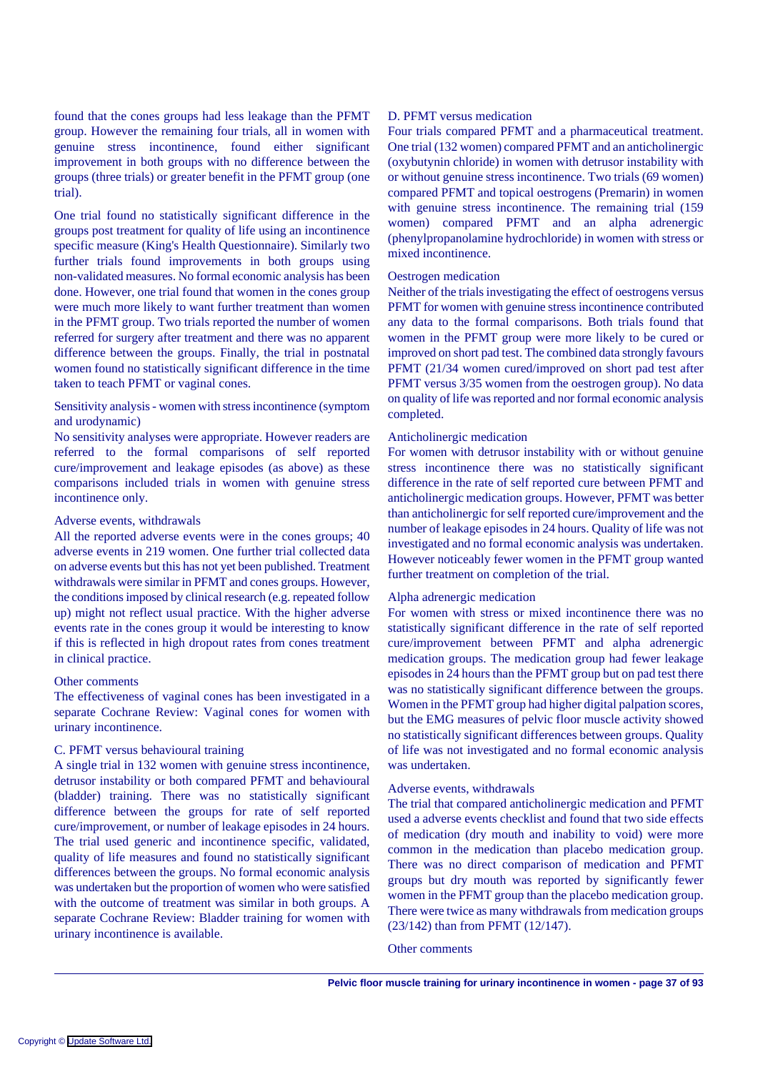found that the cones groups had less leakage than the PFMT group. However the remaining four trials, all in women with genuine stress incontinence, found either significant improvement in both groups with no difference between the groups (three trials) or greater benefit in the PFMT group (one trial).

One trial found no statistically significant difference in the groups post treatment for quality of life using an incontinence specific measure (King's Health Questionnaire). Similarly two further trials found improvements in both groups using non-validated measures. No formal economic analysis has been done. However, one trial found that women in the cones group were much more likely to want further treatment than women in the PFMT group. Two trials reported the number of women referred for surgery after treatment and there was no apparent difference between the groups. Finally, the trial in postnatal women found no statistically significant difference in the time taken to teach PFMT or vaginal cones.

# Sensitivity analysis - women with stress incontinence (symptom and urodynamic)

No sensitivity analyses were appropriate. However readers are referred to the formal comparisons of self reported cure/improvement and leakage episodes (as above) as these comparisons included trials in women with genuine stress incontinence only.

# Adverse events, withdrawals

All the reported adverse events were in the cones groups; 40 adverse events in 219 women. One further trial collected data on adverse events but this has not yet been published. Treatment withdrawals were similar in PFMT and cones groups. However, the conditions imposed by clinical research (e.g. repeated follow up) might not reflect usual practice. With the higher adverse events rate in the cones group it would be interesting to know if this is reflected in high dropout rates from cones treatment in clinical practice.

# Other comments

The effectiveness of vaginal cones has been investigated in a separate Cochrane Review: Vaginal cones for women with urinary incontinence.

# C. PFMT versus behavioural training

A single trial in 132 women with genuine stress incontinence, detrusor instability or both compared PFMT and behavioural (bladder) training. There was no statistically significant difference between the groups for rate of self reported cure/improvement, or number of leakage episodes in 24 hours. The trial used generic and incontinence specific, validated, quality of life measures and found no statistically significant differences between the groups. No formal economic analysis was undertaken but the proportion of women who were satisfied with the outcome of treatment was similar in both groups. A separate Cochrane Review: Bladder training for women with urinary incontinence is available.

# D. PFMT versus medication

Four trials compared PFMT and a pharmaceutical treatment. One trial (132 women) compared PFMT and an anticholinergic (oxybutynin chloride) in women with detrusor instability with or without genuine stress incontinence. Two trials (69 women) compared PFMT and topical oestrogens (Premarin) in women with genuine stress incontinence. The remaining trial (159 women) compared PFMT and an alpha adrenergic (phenylpropanolamine hydrochloride) in women with stress or mixed incontinence.

# Oestrogen medication

Neither of the trials investigating the effect of oestrogens versus PFMT for women with genuine stress incontinence contributed any data to the formal comparisons. Both trials found that women in the PFMT group were more likely to be cured or improved on short pad test. The combined data strongly favours PFMT (21/34 women cured/improved on short pad test after PFMT versus 3/35 women from the oestrogen group). No data on quality of life was reported and nor formal economic analysis completed.

# Anticholinergic medication

For women with detrusor instability with or without genuine stress incontinence there was no statistically significant difference in the rate of self reported cure between PFMT and anticholinergic medication groups. However, PFMT was better than anticholinergic for self reported cure/improvement and the number of leakage episodes in 24 hours. Quality of life was not investigated and no formal economic analysis was undertaken. However noticeably fewer women in the PFMT group wanted further treatment on completion of the trial.

# Alpha adrenergic medication

For women with stress or mixed incontinence there was no statistically significant difference in the rate of self reported cure/improvement between PFMT and alpha adrenergic medication groups. The medication group had fewer leakage episodes in 24 hours than the PFMT group but on pad test there was no statistically significant difference between the groups. Women in the PFMT group had higher digital palpation scores, but the EMG measures of pelvic floor muscle activity showed no statistically significant differences between groups. Quality of life was not investigated and no formal economic analysis was undertaken.

# Adverse events, withdrawals

The trial that compared anticholinergic medication and PFMT used a adverse events checklist and found that two side effects of medication (dry mouth and inability to void) were more common in the medication than placebo medication group. There was no direct comparison of medication and PFMT groups but dry mouth was reported by significantly fewer women in the PFMT group than the placebo medication group. There were twice as many withdrawals from medication groups (23/142) than from PFMT (12/147).

# Other comments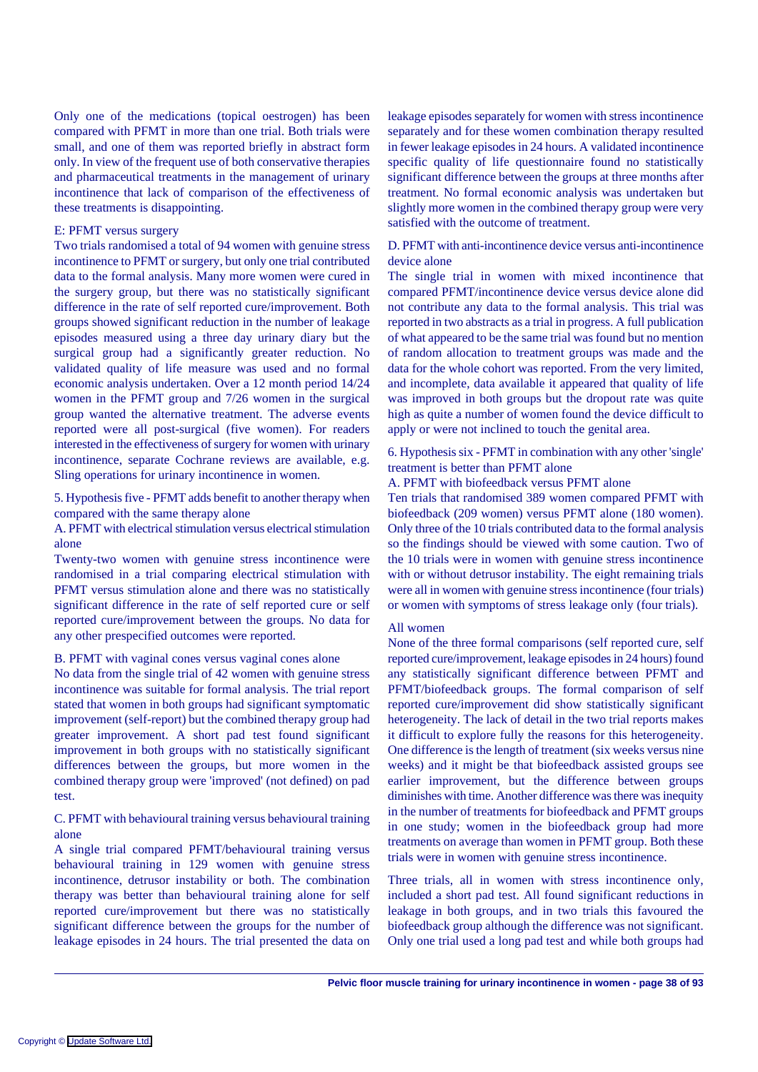Only one of the medications (topical oestrogen) has been compared with PFMT in more than one trial. Both trials were small, and one of them was reported briefly in abstract form only. In view of the frequent use of both conservative therapies and pharmaceutical treatments in the management of urinary incontinence that lack of comparison of the effectiveness of these treatments is disappointing.

## E: PFMT versus surgery

Two trials randomised a total of 94 women with genuine stress incontinence to PFMT or surgery, but only one trial contributed data to the formal analysis. Many more women were cured in the surgery group, but there was no statistically significant difference in the rate of self reported cure/improvement. Both groups showed significant reduction in the number of leakage episodes measured using a three day urinary diary but the surgical group had a significantly greater reduction. No validated quality of life measure was used and no formal economic analysis undertaken. Over a 12 month period 14/24 women in the PFMT group and 7/26 women in the surgical group wanted the alternative treatment. The adverse events reported were all post-surgical (five women). For readers interested in the effectiveness of surgery for women with urinary incontinence, separate Cochrane reviews are available, e.g. Sling operations for urinary incontinence in women.

5. Hypothesis five - PFMT adds benefit to another therapy when compared with the same therapy alone

A. PFMT with electrical stimulation versus electrical stimulation alone

Twenty-two women with genuine stress incontinence were randomised in a trial comparing electrical stimulation with PFMT versus stimulation alone and there was no statistically significant difference in the rate of self reported cure or self reported cure/improvement between the groups. No data for any other prespecified outcomes were reported.

# B. PFMT with vaginal cones versus vaginal cones alone

No data from the single trial of 42 women with genuine stress incontinence was suitable for formal analysis. The trial report stated that women in both groups had significant symptomatic improvement (self-report) but the combined therapy group had greater improvement. A short pad test found significant improvement in both groups with no statistically significant differences between the groups, but more women in the combined therapy group were 'improved' (not defined) on pad test.

# C. PFMT with behavioural training versus behavioural training alone

A single trial compared PFMT/behavioural training versus behavioural training in 129 women with genuine stress incontinence, detrusor instability or both. The combination therapy was better than behavioural training alone for self reported cure/improvement but there was no statistically significant difference between the groups for the number of leakage episodes in 24 hours. The trial presented the data on leakage episodes separately for women with stress incontinence separately and for these women combination therapy resulted in fewer leakage episodes in 24 hours. A validated incontinence specific quality of life questionnaire found no statistically significant difference between the groups at three months after treatment. No formal economic analysis was undertaken but slightly more women in the combined therapy group were very satisfied with the outcome of treatment.

# D. PFMT with anti-incontinence device versus anti-incontinence device alone

The single trial in women with mixed incontinence that compared PFMT/incontinence device versus device alone did not contribute any data to the formal analysis. This trial was reported in two abstracts as a trial in progress. A full publication of what appeared to be the same trial was found but no mention of random allocation to treatment groups was made and the data for the whole cohort was reported. From the very limited, and incomplete, data available it appeared that quality of life was improved in both groups but the dropout rate was quite high as quite a number of women found the device difficult to apply or were not inclined to touch the genital area.

# 6. Hypothesis six - PFMT in combination with any other 'single' treatment is better than PFMT alone

# A. PFMT with biofeedback versus PFMT alone

Ten trials that randomised 389 women compared PFMT with biofeedback (209 women) versus PFMT alone (180 women). Only three of the 10 trials contributed data to the formal analysis so the findings should be viewed with some caution. Two of the 10 trials were in women with genuine stress incontinence with or without detrusor instability. The eight remaining trials were all in women with genuine stress incontinence (four trials) or women with symptoms of stress leakage only (four trials).

### All women

None of the three formal comparisons (self reported cure, self reported cure/improvement, leakage episodes in 24 hours) found any statistically significant difference between PFMT and PFMT/biofeedback groups. The formal comparison of self reported cure/improvement did show statistically significant heterogeneity. The lack of detail in the two trial reports makes it difficult to explore fully the reasons for this heterogeneity. One difference is the length of treatment (six weeks versus nine weeks) and it might be that biofeedback assisted groups see earlier improvement, but the difference between groups diminishes with time. Another difference was there was inequity in the number of treatments for biofeedback and PFMT groups in one study; women in the biofeedback group had more treatments on average than women in PFMT group. Both these trials were in women with genuine stress incontinence.

Three trials, all in women with stress incontinence only, included a short pad test. All found significant reductions in leakage in both groups, and in two trials this favoured the biofeedback group although the difference was not significant. Only one trial used a long pad test and while both groups had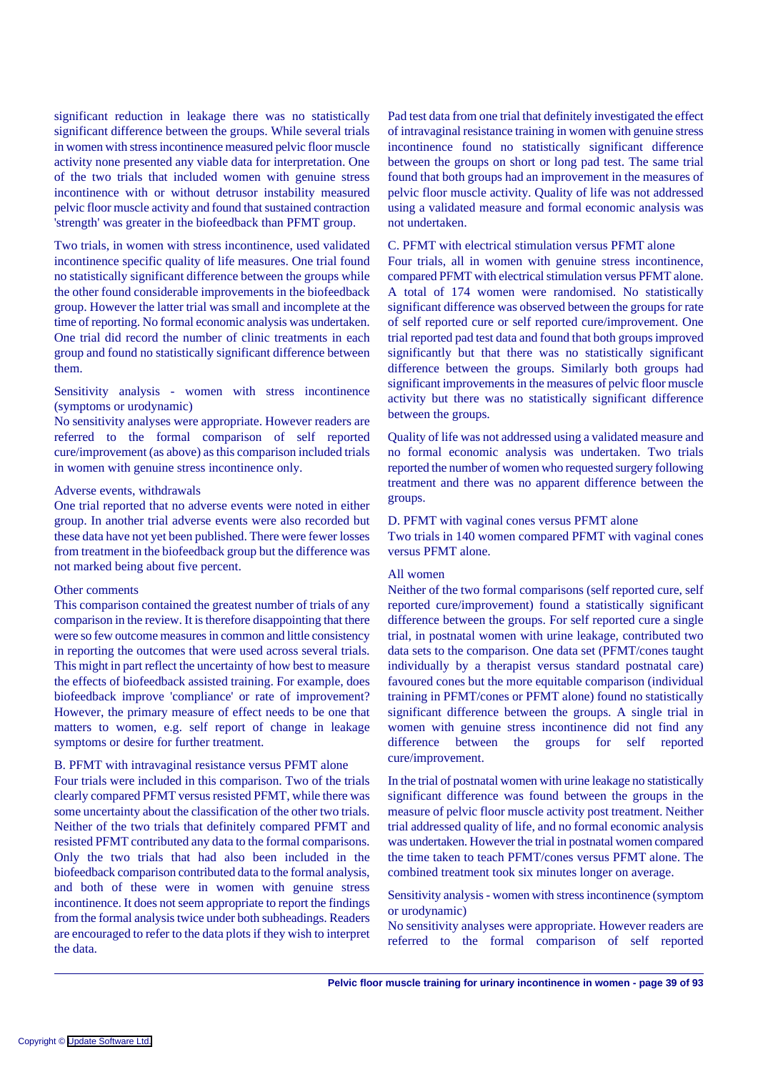significant reduction in leakage there was no statistically significant difference between the groups. While several trials in women with stress incontinence measured pelvic floor muscle activity none presented any viable data for interpretation. One of the two trials that included women with genuine stress incontinence with or without detrusor instability measured pelvic floor muscle activity and found that sustained contraction 'strength' was greater in the biofeedback than PFMT group.

Two trials, in women with stress incontinence, used validated incontinence specific quality of life measures. One trial found no statistically significant difference between the groups while the other found considerable improvements in the biofeedback group. However the latter trial was small and incomplete at the time of reporting. No formal economic analysis was undertaken. One trial did record the number of clinic treatments in each group and found no statistically significant difference between them.

# Sensitivity analysis - women with stress incontinence (symptoms or urodynamic)

No sensitivity analyses were appropriate. However readers are referred to the formal comparison of self reported cure/improvement (as above) as this comparison included trials in women with genuine stress incontinence only.

# Adverse events, withdrawals

One trial reported that no adverse events were noted in either group. In another trial adverse events were also recorded but these data have not yet been published. There were fewer losses from treatment in the biofeedback group but the difference was not marked being about five percent.

## Other comments

This comparison contained the greatest number of trials of any comparison in the review. It is therefore disappointing that there were so few outcome measures in common and little consistency in reporting the outcomes that were used across several trials. This might in part reflect the uncertainty of how best to measure the effects of biofeedback assisted training. For example, does biofeedback improve 'compliance' or rate of improvement? However, the primary measure of effect needs to be one that matters to women, e.g. self report of change in leakage symptoms or desire for further treatment.

# B. PFMT with intravaginal resistance versus PFMT alone

Four trials were included in this comparison. Two of the trials clearly compared PFMT versus resisted PFMT, while there was some uncertainty about the classification of the other two trials. Neither of the two trials that definitely compared PFMT and resisted PFMT contributed any data to the formal comparisons. Only the two trials that had also been included in the biofeedback comparison contributed data to the formal analysis, and both of these were in women with genuine stress incontinence. It does not seem appropriate to report the findings from the formal analysis twice under both subheadings. Readers are encouraged to refer to the data plots if they wish to interpret the data.

Pad test data from one trial that definitely investigated the effect of intravaginal resistance training in women with genuine stress incontinence found no statistically significant difference between the groups on short or long pad test. The same trial found that both groups had an improvement in the measures of pelvic floor muscle activity. Quality of life was not addressed using a validated measure and formal economic analysis was not undertaken.

## C. PFMT with electrical stimulation versus PFMT alone

Four trials, all in women with genuine stress incontinence, compared PFMT with electrical stimulation versus PFMT alone. A total of 174 women were randomised. No statistically significant difference was observed between the groups for rate of self reported cure or self reported cure/improvement. One trial reported pad test data and found that both groups improved significantly but that there was no statistically significant difference between the groups. Similarly both groups had significant improvements in the measures of pelvic floor muscle activity but there was no statistically significant difference between the groups.

Quality of life was not addressed using a validated measure and no formal economic analysis was undertaken. Two trials reported the number of women who requested surgery following treatment and there was no apparent difference between the groups.

## D. PFMT with vaginal cones versus PFMT alone

Two trials in 140 women compared PFMT with vaginal cones versus PFMT alone.

### All women

Neither of the two formal comparisons (self reported cure, self reported cure/improvement) found a statistically significant difference between the groups. For self reported cure a single trial, in postnatal women with urine leakage, contributed two data sets to the comparison. One data set (PFMT/cones taught individually by a therapist versus standard postnatal care) favoured cones but the more equitable comparison (individual training in PFMT/cones or PFMT alone) found no statistically significant difference between the groups. A single trial in women with genuine stress incontinence did not find any difference between the groups for self reported cure/improvement.

In the trial of postnatal women with urine leakage no statistically significant difference was found between the groups in the measure of pelvic floor muscle activity post treatment. Neither trial addressed quality of life, and no formal economic analysis was undertaken. However the trial in postnatal women compared the time taken to teach PFMT/cones versus PFMT alone. The combined treatment took six minutes longer on average.

Sensitivity analysis - women with stress incontinence (symptom or urodynamic)

No sensitivity analyses were appropriate. However readers are referred to the formal comparison of self reported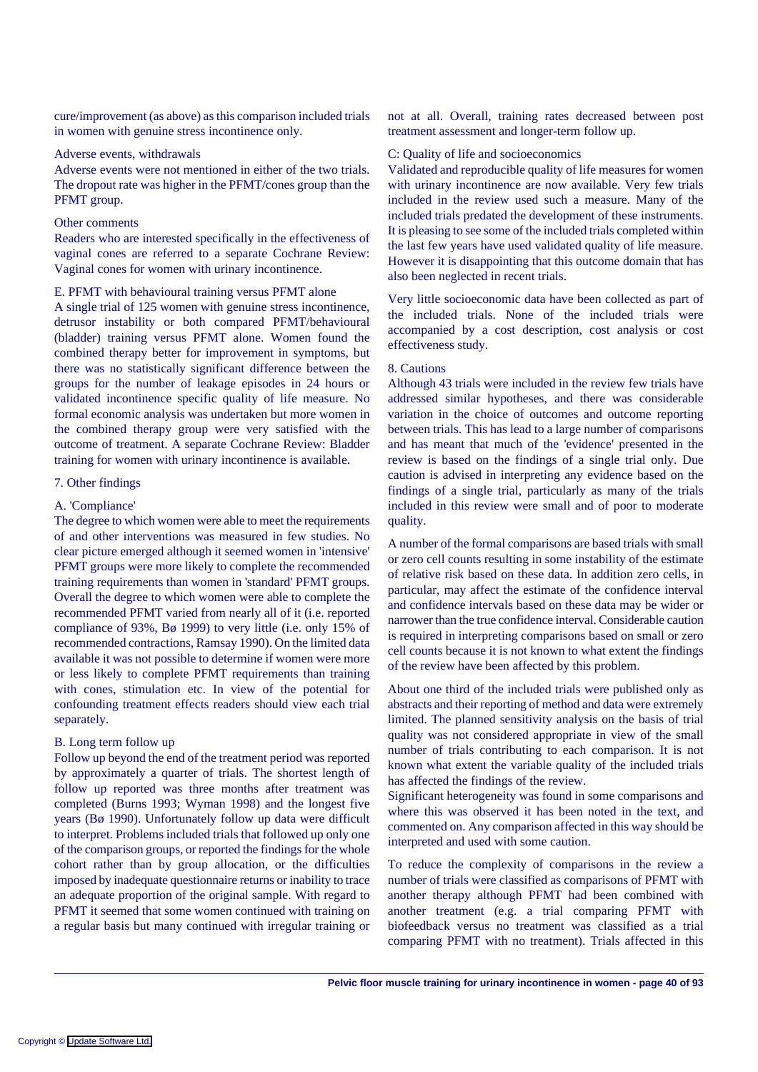cure/improvement (as above) as this comparison included trials in women with genuine stress incontinence only.

## Adverse events, withdrawals

Adverse events were not mentioned in either of the two trials. The dropout rate was higher in the PFMT/cones group than the PFMT group.

## Other comments

Readers who are interested specifically in the effectiveness of vaginal cones are referred to a separate Cochrane Review: Vaginal cones for women with urinary incontinence.

### E. PFMT with behavioural training versus PFMT alone

A single trial of 125 women with genuine stress incontinence, detrusor instability or both compared PFMT/behavioural (bladder) training versus PFMT alone. Women found the combined therapy better for improvement in symptoms, but there was no statistically significant difference between the groups for the number of leakage episodes in 24 hours or validated incontinence specific quality of life measure. No formal economic analysis was undertaken but more women in the combined therapy group were very satisfied with the outcome of treatment. A separate Cochrane Review: Bladder training for women with urinary incontinence is available.

# 7. Other findings

## A. 'Compliance'

The degree to which women were able to meet the requirements of and other interventions was measured in few studies. No clear picture emerged although it seemed women in 'intensive' PFMT groups were more likely to complete the recommended training requirements than women in 'standard' PFMT groups. Overall the degree to which women were able to complete the recommended PFMT varied from nearly all of it (i.e. reported compliance of 93%, Bø 1999) to very little (i.e. only 15% of recommended contractions, Ramsay 1990). On the limited data available it was not possible to determine if women were more or less likely to complete PFMT requirements than training with cones, stimulation etc. In view of the potential for confounding treatment effects readers should view each trial separately.

# B. Long term follow up

Follow up beyond the end of the treatment period was reported by approximately a quarter of trials. The shortest length of follow up reported was three months after treatment was completed (Burns 1993; Wyman 1998) and the longest five years (Bø 1990). Unfortunately follow up data were difficult to interpret. Problems included trials that followed up only one of the comparison groups, or reported the findings for the whole cohort rather than by group allocation, or the difficulties imposed by inadequate questionnaire returns or inability to trace an adequate proportion of the original sample. With regard to PFMT it seemed that some women continued with training on a regular basis but many continued with irregular training or not at all. Overall, training rates decreased between post treatment assessment and longer-term follow up.

# C: Quality of life and socioeconomics

Validated and reproducible quality of life measures for women with urinary incontinence are now available. Very few trials included in the review used such a measure. Many of the included trials predated the development of these instruments. It is pleasing to see some of the included trials completed within the last few years have used validated quality of life measure. However it is disappointing that this outcome domain that has also been neglected in recent trials.

Very little socioeconomic data have been collected as part of the included trials. None of the included trials were accompanied by a cost description, cost analysis or cost effectiveness study.

### 8. Cautions

Although 43 trials were included in the review few trials have addressed similar hypotheses, and there was considerable variation in the choice of outcomes and outcome reporting between trials. This has lead to a large number of comparisons and has meant that much of the 'evidence' presented in the review is based on the findings of a single trial only. Due caution is advised in interpreting any evidence based on the findings of a single trial, particularly as many of the trials included in this review were small and of poor to moderate quality.

A number of the formal comparisons are based trials with small or zero cell counts resulting in some instability of the estimate of relative risk based on these data. In addition zero cells, in particular, may affect the estimate of the confidence interval and confidence intervals based on these data may be wider or narrower than the true confidence interval. Considerable caution is required in interpreting comparisons based on small or zero cell counts because it is not known to what extent the findings of the review have been affected by this problem.

About one third of the included trials were published only as abstracts and their reporting of method and data were extremely limited. The planned sensitivity analysis on the basis of trial quality was not considered appropriate in view of the small number of trials contributing to each comparison. It is not known what extent the variable quality of the included trials has affected the findings of the review.

Significant heterogeneity was found in some comparisons and where this was observed it has been noted in the text, and commented on. Any comparison affected in this way should be interpreted and used with some caution.

To reduce the complexity of comparisons in the review a number of trials were classified as comparisons of PFMT with another therapy although PFMT had been combined with another treatment (e.g. a trial comparing PFMT with biofeedback versus no treatment was classified as a trial comparing PFMT with no treatment). Trials affected in this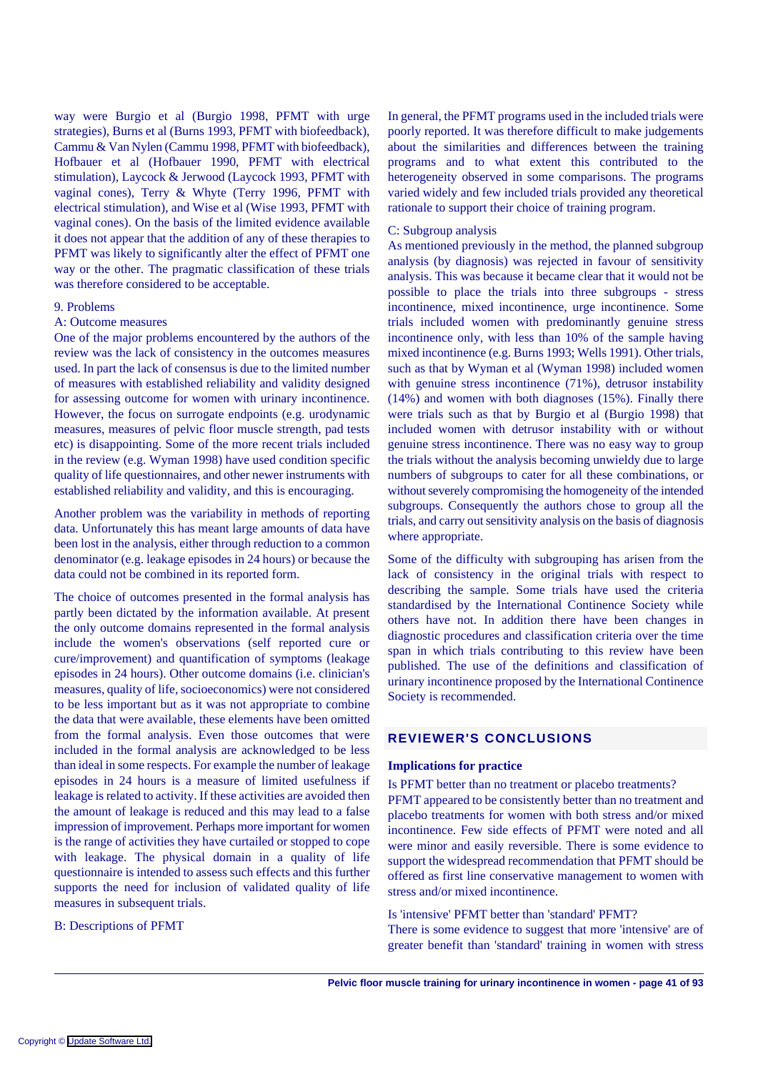way were Burgio et al (Burgio 1998, PFMT with urge strategies), Burns et al (Burns 1993, PFMT with biofeedback), Cammu & Van Nylen (Cammu 1998, PFMT with biofeedback), Hofbauer et al (Hofbauer 1990, PFMT with electrical stimulation), Laycock & Jerwood (Laycock 1993, PFMT with vaginal cones), Terry & Whyte (Terry 1996, PFMT with electrical stimulation), and Wise et al (Wise 1993, PFMT with vaginal cones). On the basis of the limited evidence available it does not appear that the addition of any of these therapies to PFMT was likely to significantly alter the effect of PFMT one way or the other. The pragmatic classification of these trials was therefore considered to be acceptable.

### 9. Problems

## A: Outcome measures

One of the major problems encountered by the authors of the review was the lack of consistency in the outcomes measures used. In part the lack of consensus is due to the limited number of measures with established reliability and validity designed for assessing outcome for women with urinary incontinence. However, the focus on surrogate endpoints (e.g. urodynamic measures, measures of pelvic floor muscle strength, pad tests etc) is disappointing. Some of the more recent trials included in the review (e.g. Wyman 1998) have used condition specific quality of life questionnaires, and other newer instruments with established reliability and validity, and this is encouraging.

Another problem was the variability in methods of reporting data. Unfortunately this has meant large amounts of data have been lost in the analysis, either through reduction to a common denominator (e.g. leakage episodes in 24 hours) or because the data could not be combined in its reported form.

The choice of outcomes presented in the formal analysis has partly been dictated by the information available. At present the only outcome domains represented in the formal analysis include the women's observations (self reported cure or cure/improvement) and quantification of symptoms (leakage episodes in 24 hours). Other outcome domains (i.e. clinician's measures, quality of life, socioeconomics) were not considered to be less important but as it was not appropriate to combine the data that were available, these elements have been omitted from the formal analysis. Even those outcomes that were included in the formal analysis are acknowledged to be less than ideal in some respects. For example the number of leakage episodes in 24 hours is a measure of limited usefulness if leakage is related to activity. If these activities are avoided then the amount of leakage is reduced and this may lead to a false impression of improvement. Perhaps more important for women is the range of activities they have curtailed or stopped to cope with leakage. The physical domain in a quality of life questionnaire is intended to assess such effects and this further supports the need for inclusion of validated quality of life measures in subsequent trials.

B: Descriptions of PFMT

In general, the PFMT programs used in the included trials were poorly reported. It was therefore difficult to make judgements about the similarities and differences between the training programs and to what extent this contributed to the heterogeneity observed in some comparisons. The programs varied widely and few included trials provided any theoretical rationale to support their choice of training program.

## C: Subgroup analysis

As mentioned previously in the method, the planned subgroup analysis (by diagnosis) was rejected in favour of sensitivity analysis. This was because it became clear that it would not be possible to place the trials into three subgroups - stress incontinence, mixed incontinence, urge incontinence. Some trials included women with predominantly genuine stress incontinence only, with less than 10% of the sample having mixed incontinence (e.g. Burns 1993; Wells 1991). Other trials, such as that by Wyman et al (Wyman 1998) included women with genuine stress incontinence (71%), detrusor instability (14%) and women with both diagnoses (15%). Finally there were trials such as that by Burgio et al (Burgio 1998) that included women with detrusor instability with or without genuine stress incontinence. There was no easy way to group the trials without the analysis becoming unwieldy due to large numbers of subgroups to cater for all these combinations, or without severely compromising the homogeneity of the intended subgroups. Consequently the authors chose to group all the trials, and carry out sensitivity analysis on the basis of diagnosis where appropriate.

Some of the difficulty with subgrouping has arisen from the lack of consistency in the original trials with respect to describing the sample. Some trials have used the criteria standardised by the International Continence Society while others have not. In addition there have been changes in diagnostic procedures and classification criteria over the time span in which trials contributing to this review have been published. The use of the definitions and classification of urinary incontinence proposed by the International Continence Society is recommended.

# **REVIEWER'S CONCLUSIONS**

### **Implications for practice**

Is PFMT better than no treatment or placebo treatments? PFMT appeared to be consistently better than no treatment and placebo treatments for women with both stress and/or mixed incontinence. Few side effects of PFMT were noted and all were minor and easily reversible. There is some evidence to support the widespread recommendation that PFMT should be offered as first line conservative management to women with stress and/or mixed incontinence.

Is 'intensive' PFMT better than 'standard' PFMT?

There is some evidence to suggest that more 'intensive' are of greater benefit than 'standard' training in women with stress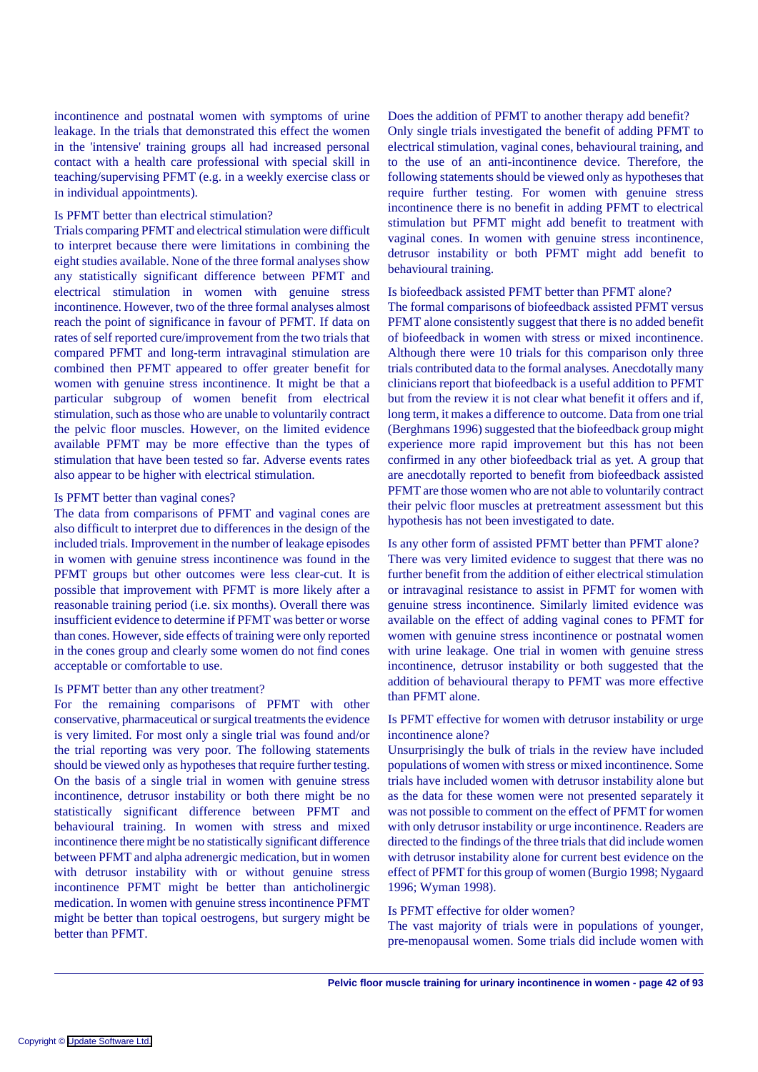incontinence and postnatal women with symptoms of urine leakage. In the trials that demonstrated this effect the women in the 'intensive' training groups all had increased personal contact with a health care professional with special skill in teaching/supervising PFMT (e.g. in a weekly exercise class or in individual appointments).

## Is PFMT better than electrical stimulation?

Trials comparing PFMT and electrical stimulation were difficult to interpret because there were limitations in combining the eight studies available. None of the three formal analyses show any statistically significant difference between PFMT and electrical stimulation in women with genuine stress incontinence. However, two of the three formal analyses almost reach the point of significance in favour of PFMT. If data on rates of self reported cure/improvement from the two trials that compared PFMT and long-term intravaginal stimulation are combined then PFMT appeared to offer greater benefit for women with genuine stress incontinence. It might be that a particular subgroup of women benefit from electrical stimulation, such as those who are unable to voluntarily contract the pelvic floor muscles. However, on the limited evidence available PFMT may be more effective than the types of stimulation that have been tested so far. Adverse events rates also appear to be higher with electrical stimulation.

## Is PFMT better than vaginal cones?

The data from comparisons of PFMT and vaginal cones are also difficult to interpret due to differences in the design of the included trials. Improvement in the number of leakage episodes in women with genuine stress incontinence was found in the PFMT groups but other outcomes were less clear-cut. It is possible that improvement with PFMT is more likely after a reasonable training period (i.e. six months). Overall there was insufficient evidence to determine if PFMT was better or worse than cones. However, side effects of training were only reported in the cones group and clearly some women do not find cones acceptable or comfortable to use.

## Is PFMT better than any other treatment?

For the remaining comparisons of PFMT with other conservative, pharmaceutical or surgical treatments the evidence is very limited. For most only a single trial was found and/or the trial reporting was very poor. The following statements should be viewed only as hypotheses that require further testing. On the basis of a single trial in women with genuine stress incontinence, detrusor instability or both there might be no statistically significant difference between PFMT and behavioural training. In women with stress and mixed incontinence there might be no statistically significant difference between PFMT and alpha adrenergic medication, but in women with detrusor instability with or without genuine stress incontinence PFMT might be better than anticholinergic medication. In women with genuine stress incontinence PFMT might be better than topical oestrogens, but surgery might be better than PFMT.

# Does the addition of PFMT to another therapy add benefit? Only single trials investigated the benefit of adding PFMT to electrical stimulation, vaginal cones, behavioural training, and to the use of an anti-incontinence device. Therefore, the following statements should be viewed only as hypotheses that require further testing. For women with genuine stress incontinence there is no benefit in adding PFMT to electrical stimulation but PFMT might add benefit to treatment with vaginal cones. In women with genuine stress incontinence, detrusor instability or both PFMT might add benefit to behavioural training.

## Is biofeedback assisted PFMT better than PFMT alone?

The formal comparisons of biofeedback assisted PFMT versus PFMT alone consistently suggest that there is no added benefit of biofeedback in women with stress or mixed incontinence. Although there were 10 trials for this comparison only three trials contributed data to the formal analyses. Anecdotally many clinicians report that biofeedback is a useful addition to PFMT but from the review it is not clear what benefit it offers and if, long term, it makes a difference to outcome. Data from one trial (Berghmans 1996) suggested that the biofeedback group might experience more rapid improvement but this has not been confirmed in any other biofeedback trial as yet. A group that are anecdotally reported to benefit from biofeedback assisted PFMT are those women who are not able to voluntarily contract their pelvic floor muscles at pretreatment assessment but this hypothesis has not been investigated to date.

Is any other form of assisted PFMT better than PFMT alone? There was very limited evidence to suggest that there was no further benefit from the addition of either electrical stimulation or intravaginal resistance to assist in PFMT for women with genuine stress incontinence. Similarly limited evidence was available on the effect of adding vaginal cones to PFMT for women with genuine stress incontinence or postnatal women with urine leakage. One trial in women with genuine stress incontinence, detrusor instability or both suggested that the addition of behavioural therapy to PFMT was more effective than PFMT alone.

# Is PFMT effective for women with detrusor instability or urge incontinence alone?

Unsurprisingly the bulk of trials in the review have included populations of women with stress or mixed incontinence. Some trials have included women with detrusor instability alone but as the data for these women were not presented separately it was not possible to comment on the effect of PFMT for women with only detrusor instability or urge incontinence. Readers are directed to the findings of the three trials that did include women with detrusor instability alone for current best evidence on the effect of PFMT for this group of women (Burgio 1998; Nygaard 1996; Wyman 1998).

# Is PFMT effective for older women?

The vast majority of trials were in populations of younger, pre-menopausal women. Some trials did include women with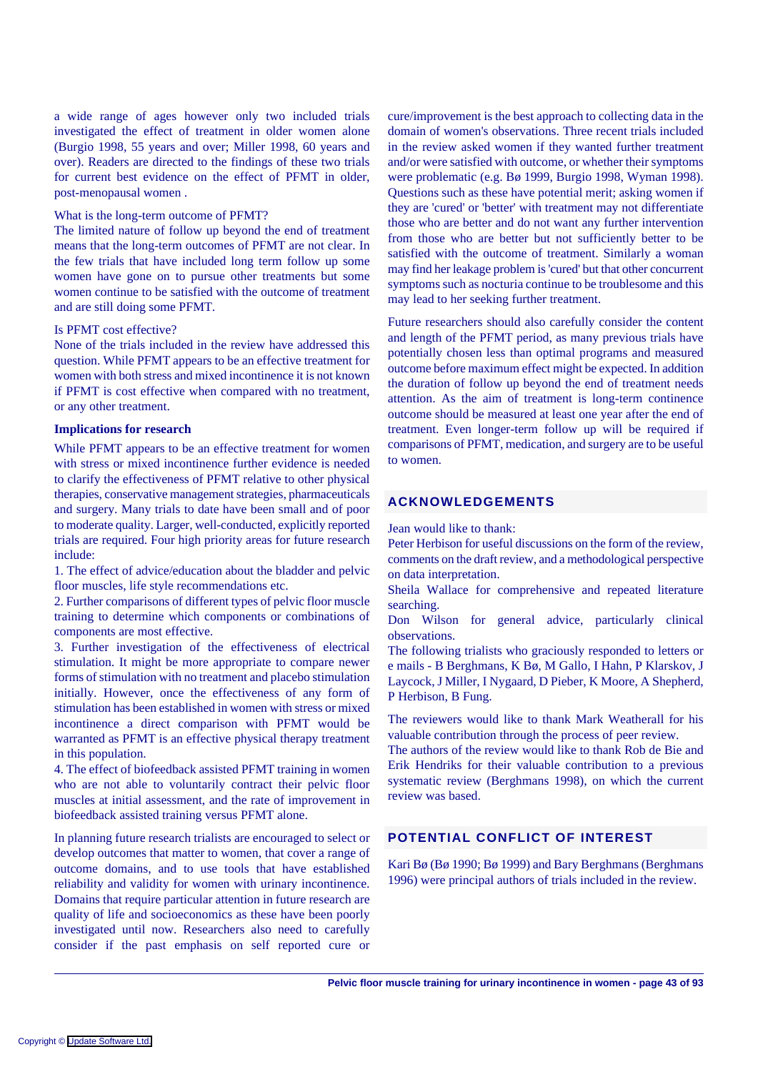a wide range of ages however only two included trials investigated the effect of treatment in older women alone (Burgio 1998, 55 years and over; Miller 1998, 60 years and over). Readers are directed to the findings of these two trials for current best evidence on the effect of PFMT in older, post-menopausal women .

# What is the long-term outcome of PFMT?

The limited nature of follow up beyond the end of treatment means that the long-term outcomes of PFMT are not clear. In the few trials that have included long term follow up some women have gone on to pursue other treatments but some women continue to be satisfied with the outcome of treatment and are still doing some PFMT.

## Is PFMT cost effective?

None of the trials included in the review have addressed this question. While PFMT appears to be an effective treatment for women with both stress and mixed incontinence it is not known if PFMT is cost effective when compared with no treatment, or any other treatment.

# **Implications for research**

While PFMT appears to be an effective treatment for women with stress or mixed incontinence further evidence is needed to clarify the effectiveness of PFMT relative to other physical therapies, conservative management strategies, pharmaceuticals and surgery. Many trials to date have been small and of poor to moderate quality. Larger, well-conducted, explicitly reported trials are required. Four high priority areas for future research include:

1. The effect of advice/education about the bladder and pelvic floor muscles, life style recommendations etc.

2. Further comparisons of different types of pelvic floor muscle training to determine which components or combinations of components are most effective.

3. Further investigation of the effectiveness of electrical stimulation. It might be more appropriate to compare newer forms of stimulation with no treatment and placebo stimulation initially. However, once the effectiveness of any form of stimulation has been established in women with stress or mixed incontinence a direct comparison with PFMT would be warranted as PFMT is an effective physical therapy treatment in this population.

4. The effect of biofeedback assisted PFMT training in women who are not able to voluntarily contract their pelvic floor muscles at initial assessment, and the rate of improvement in biofeedback assisted training versus PFMT alone.

In planning future research trialists are encouraged to select or develop outcomes that matter to women, that cover a range of outcome domains, and to use tools that have established reliability and validity for women with urinary incontinence. Domains that require particular attention in future research are quality of life and socioeconomics as these have been poorly investigated until now. Researchers also need to carefully consider if the past emphasis on self reported cure or cure/improvement is the best approach to collecting data in the domain of women's observations. Three recent trials included in the review asked women if they wanted further treatment and/or were satisfied with outcome, or whether their symptoms were problematic (e.g. Bø 1999, Burgio 1998, Wyman 1998). Questions such as these have potential merit; asking women if they are 'cured' or 'better' with treatment may not differentiate those who are better and do not want any further intervention from those who are better but not sufficiently better to be satisfied with the outcome of treatment. Similarly a woman may find her leakage problem is 'cured' but that other concurrent symptoms such as nocturia continue to be troublesome and this may lead to her seeking further treatment.

Future researchers should also carefully consider the content and length of the PFMT period, as many previous trials have potentially chosen less than optimal programs and measured outcome before maximum effect might be expected. In addition the duration of follow up beyond the end of treatment needs attention. As the aim of treatment is long-term continence outcome should be measured at least one year after the end of treatment. Even longer-term follow up will be required if comparisons of PFMT, medication, and surgery are to be useful to women.

# **ACKNOWLEDGEMENTS**

Jean would like to thank:

Peter Herbison for useful discussions on the form of the review, comments on the draft review, and a methodological perspective on data interpretation.

Sheila Wallace for comprehensive and repeated literature searching.

Don Wilson for general advice, particularly clinical observations.

The following trialists who graciously responded to letters or e mails - B Berghmans, K Bø, M Gallo, I Hahn, P Klarskov, J Laycock, J Miller, I Nygaard, D Pieber, K Moore, A Shepherd, P Herbison, B Fung.

The reviewers would like to thank Mark Weatherall for his valuable contribution through the process of peer review.

The authors of the review would like to thank Rob de Bie and Erik Hendriks for their valuable contribution to a previous systematic review (Berghmans 1998), on which the current review was based.

# **POTENTIAL CONFLICT OF INTEREST**

Kari Bø (Bø 1990; Bø 1999) and Bary Berghmans (Berghmans 1996) were principal authors of trials included in the review.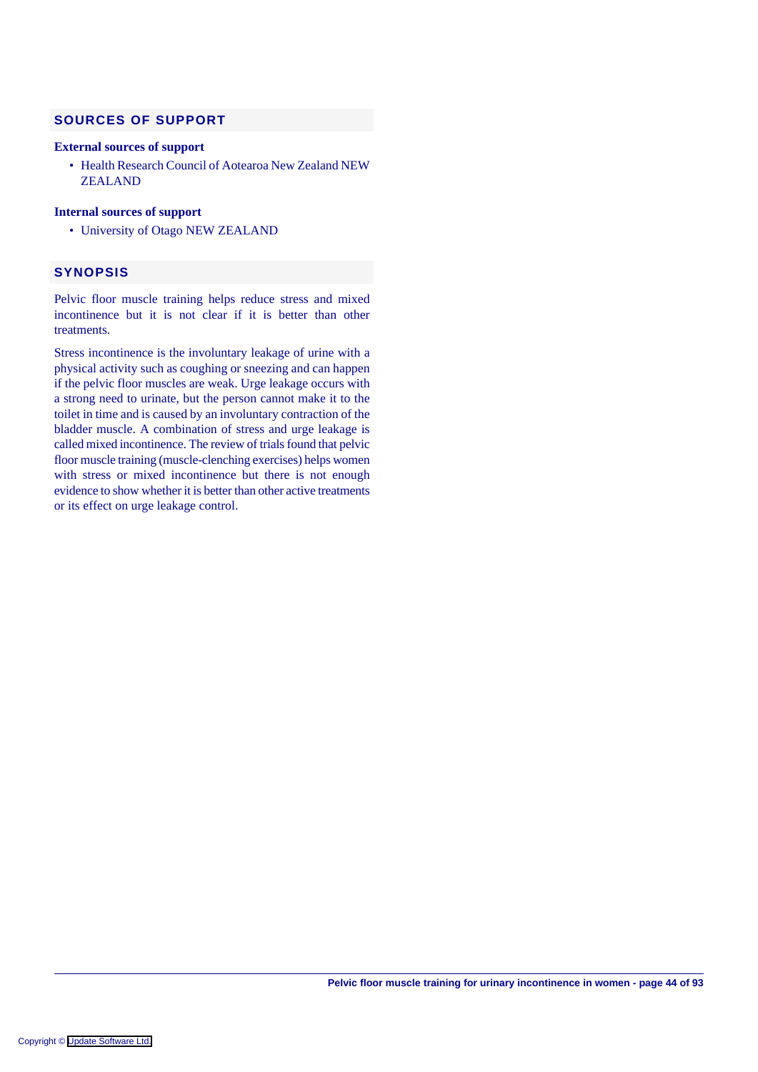# **SOURCES OF SUPPORT**

# **External sources of support**

• Health Research Council of Aotearoa New Zealand NEW ZEALAND

# **Internal sources of support**

• University of Otago NEW ZEALAND

# **SYNOPSIS**

Pelvic floor muscle training helps reduce stress and mixed incontinence but it is not clear if it is better than other treatments.

Stress incontinence is the involuntary leakage of urine with a physical activity such as coughing or sneezing and can happen if the pelvic floor muscles are weak. Urge leakage occurs with a strong need to urinate, but the person cannot make it to the toilet in time and is caused by an involuntary contraction of the bladder muscle. A combination of stress and urge leakage is called mixed incontinence. The review of trials found that pelvic floor muscle training (muscle-clenching exercises) helps women with stress or mixed incontinence but there is not enough evidence to show whether it is better than other active treatments or its effect on urge leakage control.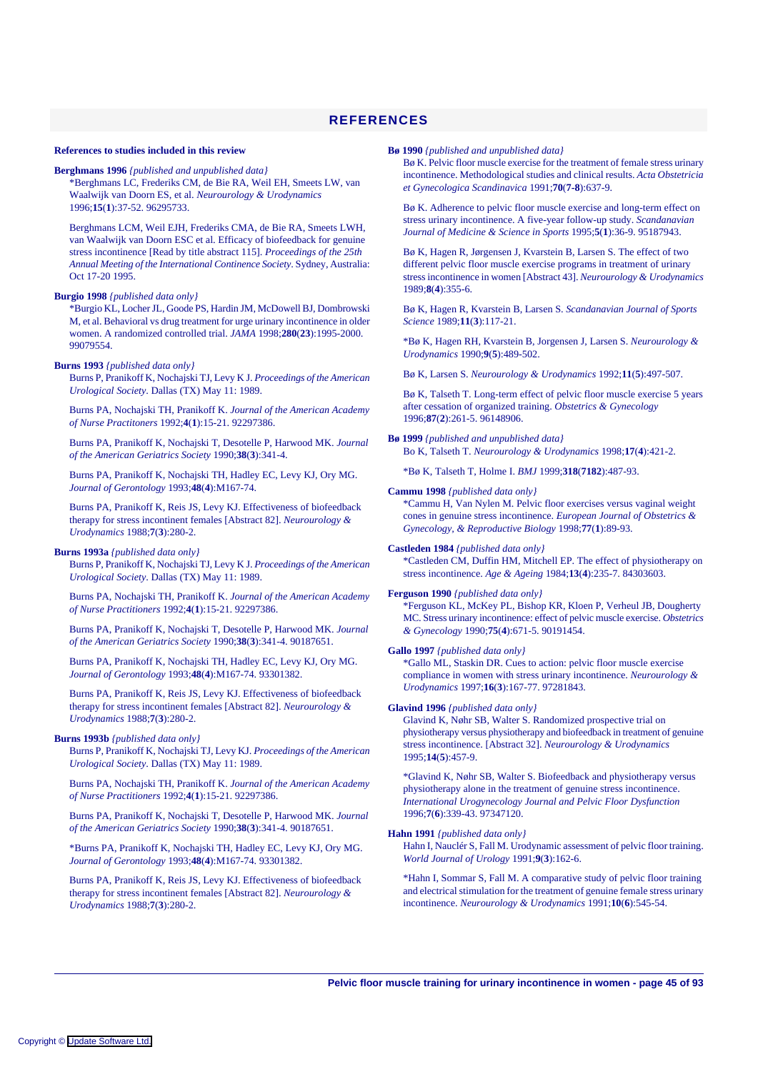# **REFERENCES**

#### **References to studies included in this review**

**Berghmans 1996** *{published and unpublished data}*

\*Berghmans LC, Frederiks CM, de Bie RA, Weil EH, Smeets LW, van Waalwijk van Doorn ES, et al. *Neurourology & Urodynamics* 1996;**15**(**1**):37-52. 96295733.

Berghmans LCM, Weil EJH, Frederiks CMA, de Bie RA, Smeets LWH, van Waalwijk van Doorn ESC et al. Efficacy of biofeedback for genuine stress incontinence [Read by title abstract 115]. *Proceedings of the 25th Annual Meeting of the International Continence Society*. Sydney, Australia: Oct 17-20 1995.

#### **Burgio 1998** *{published data only}*

\*Burgio KL, Locher JL, Goode PS, Hardin JM, McDowell BJ, Dombrowski M, et al. Behavioral vs drug treatment for urge urinary incontinence in older women. A randomized controlled trial. *JAMA* 1998;**280**(**23**):1995-2000. 99079554.

#### **Burns 1993** *{published data only}*

Burns P, Pranikoff K, Nochajski TJ, Levy K J. *Proceedings of the American Urological Society*. Dallas (TX) May 11: 1989.

Burns PA, Nochajski TH, Pranikoff K. *Journal of the American Academy of Nurse Practitoners* 1992;**4**(**1**):15-21. 92297386.

Burns PA, Pranikoff K, Nochajski T, Desotelle P, Harwood MK. *Journal of the American Geriatrics Society* 1990;**38**(**3**):341-4.

Burns PA, Pranikoff K, Nochajski TH, Hadley EC, Levy KJ, Ory MG. *Journal of Gerontology* 1993;**48**(**4**):M167-74.

Burns PA, Pranikoff K, Reis JS, Levy KJ. Effectiveness of biofeedback therapy for stress incontinent females [Abstract 82]. *Neurourology & Urodynamics* 1988;**7**(**3**):280-2.

#### **Burns 1993a** *{published data only}*

Burns P, Pranikoff K, Nochajski TJ, Levy K J. *Proceedings of the American Urological Society*. Dallas (TX) May 11: 1989.

Burns PA, Nochajski TH, Pranikoff K. *Journal of the American Academy of Nurse Practitioners* 1992;**4**(**1**):15-21. 92297386.

Burns PA, Pranikoff K, Nochajski T, Desotelle P, Harwood MK. *Journal of the American Geriatrics Society* 1990;**38**(**3**):341-4. 90187651.

Burns PA, Pranikoff K, Nochajski TH, Hadley EC, Levy KJ, Ory MG. *Journal of Gerontology* 1993;**48**(**4**):M167-74. 93301382.

Burns PA, Pranikoff K, Reis JS, Levy KJ. Effectiveness of biofeedback therapy for stress incontinent females [Abstract 82]. *Neurourology & Urodynamics* 1988;**7**(**3**):280-2.

#### **Burns 1993b** *{published data only}*

Burns P, Pranikoff K, Nochajski TJ, Levy KJ. *Proceedings of the American Urological Society*. Dallas (TX) May 11: 1989.

Burns PA, Nochajski TH, Pranikoff K. *Journal of the American Academy of Nurse Practitioners* 1992;**4**(**1**):15-21. 92297386.

Burns PA, Pranikoff K, Nochajski T, Desotelle P, Harwood MK. *Journal of the American Geriatrics Society* 1990;**38**(**3**):341-4. 90187651.

\*Burns PA, Pranikoff K, Nochajski TH, Hadley EC, Levy KJ, Ory MG. *Journal of Gerontology* 1993;**48**(**4**):M167-74. 93301382.

Burns PA, Pranikoff K, Reis JS, Levy KJ. Effectiveness of biofeedback therapy for stress incontinent females [Abstract 82]. *Neurourology & Urodynamics* 1988;**7**(**3**):280-2.

**Bø 1990** *{published and unpublished data}*

Bø K. Pelvic floor muscle exercise for the treatment of female stress urinary incontinence. Methodological studies and clinical results. *Acta Obstetricia et Gynecologica Scandinavica* 1991;**70**(**7-8**):637-9.

Bø K. Adherence to pelvic floor muscle exercise and long-term effect on stress urinary incontinence. A five-year follow-up study. *Scandanavian Journal of Medicine & Science in Sports* 1995;**5**(**1**):36-9. 95187943.

Bø K, Hagen R, Jørgensen J, Kvarstein B, Larsen S. The effect of two different pelvic floor muscle exercise programs in treatment of urinary stress incontinence in women [Abstract 43]. *Neurourology & Urodynamics* 1989;**8**(**4**):355-6.

Bø K, Hagen R, Kvarstein B, Larsen S. *Scandanavian Journal of Sports Science* 1989;**11**(**3**):117-21.

\*Bø K, Hagen RH, Kvarstein B, Jorgensen J, Larsen S. *Neurourology & Urodynamics* 1990;**9**(**5**):489-502.

Bø K, Larsen S. *Neurourology & Urodynamics* 1992;**11**(**5**):497-507.

Bø K, Talseth T. Long-term effect of pelvic floor muscle exercise 5 years after cessation of organized training. *Obstetrics & Gynecology* 1996;**87**(**2**):261-5. 96148906.

### **Bø 1999** *{published and unpublished data}* Bo K, Talseth T. *Neurourology & Urodynamics* 1998;**17**(**4**):421-2.

\*Bø K, Talseth T, Holme I. *BMJ* 1999;**318**(**7182**):487-93.

#### **Cammu 1998** *{published data only}*

\*Cammu H, Van Nylen M. Pelvic floor exercises versus vaginal weight cones in genuine stress incontinence. *European Journal of Obstetrics & Gynecology, & Reproductive Biology* 1998;**77**(**1**):89-93.

**Castleden 1984** *{published data only}*

\*Castleden CM, Duffin HM, Mitchell EP. The effect of physiotherapy on stress incontinence. *Age & Ageing* 1984;**13**(**4**):235-7. 84303603.

#### **Ferguson 1990** *{published data only}*

\*Ferguson KL, McKey PL, Bishop KR, Kloen P, Verheul JB, Dougherty MC. Stress urinary incontinence: effect of pelvic muscle exercise. *Obstetrics & Gynecology* 1990;**75**(**4**):671-5. 90191454.

#### **Gallo 1997** *{published data only}*

\*Gallo ML, Staskin DR. Cues to action: pelvic floor muscle exercise compliance in women with stress urinary incontinence. *Neurourology & Urodynamics* 1997;**16**(**3**):167-77. 97281843.

#### **Glavind 1996** *{published data only}*

Glavind K, Nøhr SB, Walter S. Randomized prospective trial on physiotherapy versus physiotherapy and biofeedback in treatment of genuine stress incontinence. [Abstract 32]. *Neurourology & Urodynamics* 1995;**14**(**5**):457-9.

\*Glavind K, Nøhr SB, Walter S. Biofeedback and physiotherapy versus physiotherapy alone in the treatment of genuine stress incontinence. *International Urogynecology Journal and Pelvic Floor Dysfunction* 1996;**7**(**6**):339-43. 97347120.

### **Hahn 1991** *{published data only}*

Hahn I, Nauclér S, Fall M. Urodynamic assessment of pelvic floor training. *World Journal of Urology* 1991;**9**(**3**):162-6.

\*Hahn I, Sommar S, Fall M. A comparative study of pelvic floor training and electrical stimulation for the treatment of genuine female stress urinary incontinence. *Neurourology & Urodynamics* 1991;**10**(**6**):545-54.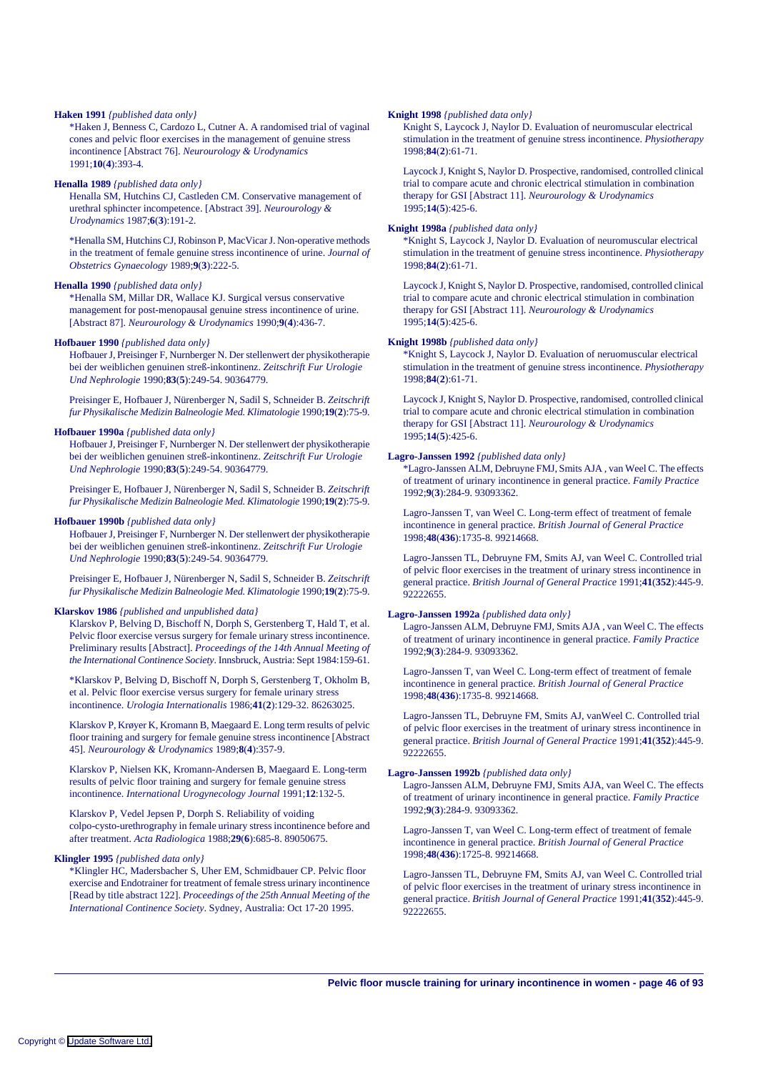## **Haken 1991** *{published data only}*

\*Haken J, Benness C, Cardozo L, Cutner A. A randomised trial of vaginal cones and pelvic floor exercises in the management of genuine stress incontinence [Abstract 76]. *Neurourology & Urodynamics* 1991;**10**(**4**):393-4.

#### **Henalla 1989** *{published data only}*

Henalla SM, Hutchins CJ, Castleden CM. Conservative management of urethral sphincter incompetence. [Abstract 39]. *Neurourology & Urodynamics* 1987;**6**(**3**):191-2.

\*Henalla SM, Hutchins CJ, Robinson P, MacVicar J. Non-operative methods in the treatment of female genuine stress incontinence of urine. *Journal of Obstetrics Gynaecology* 1989;**9**(**3**):222-5.

## **Henalla 1990** *{published data only}*

\*Henalla SM, Millar DR, Wallace KJ. Surgical versus conservative management for post-menopausal genuine stress incontinence of urine. [Abstract 87]. *Neurourology & Urodynamics* 1990;**9**(**4**):436-7.

#### **Hofbauer 1990** *{published data only}*

Hofbauer J, Preisinger F, Nurnberger N. Der stellenwert der physikotherapie bei der weiblichen genuinen streß-inkontinenz. *Zeitschrift Fur Urologie Und Nephrologie* 1990;**83**(**5**):249-54. 90364779.

Preisinger E, Hofbauer J, Nürenberger N, Sadil S, Schneider B. *Zeitschrift fur Physikalische Medizin Balneologie Med. Klimatologie* 1990;**19**(**2**):75-9.

### **Hofbauer 1990a** *{published data only}*

Hofbauer J, Preisinger F, Nurnberger N. Der stellenwert der physikotherapie bei der weiblichen genuinen streß-inkontinenz. *Zeitschrift Fur Urologie Und Nephrologie* 1990;**83**(**5**):249-54. 90364779.

Preisinger E, Hofbauer J, Nürenberger N, Sadil S, Schneider B. *Zeitschrift fur Physikalische Medizin Balneologie Med. Klimatologie* 1990;**19**(**2**):75-9.

#### **Hofbauer 1990b** *{published data only}*

Hofbauer J, Preisinger F, Nurnberger N. Der stellenwert der physikotherapie bei der weiblichen genuinen streß-inkontinenz. *Zeitschrift Fur Urologie Und Nephrologie* 1990;**83**(**5**):249-54. 90364779.

Preisinger E, Hofbauer J, Nürenberger N, Sadil S, Schneider B. *Zeitschrift fur Physikalische Medizin Balneologie Med. Klimatologie* 1990;**19**(**2**):75-9.

#### **Klarskov 1986** *{published and unpublished data}*

Klarskov P, Belving D, Bischoff N, Dorph S, Gerstenberg T, Hald T, et al. Pelvic floor exercise versus surgery for female urinary stress incontinence. Preliminary results [Abstract]. *Proceedings of the 14th Annual Meeting of the International Continence Society*. Innsbruck, Austria: Sept 1984:159-61.

\*Klarskov P, Belving D, Bischoff N, Dorph S, Gerstenberg T, Okholm B, et al. Pelvic floor exercise versus surgery for female urinary stress incontinence. *Urologia Internationalis* 1986;**41**(**2**):129-32. 86263025.

Klarskov P, Krøyer K, Kromann B, Maegaard E. Long term results of pelvic floor training and surgery for female genuine stress incontinence [Abstract 45]. *Neurourology & Urodynamics* 1989;**8**(**4**):357-9.

Klarskov P, Nielsen KK, Kromann-Andersen B, Maegaard E. Long-term results of pelvic floor training and surgery for female genuine stress incontinence. *International Urogynecology Journal* 1991;**12**:132-5.

Klarskov P, Vedel Jepsen P, Dorph S. Reliability of voiding colpo-cysto-urethrography in female urinary stress incontinence before and after treatment. *Acta Radiologica* 1988;**29**(**6**):685-8. 89050675.

#### **Klingler 1995** *{published data only}*

\*Klingler HC, Madersbacher S, Uher EM, Schmidbauer CP. Pelvic floor exercise and Endotrainer for treatment of female stress urinary incontinence [Read by title abstract 122]. *Proceedings of the 25th Annual Meeting of the International Continence Society*. Sydney, Australia: Oct 17-20 1995.

#### **Knight 1998** *{published data only}*

Knight S, Laycock J, Naylor D. Evaluation of neuromuscular electrical stimulation in the treatment of genuine stress incontinence. *Physiotherapy* 1998;**84**(**2**):61-71.

Laycock J, Knight S, Naylor D. Prospective, randomised, controlled clinical trial to compare acute and chronic electrical stimulation in combination therapy for GSI [Abstract 11]. *Neurourology & Urodynamics* 1995;**14**(**5**):425-6.

### **Knight 1998a** *{published data only}*

\*Knight S, Laycock J, Naylor D. Evaluation of neuromuscular electrical stimulation in the treatment of genuine stress incontinence. *Physiotherapy* 1998;**84**(**2**):61-71.

Laycock J, Knight S, Naylor D. Prospective, randomised, controlled clinical trial to compare acute and chronic electrical stimulation in combination therapy for GSI [Abstract 11]. *Neurourology & Urodynamics* 1995;**14**(**5**):425-6.

#### **Knight 1998b** *{published data only}*

\*Knight S, Laycock J, Naylor D. Evaluation of neruomuscular electrical stimulation in the treatment of genuine stress incontinence. *Physiotherapy* 1998;**84**(**2**):61-71.

Laycock J, Knight S, Naylor D. Prospective, randomised, controlled clinical trial to compare acute and chronic electrical stimulation in combination therapy for GSI [Abstract 11]. *Neurourology & Urodynamics* 1995;**14**(**5**):425-6.

#### **Lagro-Janssen 1992** *{published data only}*

\*Lagro-Janssen ALM, Debruyne FMJ, Smits AJA , van Weel C. The effects of treatment of urinary incontinence in general practice. *Family Practice* 1992;**9**(**3**):284-9. 93093362.

Lagro-Janssen T, van Weel C. Long-term effect of treatment of female incontinence in general practice. *British Journal of General Practice* 1998;**48**(**436**):1735-8. 99214668.

Lagro-Janssen TL, Debruyne FM, Smits AJ, van Weel C. Controlled trial of pelvic floor exercises in the treatment of urinary stress incontinence in general practice. *British Journal of General Practice* 1991;**41**(**352**):445-9. 92222655.

#### **Lagro-Janssen 1992a** *{published data only}*

Lagro-Janssen ALM, Debruyne FMJ, Smits AJA , van Weel C. The effects of treatment of urinary incontinence in general practice. *Family Practice* 1992;**9**(**3**):284-9. 93093362.

Lagro-Janssen T, van Weel C. Long-term effect of treatment of female incontinence in general practice. *British Journal of General Practice* 1998;**48**(**436**):1735-8. 99214668.

Lagro-Janssen TL, Debruyne FM, Smits AJ, vanWeel C. Controlled trial of pelvic floor exercises in the treatment of urinary stress incontinence in general practice. *British Journal of General Practice* 1991;**41**(**352**):445-9. 92222655.

### **Lagro-Janssen 1992b** *{published data only}*

Lagro-Janssen ALM, Debruyne FMJ, Smits AJA, van Weel C. The effects of treatment of urinary incontinence in general practice. *Family Practice* 1992;**9**(**3**):284-9. 93093362.

Lagro-Janssen T, van Weel C. Long-term effect of treatment of female incontinence in general practice. *British Journal of General Practice* 1998;**48**(**436**):1725-8. 99214668.

Lagro-Janssen TL, Debruyne FM, Smits AJ, van Weel C. Controlled trial of pelvic floor exercises in the treatment of urinary stress incontinence in general practice. *British Journal of General Practice* 1991;**41**(**352**):445-9. 92222655.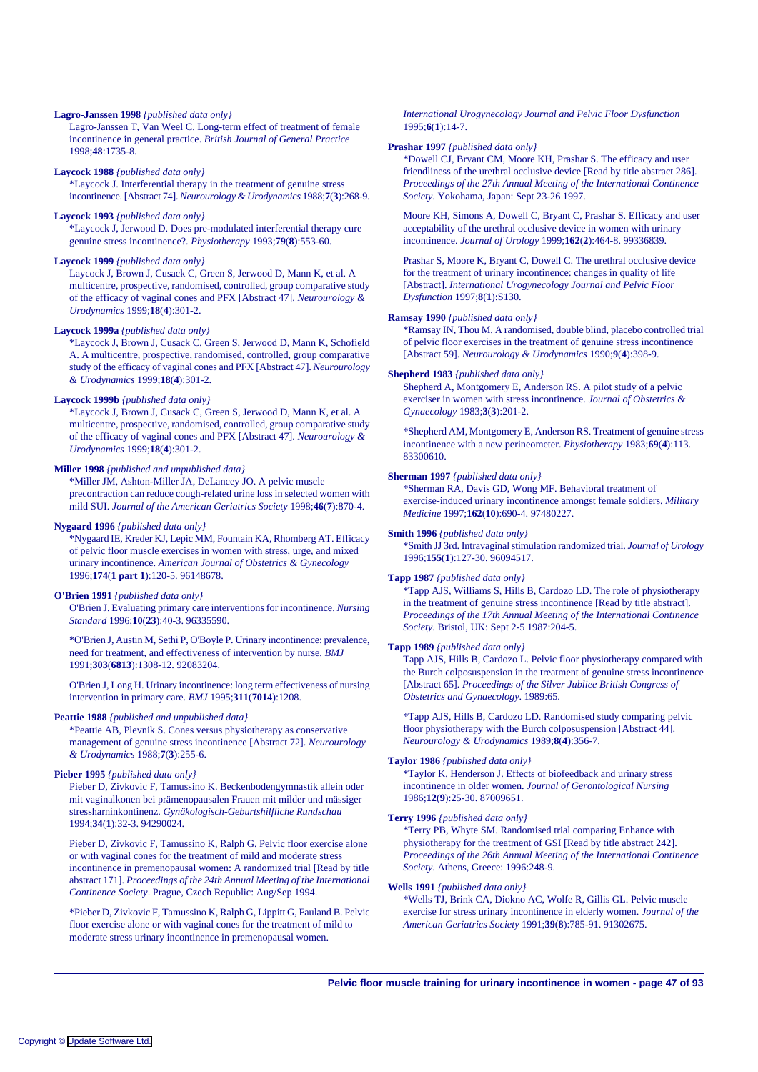### **Lagro-Janssen 1998** *{published data only}*

Lagro-Janssen T, Van Weel C. Long-term effect of treatment of female incontinence in general practice. *British Journal of General Practice* 1998;**48**:1735-8.

#### **Laycock 1988** *{published data only}*

\*Laycock J. Interferential therapy in the treatment of genuine stress incontinence. [Abstract 74]. *Neurourology & Urodynamics* 1988;**7**(**3**):268-9.

### **Laycock 1993** *{published data only}*

\*Laycock J, Jerwood D. Does pre-modulated interferential therapy cure genuine stress incontinence?. *Physiotherapy* 1993;**79**(**8**):553-60.

## **Laycock 1999** *{published data only}*

Laycock J, Brown J, Cusack C, Green S, Jerwood D, Mann K, et al. A multicentre, prospective, randomised, controlled, group comparative study of the efficacy of vaginal cones and PFX [Abstract 47]. *Neurourology & Urodynamics* 1999;**18**(**4**):301-2.

# **Laycock 1999a** *{published data only}*

\*Laycock J, Brown J, Cusack C, Green S, Jerwood D, Mann K, Schofield A. A multicentre, prospective, randomised, controlled, group comparative study of the efficacy of vaginal cones and PFX [Abstract 47]. *Neurourology & Urodynamics* 1999;**18**(**4**):301-2.

### **Laycock 1999b** *{published data only}*

\*Laycock J, Brown J, Cusack C, Green S, Jerwood D, Mann K, et al. A multicentre, prospective, randomised, controlled, group comparative study of the efficacy of vaginal cones and PFX [Abstract 47]. *Neurourology & Urodynamics* 1999;**18**(**4**):301-2.

# **Miller 1998** *{published and unpublished data}*

\*Miller JM, Ashton-Miller JA, DeLancey JO. A pelvic muscle precontraction can reduce cough-related urine loss in selected women with mild SUI. *Journal of the American Geriatrics Society* 1998;**46**(**7**):870-4.

# **Nygaard 1996** *{published data only}*

\*Nygaard IE, Kreder KJ, Lepic MM, Fountain KA, Rhomberg AT. Efficacy of pelvic floor muscle exercises in women with stress, urge, and mixed urinary incontinence. *American Journal of Obstetrics & Gynecology* 1996;**174**(**1 part 1**):120-5. 96148678.

### **O'Brien 1991** *{published data only}*

O'Brien J. Evaluating primary care interventions for incontinence. *Nursing Standard* 1996;**10**(**23**):40-3. 96335590.

\*O'Brien J, Austin M, Sethi P, O'Boyle P. Urinary incontinence: prevalence, need for treatment, and effectiveness of intervention by nurse. *BMJ* 1991;**303**(**6813**):1308-12. 92083204.

O'Brien J, Long H. Urinary incontinence: long term effectiveness of nursing intervention in primary care. *BMJ* 1995;**311**(**7014**):1208.

### **Peattie 1988** *{published and unpublished data}*

\*Peattie AB, Plevnik S. Cones versus physiotherapy as conservative management of genuine stress incontinence [Abstract 72]. *Neurourology & Urodynamics* 1988;**7**(**3**):255-6.

#### **Pieber 1995** *{published data only}*

Pieber D, Zivkovic F, Tamussino K. Beckenbodengymnastik allein oder mit vaginalkonen bei prämenopausalen Frauen mit milder und mässiger stressharninkontinenz. *Gynäkologisch-Geburtshilfliche Rundschau* 1994;**34**(**1**):32-3. 94290024.

Pieber D, Zivkovic F, Tamussino K, Ralph G. Pelvic floor exercise alone or with vaginal cones for the treatment of mild and moderate stress incontinence in premenopausal women: A randomized trial [Read by title abstract 171]. *Proceedings of the 24th Annual Meeting of the International Continence Society*. Prague, Czech Republic: Aug/Sep 1994.

\*Pieber D, Zivkovic F, Tamussino K, Ralph G, Lippitt G, Fauland B. Pelvic floor exercise alone or with vaginal cones for the treatment of mild to moderate stress urinary incontinence in premenopausal women.

*International Urogynecology Journal and Pelvic Floor Dysfunction* 1995;**6**(**1**):14-7.

#### **Prashar 1997** *{published data only}*

\*Dowell CJ, Bryant CM, Moore KH, Prashar S. The efficacy and user friendliness of the urethral occlusive device [Read by title abstract 286]. *Proceedings of the 27th Annual Meeting of the International Continence Society*. Yokohama, Japan: Sept 23-26 1997.

Moore KH, Simons A, Dowell C, Bryant C, Prashar S. Efficacy and user acceptability of the urethral occlusive device in women with urinary incontinence. *Journal of Urology* 1999;**162**(**2**):464-8. 99336839.

Prashar S, Moore K, Bryant C, Dowell C. The urethral occlusive device for the treatment of urinary incontinence: changes in quality of life [Abstract]. *International Urogynecology Journal and Pelvic Floor Dysfunction* 1997;**8**(**1**):S130.

## **Ramsay 1990** *{published data only}*

\*Ramsay IN, Thou M. A randomised, double blind, placebo controlled trial of pelvic floor exercises in the treatment of genuine stress incontinence [Abstract 59]. *Neurourology & Urodynamics* 1990;**9**(**4**):398-9.

#### **Shepherd 1983** *{published data only}*

Shepherd A, Montgomery E, Anderson RS. A pilot study of a pelvic exerciser in women with stress incontinence. *Journal of Obstetrics & Gynaecology* 1983;**3**(**3**):201-2.

\*Shepherd AM, Montgomery E, Anderson RS. Treatment of genuine stress incontinence with a new perineometer. *Physiotherapy* 1983;**69**(**4**):113. 83300610.

## **Sherman 1997** *{published data only}*

\*Sherman RA, Davis GD, Wong MF. Behavioral treatment of exercise-induced urinary incontinence amongst female soldiers. *Military Medicine* 1997;**162**(**10**):690-4. 97480227.

#### **Smith 1996** *{published data only}*

\*Smith JJ 3rd. Intravaginal stimulation randomized trial. *Journal of Urology* 1996;**155**(**1**):127-30. 96094517.

## **Tapp 1987** *{published data only}*

\*Tapp AJS, Williams S, Hills B, Cardozo LD. The role of physiotherapy in the treatment of genuine stress incontinence [Read by title abstract]. *Proceedings of the 17th Annual Meeting of the International Continence Society*. Bristol, UK: Sept 2-5 1987:204-5.

# **Tapp 1989** *{published data only}*

Tapp AJS, Hills B, Cardozo L. Pelvic floor physiotherapy compared with the Burch colposuspension in the treatment of genuine stress incontinence [Abstract 65]. *Proceedings of the Silver Jubliee British Congress of Obstetrics and Gynaecology*. 1989:65.

\*Tapp AJS, Hills B, Cardozo LD. Randomised study comparing pelvic floor physiotherapy with the Burch colposuspension [Abstract 44]. *Neurourology & Urodynamics* 1989;**8**(**4**):356-7.

### **Taylor 1986** *{published data only}*

\*Taylor K, Henderson J. Effects of biofeedback and urinary stress incontinence in older women. *Journal of Gerontological Nursing* 1986;**12**(**9**):25-30. 87009651.

#### **Terry 1996** *{published data only}*

\*Terry PB, Whyte SM. Randomised trial comparing Enhance with physiotherapy for the treatment of GSI [Read by title abstract 242]. *Proceedings of the 26th Annual Meeting of the International Continence Society*. Athens, Greece: 1996:248-9.

#### **Wells 1991** *{published data only}*

\*Wells TJ, Brink CA, Diokno AC, Wolfe R, Gillis GL. Pelvic muscle exercise for stress urinary incontinence in elderly women. *Journal of the American Geriatrics Society* 1991;**39**(**8**):785-91. 91302675.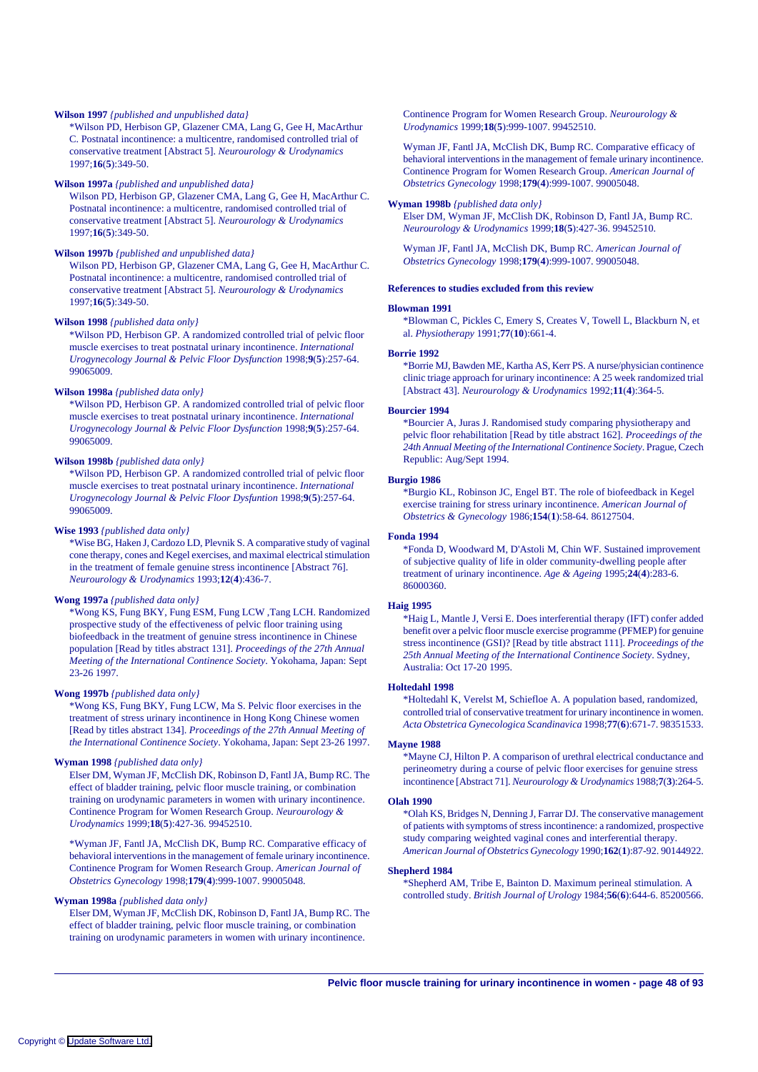#### **Wilson 1997** *{published and unpublished data}*

\*Wilson PD, Herbison GP, Glazener CMA, Lang G, Gee H, MacArthur C. Postnatal incontinence: a multicentre, randomised controlled trial of conservative treatment [Abstract 5]. *Neurourology & Urodynamics* 1997;**16**(**5**):349-50.

#### **Wilson 1997a** *{published and unpublished data}*

Wilson PD, Herbison GP, Glazener CMA, Lang G, Gee H, MacArthur C. Postnatal incontinence: a multicentre, randomised controlled trial of conservative treatment [Abstract 5]. *Neurourology & Urodynamics* 1997;**16**(**5**):349-50.

#### **Wilson 1997b** *{published and unpublished data}*

Wilson PD, Herbison GP, Glazener CMA, Lang G, Gee H, MacArthur C. Postnatal incontinence: a multicentre, randomised controlled trial of conservative treatment [Abstract 5]. *Neurourology & Urodynamics* 1997;**16**(**5**):349-50.

#### **Wilson 1998** *{published data only}*

\*Wilson PD, Herbison GP. A randomized controlled trial of pelvic floor muscle exercises to treat postnatal urinary incontinence. *International Urogynecology Journal & Pelvic Floor Dysfunction* 1998;**9**(**5**):257-64. 99065009.

#### **Wilson 1998a** *{published data only}*

\*Wilson PD, Herbison GP. A randomized controlled trial of pelvic floor muscle exercises to treat postnatal urinary incontinence. *International Urogynecology Journal & Pelvic Floor Dysfunction* 1998;**9**(**5**):257-64. 99065009.

### **Wilson 1998b** *{published data only}*

\*Wilson PD, Herbison GP. A randomized controlled trial of pelvic floor muscle exercises to treat postnatal urinary incontinence. *International Urogynecology Journal & Pelvic Floor Dysfuntion* 1998;**9**(**5**):257-64. 99065009.

## **Wise 1993** *{published data only}*

\*Wise BG, Haken J, Cardozo LD, Plevnik S. A comparative study of vaginal cone therapy, cones and Kegel exercises, and maximal electrical stimulation in the treatment of female genuine stress incontinence [Abstract 76]. *Neurourology & Urodynamics* 1993;**12**(**4**):436-7.

#### **Wong 1997a** *{published data only}*

\*Wong KS, Fung BKY, Fung ESM, Fung LCW ,Tang LCH. Randomized prospective study of the effectiveness of pelvic floor training using biofeedback in the treatment of genuine stress incontinence in Chinese population [Read by titles abstract 131]. *Proceedings of the 27th Annual Meeting of the International Continence Society*. Yokohama, Japan: Sept 23-26 1997.

#### **Wong 1997b** *{published data only}*

\*Wong KS, Fung BKY, Fung LCW, Ma S. Pelvic floor exercises in the treatment of stress urinary incontinence in Hong Kong Chinese women [Read by titles abstract 134]. *Proceedings of the 27th Annual Meeting of the International Continence Society*. Yokohama, Japan: Sept 23-26 1997.

## **Wyman 1998** *{published data only}*

Elser DM, Wyman JF, McClish DK, Robinson D, Fantl JA, Bump RC. The effect of bladder training, pelvic floor muscle training, or combination training on urodynamic parameters in women with urinary incontinence. Continence Program for Women Research Group. *Neurourology & Urodynamics* 1999;**18**(**5**):427-36. 99452510.

\*Wyman JF, Fantl JA, McClish DK, Bump RC. Comparative efficacy of behavioral interventions in the management of female urinary incontinence. Continence Program for Women Research Group. *American Journal of Obstetrics Gynecology* 1998;**179**(**4**):999-1007. 99005048.

# **Wyman 1998a** *{published data only}*

Elser DM, Wyman JF, McClish DK, Robinson D, Fantl JA, Bump RC. The effect of bladder training, pelvic floor muscle training, or combination training on urodynamic parameters in women with urinary incontinence.

Continence Program for Women Research Group. *Neurourology & Urodynamics* 1999;**18**(**5**):999-1007. 99452510.

Wyman JF, Fantl JA, McClish DK, Bump RC. Comparative efficacy of behavioral interventions in the management of female urinary incontinence. Continence Program for Women Research Group. *American Journal of Obstetrics Gynecology* 1998;**179**(**4**):999-1007. 99005048.

#### **Wyman 1998b** *{published data only}*

Elser DM, Wyman JF, McClish DK, Robinson D, Fantl JA, Bump RC. *Neurourology & Urodynamics* 1999;**18**(**5**):427-36. 99452510.

Wyman JF, Fantl JA, McClish DK, Bump RC. *American Journal of Obstetrics Gynecology* 1998;**179**(**4**):999-1007. 99005048.

### **References to studies excluded from this review**

#### **Blowman 1991**

\*Blowman C, Pickles C, Emery S, Creates V, Towell L, Blackburn N, et al. *Physiotherapy* 1991;**77**(**10**):661-4.

#### **Borrie 1992**

\*Borrie MJ, Bawden ME, Kartha AS, Kerr PS. A nurse/physician continence clinic triage approach for urinary incontinence: A 25 week randomized trial [Abstract 43]. *Neurourology & Urodynamics* 1992;**11**(**4**):364-5.

#### **Bourcier 1994**

\*Bourcier A, Juras J. Randomised study comparing physiotherapy and pelvic floor rehabilitation [Read by title abstract 162]. *Proceedings of the 24th Annual Meeting of the International Continence Society*. Prague, Czech Republic: Aug/Sept 1994.

#### **Burgio 1986**

\*Burgio KL, Robinson JC, Engel BT. The role of biofeedback in Kegel exercise training for stress urinary incontinence. *American Journal of Obstetrics & Gynecology* 1986;**154**(**1**):58-64. 86127504.

#### **Fonda 1994**

\*Fonda D, Woodward M, D'Astoli M, Chin WF. Sustained improvement of subjective quality of life in older community-dwelling people after treatment of urinary incontinence. *Age & Ageing* 1995;**24**(**4**):283-6. 86000360.

#### **Haig 1995**

\*Haig L, Mantle J, Versi E. Does interferential therapy (IFT) confer added benefit over a pelvic floor muscle exercise programme (PFMEP) for genuine stress incontinence (GSI)? [Read by title abstract 111]. *Proceedings of the 25th Annual Meeting of the International Continence Society*. Sydney, Australia: Oct 17-20 1995.

#### **Holtedahl 1998**

\*Holtedahl K, Verelst M, Schiefloe A. A population based, randomized, controlled trial of conservative treatment for urinary incontinence in women. *Acta Obstetrica Gynecologica Scandinavica* 1998;**77**(**6**):671-7. 98351533.

#### **Mayne 1988**

\*Mayne CJ, Hilton P. A comparison of urethral electrical conductance and perineometry during a course of pelvic floor exercises for genuine stress incontinence [Abstract 71]. *Neurourology & Urodynamics* 1988;**7**(**3**):264-5.

#### **Olah 1990**

\*Olah KS, Bridges N, Denning J, Farrar DJ. The conservative management of patients with symptoms of stress incontinence: a randomized, prospective study comparing weighted vaginal cones and interferential therapy. *American Journal of Obstetrics Gynecology* 1990;**162**(**1**):87-92. 90144922.

#### **Shepherd 1984**

\*Shepherd AM, Tribe E, Bainton D. Maximum perineal stimulation. A controlled study. *British Journal of Urology* 1984;**56**(**6**):644-6. 85200566.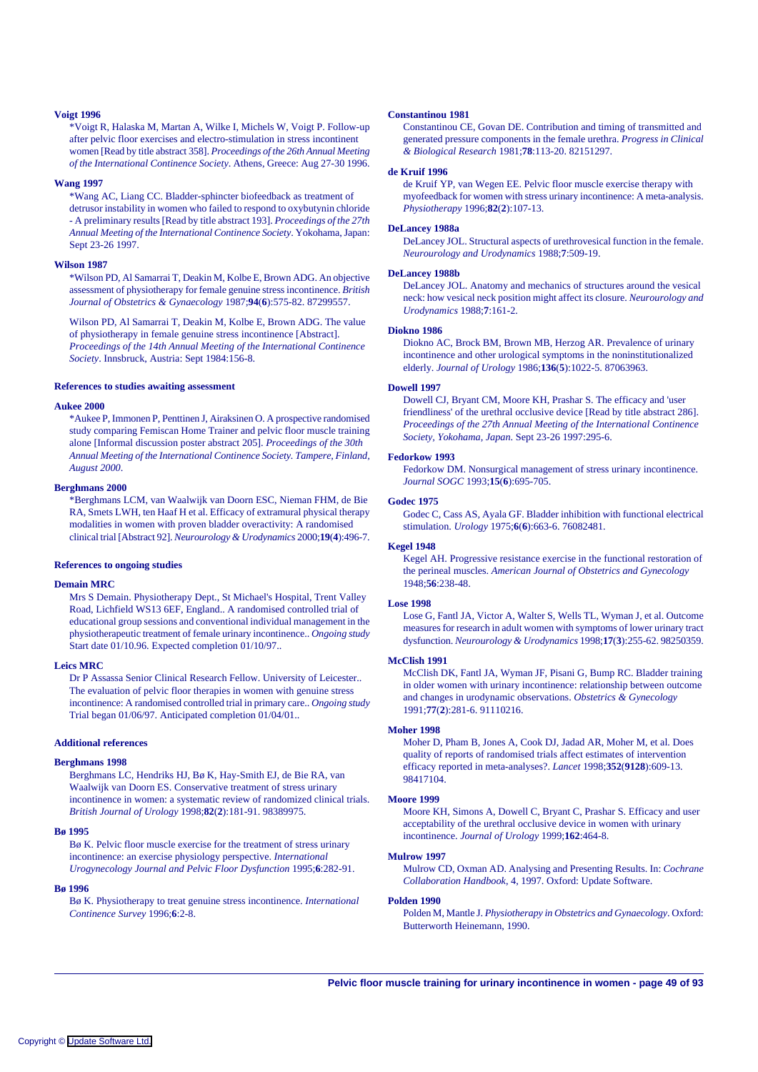#### **Voigt 1996**

\*Voigt R, Halaska M, Martan A, Wilke I, Michels W, Voigt P. Follow-up after pelvic floor exercises and electro-stimulation in stress incontinent women [Read by title abstract 358]. *Proceedings of the 26th Annual Meeting of the International Continence Society*. Athens, Greece: Aug 27-30 1996.

### **Wang 1997**

\*Wang AC, Liang CC. Bladder-sphincter biofeedback as treatment of detrusor instability in women who failed to respond to oxybutynin chloride - A preliminary results [Read by title abstract 193]. *Proceedings of the 27th Annual Meeting of the International Continence Society*. Yokohama, Japan: Sept 23-26 1997.

#### **Wilson 1987**

\*Wilson PD, Al Samarrai T, Deakin M, Kolbe E, Brown ADG. An objective assessment of physiotherapy for female genuine stress incontinence. *British Journal of Obstetrics & Gynaecology* 1987;**94**(**6**):575-82. 87299557.

Wilson PD, Al Samarrai T, Deakin M, Kolbe E, Brown ADG. The value of physiotherapy in female genuine stress incontinence [Abstract]. *Proceedings of the 14th Annual Meeting of the International Continence Society*. Innsbruck, Austria: Sept 1984:156-8.

#### **References to studies awaiting assessment**

#### **Aukee 2000**

\*Aukee P, Immonen P, Penttinen J, Airaksinen O. A prospective randomised study comparing Femiscan Home Trainer and pelvic floor muscle training alone [Informal discussion poster abstract 205]. *Proceedings of the 30th Annual Meeting of the International Continence Society. Tampere, Finland, August 2000*.

#### **Berghmans 2000**

\*Berghmans LCM, van Waalwijk van Doorn ESC, Nieman FHM, de Bie RA, Smets LWH, ten Haaf H et al. Efficacy of extramural physical therapy modalities in women with proven bladder overactivity: A randomised clinical trial [Abstract 92]. *Neurourology & Urodynamics* 2000;**19**(**4**):496-7.

#### **References to ongoing studies**

#### **Demain MRC**

Mrs S Demain. Physiotherapy Dept., St Michael's Hospital, Trent Valley Road, Lichfield WS13 6EF, England.. A randomised controlled trial of educational group sessions and conventional individual management in the physiotherapeutic treatment of female urinary incontinence.. *Ongoing study* Start date 01/10.96. Expected completion 01/10/97..

#### **Leics MRC**

Dr P Assassa Senior Clinical Research Fellow. University of Leicester.. The evaluation of pelvic floor therapies in women with genuine stress incontinence: A randomised controlled trial in primary care.. *Ongoing study* Trial began 01/06/97. Anticipated completion 01/04/01..

### **Additional references**

#### **Berghmans 1998**

Berghmans LC, Hendriks HJ, Bø K, Hay-Smith EJ, de Bie RA, van Waalwijk van Doorn ES. Conservative treatment of stress urinary incontinence in women: a systematic review of randomized clinical trials. *British Journal of Urology* 1998;**82**(**2**):181-91. 98389975.

#### **Bø 1995**

Bø K. Pelvic floor muscle exercise for the treatment of stress urinary incontinence: an exercise physiology perspective. *International Urogynecology Journal and Pelvic Floor Dysfunction* 1995;**6**:282-91.

#### **Bø 1996**

Bø K. Physiotherapy to treat genuine stress incontinence. *International Continence Survey* 1996;**6**:2-8.

#### **Constantinou 1981**

Constantinou CE, Govan DE. Contribution and timing of transmitted and generated pressure components in the female urethra. *Progress in Clinical & Biological Research* 1981;**78**:113-20. 82151297.

#### **de Kruif 1996**

de Kruif YP, van Wegen EE. Pelvic floor muscle exercise therapy with myofeedback for women with stress urinary incontinence: A meta-analysis. *Physiotherapy* 1996;**82**(**2**):107-13.

#### **DeLancey 1988a**

DeLancey JOL. Structural aspects of urethrovesical function in the female. *Neurourology and Urodynamics* 1988;**7**:509-19.

#### **DeLancey 1988b**

DeLancey JOL. Anatomy and mechanics of structures around the vesical neck: how vesical neck position might affect its closure. *Neurourology and Urodynamics* 1988;**7**:161-2.

#### **Diokno 1986**

Diokno AC, Brock BM, Brown MB, Herzog AR. Prevalence of urinary incontinence and other urological symptoms in the noninstitutionalized elderly. *Journal of Urology* 1986;**136**(**5**):1022-5. 87063963.

### **Dowell 1997**

Dowell CJ, Bryant CM, Moore KH, Prashar S. The efficacy and 'user friendliness' of the urethral occlusive device [Read by title abstract 286]. *Proceedings of the 27th Annual Meeting of the International Continence Society, Yokohama, Japan*. Sept 23-26 1997:295-6.

#### **Fedorkow 1993**

Fedorkow DM. Nonsurgical management of stress urinary incontinence. *Journal SOGC* 1993;**15**(**6**):695-705.

#### **Godec 1975**

Godec C, Cass AS, Ayala GF. Bladder inhibition with functional electrical stimulation. *Urology* 1975;**6**(**6**):663-6. 76082481.

#### **Kegel 1948**

Kegel AH. Progressive resistance exercise in the functional restoration of the perineal muscles. *American Journal of Obstetrics and Gynecology* 1948;**56**:238-48.

#### **Lose 1998**

Lose G, Fantl JA, Victor A, Walter S, Wells TL, Wyman J, et al. Outcome measures for research in adult women with symptoms of lower urinary tract dysfunction. *Neurourology & Urodynamics* 1998;**17**(**3**):255-62. 98250359.

#### **McClish 1991**

McClish DK, Fantl JA, Wyman JF, Pisani G, Bump RC. Bladder training in older women with urinary incontinence: relationship between outcome and changes in urodynamic observations. *Obstetrics & Gynecology* 1991;**77**(**2**):281-6. 91110216.

#### **Moher 1998**

Moher D, Pham B, Jones A, Cook DJ, Jadad AR, Moher M, et al. Does quality of reports of randomised trials affect estimates of intervention efficacy reported in meta-analyses?. *Lancet* 1998;**352**(**9128**):609-13. 98417104.

#### **Moore 1999**

Moore KH, Simons A, Dowell C, Bryant C, Prashar S. Efficacy and user acceptability of the urethral occlusive device in women with urinary incontinence. *Journal of Urology* 1999;**162**:464-8.

#### **Mulrow 1997**

Mulrow CD, Oxman AD. Analysing and Presenting Results. In: *Cochrane Collaboration Handbook*, 4, 1997. Oxford: Update Software.

#### **Polden 1990**

Polden M, Mantle J. *Physiotherapy in Obstetrics and Gynaecology*. Oxford: Butterworth Heinemann, 1990.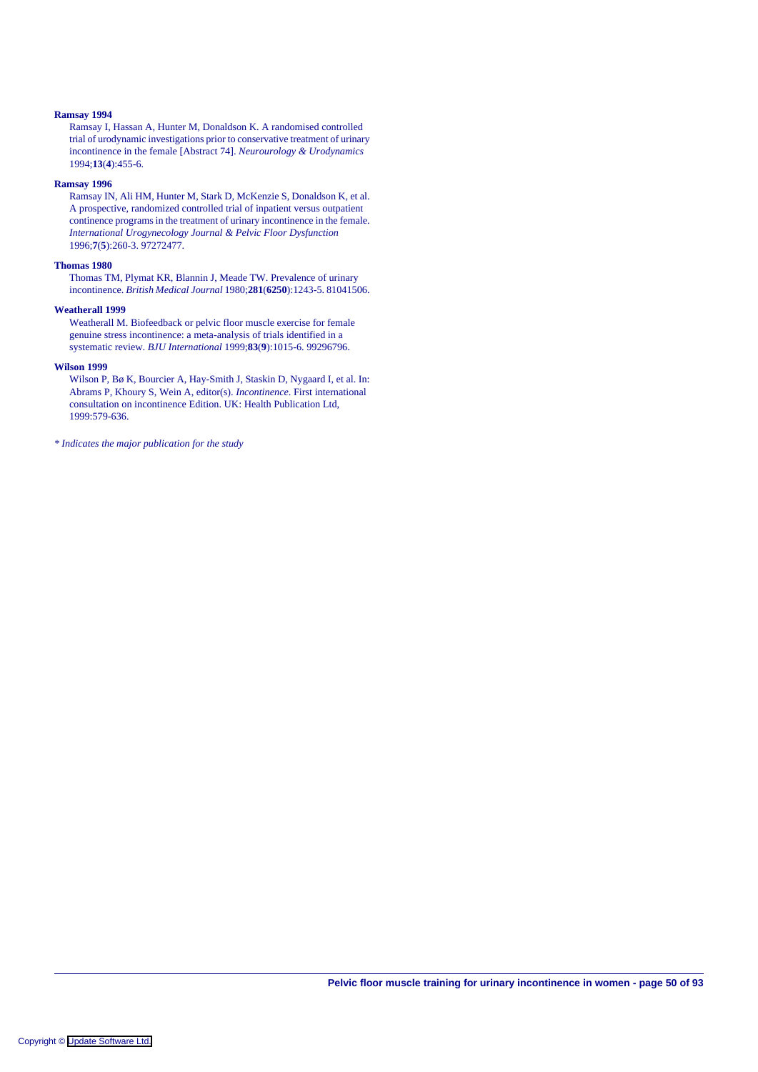### **Ramsay 1994**

Ramsay I, Hassan A, Hunter M, Donaldson K. A randomised controlled trial of urodynamic investigations prior to conservative treatment of urinary incontinence in the female [Abstract 74]. *Neurourology & Urodynamics* 1994;**13**(**4**):455-6.

### **Ramsay 1996**

Ramsay IN, Ali HM, Hunter M, Stark D, McKenzie S, Donaldson K, et al. A prospective, randomized controlled trial of inpatient versus outpatient continence programs in the treatment of urinary incontinence in the female. *International Urogynecology Journal & Pelvic Floor Dysfunction* 1996;**7**(**5**):260-3. 97272477.

## **Thomas 1980**

Thomas TM, Plymat KR, Blannin J, Meade TW. Prevalence of urinary incontinence. *British Medical Journal* 1980;**281**(**6250**):1243-5. 81041506.

#### **Weatherall 1999**

Weatherall M. Biofeedback or pelvic floor muscle exercise for female genuine stress incontinence: a meta-analysis of trials identified in a systematic review. *BJU International* 1999;**83**(**9**):1015-6. 99296796.

#### **Wilson 1999**

Wilson P, Bø K, Bourcier A, Hay-Smith J, Staskin D, Nygaard I, et al. In: Abrams P, Khoury S, Wein A, editor(s). *Incontinence*. First international consultation on incontinence Edition. UK: Health Publication Ltd, 1999:579-636.

*\* Indicates the major publication for the study*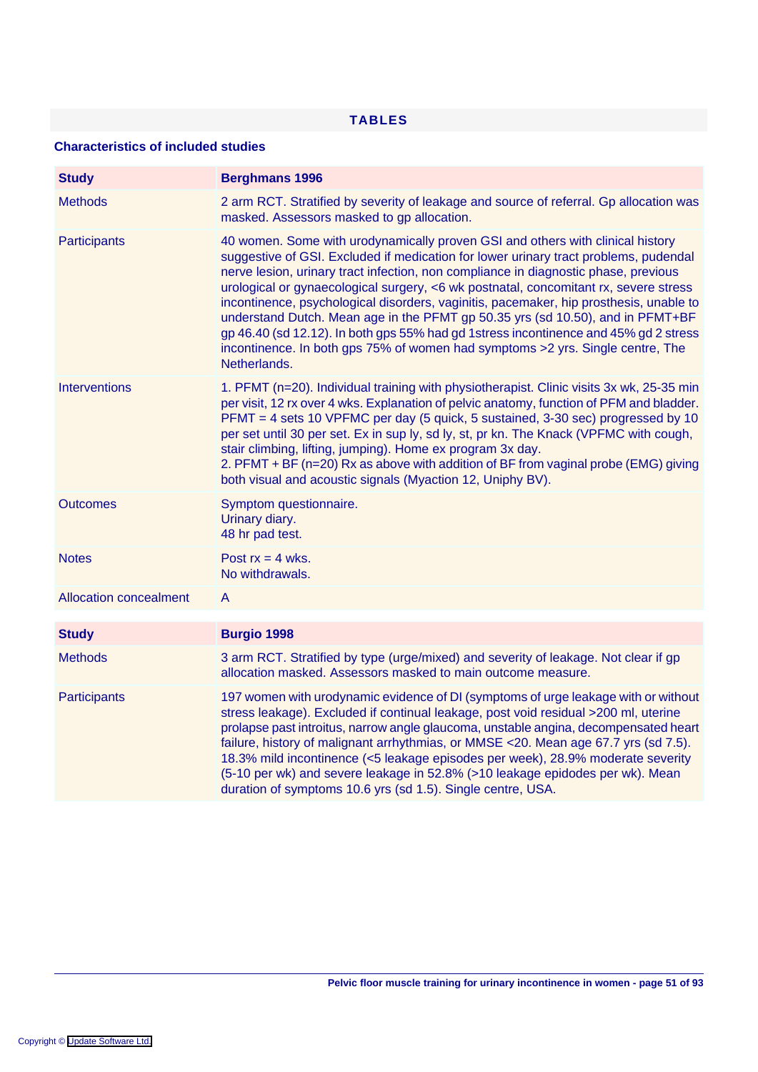# **TABLES**

| <b>Study</b>                  | <b>Berghmans 1996</b>                                                                                                                                                                                                                                                                                                                                                                                                                                                                                                                                                                                                                                                                                                        |
|-------------------------------|------------------------------------------------------------------------------------------------------------------------------------------------------------------------------------------------------------------------------------------------------------------------------------------------------------------------------------------------------------------------------------------------------------------------------------------------------------------------------------------------------------------------------------------------------------------------------------------------------------------------------------------------------------------------------------------------------------------------------|
| <b>Methods</b>                | 2 arm RCT. Stratified by severity of leakage and source of referral. Gp allocation was<br>masked. Assessors masked to gp allocation.                                                                                                                                                                                                                                                                                                                                                                                                                                                                                                                                                                                         |
| <b>Participants</b>           | 40 women. Some with urodynamically proven GSI and others with clinical history<br>suggestive of GSI. Excluded if medication for lower urinary tract problems, pudendal<br>nerve lesion, urinary tract infection, non compliance in diagnostic phase, previous<br>urological or gynaecological surgery, <6 wk postnatal, concomitant rx, severe stress<br>incontinence, psychological disorders, vaginitis, pacemaker, hip prosthesis, unable to<br>understand Dutch. Mean age in the PFMT gp 50.35 yrs (sd 10.50), and in PFMT+BF<br>gp 46.40 (sd 12.12). In both gps 55% had gd 1stress incontinence and 45% gd 2 stress<br>incontinence. In both gps 75% of women had symptoms > 2 yrs. Single centre, The<br>Netherlands. |
| <b>Interventions</b>          | 1. PFMT (n=20). Individual training with physiotherapist. Clinic visits 3x wk, 25-35 min<br>per visit, 12 rx over 4 wks. Explanation of pelvic anatomy, function of PFM and bladder.<br>PFMT = 4 sets 10 VPFMC per day (5 quick, 5 sustained, 3-30 sec) progressed by 10<br>per set until 30 per set. Ex in sup ly, sd ly, st, pr kn. The Knack (VPFMC with cough,<br>stair climbing, lifting, jumping). Home ex program 3x day.<br>2. PFMT + BF (n=20) Rx as above with addition of BF from vaginal probe (EMG) giving<br>both visual and acoustic signals (Myaction 12, Uniphy BV).                                                                                                                                        |
| <b>Outcomes</b>               | Symptom questionnaire.<br>Urinary diary.<br>48 hr pad test.                                                                                                                                                                                                                                                                                                                                                                                                                                                                                                                                                                                                                                                                  |
| <b>Notes</b>                  | Post $rx = 4$ wks.<br>No withdrawals.                                                                                                                                                                                                                                                                                                                                                                                                                                                                                                                                                                                                                                                                                        |
| <b>Allocation concealment</b> | A                                                                                                                                                                                                                                                                                                                                                                                                                                                                                                                                                                                                                                                                                                                            |
| <b>Study</b>                  | <b>Burgio 1998</b>                                                                                                                                                                                                                                                                                                                                                                                                                                                                                                                                                                                                                                                                                                           |
| <b>Methods</b>                | 3 arm RCT. Stratified by type (urge/mixed) and severity of leakage. Not clear if gp<br>allocation masked. Assessors masked to main outcome measure.                                                                                                                                                                                                                                                                                                                                                                                                                                                                                                                                                                          |
| Participants                  | 197 women with urodynamic evidence of DI (symptoms of urge leakage with or without<br>stress leakage). Excluded if continual leakage, post void residual >200 ml, uterine<br>prolapse past introitus, narrow angle glaucoma, unstable angina, decompensated heart<br>failure, history of malignant arrhythmias, or MMSE <20. Mean age 67.7 yrs (sd 7.5).<br>18.3% mild incontinence (<5 leakage episodes per week), 28.9% moderate severity<br>(5-10 per wk) and severe leakage in 52.8% (>10 leakage epidodes per wk). Mean<br>duration of symptoms 10.6 yrs (sd 1.5). Single centre, USA.                                                                                                                                  |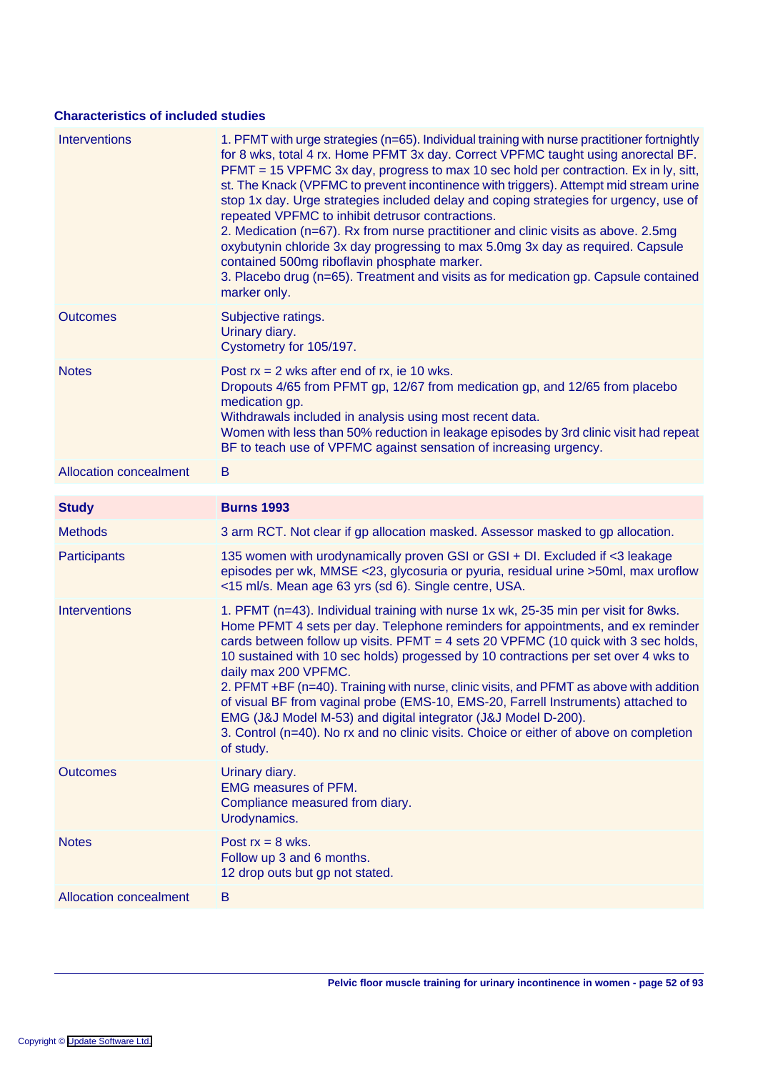| Interventions                 | 1. PFMT with urge strategies (n=65). Individual training with nurse practitioner fortnightly<br>for 8 wks, total 4 rx. Home PFMT 3x day. Correct VPFMC taught using anorectal BF.<br>PFMT = 15 VPFMC 3x day, progress to max 10 sec hold per contraction. Ex in ly, sitt,<br>st. The Knack (VPFMC to prevent incontinence with triggers). Attempt mid stream urine<br>stop 1x day. Urge strategies included delay and coping strategies for urgency, use of<br>repeated VPFMC to inhibit detrusor contractions.<br>2. Medication (n=67). Rx from nurse practitioner and clinic visits as above. 2.5mg<br>oxybutynin chloride 3x day progressing to max 5.0mg 3x day as required. Capsule<br>contained 500mg riboflavin phosphate marker.<br>3. Placebo drug (n=65). Treatment and visits as for medication gp. Capsule contained<br>marker only. |
|-------------------------------|--------------------------------------------------------------------------------------------------------------------------------------------------------------------------------------------------------------------------------------------------------------------------------------------------------------------------------------------------------------------------------------------------------------------------------------------------------------------------------------------------------------------------------------------------------------------------------------------------------------------------------------------------------------------------------------------------------------------------------------------------------------------------------------------------------------------------------------------------|
| <b>Outcomes</b>               | Subjective ratings.<br>Urinary diary.<br>Cystometry for 105/197.                                                                                                                                                                                                                                                                                                                                                                                                                                                                                                                                                                                                                                                                                                                                                                                 |
| <b>Notes</b>                  | Post $rx = 2$ wks after end of $rx$ , ie 10 wks.<br>Dropouts 4/65 from PFMT gp, 12/67 from medication gp, and 12/65 from placebo<br>medication gp.<br>Withdrawals included in analysis using most recent data.<br>Women with less than 50% reduction in leakage episodes by 3rd clinic visit had repeat<br>BF to teach use of VPFMC against sensation of increasing urgency.                                                                                                                                                                                                                                                                                                                                                                                                                                                                     |
| <b>Allocation concealment</b> | B                                                                                                                                                                                                                                                                                                                                                                                                                                                                                                                                                                                                                                                                                                                                                                                                                                                |
| <b>Study</b>                  | <b>Burns 1993</b>                                                                                                                                                                                                                                                                                                                                                                                                                                                                                                                                                                                                                                                                                                                                                                                                                                |
|                               |                                                                                                                                                                                                                                                                                                                                                                                                                                                                                                                                                                                                                                                                                                                                                                                                                                                  |
| <b>Methods</b>                | 3 arm RCT. Not clear if gp allocation masked. Assessor masked to gp allocation.                                                                                                                                                                                                                                                                                                                                                                                                                                                                                                                                                                                                                                                                                                                                                                  |
| Participants                  | 135 women with urodynamically proven GSI or GSI + DI. Excluded if <3 leakage<br>episodes per wk, MMSE <23, glycosuria or pyuria, residual urine >50ml, max uroflow<br><15 ml/s. Mean age 63 yrs (sd 6). Single centre, USA.                                                                                                                                                                                                                                                                                                                                                                                                                                                                                                                                                                                                                      |
| <b>Interventions</b>          | 1. PFMT (n=43). Individual training with nurse 1x wk, 25-35 min per visit for 8wks.<br>Home PFMT 4 sets per day. Telephone reminders for appointments, and ex reminder<br>cards between follow up visits. $PFMT = 4$ sets 20 VPFMC (10 quick with 3 sec holds,<br>10 sustained with 10 sec holds) progessed by 10 contractions per set over 4 wks to<br>daily max 200 VPFMC.<br>2. PFMT +BF (n=40). Training with nurse, clinic visits, and PFMT as above with addition<br>of visual BF from vaginal probe (EMS-10, EMS-20, Farrell Instruments) attached to<br>EMG (J&J Model M-53) and digital integrator (J&J Model D-200).<br>3. Control (n=40). No rx and no clinic visits. Choice or either of above on completion<br>of study.                                                                                                            |
| <b>Outcomes</b>               | Urinary diary.<br><b>EMG</b> measures of PFM.<br>Compliance measured from diary.<br>Urodynamics.                                                                                                                                                                                                                                                                                                                                                                                                                                                                                                                                                                                                                                                                                                                                                 |
| <b>Notes</b>                  | Post $rx = 8$ wks.<br>Follow up 3 and 6 months.<br>12 drop outs but gp not stated.                                                                                                                                                                                                                                                                                                                                                                                                                                                                                                                                                                                                                                                                                                                                                               |
| <b>Allocation concealment</b> | B                                                                                                                                                                                                                                                                                                                                                                                                                                                                                                                                                                                                                                                                                                                                                                                                                                                |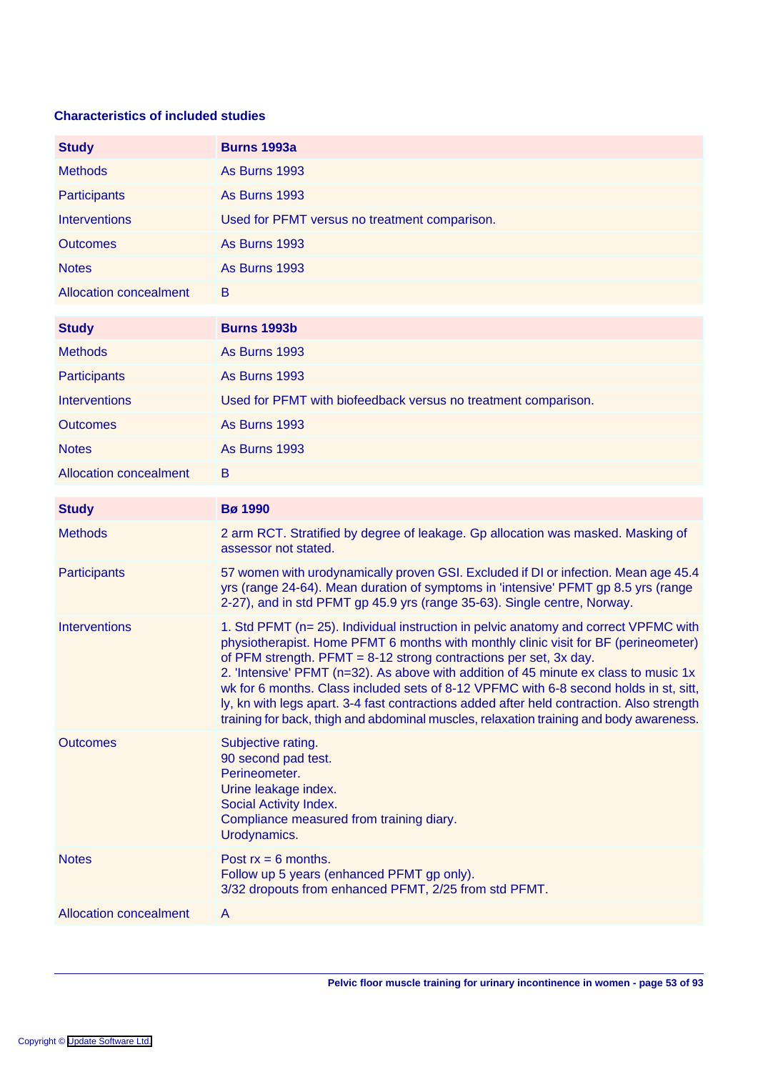| <b>Study</b>                  | <b>Burns 1993a</b>                                                                                                                                                                                                                                                                                                                                                                                                                                                                                                                                                                                                              |
|-------------------------------|---------------------------------------------------------------------------------------------------------------------------------------------------------------------------------------------------------------------------------------------------------------------------------------------------------------------------------------------------------------------------------------------------------------------------------------------------------------------------------------------------------------------------------------------------------------------------------------------------------------------------------|
| <b>Methods</b>                | As Burns 1993                                                                                                                                                                                                                                                                                                                                                                                                                                                                                                                                                                                                                   |
| Participants                  | As Burns 1993                                                                                                                                                                                                                                                                                                                                                                                                                                                                                                                                                                                                                   |
| <b>Interventions</b>          | Used for PFMT versus no treatment comparison.                                                                                                                                                                                                                                                                                                                                                                                                                                                                                                                                                                                   |
| <b>Outcomes</b>               | As Burns 1993                                                                                                                                                                                                                                                                                                                                                                                                                                                                                                                                                                                                                   |
| <b>Notes</b>                  | As Burns 1993                                                                                                                                                                                                                                                                                                                                                                                                                                                                                                                                                                                                                   |
| <b>Allocation concealment</b> | B                                                                                                                                                                                                                                                                                                                                                                                                                                                                                                                                                                                                                               |
| <b>Study</b>                  | <b>Burns 1993b</b>                                                                                                                                                                                                                                                                                                                                                                                                                                                                                                                                                                                                              |
| <b>Methods</b>                | As Burns 1993                                                                                                                                                                                                                                                                                                                                                                                                                                                                                                                                                                                                                   |
| Participants                  | As Burns 1993                                                                                                                                                                                                                                                                                                                                                                                                                                                                                                                                                                                                                   |
| <b>Interventions</b>          | Used for PFMT with biofeedback versus no treatment comparison.                                                                                                                                                                                                                                                                                                                                                                                                                                                                                                                                                                  |
| <b>Outcomes</b>               | As Burns 1993                                                                                                                                                                                                                                                                                                                                                                                                                                                                                                                                                                                                                   |
| <b>Notes</b>                  | As Burns 1993                                                                                                                                                                                                                                                                                                                                                                                                                                                                                                                                                                                                                   |
| <b>Allocation concealment</b> | B                                                                                                                                                                                                                                                                                                                                                                                                                                                                                                                                                                                                                               |
| <b>Study</b>                  | <b>Bø 1990</b>                                                                                                                                                                                                                                                                                                                                                                                                                                                                                                                                                                                                                  |
| <b>Methods</b>                | 2 arm RCT. Stratified by degree of leakage. Gp allocation was masked. Masking of<br>assessor not stated.                                                                                                                                                                                                                                                                                                                                                                                                                                                                                                                        |
| Participants                  |                                                                                                                                                                                                                                                                                                                                                                                                                                                                                                                                                                                                                                 |
|                               | 57 women with urodynamically proven GSI. Excluded if DI or infection. Mean age 45.4<br>yrs (range 24-64). Mean duration of symptoms in 'intensive' PFMT gp 8.5 yrs (range<br>2-27), and in std PFMT gp 45.9 yrs (range 35-63). Single centre, Norway.                                                                                                                                                                                                                                                                                                                                                                           |
| <b>Interventions</b>          | 1. Std PFMT (n= 25). Individual instruction in pelvic anatomy and correct VPFMC with<br>physiotherapist. Home PFMT 6 months with monthly clinic visit for BF (perineometer)<br>of PFM strength. PFMT = $8-12$ strong contractions per set, 3x day.<br>2. 'Intensive' PFMT ( $n=32$ ). As above with addition of 45 minute ex class to music 1x<br>wk for 6 months. Class included sets of 8-12 VPFMC with 6-8 second holds in st, sitt,<br>ly, kn with legs apart. 3-4 fast contractions added after held contraction. Also strength<br>training for back, thigh and abdominal muscles, relaxation training and body awareness. |
| <b>Outcomes</b>               | Subjective rating.<br>90 second pad test.<br>Perineometer.<br>Urine leakage index.<br>Social Activity Index.<br>Compliance measured from training diary.<br>Urodynamics.                                                                                                                                                                                                                                                                                                                                                                                                                                                        |
| <b>Notes</b>                  | Post $rx = 6$ months.<br>Follow up 5 years (enhanced PFMT gp only).<br>3/32 dropouts from enhanced PFMT, 2/25 from std PFMT.                                                                                                                                                                                                                                                                                                                                                                                                                                                                                                    |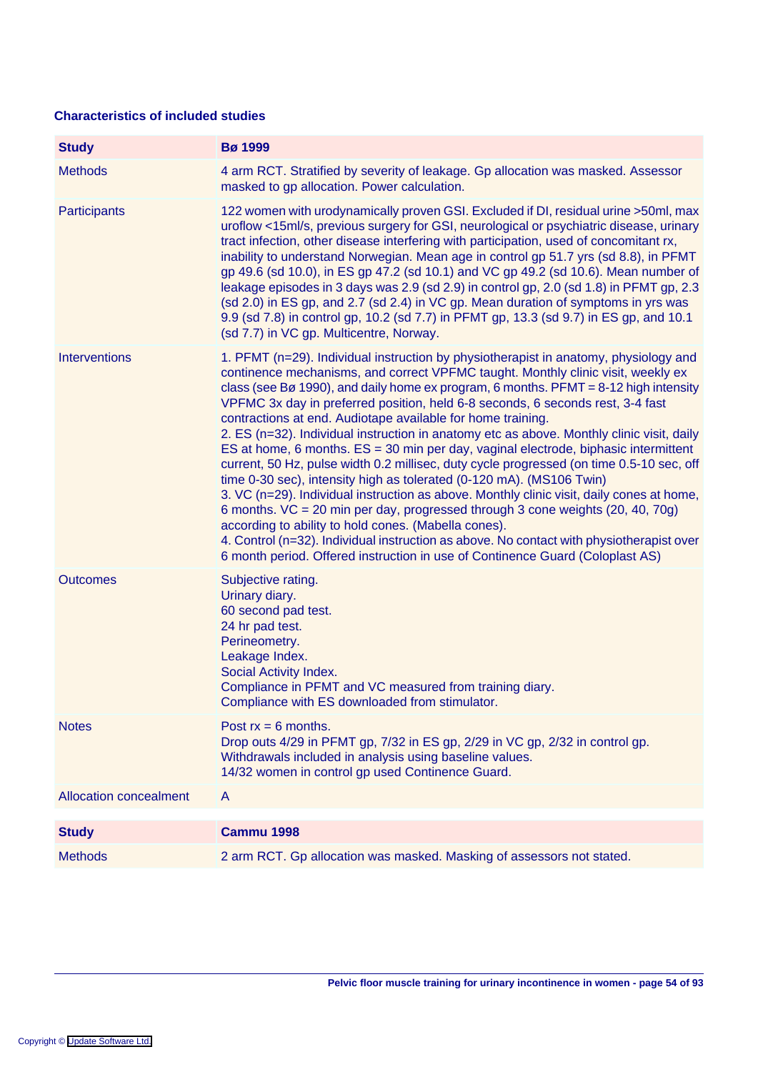| <b>Study</b>                  | <b>Bø 1999</b>                                                                                                                                                                                                                                                                                                                                                                                                                                                                                                                                                                                                                                                                                                                                                                                                                                                                                                                                                                                                                                                                                                                                                                                        |
|-------------------------------|-------------------------------------------------------------------------------------------------------------------------------------------------------------------------------------------------------------------------------------------------------------------------------------------------------------------------------------------------------------------------------------------------------------------------------------------------------------------------------------------------------------------------------------------------------------------------------------------------------------------------------------------------------------------------------------------------------------------------------------------------------------------------------------------------------------------------------------------------------------------------------------------------------------------------------------------------------------------------------------------------------------------------------------------------------------------------------------------------------------------------------------------------------------------------------------------------------|
| <b>Methods</b>                | 4 arm RCT. Stratified by severity of leakage. Gp allocation was masked. Assessor<br>masked to gp allocation. Power calculation.                                                                                                                                                                                                                                                                                                                                                                                                                                                                                                                                                                                                                                                                                                                                                                                                                                                                                                                                                                                                                                                                       |
| Participants                  | 122 women with urodynamically proven GSI. Excluded if DI, residual urine > 50ml, max<br>uroflow <15ml/s, previous surgery for GSI, neurological or psychiatric disease, urinary<br>tract infection, other disease interfering with participation, used of concomitant rx,<br>inability to understand Norwegian. Mean age in control gp 51.7 yrs (sd 8.8), in PFMT<br>gp 49.6 (sd 10.0), in ES gp 47.2 (sd 10.1) and VC gp 49.2 (sd 10.6). Mean number of<br>leakage episodes in 3 days was 2.9 (sd 2.9) in control gp, 2.0 (sd 1.8) in PFMT gp, 2.3<br>(sd 2.0) in ES gp, and 2.7 (sd 2.4) in VC gp. Mean duration of symptoms in yrs was<br>9.9 (sd 7.8) in control gp, 10.2 (sd 7.7) in PFMT gp, 13.3 (sd 9.7) in ES gp, and 10.1<br>(sd 7.7) in VC gp. Multicentre, Norway.                                                                                                                                                                                                                                                                                                                                                                                                                        |
| <b>Interventions</b>          | 1. PFMT (n=29). Individual instruction by physiotherapist in anatomy, physiology and<br>continence mechanisms, and correct VPFMC taught. Monthly clinic visit, weekly ex<br>class (see Bø 1990), and daily home ex program, 6 months. PFMT = $8-12$ high intensity<br>VPFMC 3x day in preferred position, held 6-8 seconds, 6 seconds rest, 3-4 fast<br>contractions at end. Audiotape available for home training.<br>2. ES (n=32). Individual instruction in anatomy etc as above. Monthly clinic visit, daily<br>ES at home, 6 months. $ES = 30$ min per day, vaginal electrode, biphasic intermittent<br>current, 50 Hz, pulse width 0.2 millisec, duty cycle progressed (on time 0.5-10 sec, off<br>time 0-30 sec), intensity high as tolerated (0-120 mA). (MS106 Twin)<br>3. VC ( $n=29$ ). Individual instruction as above. Monthly clinic visit, daily cones at home,<br>6 months. VC = 20 min per day, progressed through 3 cone weights (20, 40, 70g)<br>according to ability to hold cones. (Mabella cones).<br>4. Control (n=32). Individual instruction as above. No contact with physiotherapist over<br>6 month period. Offered instruction in use of Continence Guard (Coloplast AS) |
| <b>Outcomes</b>               | Subjective rating.<br>Urinary diary.<br>60 second pad test.<br>24 hr pad test.<br>Perineometry.<br>Leakage Index.<br>Social Activity Index.<br>Compliance in PFMT and VC measured from training diary.<br>Compliance with ES downloaded from stimulator.                                                                                                                                                                                                                                                                                                                                                                                                                                                                                                                                                                                                                                                                                                                                                                                                                                                                                                                                              |
| <b>Notes</b>                  | Post $rx = 6$ months.<br>Drop outs 4/29 in PFMT gp, 7/32 in ES gp, 2/29 in VC gp, 2/32 in control gp.<br>Withdrawals included in analysis using baseline values.<br>14/32 women in control gp used Continence Guard.                                                                                                                                                                                                                                                                                                                                                                                                                                                                                                                                                                                                                                                                                                                                                                                                                                                                                                                                                                                  |
| <b>Allocation concealment</b> | A                                                                                                                                                                                                                                                                                                                                                                                                                                                                                                                                                                                                                                                                                                                                                                                                                                                                                                                                                                                                                                                                                                                                                                                                     |
| <b>Study</b>                  | Cammu 1998                                                                                                                                                                                                                                                                                                                                                                                                                                                                                                                                                                                                                                                                                                                                                                                                                                                                                                                                                                                                                                                                                                                                                                                            |
| <b>Methods</b>                | 2 arm RCT. Gp allocation was masked. Masking of assessors not stated.                                                                                                                                                                                                                                                                                                                                                                                                                                                                                                                                                                                                                                                                                                                                                                                                                                                                                                                                                                                                                                                                                                                                 |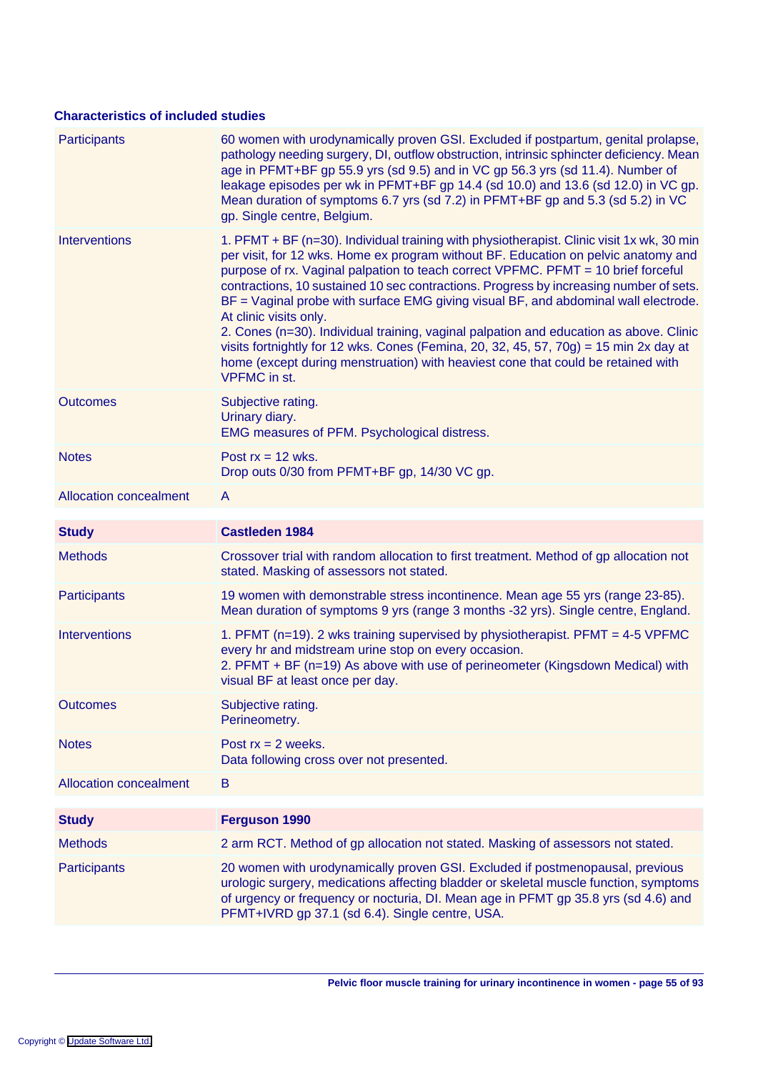| Participants                  | 60 women with urodynamically proven GSI. Excluded if postpartum, genital prolapse,<br>pathology needing surgery, DI, outflow obstruction, intrinsic sphincter deficiency. Mean<br>age in PFMT+BF gp 55.9 yrs (sd 9.5) and in VC gp 56.3 yrs (sd 11.4). Number of<br>leakage episodes per wk in PFMT+BF gp 14.4 (sd 10.0) and 13.6 (sd 12.0) in VC gp.<br>Mean duration of symptoms 6.7 yrs (sd 7.2) in PFMT+BF gp and 5.3 (sd 5.2) in VC<br>gp. Single centre, Belgium.                                                                                                                                                                                                                                                                                                       |
|-------------------------------|-------------------------------------------------------------------------------------------------------------------------------------------------------------------------------------------------------------------------------------------------------------------------------------------------------------------------------------------------------------------------------------------------------------------------------------------------------------------------------------------------------------------------------------------------------------------------------------------------------------------------------------------------------------------------------------------------------------------------------------------------------------------------------|
| <b>Interventions</b>          | 1. PFMT + BF (n=30). Individual training with physiotherapist. Clinic visit 1x wk, 30 min<br>per visit, for 12 wks. Home ex program without BF. Education on pelvic anatomy and<br>purpose of rx. Vaginal palpation to teach correct VPFMC. PFMT = 10 brief forceful<br>contractions, 10 sustained 10 sec contractions. Progress by increasing number of sets.<br>BF = Vaginal probe with surface EMG giving visual BF, and abdominal wall electrode.<br>At clinic visits only.<br>2. Cones (n=30). Individual training, vaginal palpation and education as above. Clinic<br>visits fortnightly for 12 wks. Cones (Femina, 20, 32, 45, 57, 70g) = 15 min 2x day at<br>home (except during menstruation) with heaviest cone that could be retained with<br><b>VPFMC</b> in st. |
| <b>Outcomes</b>               | Subjective rating.<br>Urinary diary.<br>EMG measures of PFM. Psychological distress.                                                                                                                                                                                                                                                                                                                                                                                                                                                                                                                                                                                                                                                                                          |
| <b>Notes</b>                  | Post $rx = 12$ wks.<br>Drop outs 0/30 from PFMT+BF gp, 14/30 VC gp.                                                                                                                                                                                                                                                                                                                                                                                                                                                                                                                                                                                                                                                                                                           |
| <b>Allocation concealment</b> | A                                                                                                                                                                                                                                                                                                                                                                                                                                                                                                                                                                                                                                                                                                                                                                             |
| <b>Study</b>                  | <b>Castleden 1984</b>                                                                                                                                                                                                                                                                                                                                                                                                                                                                                                                                                                                                                                                                                                                                                         |
|                               |                                                                                                                                                                                                                                                                                                                                                                                                                                                                                                                                                                                                                                                                                                                                                                               |
| <b>Methods</b>                | Crossover trial with random allocation to first treatment. Method of gp allocation not<br>stated. Masking of assessors not stated.                                                                                                                                                                                                                                                                                                                                                                                                                                                                                                                                                                                                                                            |
| Participants                  | 19 women with demonstrable stress incontinence. Mean age 55 yrs (range 23-85).<br>Mean duration of symptoms 9 yrs (range 3 months -32 yrs). Single centre, England.                                                                                                                                                                                                                                                                                                                                                                                                                                                                                                                                                                                                           |
| <b>Interventions</b>          | 1. PFMT ( $n=19$ ). 2 wks training supervised by physiotherapist. PFMT = 4-5 VPFMC<br>every hr and midstream urine stop on every occasion.<br>2. PFMT + BF (n=19) As above with use of perineometer (Kingsdown Medical) with<br>visual BF at least once per day.                                                                                                                                                                                                                                                                                                                                                                                                                                                                                                              |
| <b>Outcomes</b>               | Subjective rating.<br>Perineometry.                                                                                                                                                                                                                                                                                                                                                                                                                                                                                                                                                                                                                                                                                                                                           |
| <b>Notes</b>                  | Post $rx = 2$ weeks.<br>Data following cross over not presented.                                                                                                                                                                                                                                                                                                                                                                                                                                                                                                                                                                                                                                                                                                              |
| <b>Allocation concealment</b> | B                                                                                                                                                                                                                                                                                                                                                                                                                                                                                                                                                                                                                                                                                                                                                                             |
| <b>Study</b>                  | <b>Ferguson 1990</b>                                                                                                                                                                                                                                                                                                                                                                                                                                                                                                                                                                                                                                                                                                                                                          |
| <b>Methods</b>                | 2 arm RCT. Method of gp allocation not stated. Masking of assessors not stated.                                                                                                                                                                                                                                                                                                                                                                                                                                                                                                                                                                                                                                                                                               |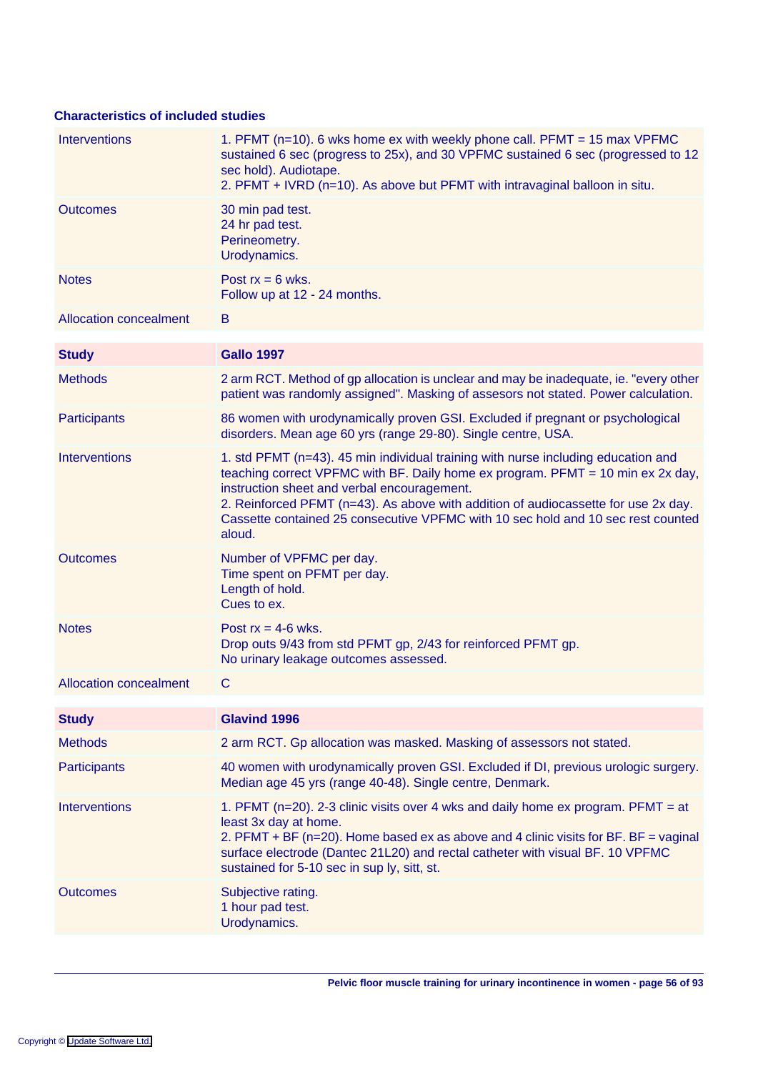| <b>Interventions</b>          | 1. PFMT ( $n=10$ ). 6 wks home ex with weekly phone call. PFMT = 15 max VPFMC<br>sustained 6 sec (progress to 25x), and 30 VPFMC sustained 6 sec (progressed to 12<br>sec hold). Audiotape.<br>2. PFMT + IVRD (n=10). As above but PFMT with intravaginal balloon in situ.                                                                                                                                  |
|-------------------------------|-------------------------------------------------------------------------------------------------------------------------------------------------------------------------------------------------------------------------------------------------------------------------------------------------------------------------------------------------------------------------------------------------------------|
| <b>Outcomes</b>               | 30 min pad test.<br>24 hr pad test.<br>Perineometry.<br>Urodynamics.                                                                                                                                                                                                                                                                                                                                        |
| <b>Notes</b>                  | Post $rx = 6$ wks.<br>Follow up at 12 - 24 months.                                                                                                                                                                                                                                                                                                                                                          |
| <b>Allocation concealment</b> | B                                                                                                                                                                                                                                                                                                                                                                                                           |
| <b>Study</b>                  | <b>Gallo 1997</b>                                                                                                                                                                                                                                                                                                                                                                                           |
| <b>Methods</b>                | 2 arm RCT. Method of gp allocation is unclear and may be inadequate, ie. "every other<br>patient was randomly assigned". Masking of assesors not stated. Power calculation.                                                                                                                                                                                                                                 |
| <b>Participants</b>           | 86 women with urodynamically proven GSI. Excluded if pregnant or psychological<br>disorders. Mean age 60 yrs (range 29-80). Single centre, USA.                                                                                                                                                                                                                                                             |
| <b>Interventions</b>          | 1. std PFMT (n=43). 45 min individual training with nurse including education and<br>teaching correct VPFMC with BF. Daily home $ex$ program. PFMT = 10 min $ex$ 2x day,<br>instruction sheet and verbal encouragement.<br>2. Reinforced PFMT (n=43). As above with addition of audiocassette for use 2x day.<br>Cassette contained 25 consecutive VPFMC with 10 sec hold and 10 sec rest counted<br>aloud. |
| <b>Outcomes</b>               | Number of VPFMC per day.<br>Time spent on PFMT per day.<br>Length of hold.<br>Cues to ex.                                                                                                                                                                                                                                                                                                                   |
| <b>Notes</b>                  | Post $rx = 4-6$ wks.<br>Drop outs 9/43 from std PFMT gp, 2/43 for reinforced PFMT gp.<br>No urinary leakage outcomes assessed.                                                                                                                                                                                                                                                                              |
| <b>Allocation concealment</b> | $\mathbf C$                                                                                                                                                                                                                                                                                                                                                                                                 |
| <b>Study</b>                  | Glavind 1996                                                                                                                                                                                                                                                                                                                                                                                                |
| <b>Methods</b>                | 2 arm RCT. Gp allocation was masked. Masking of assessors not stated.                                                                                                                                                                                                                                                                                                                                       |
| Participants                  | 40 women with urodynamically proven GSI. Excluded if DI, previous urologic surgery.<br>Median age 45 yrs (range 40-48). Single centre, Denmark.                                                                                                                                                                                                                                                             |
| <b>Interventions</b>          | 1. PFMT ( $n=20$ ). 2-3 clinic visits over 4 wks and daily home ex program. PFMT = at<br>least 3x day at home.<br>2. PFMT + BF ( $n=20$ ). Home based ex as above and 4 clinic visits for BF. BF = vaginal<br>surface electrode (Dantec 21L20) and rectal catheter with visual BF. 10 VPFMC<br>sustained for 5-10 sec in sup ly, sitt, st.                                                                  |
| <b>Outcomes</b>               | Subjective rating.<br>1 hour pad test.<br>Urodynamics.                                                                                                                                                                                                                                                                                                                                                      |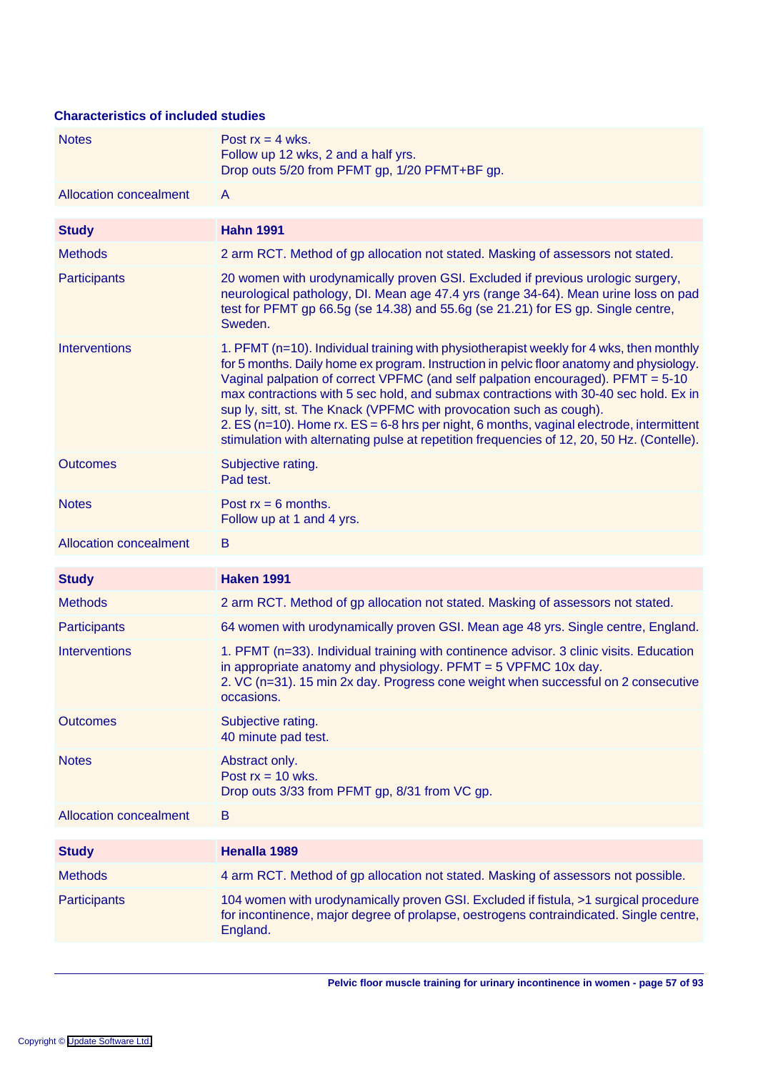| <b>Notes</b>                  | Post $rx = 4$ wks.<br>Follow up 12 wks, 2 and a half yrs.<br>Drop outs 5/20 from PFMT gp, 1/20 PFMT+BF gp.                                                                                                                                                                                                                                                                                                                                                                                                                                                                                                                      |
|-------------------------------|---------------------------------------------------------------------------------------------------------------------------------------------------------------------------------------------------------------------------------------------------------------------------------------------------------------------------------------------------------------------------------------------------------------------------------------------------------------------------------------------------------------------------------------------------------------------------------------------------------------------------------|
| <b>Allocation concealment</b> | $\mathsf{A}$                                                                                                                                                                                                                                                                                                                                                                                                                                                                                                                                                                                                                    |
|                               |                                                                                                                                                                                                                                                                                                                                                                                                                                                                                                                                                                                                                                 |
| <b>Study</b>                  | <b>Hahn 1991</b>                                                                                                                                                                                                                                                                                                                                                                                                                                                                                                                                                                                                                |
| <b>Methods</b>                | 2 arm RCT. Method of gp allocation not stated. Masking of assessors not stated.                                                                                                                                                                                                                                                                                                                                                                                                                                                                                                                                                 |
| Participants                  | 20 women with urodynamically proven GSI. Excluded if previous urologic surgery,<br>neurological pathology, DI. Mean age 47.4 yrs (range 34-64). Mean urine loss on pad<br>test for PFMT gp 66.5g (se 14.38) and 55.6g (se 21.21) for ES gp. Single centre,<br>Sweden.                                                                                                                                                                                                                                                                                                                                                           |
| <b>Interventions</b>          | 1. PFMT (n=10). Individual training with physiotherapist weekly for 4 wks, then monthly<br>for 5 months. Daily home ex program. Instruction in pelvic floor anatomy and physiology.<br>Vaginal palpation of correct VPFMC (and self palpation encouraged). PFMT = 5-10<br>max contractions with 5 sec hold, and submax contractions with 30-40 sec hold. Ex in<br>sup ly, sitt, st. The Knack (VPFMC with provocation such as cough).<br>2. ES (n=10). Home rx. ES = 6-8 hrs per night, 6 months, vaginal electrode, intermittent<br>stimulation with alternating pulse at repetition frequencies of 12, 20, 50 Hz. (Contelle). |
| <b>Outcomes</b>               | Subjective rating.<br>Pad test.                                                                                                                                                                                                                                                                                                                                                                                                                                                                                                                                                                                                 |
| <b>Notes</b>                  | Post $rx = 6$ months.<br>Follow up at 1 and 4 yrs.                                                                                                                                                                                                                                                                                                                                                                                                                                                                                                                                                                              |
| <b>Allocation concealment</b> | B                                                                                                                                                                                                                                                                                                                                                                                                                                                                                                                                                                                                                               |
| <b>Study</b>                  | <b>Haken 1991</b>                                                                                                                                                                                                                                                                                                                                                                                                                                                                                                                                                                                                               |
| <b>Methods</b>                | 2 arm RCT. Method of gp allocation not stated. Masking of assessors not stated.                                                                                                                                                                                                                                                                                                                                                                                                                                                                                                                                                 |
| Participants                  | 64 women with urodynamically proven GSI. Mean age 48 yrs. Single centre, England.                                                                                                                                                                                                                                                                                                                                                                                                                                                                                                                                               |
| <b>Interventions</b>          | 1. PFMT (n=33). Individual training with continence advisor. 3 clinic visits. Education<br>in appropriate anatomy and physiology. $PFMT = 5$ VPFMC 10x day.<br>2. VC (n=31). 15 min 2x day. Progress cone weight when successful on 2 consecutive<br>occasions.                                                                                                                                                                                                                                                                                                                                                                 |
| <b>Outcomes</b>               | Subjective rating.<br>40 minute pad test.                                                                                                                                                                                                                                                                                                                                                                                                                                                                                                                                                                                       |
| <b>Notes</b>                  | Abstract only.<br>Post $rx = 10$ wks.<br>Drop outs 3/33 from PFMT gp, 8/31 from VC gp.                                                                                                                                                                                                                                                                                                                                                                                                                                                                                                                                          |
| <b>Allocation concealment</b> | B                                                                                                                                                                                                                                                                                                                                                                                                                                                                                                                                                                                                                               |
| <b>Study</b>                  | Henalla 1989                                                                                                                                                                                                                                                                                                                                                                                                                                                                                                                                                                                                                    |
| <b>Methods</b>                | 4 arm RCT. Method of gp allocation not stated. Masking of assessors not possible.                                                                                                                                                                                                                                                                                                                                                                                                                                                                                                                                               |
| Participants                  | 104 women with urodynamically proven GSI. Excluded if fistula, >1 surgical procedure<br>for incontinence, major degree of prolapse, oestrogens contraindicated. Single centre,<br>England.                                                                                                                                                                                                                                                                                                                                                                                                                                      |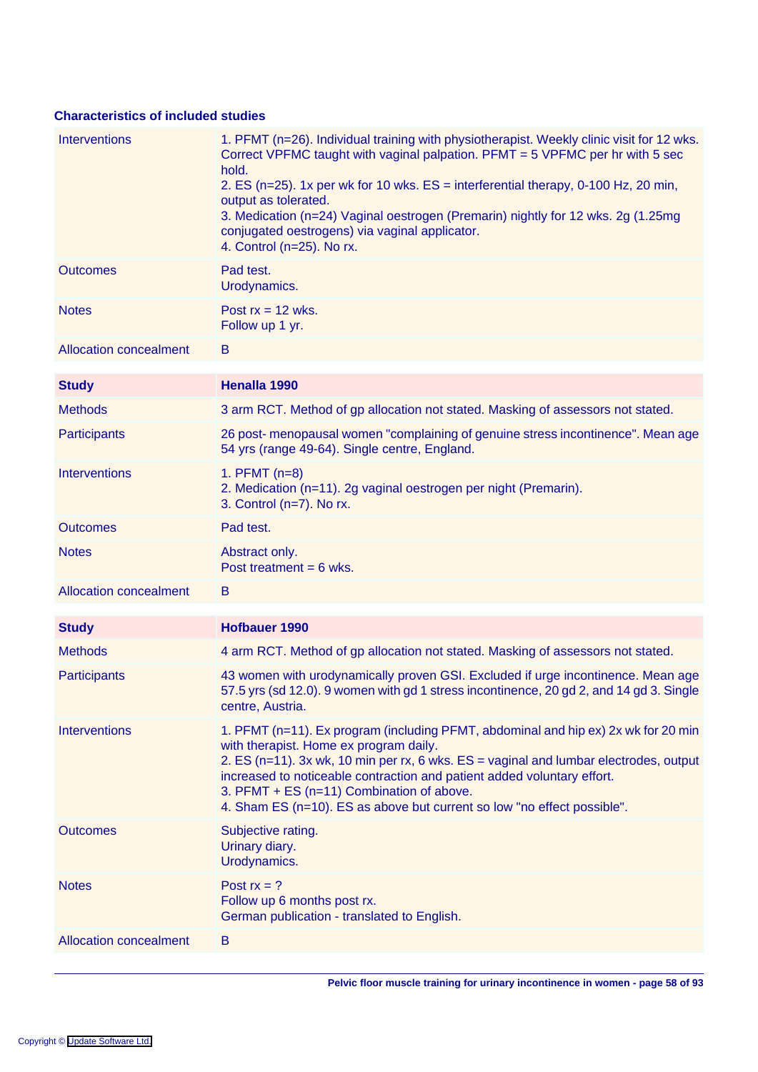| 1. PFMT (n=26). Individual training with physiotherapist. Weekly clinic visit for 12 wks.<br>Correct VPFMC taught with vaginal palpation. $PFMT = 5$ VPFMC per hr with 5 sec<br>hold.<br>2. ES (n=25). 1x per wk for 10 wks. ES = interferential therapy, 0-100 Hz, 20 min,<br>output as tolerated.<br>3. Medication (n=24) Vaginal oestrogen (Premarin) nightly for 12 wks. 2g (1.25mg<br>conjugated oestrogens) via vaginal applicator.<br>4. Control (n=25). No rx. |
|------------------------------------------------------------------------------------------------------------------------------------------------------------------------------------------------------------------------------------------------------------------------------------------------------------------------------------------------------------------------------------------------------------------------------------------------------------------------|
| Pad test.<br>Urodynamics.                                                                                                                                                                                                                                                                                                                                                                                                                                              |
| Post $rx = 12$ wks.<br>Follow up 1 yr.                                                                                                                                                                                                                                                                                                                                                                                                                                 |
| B                                                                                                                                                                                                                                                                                                                                                                                                                                                                      |
| Henalla 1990                                                                                                                                                                                                                                                                                                                                                                                                                                                           |
| 3 arm RCT. Method of gp allocation not stated. Masking of assessors not stated.                                                                                                                                                                                                                                                                                                                                                                                        |
| 26 post- menopausal women "complaining of genuine stress incontinence". Mean age<br>54 yrs (range 49-64). Single centre, England.                                                                                                                                                                                                                                                                                                                                      |
| 1. PFMT $(n=8)$<br>2. Medication (n=11). 2g vaginal oestrogen per night (Premarin).<br>3. Control ( $n=7$ ). No rx.                                                                                                                                                                                                                                                                                                                                                    |
| Pad test.                                                                                                                                                                                                                                                                                                                                                                                                                                                              |
| Abstract only.<br>Post treatment = $6$ wks.                                                                                                                                                                                                                                                                                                                                                                                                                            |
| B                                                                                                                                                                                                                                                                                                                                                                                                                                                                      |
| Hofbauer 1990                                                                                                                                                                                                                                                                                                                                                                                                                                                          |
| 4 arm RCT. Method of gp allocation not stated. Masking of assessors not stated.                                                                                                                                                                                                                                                                                                                                                                                        |
| 43 women with urodynamically proven GSI. Excluded if urge incontinence. Mean age<br>57.5 yrs (sd 12.0). 9 women with gd 1 stress incontinence, 20 gd 2, and 14 gd 3. Single<br>centre, Austria.                                                                                                                                                                                                                                                                        |
| 1. PFMT (n=11). Ex program (including PFMT, abdominal and hip ex) 2x wk for 20 min<br>with therapist. Home ex program daily.<br>2. ES ( $n=11$ ). 3x wk, 10 min per rx, 6 wks. ES = vaginal and lumbar electrodes, output<br>increased to noticeable contraction and patient added voluntary effort.<br>3. PFMT + ES (n=11) Combination of above.<br>4. Sham ES (n=10). ES as above but current so low "no effect possible".                                           |
| Subjective rating.<br>Urinary diary.<br>Urodynamics.                                                                                                                                                                                                                                                                                                                                                                                                                   |
| Post $rx = ?$<br>Follow up 6 months post rx.<br>German publication - translated to English.                                                                                                                                                                                                                                                                                                                                                                            |
| B                                                                                                                                                                                                                                                                                                                                                                                                                                                                      |
|                                                                                                                                                                                                                                                                                                                                                                                                                                                                        |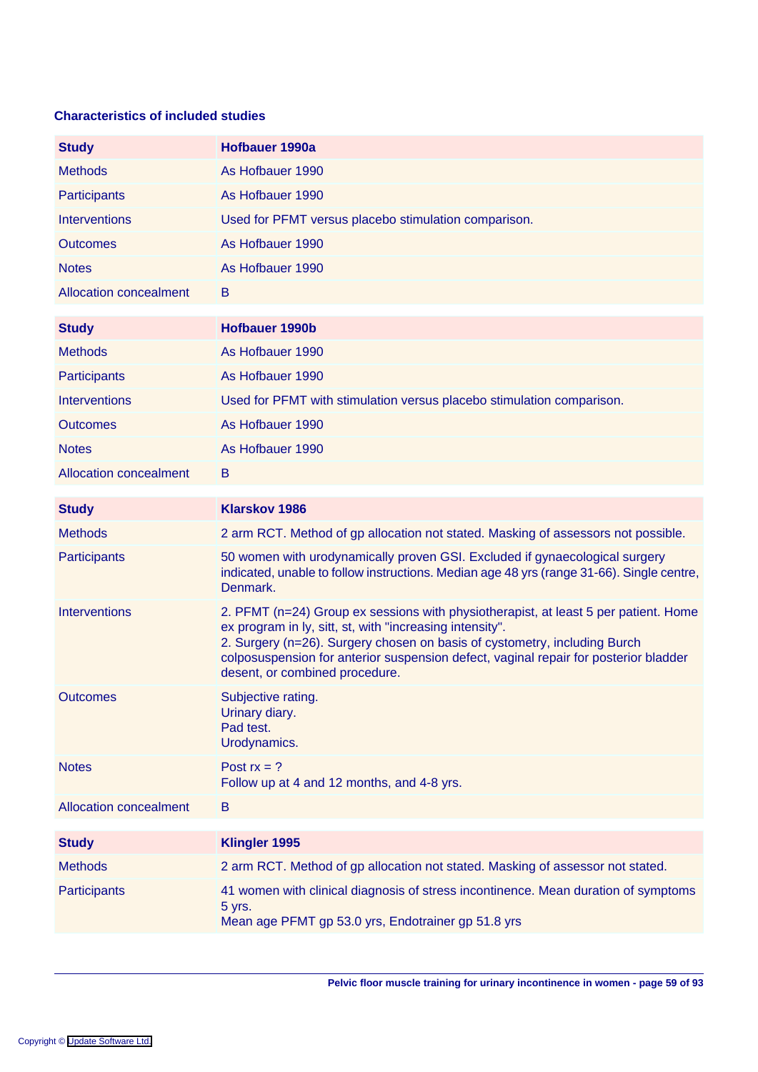| <b>Study</b>                  | Hofbauer 1990a                                                                                                                                                                                                                                                                                                                                         |
|-------------------------------|--------------------------------------------------------------------------------------------------------------------------------------------------------------------------------------------------------------------------------------------------------------------------------------------------------------------------------------------------------|
| <b>Methods</b>                | As Hofbauer 1990                                                                                                                                                                                                                                                                                                                                       |
| Participants                  | As Hofbauer 1990                                                                                                                                                                                                                                                                                                                                       |
| <b>Interventions</b>          | Used for PFMT versus placebo stimulation comparison.                                                                                                                                                                                                                                                                                                   |
| <b>Outcomes</b>               | As Hofbauer 1990                                                                                                                                                                                                                                                                                                                                       |
| <b>Notes</b>                  | As Hofbauer 1990                                                                                                                                                                                                                                                                                                                                       |
| <b>Allocation concealment</b> | B                                                                                                                                                                                                                                                                                                                                                      |
| <b>Study</b>                  | Hofbauer 1990b                                                                                                                                                                                                                                                                                                                                         |
| <b>Methods</b>                | As Hofbauer 1990                                                                                                                                                                                                                                                                                                                                       |
| Participants                  | As Hofbauer 1990                                                                                                                                                                                                                                                                                                                                       |
| <b>Interventions</b>          | Used for PFMT with stimulation versus placebo stimulation comparison.                                                                                                                                                                                                                                                                                  |
| <b>Outcomes</b>               | As Hofbauer 1990                                                                                                                                                                                                                                                                                                                                       |
| <b>Notes</b>                  | As Hofbauer 1990                                                                                                                                                                                                                                                                                                                                       |
| <b>Allocation concealment</b> | B                                                                                                                                                                                                                                                                                                                                                      |
| <b>Study</b>                  | <b>Klarskov 1986</b>                                                                                                                                                                                                                                                                                                                                   |
| <b>Methods</b>                | 2 arm RCT. Method of gp allocation not stated. Masking of assessors not possible.                                                                                                                                                                                                                                                                      |
| Participants                  | 50 women with urodynamically proven GSI. Excluded if gynaecological surgery<br>indicated, unable to follow instructions. Median age 48 yrs (range 31-66). Single centre,<br>Denmark.                                                                                                                                                                   |
| <b>Interventions</b>          | 2. PFMT (n=24) Group ex sessions with physiotherapist, at least 5 per patient. Home<br>ex program in ly, sitt, st, with "increasing intensity".<br>2. Surgery (n=26). Surgery chosen on basis of cystometry, including Burch<br>colposuspension for anterior suspension defect, vaginal repair for posterior bladder<br>desent, or combined procedure. |
| <b>Outcomes</b>               | Subjective rating.<br>Urinary diary.<br>Pad test.<br>Urodynamics.                                                                                                                                                                                                                                                                                      |
| <b>Notes</b>                  | Post $rx = ?$<br>Follow up at 4 and 12 months, and 4-8 yrs.                                                                                                                                                                                                                                                                                            |
| <b>Allocation concealment</b> | B                                                                                                                                                                                                                                                                                                                                                      |
| <b>Study</b>                  | Klingler 1995                                                                                                                                                                                                                                                                                                                                          |
| <b>Methods</b>                | 2 arm RCT. Method of gp allocation not stated. Masking of assessor not stated.                                                                                                                                                                                                                                                                         |
| Participants                  | 41 women with clinical diagnosis of stress incontinence. Mean duration of symptoms<br>5 yrs.<br>Mean age PFMT gp 53.0 yrs, Endotrainer gp 51.8 yrs                                                                                                                                                                                                     |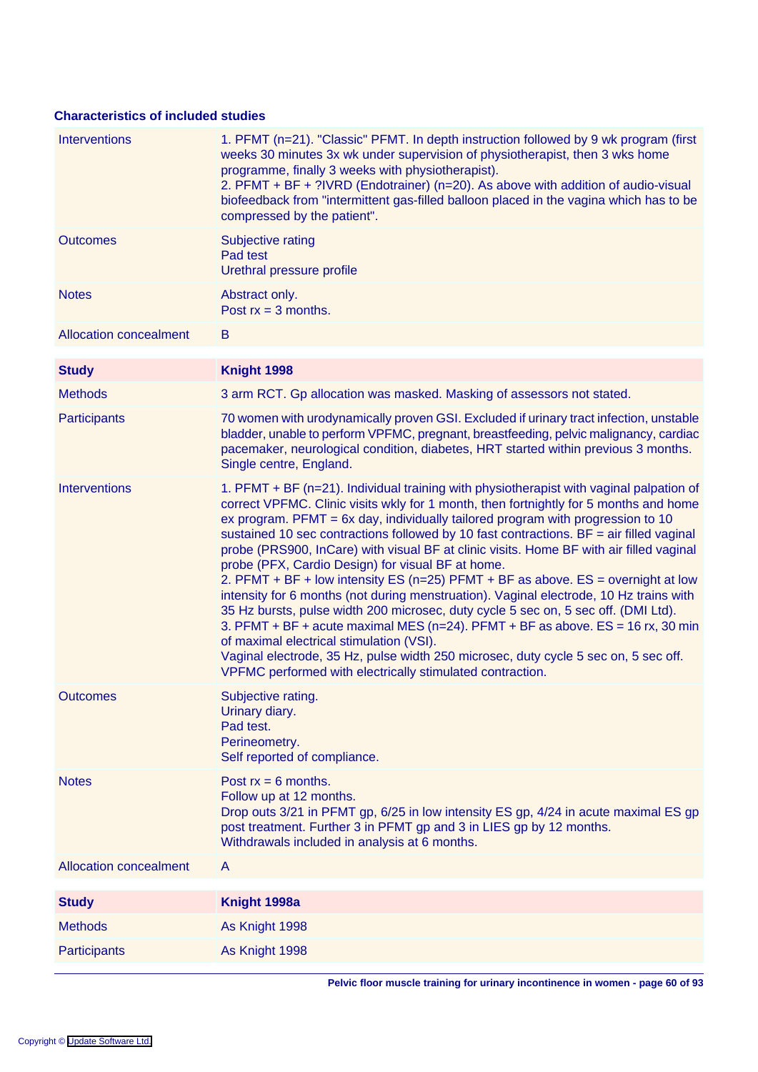| <b>Interventions</b>   | 1. PFMT (n=21). "Classic" PFMT. In depth instruction followed by 9 wk program (first<br>weeks 30 minutes 3x wk under supervision of physiotherapist, then 3 wks home<br>programme, finally 3 weeks with physiotherapist).<br>2. PFMT + BF + ?IVRD (Endotrainer) (n=20). As above with addition of audio-visual<br>biofeedback from "intermittent gas-filled balloon placed in the vagina which has to be<br>compressed by the patient". |
|------------------------|-----------------------------------------------------------------------------------------------------------------------------------------------------------------------------------------------------------------------------------------------------------------------------------------------------------------------------------------------------------------------------------------------------------------------------------------|
| <b>Outcomes</b>        | Subjective rating<br>Pad test<br>Urethral pressure profile                                                                                                                                                                                                                                                                                                                                                                              |
| <b>Notes</b>           | Abstract only.<br>Post $rx = 3$ months.                                                                                                                                                                                                                                                                                                                                                                                                 |
| Allocation concealment | B                                                                                                                                                                                                                                                                                                                                                                                                                                       |
|                        |                                                                                                                                                                                                                                                                                                                                                                                                                                         |
|                        |                                                                                                                                                                                                                                                                                                                                                                                                                                         |

| <b>Study</b>                  | Knight 1998                                                                                                                                                                                                                                                                                                                                                                                                                                                                                                                                                                                                                                                                                                                                                                                                                                                                                                                                                                                                                                                                   |
|-------------------------------|-------------------------------------------------------------------------------------------------------------------------------------------------------------------------------------------------------------------------------------------------------------------------------------------------------------------------------------------------------------------------------------------------------------------------------------------------------------------------------------------------------------------------------------------------------------------------------------------------------------------------------------------------------------------------------------------------------------------------------------------------------------------------------------------------------------------------------------------------------------------------------------------------------------------------------------------------------------------------------------------------------------------------------------------------------------------------------|
| <b>Methods</b>                | 3 arm RCT. Gp allocation was masked. Masking of assessors not stated.                                                                                                                                                                                                                                                                                                                                                                                                                                                                                                                                                                                                                                                                                                                                                                                                                                                                                                                                                                                                         |
| Participants                  | 70 women with urodynamically proven GSI. Excluded if urinary tract infection, unstable<br>bladder, unable to perform VPFMC, pregnant, breastfeeding, pelvic malignancy, cardiac<br>pacemaker, neurological condition, diabetes, HRT started within previous 3 months.<br>Single centre, England.                                                                                                                                                                                                                                                                                                                                                                                                                                                                                                                                                                                                                                                                                                                                                                              |
| <b>Interventions</b>          | 1. PFMT + BF (n=21). Individual training with physiotherapist with vaginal palpation of<br>correct VPFMC. Clinic visits wkly for 1 month, then fortnightly for 5 months and home<br>ex program. $PFMT = 6x$ day, individually tailored program with progression to 10<br>sustained 10 sec contractions followed by 10 fast contractions. $BF = air$ filled vaginal<br>probe (PRS900, InCare) with visual BF at clinic visits. Home BF with air filled vaginal<br>probe (PFX, Cardio Design) for visual BF at home.<br>2. PFMT + BF + low intensity ES ( $n=25$ ) PFMT + BF as above. ES = overnight at low<br>intensity for 6 months (not during menstruation). Vaginal electrode, 10 Hz trains with<br>35 Hz bursts, pulse width 200 microsec, duty cycle 5 sec on, 5 sec off. (DMI Ltd).<br>3. PFMT + BF + acute maximal MES (n=24). PFMT + BF as above. ES = 16 rx, 30 min<br>of maximal electrical stimulation (VSI).<br>Vaginal electrode, 35 Hz, pulse width 250 microsec, duty cycle 5 sec on, 5 sec off.<br>VPFMC performed with electrically stimulated contraction. |
| <b>Outcomes</b>               | Subjective rating.<br>Urinary diary.<br>Pad test.<br>Perineometry.<br>Self reported of compliance.                                                                                                                                                                                                                                                                                                                                                                                                                                                                                                                                                                                                                                                                                                                                                                                                                                                                                                                                                                            |
| <b>Notes</b>                  | Post $rx = 6$ months.<br>Follow up at 12 months.<br>Drop outs 3/21 in PFMT gp, 6/25 in low intensity ES gp, 4/24 in acute maximal ES gp<br>post treatment. Further 3 in PFMT gp and 3 in LIES gp by 12 months.<br>Withdrawals included in analysis at 6 months.                                                                                                                                                                                                                                                                                                                                                                                                                                                                                                                                                                                                                                                                                                                                                                                                               |
| <b>Allocation concealment</b> | $\overline{A}$                                                                                                                                                                                                                                                                                                                                                                                                                                                                                                                                                                                                                                                                                                                                                                                                                                                                                                                                                                                                                                                                |
|                               |                                                                                                                                                                                                                                                                                                                                                                                                                                                                                                                                                                                                                                                                                                                                                                                                                                                                                                                                                                                                                                                                               |
| <b>Study</b>                  | Knight 1998a                                                                                                                                                                                                                                                                                                                                                                                                                                                                                                                                                                                                                                                                                                                                                                                                                                                                                                                                                                                                                                                                  |
| <b>Methods</b>                | As Knight 1998                                                                                                                                                                                                                                                                                                                                                                                                                                                                                                                                                                                                                                                                                                                                                                                                                                                                                                                                                                                                                                                                |
| Participants                  | As Knight 1998                                                                                                                                                                                                                                                                                                                                                                                                                                                                                                                                                                                                                                                                                                                                                                                                                                                                                                                                                                                                                                                                |

**Pelvic floor muscle training for urinary incontinence in women - page 60 of 93**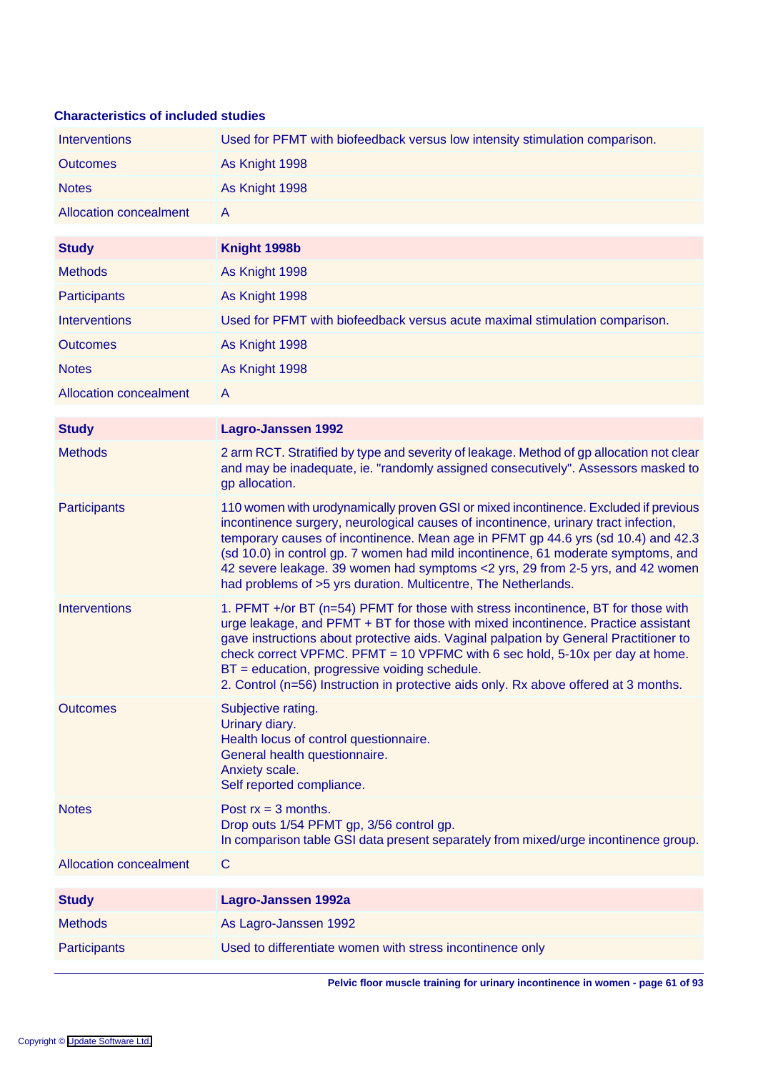| <b>Interventions</b>          | Used for PFMT with biofeedback versus low intensity stimulation comparison.                                                                                                                                                                                                                                                                                                                                                                                                                               |
|-------------------------------|-----------------------------------------------------------------------------------------------------------------------------------------------------------------------------------------------------------------------------------------------------------------------------------------------------------------------------------------------------------------------------------------------------------------------------------------------------------------------------------------------------------|
| <b>Outcomes</b>               | As Knight 1998                                                                                                                                                                                                                                                                                                                                                                                                                                                                                            |
| <b>Notes</b>                  | As Knight 1998                                                                                                                                                                                                                                                                                                                                                                                                                                                                                            |
| <b>Allocation concealment</b> | A                                                                                                                                                                                                                                                                                                                                                                                                                                                                                                         |
| <b>Study</b>                  | Knight 1998b                                                                                                                                                                                                                                                                                                                                                                                                                                                                                              |
| <b>Methods</b>                | As Knight 1998                                                                                                                                                                                                                                                                                                                                                                                                                                                                                            |
| Participants                  | As Knight 1998                                                                                                                                                                                                                                                                                                                                                                                                                                                                                            |
| <b>Interventions</b>          | Used for PFMT with biofeedback versus acute maximal stimulation comparison.                                                                                                                                                                                                                                                                                                                                                                                                                               |
| <b>Outcomes</b>               | As Knight 1998                                                                                                                                                                                                                                                                                                                                                                                                                                                                                            |
| <b>Notes</b>                  | As Knight 1998                                                                                                                                                                                                                                                                                                                                                                                                                                                                                            |
| <b>Allocation concealment</b> | A                                                                                                                                                                                                                                                                                                                                                                                                                                                                                                         |
| <b>Study</b>                  | <b>Lagro-Janssen 1992</b>                                                                                                                                                                                                                                                                                                                                                                                                                                                                                 |
| <b>Methods</b>                | 2 arm RCT. Stratified by type and severity of leakage. Method of gp allocation not clear<br>and may be inadequate, ie. "randomly assigned consecutively". Assessors masked to<br>gp allocation.                                                                                                                                                                                                                                                                                                           |
| Participants                  | 110 women with urodynamically proven GSI or mixed incontinence. Excluded if previous<br>incontinence surgery, neurological causes of incontinence, urinary tract infection,<br>temporary causes of incontinence. Mean age in PFMT gp 44.6 yrs (sd 10.4) and 42.3<br>(sd 10.0) in control gp. 7 women had mild incontinence, 61 moderate symptoms, and<br>42 severe leakage. 39 women had symptoms <2 yrs, 29 from 2-5 yrs, and 42 women<br>had problems of >5 yrs duration. Multicentre, The Netherlands. |
| <b>Interventions</b>          | 1. PFMT +/or BT (n=54) PFMT for those with stress incontinence, BT for those with<br>urge leakage, and PFMT + BT for those with mixed incontinence. Practice assistant<br>gave instructions about protective aids. Vaginal palpation by General Practitioner to<br>check correct VPFMC. PFMT = 10 VPFMC with 6 sec hold, $5-10x$ per day at home.<br>BT = education, progressive voiding schedule.<br>2. Control (n=56) Instruction in protective aids only. Rx above offered at 3 months.                |
| <b>Outcomes</b>               | Subjective rating.<br>Urinary diary.<br>Health locus of control questionnaire.<br>General health questionnaire.<br>Anxiety scale.<br>Self reported compliance.                                                                                                                                                                                                                                                                                                                                            |
| <b>Notes</b>                  | Post $rx = 3$ months.<br>Drop outs 1/54 PFMT gp, 3/56 control gp.<br>In comparison table GSI data present separately from mixed/urge incontinence group.                                                                                                                                                                                                                                                                                                                                                  |
| <b>Allocation concealment</b> | $\mathbf C$                                                                                                                                                                                                                                                                                                                                                                                                                                                                                               |
| <b>Study</b>                  | Lagro-Janssen 1992a                                                                                                                                                                                                                                                                                                                                                                                                                                                                                       |
| <b>Methods</b>                | As Lagro-Janssen 1992                                                                                                                                                                                                                                                                                                                                                                                                                                                                                     |
| Participants                  | Used to differentiate women with stress incontinence only                                                                                                                                                                                                                                                                                                                                                                                                                                                 |
|                               |                                                                                                                                                                                                                                                                                                                                                                                                                                                                                                           |

**Pelvic floor muscle training for urinary incontinence in women - page 61 of 93**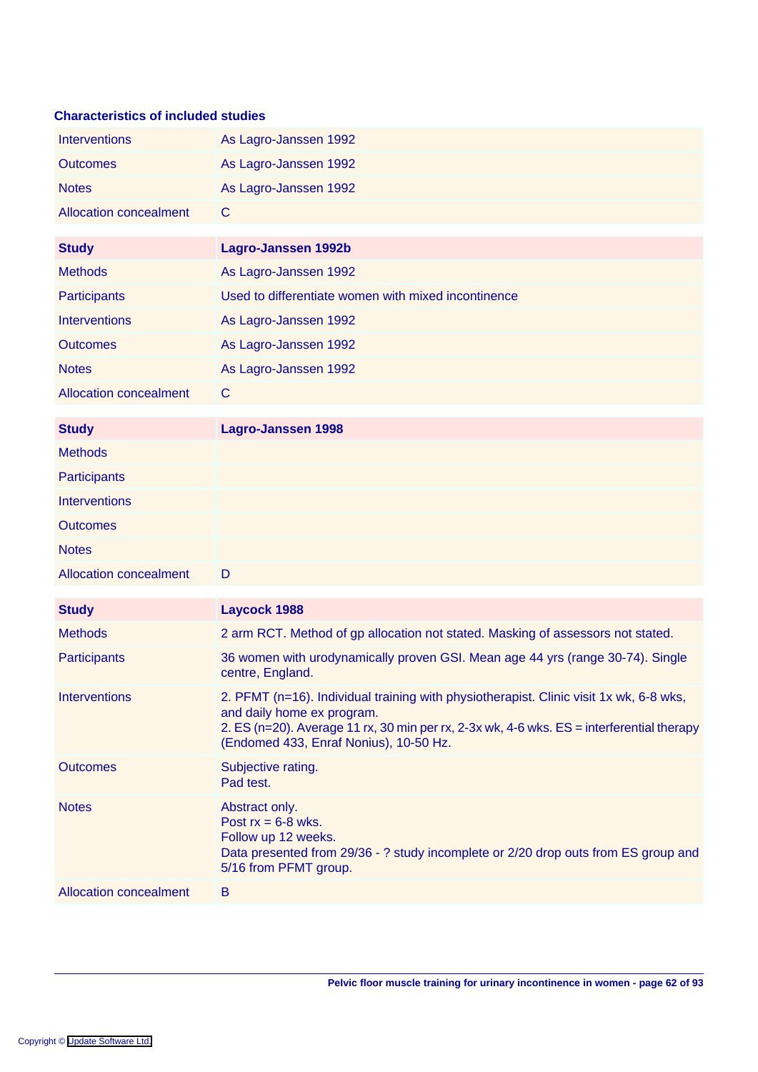| Interventions                 | As Lagro-Janssen 1992                                                                                                                                                                                                                                       |
|-------------------------------|-------------------------------------------------------------------------------------------------------------------------------------------------------------------------------------------------------------------------------------------------------------|
| <b>Outcomes</b>               | As Lagro-Janssen 1992                                                                                                                                                                                                                                       |
| <b>Notes</b>                  | As Lagro-Janssen 1992                                                                                                                                                                                                                                       |
| <b>Allocation concealment</b> | $\mathbf C$                                                                                                                                                                                                                                                 |
| <b>Study</b>                  | <b>Lagro-Janssen 1992b</b>                                                                                                                                                                                                                                  |
| <b>Methods</b>                | As Lagro-Janssen 1992                                                                                                                                                                                                                                       |
| Participants                  | Used to differentiate women with mixed incontinence                                                                                                                                                                                                         |
| Interventions                 | As Lagro-Janssen 1992                                                                                                                                                                                                                                       |
| <b>Outcomes</b>               | As Lagro-Janssen 1992                                                                                                                                                                                                                                       |
| <b>Notes</b>                  | As Lagro-Janssen 1992                                                                                                                                                                                                                                       |
| <b>Allocation concealment</b> | $\mathsf{C}$                                                                                                                                                                                                                                                |
| <b>Study</b>                  | <b>Lagro-Janssen 1998</b>                                                                                                                                                                                                                                   |
| <b>Methods</b>                |                                                                                                                                                                                                                                                             |
| Participants                  |                                                                                                                                                                                                                                                             |
| Interventions                 |                                                                                                                                                                                                                                                             |
| <b>Outcomes</b>               |                                                                                                                                                                                                                                                             |
| <b>Notes</b>                  |                                                                                                                                                                                                                                                             |
| <b>Allocation concealment</b> | D                                                                                                                                                                                                                                                           |
| <b>Study</b>                  | Laycock 1988                                                                                                                                                                                                                                                |
| <b>Methods</b>                | 2 arm RCT. Method of gp allocation not stated. Masking of assessors not stated.                                                                                                                                                                             |
| Participants                  | 36 women with urodynamically proven GSI. Mean age 44 yrs (range 30-74). Single<br>centre, England.                                                                                                                                                          |
| Interventions                 | 2. PFMT (n=16). Individual training with physiotherapist. Clinic visit 1x wk, 6-8 wks,<br>and daily home ex program.<br>2. ES (n=20). Average 11 rx, 30 min per rx, 2-3x wk, 4-6 wks. ES = interferential therapy<br>(Endomed 433, Enraf Nonius), 10-50 Hz. |
| <b>Outcomes</b>               | Subjective rating.<br>Pad test.                                                                                                                                                                                                                             |
| <b>Notes</b>                  | Abstract only.<br>Post $rx = 6-8$ wks.<br>Follow up 12 weeks.<br>Data presented from 29/36 - ? study incomplete or 2/20 drop outs from ES group and<br>5/16 from PFMT group.                                                                                |
| <b>Allocation concealment</b> | B                                                                                                                                                                                                                                                           |
|                               |                                                                                                                                                                                                                                                             |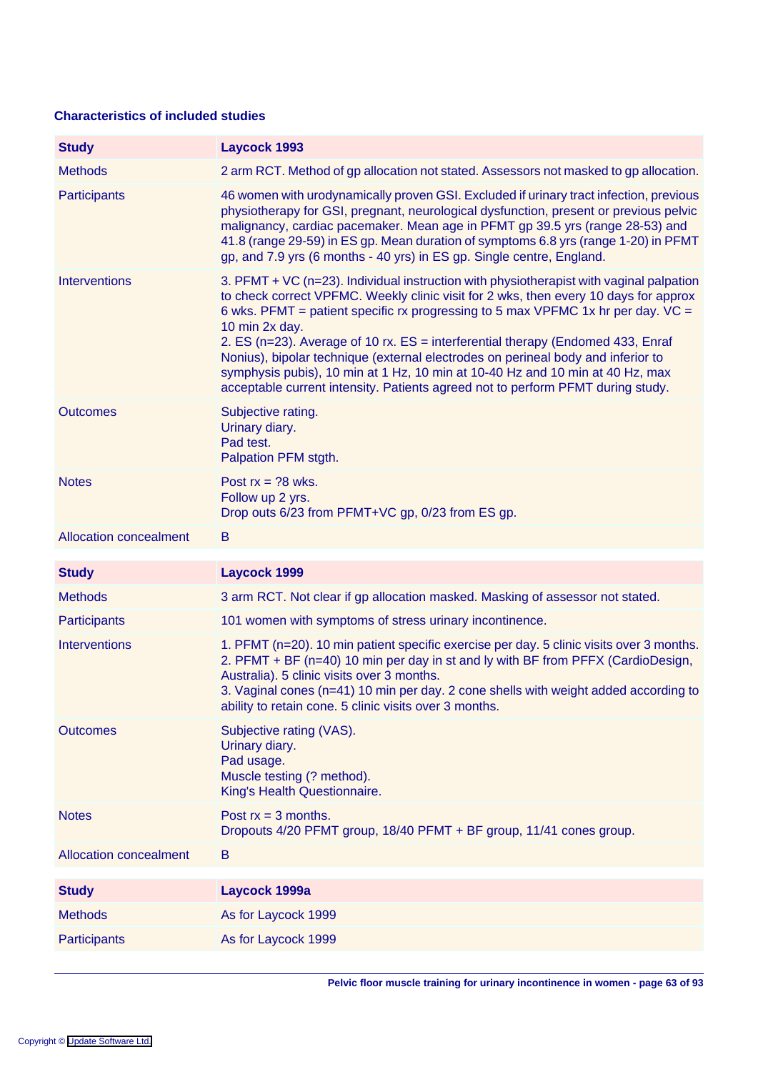| <b>Study</b>                  | Laycock 1993                                                                                                                                                                                                                                                                                                                                                                                                                                                                                                                                                                                                                           |
|-------------------------------|----------------------------------------------------------------------------------------------------------------------------------------------------------------------------------------------------------------------------------------------------------------------------------------------------------------------------------------------------------------------------------------------------------------------------------------------------------------------------------------------------------------------------------------------------------------------------------------------------------------------------------------|
| <b>Methods</b>                | 2 arm RCT. Method of gp allocation not stated. Assessors not masked to gp allocation.                                                                                                                                                                                                                                                                                                                                                                                                                                                                                                                                                  |
| Participants                  | 46 women with urodynamically proven GSI. Excluded if urinary tract infection, previous<br>physiotherapy for GSI, pregnant, neurological dysfunction, present or previous pelvic<br>malignancy, cardiac pacemaker. Mean age in PFMT gp 39.5 yrs (range 28-53) and<br>41.8 (range 29-59) in ES gp. Mean duration of symptoms 6.8 yrs (range 1-20) in PFMT<br>gp, and 7.9 yrs (6 months - 40 yrs) in ES gp. Single centre, England.                                                                                                                                                                                                       |
| <b>Interventions</b>          | 3. PFMT $+$ VC ( $n=23$ ). Individual instruction with physiotherapist with vaginal palpation<br>to check correct VPFMC. Weekly clinic visit for 2 wks, then every 10 days for approx<br>6 wks. PFMT = patient specific rx progressing to 5 max VPFMC 1x hr per day. VC =<br>10 min 2x day.<br>2. ES (n=23). Average of 10 rx. ES = interferential therapy (Endomed 433, Enraf<br>Nonius), bipolar technique (external electrodes on perineal body and inferior to<br>symphysis pubis), 10 min at 1 Hz, 10 min at 10-40 Hz and 10 min at 40 Hz, max<br>acceptable current intensity. Patients agreed not to perform PFMT during study. |
| <b>Outcomes</b>               | Subjective rating.<br>Urinary diary.<br>Pad test.<br>Palpation PFM stgth.                                                                                                                                                                                                                                                                                                                                                                                                                                                                                                                                                              |
| <b>Notes</b>                  | Post $rx = ?8$ wks.<br>Follow up 2 yrs.<br>Drop outs 6/23 from PFMT+VC gp, 0/23 from ES gp.                                                                                                                                                                                                                                                                                                                                                                                                                                                                                                                                            |
| <b>Allocation concealment</b> | B                                                                                                                                                                                                                                                                                                                                                                                                                                                                                                                                                                                                                                      |
| <b>Study</b>                  | <b>Laycock 1999</b>                                                                                                                                                                                                                                                                                                                                                                                                                                                                                                                                                                                                                    |
| <b>Methods</b>                | 3 arm RCT. Not clear if gp allocation masked. Masking of assessor not stated.                                                                                                                                                                                                                                                                                                                                                                                                                                                                                                                                                          |
| Participants                  | 101 women with symptoms of stress urinary incontinence.                                                                                                                                                                                                                                                                                                                                                                                                                                                                                                                                                                                |
| <b>Interventions</b>          | 1. PFMT (n=20). 10 min patient specific exercise per day. 5 clinic visits over 3 months.<br>2. PFMT + BF (n=40) 10 min per day in st and ly with BF from PFFX (CardioDesign,<br>Australia). 5 clinic visits over 3 months.<br>3. Vaginal cones (n=41) 10 min per day. 2 cone shells with weight added according to<br>ability to retain cone. 5 clinic visits over 3 months.                                                                                                                                                                                                                                                           |
| <b>Outcomes</b>               | Subjective rating (VAS).<br>Urinary diary.<br>Pad usage.<br>Muscle testing (? method).<br>King's Health Questionnaire.                                                                                                                                                                                                                                                                                                                                                                                                                                                                                                                 |
| <b>Notes</b>                  | Post $rx = 3$ months.<br>Dropouts 4/20 PFMT group, 18/40 PFMT + BF group, 11/41 cones group.                                                                                                                                                                                                                                                                                                                                                                                                                                                                                                                                           |
| <b>Allocation concealment</b> | B                                                                                                                                                                                                                                                                                                                                                                                                                                                                                                                                                                                                                                      |
| <b>Study</b>                  | Laycock 1999a                                                                                                                                                                                                                                                                                                                                                                                                                                                                                                                                                                                                                          |
| <b>Methods</b>                | As for Laycock 1999                                                                                                                                                                                                                                                                                                                                                                                                                                                                                                                                                                                                                    |
| Participants                  | As for Laycock 1999                                                                                                                                                                                                                                                                                                                                                                                                                                                                                                                                                                                                                    |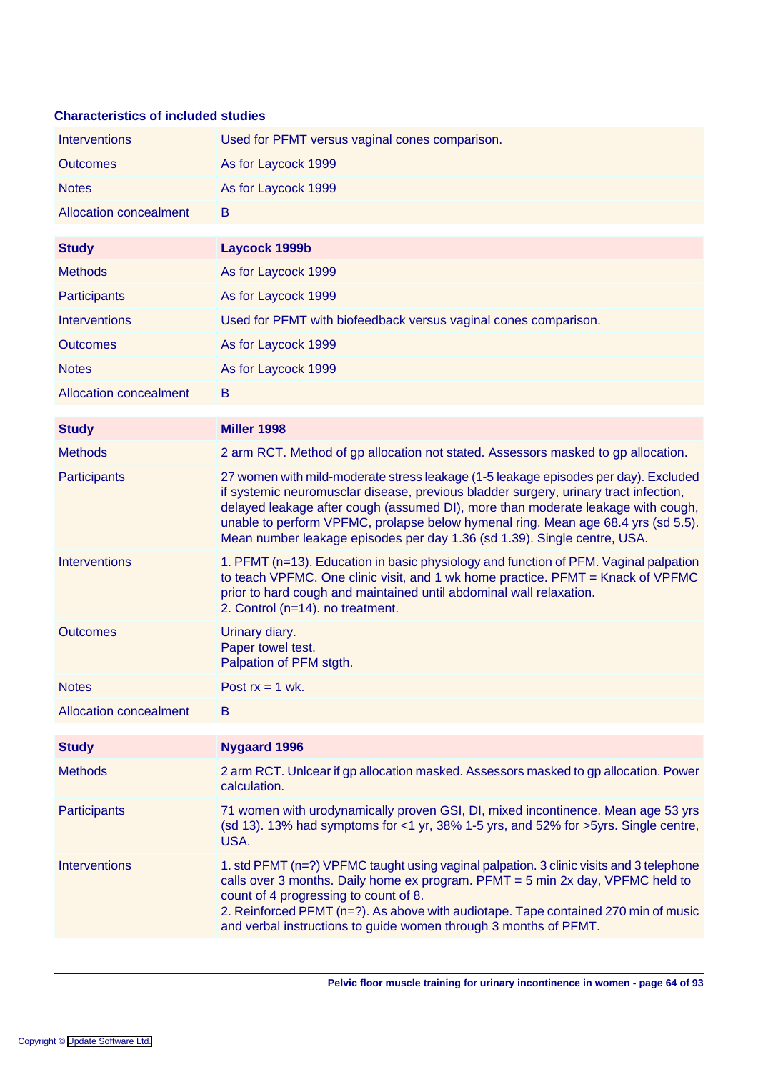| <b>Interventions</b>          | Used for PFMT versus vaginal cones comparison.                                                                                                                                                                                                                                                                                                                                                                                   |
|-------------------------------|----------------------------------------------------------------------------------------------------------------------------------------------------------------------------------------------------------------------------------------------------------------------------------------------------------------------------------------------------------------------------------------------------------------------------------|
| <b>Outcomes</b>               | As for Laycock 1999                                                                                                                                                                                                                                                                                                                                                                                                              |
| <b>Notes</b>                  | As for Laycock 1999                                                                                                                                                                                                                                                                                                                                                                                                              |
| <b>Allocation concealment</b> | B                                                                                                                                                                                                                                                                                                                                                                                                                                |
| <b>Study</b>                  | Laycock 1999b                                                                                                                                                                                                                                                                                                                                                                                                                    |
| <b>Methods</b>                | As for Laycock 1999                                                                                                                                                                                                                                                                                                                                                                                                              |
| Participants                  | As for Laycock 1999                                                                                                                                                                                                                                                                                                                                                                                                              |
| <b>Interventions</b>          | Used for PFMT with biofeedback versus vaginal cones comparison.                                                                                                                                                                                                                                                                                                                                                                  |
| <b>Outcomes</b>               | As for Laycock 1999                                                                                                                                                                                                                                                                                                                                                                                                              |
| <b>Notes</b>                  | As for Laycock 1999                                                                                                                                                                                                                                                                                                                                                                                                              |
| <b>Allocation concealment</b> | B                                                                                                                                                                                                                                                                                                                                                                                                                                |
| <b>Study</b>                  | Miller 1998                                                                                                                                                                                                                                                                                                                                                                                                                      |
| <b>Methods</b>                | 2 arm RCT. Method of gp allocation not stated. Assessors masked to gp allocation.                                                                                                                                                                                                                                                                                                                                                |
| Participants                  | 27 women with mild-moderate stress leakage (1-5 leakage episodes per day). Excluded<br>if systemic neuromusclar disease, previous bladder surgery, urinary tract infection,<br>delayed leakage after cough (assumed DI), more than moderate leakage with cough,<br>unable to perform VPFMC, prolapse below hymenal ring. Mean age 68.4 yrs (sd 5.5).<br>Mean number leakage episodes per day 1.36 (sd 1.39). Single centre, USA. |
| <b>Interventions</b>          | 1. PFMT (n=13). Education in basic physiology and function of PFM. Vaginal palpation<br>to teach VPFMC. One clinic visit, and 1 wk home practice. PFMT = Knack of VPFMC<br>prior to hard cough and maintained until abdominal wall relaxation.<br>2. Control (n=14). no treatment.                                                                                                                                               |
| <b>Outcomes</b>               | Urinary diary.<br>Paper towel test.<br>Palpation of PFM stgth.                                                                                                                                                                                                                                                                                                                                                                   |
| <b>Notes</b>                  | Post $rx = 1$ wk.                                                                                                                                                                                                                                                                                                                                                                                                                |
| <b>Allocation concealment</b> | B                                                                                                                                                                                                                                                                                                                                                                                                                                |
| <b>Study</b>                  | <b>Nygaard 1996</b>                                                                                                                                                                                                                                                                                                                                                                                                              |
| <b>Methods</b>                | 2 arm RCT. Unlcear if gp allocation masked. Assessors masked to gp allocation. Power<br>calculation.                                                                                                                                                                                                                                                                                                                             |
| Participants                  | 71 women with urodynamically proven GSI, DI, mixed incontinence. Mean age 53 yrs<br>(sd 13). 13% had symptoms for <1 yr, 38% 1-5 yrs, and 52% for >5yrs. Single centre,<br>USA.                                                                                                                                                                                                                                                  |
| Interventions                 | 1. std PFMT (n=?) VPFMC taught using vaginal palpation. 3 clinic visits and 3 telephone<br>calls over 3 months. Daily home ex program. $PFMT = 5$ min 2x day, VPFMC held to<br>count of 4 progressing to count of 8.<br>2. Reinforced PFMT (n=?). As above with audiotape. Tape contained 270 min of music<br>and verbal instructions to guide women through 3 months of PFMT.                                                   |
|                               |                                                                                                                                                                                                                                                                                                                                                                                                                                  |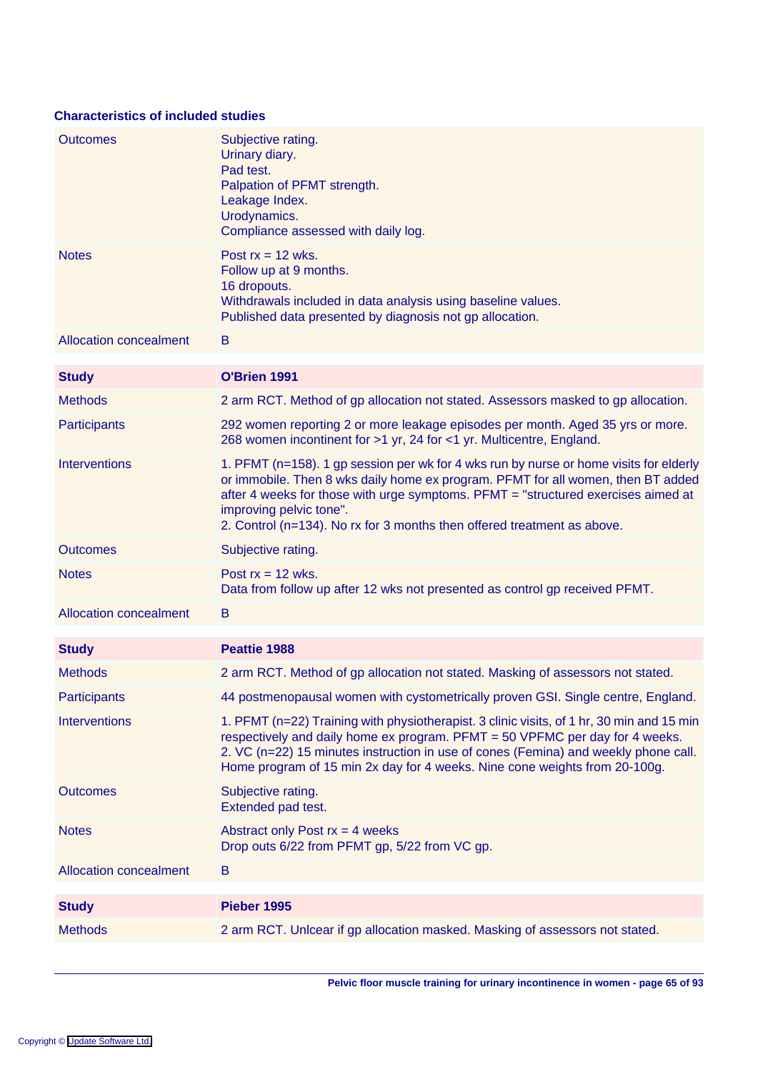| <b>Outcomes</b>               | Subjective rating.<br>Urinary diary.<br>Pad test.<br>Palpation of PFMT strength.<br>Leakage Index.<br>Urodynamics.<br>Compliance assessed with daily log.                                                                                                                                                                                                             |
|-------------------------------|-----------------------------------------------------------------------------------------------------------------------------------------------------------------------------------------------------------------------------------------------------------------------------------------------------------------------------------------------------------------------|
| <b>Notes</b>                  | Post $rx = 12$ wks.<br>Follow up at 9 months.<br>16 dropouts.<br>Withdrawals included in data analysis using baseline values.<br>Published data presented by diagnosis not gp allocation.                                                                                                                                                                             |
| <b>Allocation concealment</b> | B                                                                                                                                                                                                                                                                                                                                                                     |
| <b>Study</b>                  | O'Brien 1991                                                                                                                                                                                                                                                                                                                                                          |
| <b>Methods</b>                | 2 arm RCT. Method of gp allocation not stated. Assessors masked to gp allocation.                                                                                                                                                                                                                                                                                     |
| Participants                  | 292 women reporting 2 or more leakage episodes per month. Aged 35 yrs or more.<br>268 women incontinent for >1 yr, 24 for <1 yr. Multicentre, England.                                                                                                                                                                                                                |
| <b>Interventions</b>          | 1. PFMT (n=158). 1 gp session per wk for 4 wks run by nurse or home visits for elderly<br>or immobile. Then 8 wks daily home ex program. PFMT for all women, then BT added<br>after 4 weeks for those with urge symptoms. PFMT = "structured exercises aimed at<br>improving pelvic tone".<br>2. Control (n=134). No rx for 3 months then offered treatment as above. |
| <b>Outcomes</b>               | Subjective rating.                                                                                                                                                                                                                                                                                                                                                    |
| <b>Notes</b>                  | Post $rx = 12$ wks.<br>Data from follow up after 12 wks not presented as control gp received PFMT.                                                                                                                                                                                                                                                                    |
| <b>Allocation concealment</b> | B                                                                                                                                                                                                                                                                                                                                                                     |
| <b>Study</b>                  | Peattie 1988                                                                                                                                                                                                                                                                                                                                                          |
| <b>Methods</b>                | 2 arm RCT. Method of gp allocation not stated. Masking of assessors not stated.                                                                                                                                                                                                                                                                                       |
| Participants                  | 44 postmenopausal women with cystometrically proven GSI. Single centre, England.                                                                                                                                                                                                                                                                                      |
| Interventions                 | 1. PFMT (n=22) Training with physiotherapist. 3 clinic visits, of 1 hr, 30 min and 15 min<br>respectively and daily home ex program. PFMT = 50 VPFMC per day for 4 weeks.<br>2. VC (n=22) 15 minutes instruction in use of cones (Femina) and weekly phone call.<br>Home program of 15 min 2x day for 4 weeks. Nine cone weights from 20-100g.                        |
| <b>Outcomes</b>               | Subjective rating.<br>Extended pad test.                                                                                                                                                                                                                                                                                                                              |
| <b>Notes</b>                  | Abstract only Post $rx = 4$ weeks<br>Drop outs 6/22 from PFMT gp, 5/22 from VC gp.                                                                                                                                                                                                                                                                                    |
| <b>Allocation concealment</b> | B                                                                                                                                                                                                                                                                                                                                                                     |
| <b>Study</b>                  | Pieber 1995                                                                                                                                                                                                                                                                                                                                                           |
| <b>Methods</b>                | 2 arm RCT. Unlcear if gp allocation masked. Masking of assessors not stated.                                                                                                                                                                                                                                                                                          |
|                               |                                                                                                                                                                                                                                                                                                                                                                       |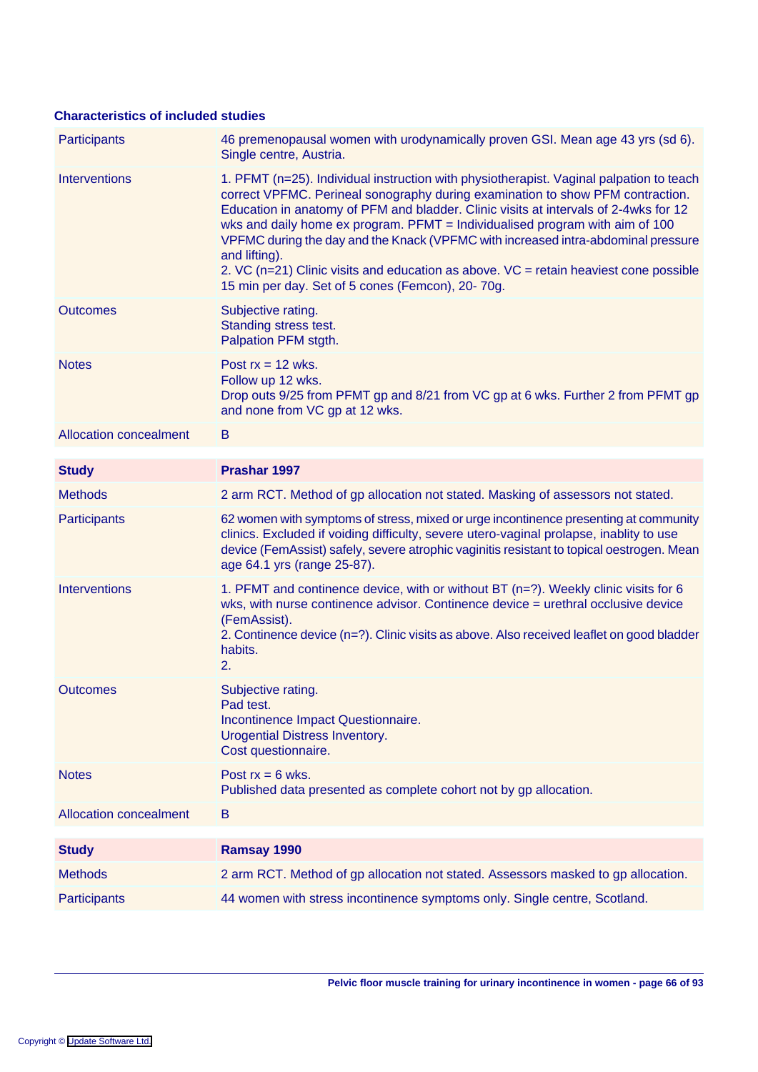| <b>Participants</b>           | 46 premenopausal women with urodynamically proven GSI. Mean age 43 yrs (sd 6).<br>Single centre, Austria.                                                                                                                                                                                                                                                                                                                                                                                                                                                                                                  |
|-------------------------------|------------------------------------------------------------------------------------------------------------------------------------------------------------------------------------------------------------------------------------------------------------------------------------------------------------------------------------------------------------------------------------------------------------------------------------------------------------------------------------------------------------------------------------------------------------------------------------------------------------|
| <b>Interventions</b>          | 1. PFMT (n=25). Individual instruction with physiotherapist. Vaginal palpation to teach<br>correct VPFMC. Perineal sonography during examination to show PFM contraction.<br>Education in anatomy of PFM and bladder. Clinic visits at intervals of 2-4wks for 12<br>wks and daily home $ex$ program. PFMT = Individualised program with aim of 100<br>VPFMC during the day and the Knack (VPFMC with increased intra-abdominal pressure<br>and lifting).<br>2. VC ( $n=21$ ) Clinic visits and education as above. VC = retain heaviest cone possible<br>15 min per day. Set of 5 cones (Femcon), 20-70g. |
| <b>Outcomes</b>               | Subjective rating.<br>Standing stress test.<br>Palpation PFM stgth.                                                                                                                                                                                                                                                                                                                                                                                                                                                                                                                                        |
| <b>Notes</b>                  | Post $rx = 12$ wks.<br>Follow up 12 wks.<br>Drop outs 9/25 from PFMT gp and 8/21 from VC gp at 6 wks. Further 2 from PFMT gp<br>and none from VC gp at 12 wks.                                                                                                                                                                                                                                                                                                                                                                                                                                             |
| <b>Allocation concealment</b> | B                                                                                                                                                                                                                                                                                                                                                                                                                                                                                                                                                                                                          |
|                               |                                                                                                                                                                                                                                                                                                                                                                                                                                                                                                                                                                                                            |
| <b>Study</b>                  | Prashar 1997                                                                                                                                                                                                                                                                                                                                                                                                                                                                                                                                                                                               |
| <b>Methods</b>                | 2 arm RCT. Method of gp allocation not stated. Masking of assessors not stated.                                                                                                                                                                                                                                                                                                                                                                                                                                                                                                                            |
| Participants                  | 62 women with symptoms of stress, mixed or urge incontinence presenting at community<br>clinics. Excluded if voiding difficulty, severe utero-vaginal prolapse, inablity to use<br>device (FemAssist) safely, severe atrophic vaginitis resistant to topical oestrogen. Mean<br>age 64.1 yrs (range 25-87).                                                                                                                                                                                                                                                                                                |
| <b>Interventions</b>          | 1. PFMT and continence device, with or without BT (n=?). Weekly clinic visits for 6<br>wks, with nurse continence advisor. Continence device = urethral occlusive device<br>(FemAssist).<br>2. Continence device (n=?). Clinic visits as above. Also received leaflet on good bladder<br>habits.<br>2.                                                                                                                                                                                                                                                                                                     |
| Outcomes                      | Subjective rating.<br>Pad test.<br>Incontinence Impact Questionnaire.<br><b>Urogential Distress Inventory.</b>                                                                                                                                                                                                                                                                                                                                                                                                                                                                                             |
|                               | Cost questionnaire.                                                                                                                                                                                                                                                                                                                                                                                                                                                                                                                                                                                        |
| <b>Notes</b>                  | Post $rx = 6$ wks.<br>Published data presented as complete cohort not by gp allocation.                                                                                                                                                                                                                                                                                                                                                                                                                                                                                                                    |
| <b>Allocation concealment</b> | B                                                                                                                                                                                                                                                                                                                                                                                                                                                                                                                                                                                                          |
|                               |                                                                                                                                                                                                                                                                                                                                                                                                                                                                                                                                                                                                            |
| <b>Study</b>                  | Ramsay 1990                                                                                                                                                                                                                                                                                                                                                                                                                                                                                                                                                                                                |
| <b>Methods</b>                | 2 arm RCT. Method of gp allocation not stated. Assessors masked to gp allocation.<br>44 women with stress incontinence symptoms only. Single centre, Scotland.                                                                                                                                                                                                                                                                                                                                                                                                                                             |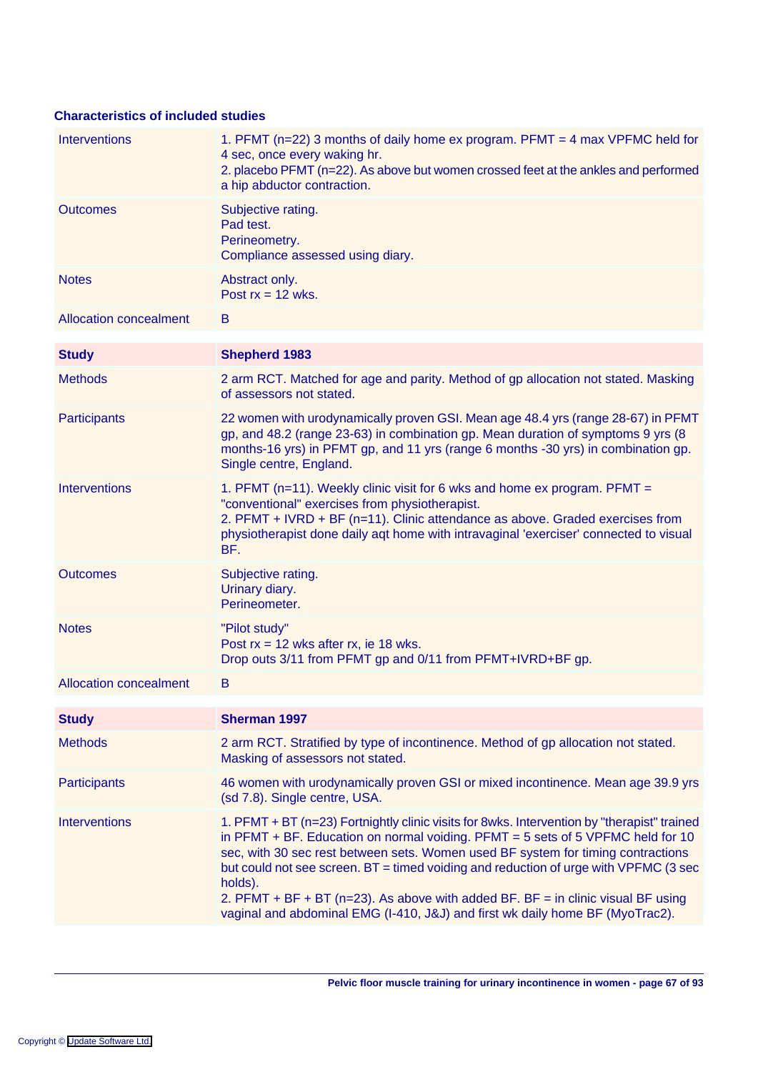| 1. PFMT ( $n=22$ ) 3 months of daily home ex program. PFMT = 4 max VPFMC held for<br>4 sec, once every waking hr.<br>2. placebo PFMT (n=22). As above but women crossed feet at the ankles and performed<br>a hip abductor contraction.                                                                                                                                                                                                                                                                                                            |
|----------------------------------------------------------------------------------------------------------------------------------------------------------------------------------------------------------------------------------------------------------------------------------------------------------------------------------------------------------------------------------------------------------------------------------------------------------------------------------------------------------------------------------------------------|
| Subjective rating.<br>Pad test.<br>Perineometry.<br>Compliance assessed using diary.                                                                                                                                                                                                                                                                                                                                                                                                                                                               |
| Abstract only.<br>Post $rx = 12$ wks.                                                                                                                                                                                                                                                                                                                                                                                                                                                                                                              |
| B                                                                                                                                                                                                                                                                                                                                                                                                                                                                                                                                                  |
| <b>Shepherd 1983</b>                                                                                                                                                                                                                                                                                                                                                                                                                                                                                                                               |
| 2 arm RCT. Matched for age and parity. Method of gp allocation not stated. Masking<br>of assessors not stated.                                                                                                                                                                                                                                                                                                                                                                                                                                     |
| 22 women with urodynamically proven GSI. Mean age 48.4 yrs (range 28-67) in PFMT<br>gp, and 48.2 (range 23-63) in combination gp. Mean duration of symptoms 9 yrs (8<br>months-16 yrs) in PFMT gp, and 11 yrs (range 6 months -30 yrs) in combination gp.<br>Single centre, England.                                                                                                                                                                                                                                                               |
| 1. PFMT ( $n=11$ ). Weekly clinic visit for 6 wks and home ex program. PFMT =<br>"conventional" exercises from physiotherapist.<br>2. PFMT + IVRD + BF (n=11). Clinic attendance as above. Graded exercises from<br>physiotherapist done daily aqt home with intravaginal 'exerciser' connected to visual<br>BF.                                                                                                                                                                                                                                   |
| Subjective rating.<br>Urinary diary.<br>Perineometer.                                                                                                                                                                                                                                                                                                                                                                                                                                                                                              |
| "Pilot study"<br>Post $rx = 12$ wks after $rx$ , ie 18 wks.<br>Drop outs 3/11 from PFMT gp and 0/11 from PFMT+IVRD+BF gp.                                                                                                                                                                                                                                                                                                                                                                                                                          |
| B                                                                                                                                                                                                                                                                                                                                                                                                                                                                                                                                                  |
| Sherman 1997                                                                                                                                                                                                                                                                                                                                                                                                                                                                                                                                       |
| 2 arm RCT. Stratified by type of incontinence. Method of gp allocation not stated.<br>Masking of assessors not stated.                                                                                                                                                                                                                                                                                                                                                                                                                             |
| 46 women with urodynamically proven GSI or mixed incontinence. Mean age 39.9 yrs<br>(sd 7.8). Single centre, USA.                                                                                                                                                                                                                                                                                                                                                                                                                                  |
| 1. PFMT + BT (n=23) Fortnightly clinic visits for 8wks. Intervention by "therapist" trained<br>in PFMT + BF. Education on normal voiding. PFMT = $5$ sets of $5$ VPFMC held for 10<br>sec, with 30 sec rest between sets. Women used BF system for timing contractions<br>but could not see screen. BT = timed voiding and reduction of urge with VPFMC (3 sec<br>holds).<br>2. PFMT + BF + BT ( $n=23$ ). As above with added BF. BF = in clinic visual BF using<br>vaginal and abdominal EMG (I-410, J&J) and first wk daily home BF (MyoTrac2). |
|                                                                                                                                                                                                                                                                                                                                                                                                                                                                                                                                                    |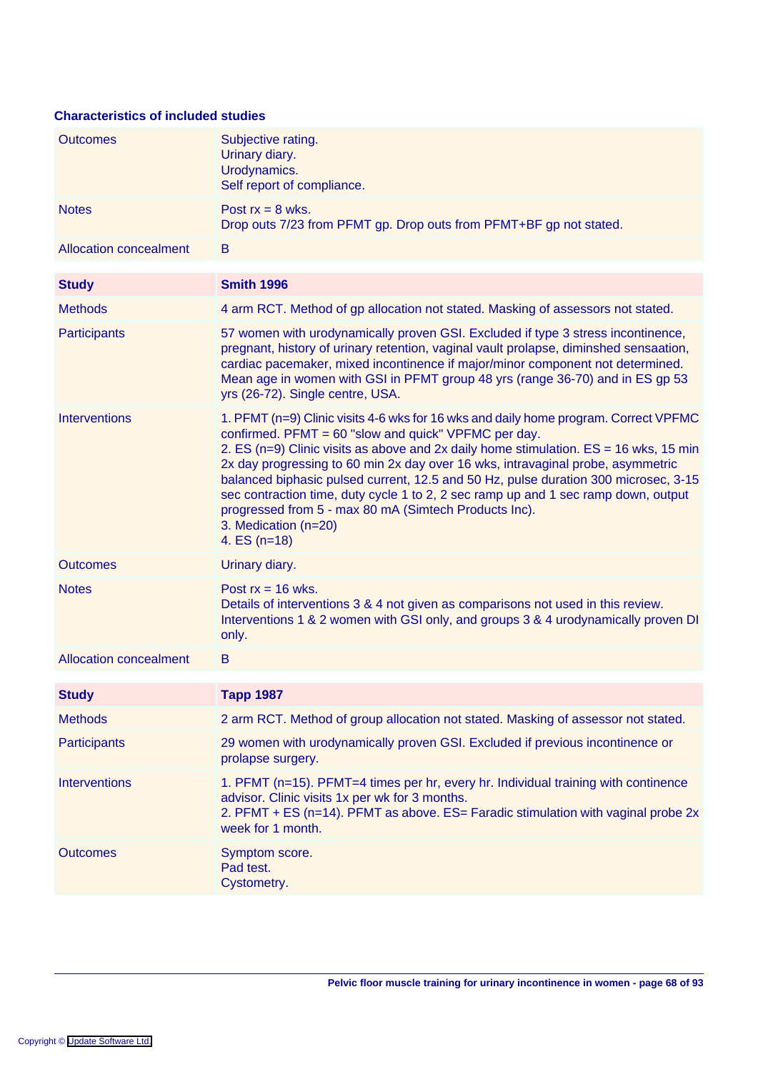| <b>Outcomes</b>               | Subjective rating.<br>Urinary diary.<br>Urodynamics.<br>Self report of compliance.                                                                                                                                                                                                                                                                                                                                                                                                                                                                                                                         |
|-------------------------------|------------------------------------------------------------------------------------------------------------------------------------------------------------------------------------------------------------------------------------------------------------------------------------------------------------------------------------------------------------------------------------------------------------------------------------------------------------------------------------------------------------------------------------------------------------------------------------------------------------|
| <b>Notes</b>                  | Post $rx = 8$ wks.<br>Drop outs 7/23 from PFMT gp. Drop outs from PFMT+BF gp not stated.                                                                                                                                                                                                                                                                                                                                                                                                                                                                                                                   |
| <b>Allocation concealment</b> | B                                                                                                                                                                                                                                                                                                                                                                                                                                                                                                                                                                                                          |
| <b>Study</b>                  | <b>Smith 1996</b>                                                                                                                                                                                                                                                                                                                                                                                                                                                                                                                                                                                          |
| <b>Methods</b>                | 4 arm RCT. Method of gp allocation not stated. Masking of assessors not stated.                                                                                                                                                                                                                                                                                                                                                                                                                                                                                                                            |
| Participants                  | 57 women with urodynamically proven GSI. Excluded if type 3 stress incontinence,<br>pregnant, history of urinary retention, vaginal vault prolapse, diminshed sensaation,<br>cardiac pacemaker, mixed incontinence if major/minor component not determined.<br>Mean age in women with GSI in PFMT group 48 yrs (range 36-70) and in ES gp 53<br>yrs (26-72). Single centre, USA.                                                                                                                                                                                                                           |
| Interventions                 | 1. PFMT (n=9) Clinic visits 4-6 wks for 16 wks and daily home program. Correct VPFMC<br>confirmed. PFMT = 60 "slow and quick" VPFMC per day.<br>2. ES ( $n=9$ ) Clinic visits as above and 2x daily home stimulation. ES = 16 wks, 15 min<br>2x day progressing to 60 min 2x day over 16 wks, intravaginal probe, asymmetric<br>balanced biphasic pulsed current, 12.5 and 50 Hz, pulse duration 300 microsec, 3-15<br>sec contraction time, duty cycle 1 to 2, 2 sec ramp up and 1 sec ramp down, output<br>progressed from 5 - max 80 mA (Simtech Products Inc).<br>3. Medication (n=20)<br>4. ES (n=18) |
| <b>Outcomes</b>               | Urinary diary.                                                                                                                                                                                                                                                                                                                                                                                                                                                                                                                                                                                             |
| <b>Notes</b>                  | Post $rx = 16$ wks.<br>Details of interventions 3 & 4 not given as comparisons not used in this review.<br>Interventions 1 & 2 women with GSI only, and groups 3 & 4 urodynamically proven DI<br>only.                                                                                                                                                                                                                                                                                                                                                                                                     |
| <b>Allocation concealment</b> | B                                                                                                                                                                                                                                                                                                                                                                                                                                                                                                                                                                                                          |
| <b>Study</b>                  | <b>Tapp 1987</b>                                                                                                                                                                                                                                                                                                                                                                                                                                                                                                                                                                                           |
| <b>Methods</b>                | 2 arm RCT. Method of group allocation not stated. Masking of assessor not stated.                                                                                                                                                                                                                                                                                                                                                                                                                                                                                                                          |
| Participants                  | 29 women with urodynamically proven GSI. Excluded if previous incontinence or<br>prolapse surgery.                                                                                                                                                                                                                                                                                                                                                                                                                                                                                                         |
| <b>Interventions</b>          | 1. PFMT (n=15). PFMT=4 times per hr, every hr. Individual training with continence<br>advisor. Clinic visits 1x per wk for 3 months.<br>2. PFMT + ES ( $n=14$ ). PFMT as above. ES= Faradic stimulation with vaginal probe 2x<br>week for 1 month.                                                                                                                                                                                                                                                                                                                                                         |
| <b>Outcomes</b>               | Symptom score.<br>Pad test.<br>Cystometry.                                                                                                                                                                                                                                                                                                                                                                                                                                                                                                                                                                 |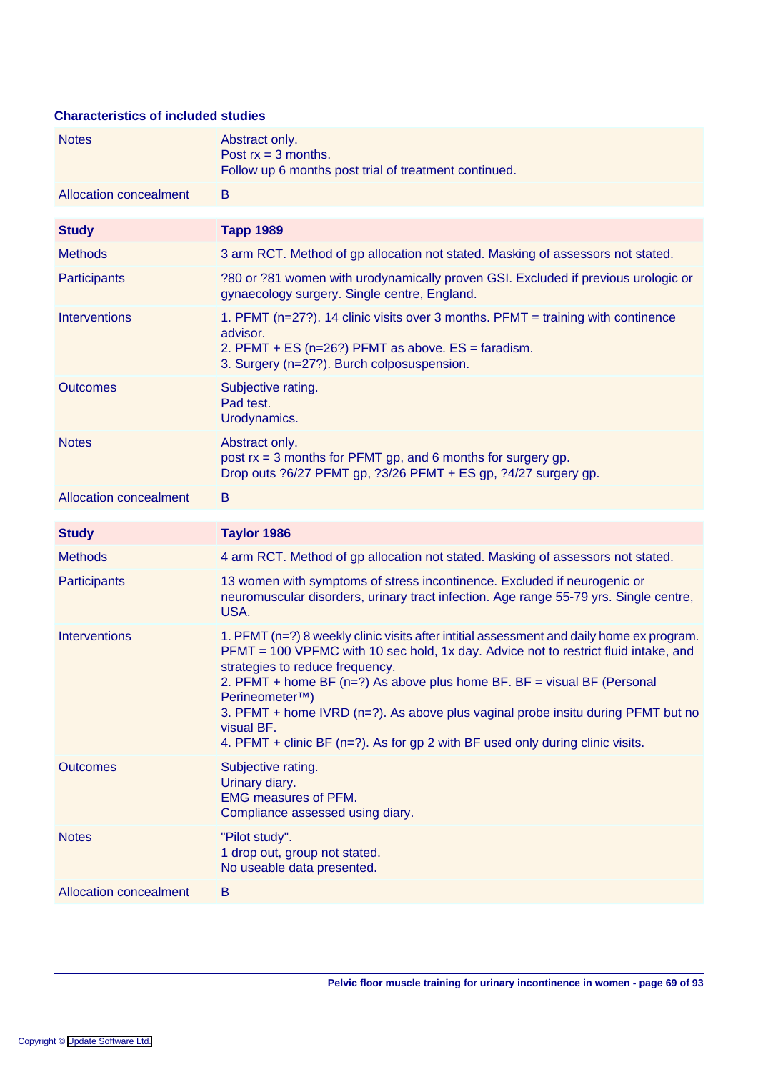| <b>Notes</b>                   | Abstract only.<br>Post $rx = 3$ months.<br>Follow up 6 months post trial of treatment continued.                                                                                                                                                                                                                                                                                                                                   |
|--------------------------------|------------------------------------------------------------------------------------------------------------------------------------------------------------------------------------------------------------------------------------------------------------------------------------------------------------------------------------------------------------------------------------------------------------------------------------|
| <b>Allocation concealment</b>  | B                                                                                                                                                                                                                                                                                                                                                                                                                                  |
| <b>Study</b>                   | <b>Tapp 1989</b>                                                                                                                                                                                                                                                                                                                                                                                                                   |
| <b>Methods</b>                 | 3 arm RCT. Method of gp allocation not stated. Masking of assessors not stated.                                                                                                                                                                                                                                                                                                                                                    |
| Participants                   | ?80 or ?81 women with urodynamically proven GSI. Excluded if previous urologic or                                                                                                                                                                                                                                                                                                                                                  |
|                                | gynaecology surgery. Single centre, England.                                                                                                                                                                                                                                                                                                                                                                                       |
| <b>Interventions</b>           | 1. PFMT ( $n=27$ ?). 14 clinic visits over 3 months. PFMT = training with continence<br>advisor.                                                                                                                                                                                                                                                                                                                                   |
|                                | 2. PFMT + ES (n=26?) PFMT as above. ES = faradism.<br>3. Surgery (n=27?). Burch colposuspension.                                                                                                                                                                                                                                                                                                                                   |
| <b>Outcomes</b>                | Subjective rating.<br>Pad test.<br>Urodynamics.                                                                                                                                                                                                                                                                                                                                                                                    |
| <b>Notes</b>                   | Abstract only.<br>post rx = 3 months for PFMT gp, and 6 months for surgery gp.<br>Drop outs ?6/27 PFMT gp, ?3/26 PFMT + ES gp, ?4/27 surgery gp.                                                                                                                                                                                                                                                                                   |
| <b>Allocation concealment</b>  | B                                                                                                                                                                                                                                                                                                                                                                                                                                  |
|                                |                                                                                                                                                                                                                                                                                                                                                                                                                                    |
|                                |                                                                                                                                                                                                                                                                                                                                                                                                                                    |
| <b>Study</b><br><b>Methods</b> | Taylor 1986                                                                                                                                                                                                                                                                                                                                                                                                                        |
| Participants                   | 4 arm RCT. Method of gp allocation not stated. Masking of assessors not stated.<br>13 women with symptoms of stress incontinence. Excluded if neurogenic or<br>neuromuscular disorders, urinary tract infection. Age range 55-79 yrs. Single centre,<br>USA.                                                                                                                                                                       |
| <b>Interventions</b>           | 1. PFMT (n=?) 8 weekly clinic visits after intitial assessment and daily home ex program.<br>PFMT = 100 VPFMC with 10 sec hold, 1x day. Advice not to restrict fluid intake, and<br>strategies to reduce frequency.<br>2. PFMT + home BF ( $n=?)$ As above plus home BF. BF = visual BF (Personal<br>Perineometer <sup>™</sup> )<br>3. PFMT + home IVRD (n=?). As above plus vaginal probe insitu during PFMT but no<br>visual BF. |
|                                | 4. PFMT + clinic BF (n=?). As for gp 2 with BF used only during clinic visits.                                                                                                                                                                                                                                                                                                                                                     |
| <b>Outcomes</b>                | Subjective rating.<br>Urinary diary.<br><b>EMG measures of PFM.</b><br>Compliance assessed using diary.                                                                                                                                                                                                                                                                                                                            |
| <b>Notes</b>                   | "Pilot study".<br>1 drop out, group not stated.<br>No useable data presented.                                                                                                                                                                                                                                                                                                                                                      |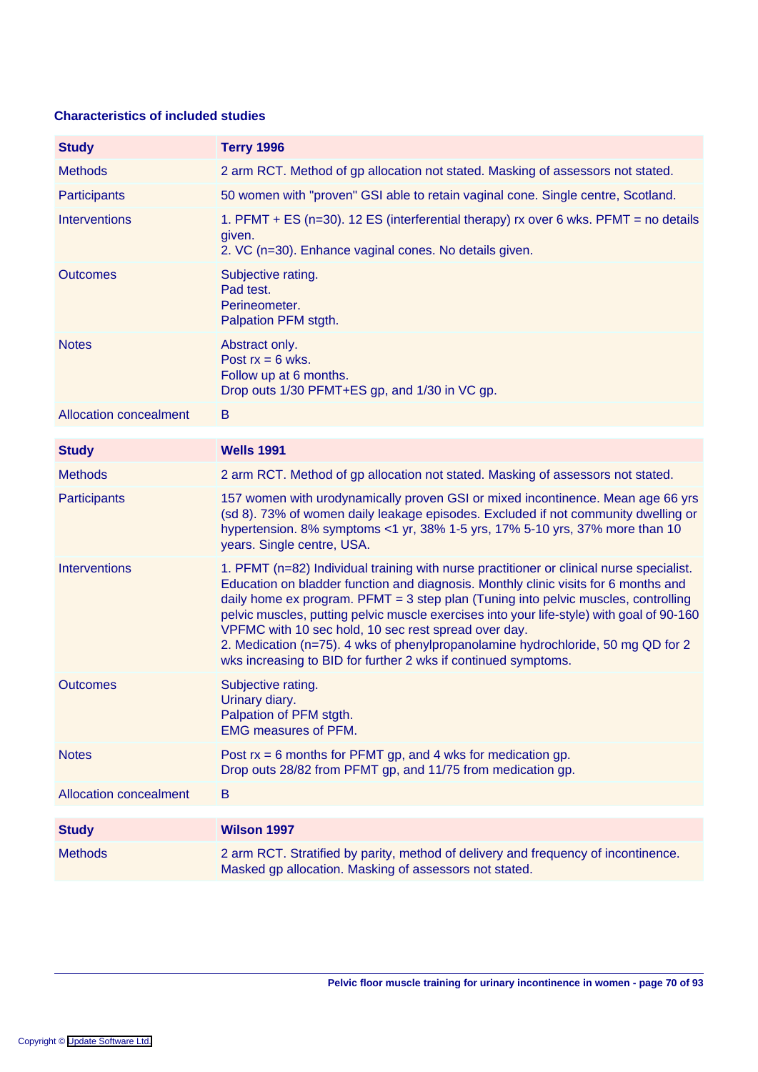| <b>Study</b>                  | <b>Terry 1996</b>                                                                                                                                                                                                                                                                                                                                                                                                                                                                                                                                                                  |
|-------------------------------|------------------------------------------------------------------------------------------------------------------------------------------------------------------------------------------------------------------------------------------------------------------------------------------------------------------------------------------------------------------------------------------------------------------------------------------------------------------------------------------------------------------------------------------------------------------------------------|
| <b>Methods</b>                | 2 arm RCT. Method of gp allocation not stated. Masking of assessors not stated.                                                                                                                                                                                                                                                                                                                                                                                                                                                                                                    |
| Participants                  | 50 women with "proven" GSI able to retain vaginal cone. Single centre, Scotland.                                                                                                                                                                                                                                                                                                                                                                                                                                                                                                   |
| <b>Interventions</b>          | 1. PFMT + ES ( $n=30$ ). 12 ES (interferential therapy) rx over 6 wks. PFMT = no details<br>given.<br>2. VC (n=30). Enhance vaginal cones. No details given.                                                                                                                                                                                                                                                                                                                                                                                                                       |
| <b>Outcomes</b>               | Subjective rating.<br>Pad test.<br>Perineometer.<br>Palpation PFM stgth.                                                                                                                                                                                                                                                                                                                                                                                                                                                                                                           |
| <b>Notes</b>                  | Abstract only.<br>Post $rx = 6$ wks.<br>Follow up at 6 months.<br>Drop outs 1/30 PFMT+ES gp, and 1/30 in VC gp.                                                                                                                                                                                                                                                                                                                                                                                                                                                                    |
| <b>Allocation concealment</b> | B                                                                                                                                                                                                                                                                                                                                                                                                                                                                                                                                                                                  |
| <b>Study</b>                  | <b>Wells 1991</b>                                                                                                                                                                                                                                                                                                                                                                                                                                                                                                                                                                  |
| <b>Methods</b>                | 2 arm RCT. Method of gp allocation not stated. Masking of assessors not stated.                                                                                                                                                                                                                                                                                                                                                                                                                                                                                                    |
| Participants                  | 157 women with urodynamically proven GSI or mixed incontinence. Mean age 66 yrs<br>(sd 8). 73% of women daily leakage episodes. Excluded if not community dwelling or<br>hypertension. 8% symptoms <1 yr, 38% 1-5 yrs, 17% 5-10 yrs, 37% more than 10<br>years. Single centre, USA.                                                                                                                                                                                                                                                                                                |
| <b>Interventions</b>          | 1. PFMT (n=82) Individual training with nurse practitioner or clinical nurse specialist.<br>Education on bladder function and diagnosis. Monthly clinic visits for 6 months and<br>daily home ex program. $PFMT = 3$ step plan (Tuning into pelvic muscles, controlling<br>pelvic muscles, putting pelvic muscle exercises into your life-style) with goal of 90-160<br>VPFMC with 10 sec hold, 10 sec rest spread over day.<br>2. Medication (n=75). 4 wks of phenylpropanolamine hydrochloride, 50 mg QD for 2<br>wks increasing to BID for further 2 wks if continued symptoms. |
| <b>Outcomes</b>               | Subjective rating.<br>Urinary diary.<br>Palpation of PFM stgth.<br><b>EMG</b> measures of PFM.                                                                                                                                                                                                                                                                                                                                                                                                                                                                                     |
| <b>Notes</b>                  | Post $rx = 6$ months for PFMT gp, and 4 wks for medication gp.<br>Drop outs 28/82 from PFMT gp, and 11/75 from medication gp.                                                                                                                                                                                                                                                                                                                                                                                                                                                      |
| <b>Allocation concealment</b> | B                                                                                                                                                                                                                                                                                                                                                                                                                                                                                                                                                                                  |
| <b>Study</b>                  | <b>Wilson 1997</b>                                                                                                                                                                                                                                                                                                                                                                                                                                                                                                                                                                 |
| <b>Methods</b>                | 2 arm RCT. Stratified by parity, method of delivery and frequency of incontinence.<br>Masked gp allocation. Masking of assessors not stated.                                                                                                                                                                                                                                                                                                                                                                                                                                       |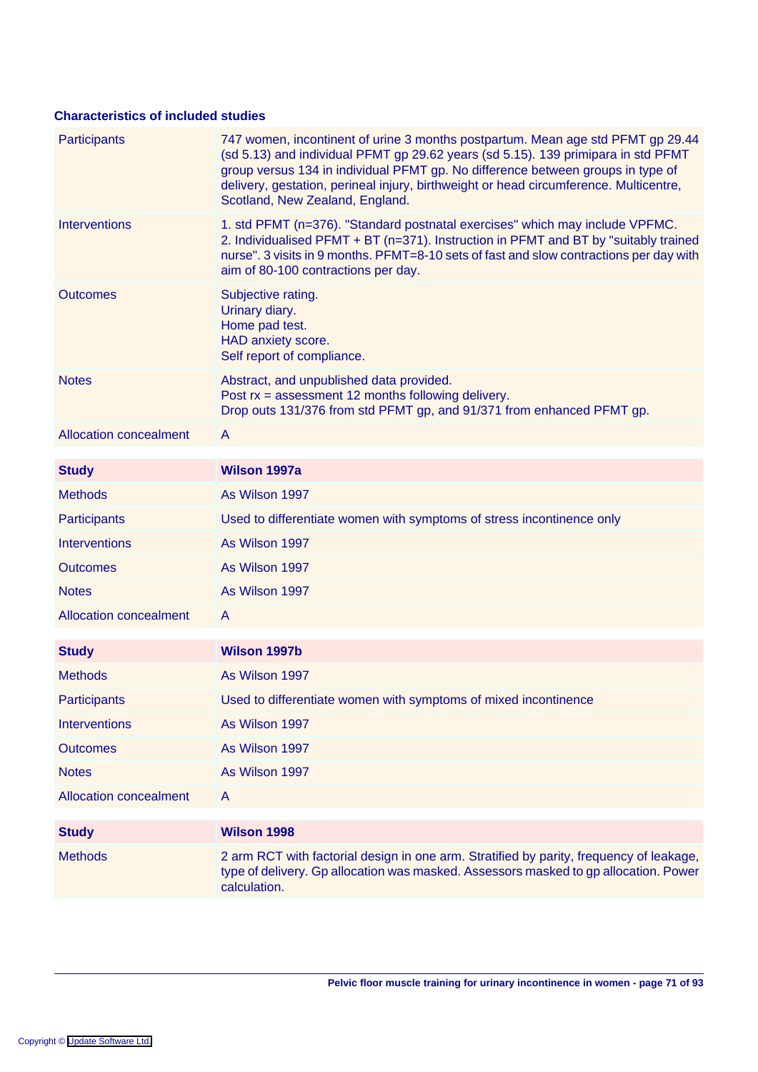| <b>Participants</b>           | 747 women, incontinent of urine 3 months postpartum. Mean age std PFMT gp 29.44<br>(sd 5.13) and individual PFMT gp 29.62 years (sd 5.15). 139 primipara in std PFMT<br>group versus 134 in individual PFMT gp. No difference between groups in type of<br>delivery, gestation, perineal injury, birthweight or head circumference. Multicentre,<br>Scotland, New Zealand, England. |
|-------------------------------|-------------------------------------------------------------------------------------------------------------------------------------------------------------------------------------------------------------------------------------------------------------------------------------------------------------------------------------------------------------------------------------|
| <b>Interventions</b>          | 1. std PFMT (n=376). "Standard postnatal exercises" which may include VPFMC.<br>2. Individualised PFMT + BT (n=371). Instruction in PFMT and BT by "suitably trained<br>nurse". 3 visits in 9 months. PFMT=8-10 sets of fast and slow contractions per day with<br>aim of 80-100 contractions per day.                                                                              |
| <b>Outcomes</b>               | Subjective rating.<br>Urinary diary.<br>Home pad test.<br>HAD anxiety score.<br>Self report of compliance.                                                                                                                                                                                                                                                                          |
| <b>Notes</b>                  | Abstract, and unpublished data provided.<br>Post rx = assessment 12 months following delivery.<br>Drop outs 131/376 from std PFMT gp, and 91/371 from enhanced PFMT gp.                                                                                                                                                                                                             |
| <b>Allocation concealment</b> | A                                                                                                                                                                                                                                                                                                                                                                                   |

| <b>Study</b>                  | <b>Wilson 1997a</b>                                                                                                                                                                             |
|-------------------------------|-------------------------------------------------------------------------------------------------------------------------------------------------------------------------------------------------|
| <b>Methods</b>                | As Wilson 1997                                                                                                                                                                                  |
| Participants                  | Used to differentiate women with symptoms of stress incontinence only                                                                                                                           |
| <b>Interventions</b>          | As Wilson 1997                                                                                                                                                                                  |
| <b>Outcomes</b>               | As Wilson 1997                                                                                                                                                                                  |
| <b>Notes</b>                  | As Wilson 1997                                                                                                                                                                                  |
| <b>Allocation concealment</b> | A                                                                                                                                                                                               |
|                               |                                                                                                                                                                                                 |
| <b>Study</b>                  | <b>Wilson 1997b</b>                                                                                                                                                                             |
| <b>Methods</b>                | As Wilson 1997                                                                                                                                                                                  |
| Participants                  | Used to differentiate women with symptoms of mixed incontinence                                                                                                                                 |
| <b>Interventions</b>          | As Wilson 1997                                                                                                                                                                                  |
| <b>Outcomes</b>               | As Wilson 1997                                                                                                                                                                                  |
| <b>Notes</b>                  | As Wilson 1997                                                                                                                                                                                  |
| <b>Allocation concealment</b> | A                                                                                                                                                                                               |
|                               |                                                                                                                                                                                                 |
| <b>Study</b>                  | <b>Wilson 1998</b>                                                                                                                                                                              |
| <b>Methods</b>                | 2 arm RCT with factorial design in one arm. Stratified by parity, frequency of leakage,<br>type of delivery. Gp allocation was masked. Assessors masked to gp allocation. Power<br>calculation. |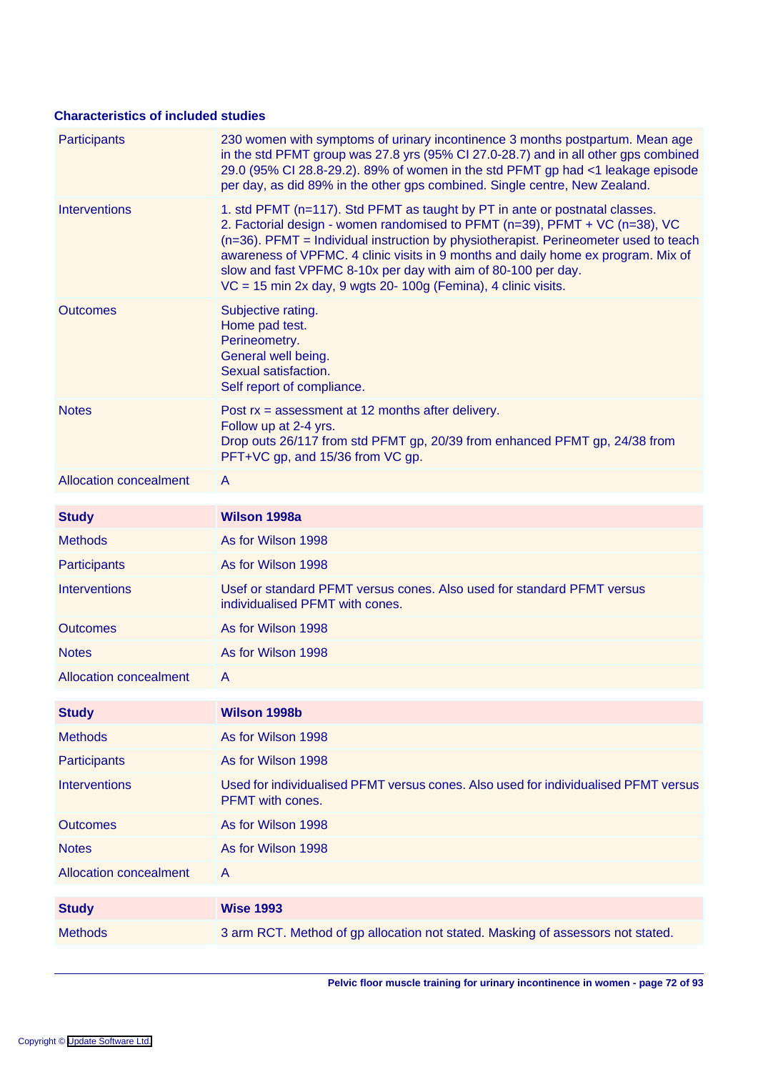| Participants                  | 230 women with symptoms of urinary incontinence 3 months postpartum. Mean age<br>in the std PFMT group was 27.8 yrs (95% CI 27.0-28.7) and in all other gps combined<br>29.0 (95% CI 28.8-29.2). 89% of women in the std PFMT gp had <1 leakage episode<br>per day, as did 89% in the other gps combined. Single centre, New Zealand.                                                                                                                                        |
|-------------------------------|------------------------------------------------------------------------------------------------------------------------------------------------------------------------------------------------------------------------------------------------------------------------------------------------------------------------------------------------------------------------------------------------------------------------------------------------------------------------------|
| <b>Interventions</b>          | 1. std PFMT (n=117). Std PFMT as taught by PT in ante or postnatal classes.<br>2. Factorial design - women randomised to PFMT (n=39), PFMT + VC (n=38), VC<br>(n=36). PFMT = Individual instruction by physiotherapist. Perineometer used to teach<br>awareness of VPFMC. 4 clinic visits in 9 months and daily home ex program. Mix of<br>slow and fast VPFMC 8-10x per day with aim of 80-100 per day.<br>$VC = 15$ min 2x day, 9 wgts 20- 100g (Femina), 4 clinic visits. |
| <b>Outcomes</b>               | Subjective rating.<br>Home pad test.<br>Perineometry.<br>General well being.<br>Sexual satisfaction.<br>Self report of compliance.                                                                                                                                                                                                                                                                                                                                           |
| <b>Notes</b>                  | Post rx = assessment at 12 months after delivery.<br>Follow up at 2-4 yrs.<br>Drop outs 26/117 from std PFMT gp, 20/39 from enhanced PFMT gp, 24/38 from<br>PFT+VC gp, and 15/36 from VC gp.                                                                                                                                                                                                                                                                                 |
| <b>Allocation concealment</b> | A                                                                                                                                                                                                                                                                                                                                                                                                                                                                            |
| <b>Study</b>                  | <b>Wilson 1998a</b>                                                                                                                                                                                                                                                                                                                                                                                                                                                          |
| <b>Methods</b>                | As for Wilson 1998                                                                                                                                                                                                                                                                                                                                                                                                                                                           |
| Participants                  | As for Wilson 1998                                                                                                                                                                                                                                                                                                                                                                                                                                                           |
| <b>Interventions</b>          | Usef or standard PFMT versus cones. Also used for standard PFMT versus<br>individualised PFMT with cones.                                                                                                                                                                                                                                                                                                                                                                    |
| <b>Outcomes</b>               | As for Wilson 1998                                                                                                                                                                                                                                                                                                                                                                                                                                                           |
| <b>Notes</b>                  | As for Wilson 1998                                                                                                                                                                                                                                                                                                                                                                                                                                                           |
| <b>Allocation concealment</b> | A                                                                                                                                                                                                                                                                                                                                                                                                                                                                            |
| <b>Study</b>                  | Wilson 1998b                                                                                                                                                                                                                                                                                                                                                                                                                                                                 |
| <b>Methods</b>                | As for Wilson 1998                                                                                                                                                                                                                                                                                                                                                                                                                                                           |
| Participants                  | As for Wilson 1998                                                                                                                                                                                                                                                                                                                                                                                                                                                           |
| <b>Interventions</b>          | Used for individualised PFMT versus cones. Also used for individualised PFMT versus<br>PFMT with cones.                                                                                                                                                                                                                                                                                                                                                                      |
| <b>Outcomes</b>               | As for Wilson 1998                                                                                                                                                                                                                                                                                                                                                                                                                                                           |
| <b>Notes</b>                  | As for Wilson 1998                                                                                                                                                                                                                                                                                                                                                                                                                                                           |
| <b>Allocation concealment</b> | A                                                                                                                                                                                                                                                                                                                                                                                                                                                                            |
| <b>Study</b>                  | <b>Wise 1993</b>                                                                                                                                                                                                                                                                                                                                                                                                                                                             |
| <b>Methods</b>                | 3 arm RCT. Method of gp allocation not stated. Masking of assessors not stated.                                                                                                                                                                                                                                                                                                                                                                                              |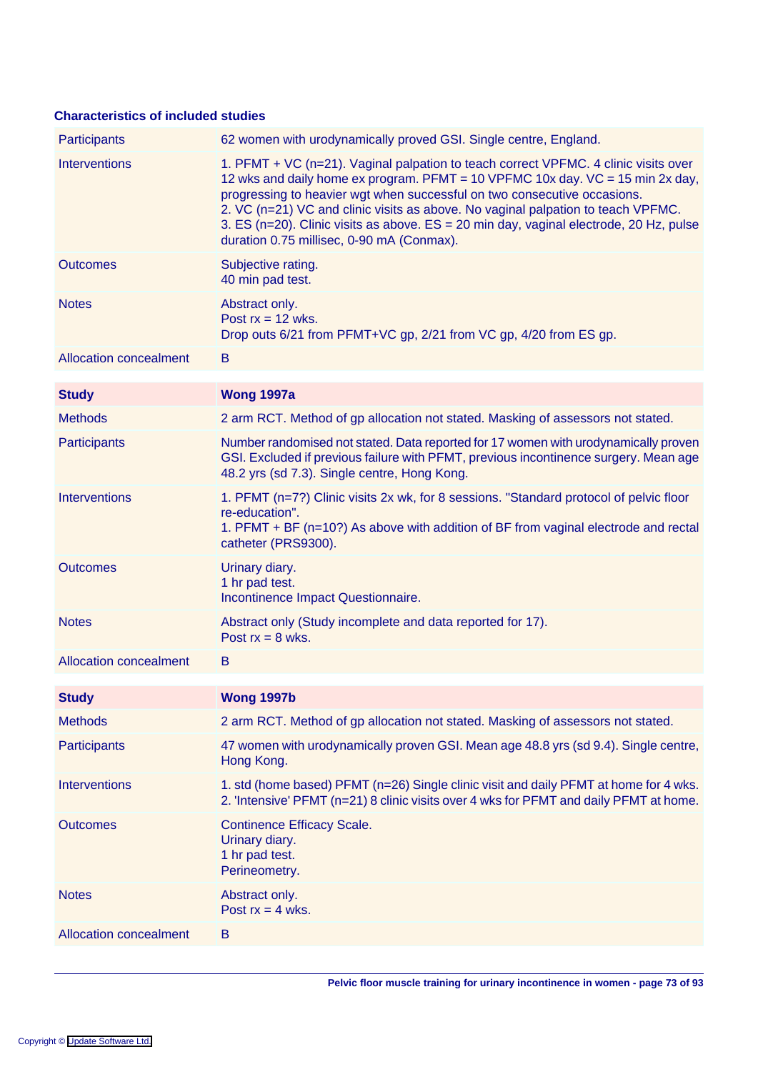| 62 women with urodynamically proved GSI. Single centre, England.                                                                                                                                                                                                                                                                                                                                                                                                                 |
|----------------------------------------------------------------------------------------------------------------------------------------------------------------------------------------------------------------------------------------------------------------------------------------------------------------------------------------------------------------------------------------------------------------------------------------------------------------------------------|
| 1. PFMT + VC (n=21). Vaginal palpation to teach correct VPFMC. 4 clinic visits over<br>12 wks and daily home ex program. PFMT = 10 VPFMC 10x day. VC = 15 min 2x day,<br>progressing to heavier wgt when successful on two consecutive occasions.<br>2. VC (n=21) VC and clinic visits as above. No vaginal palpation to teach VPFMC.<br>3. ES ( $n=20$ ). Clinic visits as above. ES = 20 min day, vaginal electrode, 20 Hz, pulse<br>duration 0.75 millisec, 0-90 mA (Conmax). |
| Subjective rating.<br>40 min pad test.                                                                                                                                                                                                                                                                                                                                                                                                                                           |
| Abstract only.<br>Post $rx = 12$ wks.<br>Drop outs 6/21 from PFMT+VC gp, 2/21 from VC gp, 4/20 from ES gp.                                                                                                                                                                                                                                                                                                                                                                       |
| B                                                                                                                                                                                                                                                                                                                                                                                                                                                                                |
| <b>Wong 1997a</b>                                                                                                                                                                                                                                                                                                                                                                                                                                                                |
| 2 arm RCT. Method of gp allocation not stated. Masking of assessors not stated.                                                                                                                                                                                                                                                                                                                                                                                                  |
| Number randomised not stated. Data reported for 17 women with urodynamically proven<br>GSI. Excluded if previous failure with PFMT, previous incontinence surgery. Mean age<br>48.2 yrs (sd 7.3). Single centre, Hong Kong.                                                                                                                                                                                                                                                      |
| 1. PFMT (n=7?) Clinic visits 2x wk, for 8 sessions. "Standard protocol of pelvic floor<br>re-education".<br>1. PFMT + BF (n=10?) As above with addition of BF from vaginal electrode and rectal<br>catheter (PRS9300).                                                                                                                                                                                                                                                           |
| Urinary diary.<br>1 hr pad test.<br>Incontinence Impact Questionnaire.                                                                                                                                                                                                                                                                                                                                                                                                           |
| Abstract only (Study incomplete and data reported for 17).<br>Post $rx = 8$ wks.                                                                                                                                                                                                                                                                                                                                                                                                 |
| B                                                                                                                                                                                                                                                                                                                                                                                                                                                                                |
| <b>Wong 1997b</b>                                                                                                                                                                                                                                                                                                                                                                                                                                                                |
| 2 arm RCT. Method of gp allocation not stated. Masking of assessors not stated.                                                                                                                                                                                                                                                                                                                                                                                                  |
| 47 women with urodynamically proven GSI. Mean age 48.8 yrs (sd 9.4). Single centre,<br>Hong Kong.                                                                                                                                                                                                                                                                                                                                                                                |
| 1. std (home based) PFMT (n=26) Single clinic visit and daily PFMT at home for 4 wks.<br>2. 'Intensive' PFMT (n=21) 8 clinic visits over 4 wks for PFMT and daily PFMT at home.                                                                                                                                                                                                                                                                                                  |
| <b>Continence Efficacy Scale.</b><br>Urinary diary.<br>1 hr pad test.<br>Perineometry.                                                                                                                                                                                                                                                                                                                                                                                           |
| Abstract only.<br>Post $rx = 4$ wks.                                                                                                                                                                                                                                                                                                                                                                                                                                             |
| B                                                                                                                                                                                                                                                                                                                                                                                                                                                                                |
|                                                                                                                                                                                                                                                                                                                                                                                                                                                                                  |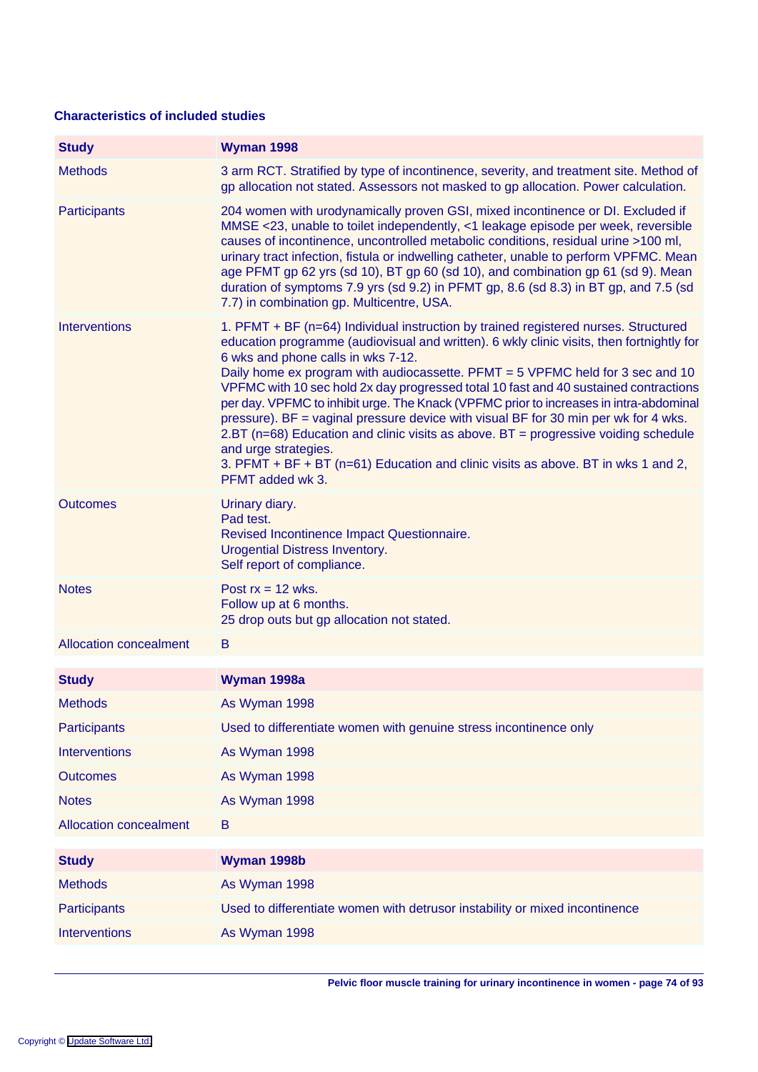| <b>Study</b>                  | Wyman 1998                                                                                                                                                                                                                                                                                                                                                                                                                                                                                                                                                                                                                                                                                                                                                                                                      |
|-------------------------------|-----------------------------------------------------------------------------------------------------------------------------------------------------------------------------------------------------------------------------------------------------------------------------------------------------------------------------------------------------------------------------------------------------------------------------------------------------------------------------------------------------------------------------------------------------------------------------------------------------------------------------------------------------------------------------------------------------------------------------------------------------------------------------------------------------------------|
| <b>Methods</b>                | 3 arm RCT. Stratified by type of incontinence, severity, and treatment site. Method of<br>gp allocation not stated. Assessors not masked to gp allocation. Power calculation.                                                                                                                                                                                                                                                                                                                                                                                                                                                                                                                                                                                                                                   |
| Participants                  | 204 women with urodynamically proven GSI, mixed incontinence or DI. Excluded if<br>MMSE <23, unable to toilet independently, <1 leakage episode per week, reversible<br>causes of incontinence, uncontrolled metabolic conditions, residual urine >100 ml,<br>urinary tract infection, fistula or indwelling catheter, unable to perform VPFMC. Mean<br>age PFMT gp 62 yrs (sd 10), BT gp 60 (sd 10), and combination gp 61 (sd 9). Mean<br>duration of symptoms 7.9 yrs (sd 9.2) in PFMT gp, 8.6 (sd 8.3) in BT gp, and 7.5 (sd<br>7.7) in combination gp. Multicentre, USA.                                                                                                                                                                                                                                   |
| <b>Interventions</b>          | 1. PFMT + BF (n=64) Individual instruction by trained registered nurses. Structured<br>education programme (audiovisual and written). 6 wkly clinic visits, then fortnightly for<br>6 wks and phone calls in wks 7-12.<br>Daily home ex program with audiocassette. $PFMT = 5$ VPFMC held for 3 sec and 10<br>VPFMC with 10 sec hold 2x day progressed total 10 fast and 40 sustained contractions<br>per day. VPFMC to inhibit urge. The Knack (VPFMC prior to increases in intra-abdominal<br>pressure). BF = vaginal pressure device with visual BF for 30 min per wk for 4 wks.<br>2.BT ( $n=68$ ) Education and clinic visits as above. BT = progressive voiding schedule<br>and urge strategies.<br>3. PFMT + BF + BT (n=61) Education and clinic visits as above. BT in wks 1 and 2,<br>PFMT added wk 3. |
| <b>Outcomes</b>               | Urinary diary.<br>Pad test.<br>Revised Incontinence Impact Questionnaire.<br><b>Urogential Distress Inventory.</b><br>Self report of compliance.                                                                                                                                                                                                                                                                                                                                                                                                                                                                                                                                                                                                                                                                |
| <b>Notes</b>                  | Post $rx = 12$ wks.<br>Follow up at 6 months.<br>25 drop outs but gp allocation not stated.                                                                                                                                                                                                                                                                                                                                                                                                                                                                                                                                                                                                                                                                                                                     |
| <b>Allocation concealment</b> | B                                                                                                                                                                                                                                                                                                                                                                                                                                                                                                                                                                                                                                                                                                                                                                                                               |
| <b>Study</b>                  | Wyman 1998a                                                                                                                                                                                                                                                                                                                                                                                                                                                                                                                                                                                                                                                                                                                                                                                                     |
| <b>Methods</b>                | As Wyman 1998                                                                                                                                                                                                                                                                                                                                                                                                                                                                                                                                                                                                                                                                                                                                                                                                   |
| Participants                  | Used to differentiate women with genuine stress incontinence only                                                                                                                                                                                                                                                                                                                                                                                                                                                                                                                                                                                                                                                                                                                                               |
| <b>Interventions</b>          | As Wyman 1998                                                                                                                                                                                                                                                                                                                                                                                                                                                                                                                                                                                                                                                                                                                                                                                                   |
| <b>Outcomes</b>               | As Wyman 1998                                                                                                                                                                                                                                                                                                                                                                                                                                                                                                                                                                                                                                                                                                                                                                                                   |
| <b>Notes</b>                  | As Wyman 1998                                                                                                                                                                                                                                                                                                                                                                                                                                                                                                                                                                                                                                                                                                                                                                                                   |
| <b>Allocation concealment</b> | B                                                                                                                                                                                                                                                                                                                                                                                                                                                                                                                                                                                                                                                                                                                                                                                                               |
| <b>Study</b>                  | Wyman 1998b                                                                                                                                                                                                                                                                                                                                                                                                                                                                                                                                                                                                                                                                                                                                                                                                     |
| <b>Methods</b>                | As Wyman 1998                                                                                                                                                                                                                                                                                                                                                                                                                                                                                                                                                                                                                                                                                                                                                                                                   |
| Participants                  | Used to differentiate women with detrusor instability or mixed incontinence                                                                                                                                                                                                                                                                                                                                                                                                                                                                                                                                                                                                                                                                                                                                     |
| <b>Interventions</b>          | As Wyman 1998                                                                                                                                                                                                                                                                                                                                                                                                                                                                                                                                                                                                                                                                                                                                                                                                   |
|                               |                                                                                                                                                                                                                                                                                                                                                                                                                                                                                                                                                                                                                                                                                                                                                                                                                 |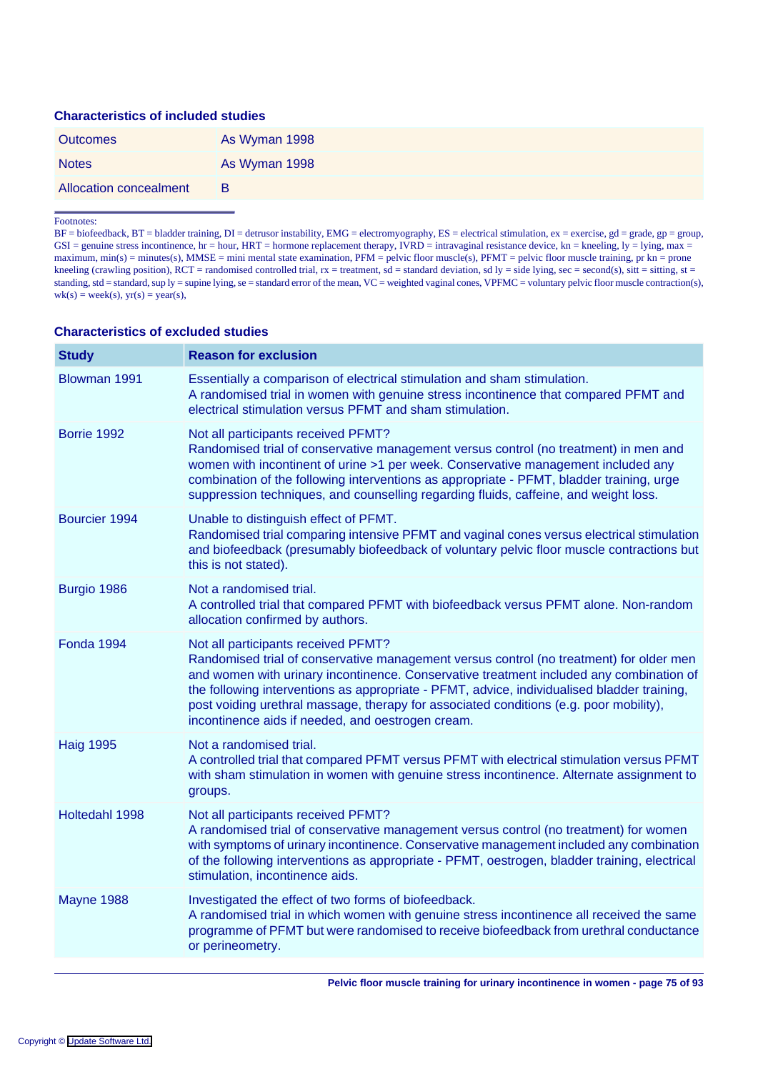| <b>Outcomes</b>               | As Wyman 1998 |
|-------------------------------|---------------|
| <b>Notes</b>                  | As Wyman 1998 |
| <b>Allocation concealment</b> | B             |

Footnotes:

 $BF = biofeedback, BT = bladder training, DI = detrusor instability, EMG = electromyography, ES = electrical stimulation, ex = exercise, gd = grade, gp = group,$ GSI = genuine stress incontinence, hr = hour, HRT = hormone replacement therapy, IVRD = intravaginal resistance device, kn = kneeling, ly = lying, max = maximum,  $min(s) = minutes(s)$ ,  $MMSE = min$  mental state examination,  $PFM =$  pelvic floor muscle(s),  $PFMT =$  pelvic floor muscle training, pr kn = prone kneeling (crawling position),  $RCT =$  randomised controlled trial,  $rx =$  treatment,  $sd =$  standard deviation, sd ly = side lying, sec = second(s), sitt = sitting, st = standing, std = standard, sup ly = supine lying, se = standard error of the mean, VC = weighted vaginal cones, VPFMC = voluntary pelvic floor muscle contraction(s),  $wk(s) = week(s), yr(s) = year(s),$ 

| <b>Study</b>       | <b>Reason for exclusion</b>                                                                                                                                                                                                                                                                                                                                                                                                                                             |
|--------------------|-------------------------------------------------------------------------------------------------------------------------------------------------------------------------------------------------------------------------------------------------------------------------------------------------------------------------------------------------------------------------------------------------------------------------------------------------------------------------|
| Blowman 1991       | Essentially a comparison of electrical stimulation and sham stimulation.<br>A randomised trial in women with genuine stress incontinence that compared PFMT and<br>electrical stimulation versus PFMT and sham stimulation.                                                                                                                                                                                                                                             |
| <b>Borrie 1992</b> | Not all participants received PFMT?<br>Randomised trial of conservative management versus control (no treatment) in men and<br>women with incontinent of urine >1 per week. Conservative management included any<br>combination of the following interventions as appropriate - PFMT, bladder training, urge<br>suppression techniques, and counselling regarding fluids, caffeine, and weight loss.                                                                    |
| Bourcier 1994      | Unable to distinguish effect of PFMT.<br>Randomised trial comparing intensive PFMT and vaginal cones versus electrical stimulation<br>and biofeedback (presumably biofeedback of voluntary pelvic floor muscle contractions but<br>this is not stated).                                                                                                                                                                                                                 |
| Burgio 1986        | Not a randomised trial.<br>A controlled trial that compared PFMT with biofeedback versus PFMT alone. Non-random<br>allocation confirmed by authors.                                                                                                                                                                                                                                                                                                                     |
| Fonda 1994         | Not all participants received PFMT?<br>Randomised trial of conservative management versus control (no treatment) for older men<br>and women with urinary incontinence. Conservative treatment included any combination of<br>the following interventions as appropriate - PFMT, advice, individualised bladder training,<br>post voiding urethral massage, therapy for associated conditions (e.g. poor mobility),<br>incontinence aids if needed, and oestrogen cream. |
| <b>Haig 1995</b>   | Not a randomised trial.<br>A controlled trial that compared PFMT versus PFMT with electrical stimulation versus PFMT<br>with sham stimulation in women with genuine stress incontinence. Alternate assignment to<br>groups.                                                                                                                                                                                                                                             |
| Holtedahl 1998     | Not all participants received PFMT?<br>A randomised trial of conservative management versus control (no treatment) for women<br>with symptoms of urinary incontinence. Conservative management included any combination<br>of the following interventions as appropriate - PFMT, oestrogen, bladder training, electrical<br>stimulation, incontinence aids.                                                                                                             |
| Mayne 1988         | Investigated the effect of two forms of biofeedback.<br>A randomised trial in which women with genuine stress incontinence all received the same<br>programme of PFMT but were randomised to receive biofeedback from urethral conductance<br>or perineometry.                                                                                                                                                                                                          |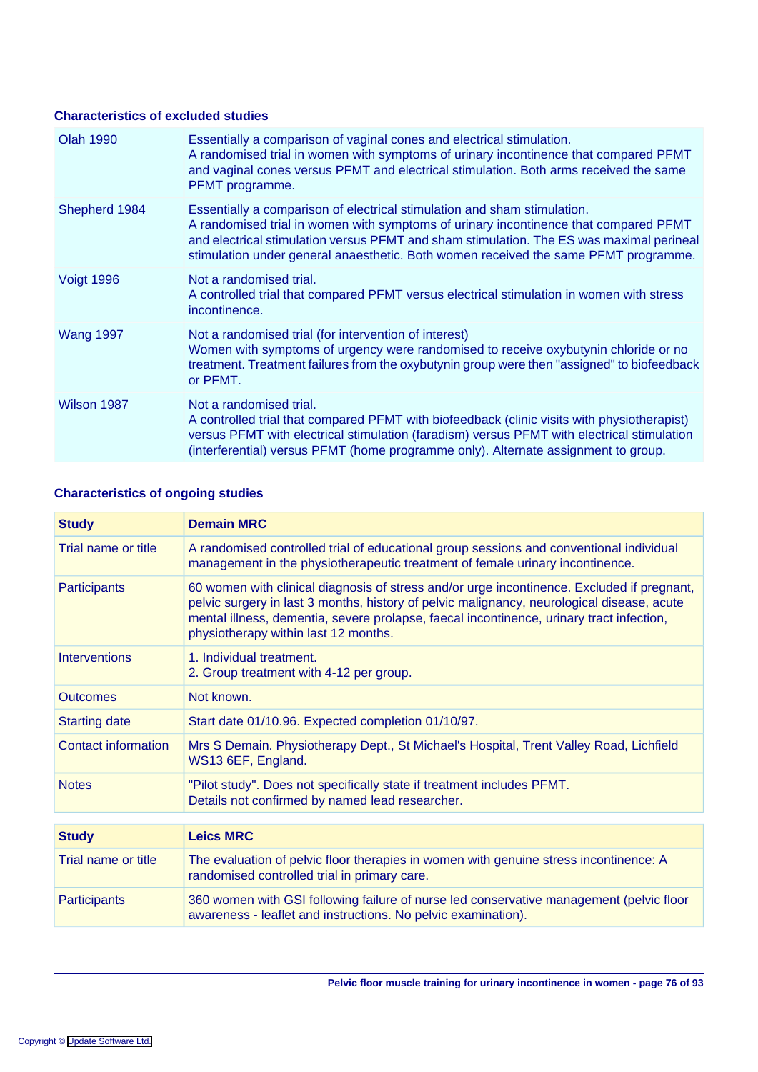| <b>Olah 1990</b> | Essentially a comparison of vaginal cones and electrical stimulation.<br>A randomised trial in women with symptoms of urinary incontinence that compared PFMT<br>and vaginal cones versus PFMT and electrical stimulation. Both arms received the same<br>PFMT programme.                                                                           |
|------------------|-----------------------------------------------------------------------------------------------------------------------------------------------------------------------------------------------------------------------------------------------------------------------------------------------------------------------------------------------------|
| Shepherd 1984    | Essentially a comparison of electrical stimulation and sham stimulation.<br>A randomised trial in women with symptoms of urinary incontinence that compared PFMT<br>and electrical stimulation versus PFMT and sham stimulation. The ES was maximal perineal<br>stimulation under general anaesthetic. Both women received the same PFMT programme. |
| Voigt 1996       | Not a randomised trial.<br>A controlled trial that compared PFMT versus electrical stimulation in women with stress<br>incontinence.                                                                                                                                                                                                                |
| <b>Wang 1997</b> | Not a randomised trial (for intervention of interest)<br>Women with symptoms of urgency were randomised to receive oxybutynin chloride or no<br>treatment. Treatment failures from the oxybutynin group were then "assigned" to biofeedback<br>or PFMT.                                                                                             |
| Wilson 1987      | Not a randomised trial.<br>A controlled trial that compared PFMT with biofeedback (clinic visits with physiotherapist)<br>versus PFMT with electrical stimulation (faradism) versus PFMT with electrical stimulation<br>(interferential) versus PFMT (home programme only). Alternate assignment to group.                                          |

## **Characteristics of ongoing studies**

| <b>Study</b>               | <b>Demain MRC</b>                                                                                                                                                                                                                                                                                                            |
|----------------------------|------------------------------------------------------------------------------------------------------------------------------------------------------------------------------------------------------------------------------------------------------------------------------------------------------------------------------|
| Trial name or title        | A randomised controlled trial of educational group sessions and conventional individual<br>management in the physiotherapeutic treatment of female urinary incontinence.                                                                                                                                                     |
| <b>Participants</b>        | 60 women with clinical diagnosis of stress and/or urge incontinence. Excluded if pregnant,<br>pelvic surgery in last 3 months, history of pelvic malignancy, neurological disease, acute<br>mental illness, dementia, severe prolapse, faecal incontinence, urinary tract infection,<br>physiotherapy within last 12 months. |
| <b>Interventions</b>       | 1. Individual treatment.<br>2. Group treatment with 4-12 per group.                                                                                                                                                                                                                                                          |
| <b>Outcomes</b>            | Not known.                                                                                                                                                                                                                                                                                                                   |
| <b>Starting date</b>       | Start date 01/10.96. Expected completion 01/10/97.                                                                                                                                                                                                                                                                           |
| <b>Contact information</b> | Mrs S Demain. Physiotherapy Dept., St Michael's Hospital, Trent Valley Road, Lichfield<br>WS13 6EF, England.                                                                                                                                                                                                                 |
| <b>Notes</b>               | "Pilot study". Does not specifically state if treatment includes PFMT.<br>Details not confirmed by named lead researcher.                                                                                                                                                                                                    |
|                            |                                                                                                                                                                                                                                                                                                                              |
| <b>Study</b>               | <b>Leics MRC</b>                                                                                                                                                                                                                                                                                                             |
| Trial name or title        | The evaluation of pelvic floor therapies in women with genuine stress incontinence: A<br>randomised controlled trial in primary care.                                                                                                                                                                                        |
| Participants               | 360 women with GSI following failure of nurse led conservative management (pelvic floor<br>awareness - leaflet and instructions. No pelvic examination).                                                                                                                                                                     |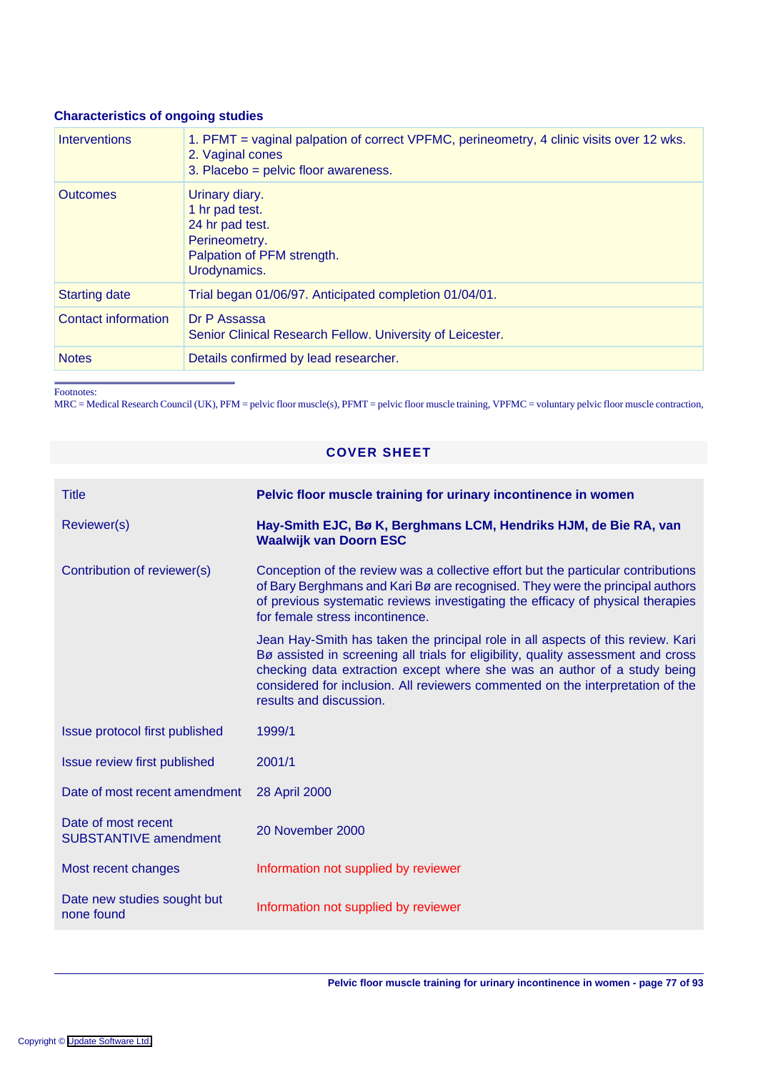# **Characteristics of ongoing studies**

| <b>Interventions</b> | 1. PFMT = vaginal palpation of correct VPFMC, perineometry, 4 clinic visits over 12 wks.<br>2. Vaginal cones<br>3. Placebo = pelvic floor awareness. |
|----------------------|------------------------------------------------------------------------------------------------------------------------------------------------------|
| <b>Outcomes</b>      | Urinary diary.<br>1 hr pad test.<br>24 hr pad test.<br>Perineometry.<br>Palpation of PFM strength.<br>Urodynamics.                                   |
| <b>Starting date</b> | Trial began 01/06/97. Anticipated completion 01/04/01.                                                                                               |
| Contact information  | Dr P Assassa<br>Senior Clinical Research Fellow. University of Leicester.                                                                            |
| <b>Notes</b>         | Details confirmed by lead researcher.                                                                                                                |

Footnotes:

MRC = Medical Research Council (UK), PFM = pelvic floor muscle(s), PFMT = pelvic floor muscle training, VPFMC = voluntary pelvic floor muscle contraction,

## **COVER SHEET**

| <b>Title</b>                                        | Pelvic floor muscle training for urinary incontinence in women                                                                                                                                                                                                                                                                                                |
|-----------------------------------------------------|---------------------------------------------------------------------------------------------------------------------------------------------------------------------------------------------------------------------------------------------------------------------------------------------------------------------------------------------------------------|
| Reviewer(s)                                         | Hay-Smith EJC, Bø K, Berghmans LCM, Hendriks HJM, de Bie RA, van<br><b>Waalwijk van Doorn ESC</b>                                                                                                                                                                                                                                                             |
| Contribution of reviewer(s)                         | Conception of the review was a collective effort but the particular contributions<br>of Bary Berghmans and Kari Bø are recognised. They were the principal authors<br>of previous systematic reviews investigating the efficacy of physical therapies<br>for female stress incontinence.                                                                      |
|                                                     | Jean Hay-Smith has taken the principal role in all aspects of this review. Kari<br>Bø assisted in screening all trials for eligibility, quality assessment and cross<br>checking data extraction except where she was an author of a study being<br>considered for inclusion. All reviewers commented on the interpretation of the<br>results and discussion. |
| Issue protocol first published                      | 1999/1                                                                                                                                                                                                                                                                                                                                                        |
| Issue review first published                        | 2001/1                                                                                                                                                                                                                                                                                                                                                        |
| Date of most recent amendment                       | 28 April 2000                                                                                                                                                                                                                                                                                                                                                 |
| Date of most recent<br><b>SUBSTANTIVE amendment</b> | 20 November 2000                                                                                                                                                                                                                                                                                                                                              |
| Most recent changes                                 | Information not supplied by reviewer                                                                                                                                                                                                                                                                                                                          |
| Date new studies sought but<br>none found           | Information not supplied by reviewer                                                                                                                                                                                                                                                                                                                          |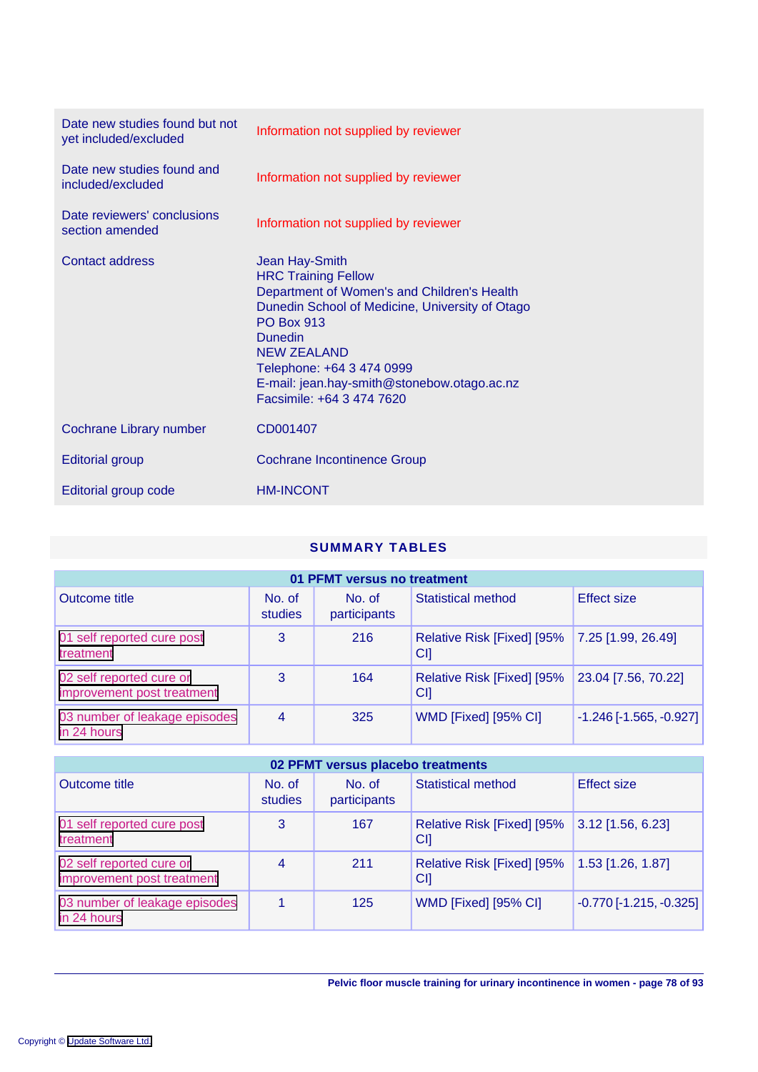| Date new studies found but not<br>yet included/excluded | Information not supplied by reviewer                                                                                                                                                                                                                                                                          |
|---------------------------------------------------------|---------------------------------------------------------------------------------------------------------------------------------------------------------------------------------------------------------------------------------------------------------------------------------------------------------------|
| Date new studies found and<br>included/excluded         | Information not supplied by reviewer                                                                                                                                                                                                                                                                          |
| Date reviewers' conclusions<br>section amended          | Information not supplied by reviewer                                                                                                                                                                                                                                                                          |
| <b>Contact address</b>                                  | Jean Hay-Smith<br><b>HRC Training Fellow</b><br>Department of Women's and Children's Health<br>Dunedin School of Medicine, University of Otago<br><b>PO Box 913</b><br>Dunedin<br><b>NEW ZEALAND</b><br>Telephone: +64 3 474 0999<br>E-mail: jean.hay-smith@stonebow.otago.ac.nz<br>Facsimile: +64 3 474 7620 |
| Cochrane Library number                                 | CD001407                                                                                                                                                                                                                                                                                                      |
| <b>Editorial group</b>                                  | <b>Cochrane Incontinence Group</b>                                                                                                                                                                                                                                                                            |
| Editorial group code                                    | <b>HM-INCONT</b>                                                                                                                                                                                                                                                                                              |

## **SUMMARY TABLES**

| 01 PFMT versus no treatment                            |                          |                        |                                              |                               |  |
|--------------------------------------------------------|--------------------------|------------------------|----------------------------------------------|-------------------------------|--|
| Outcome title                                          | No. of<br><b>studies</b> | No. of<br>participants | <b>Statistical method</b>                    | <b>Effect size</b>            |  |
| 01 self reported cure post<br>treatment                | 3                        | 216                    | Relative Risk [Fixed] [95%<br>C <sub>1</sub> | 7.25 [1.99, 26.49]            |  |
| 02 self reported cure or<br>improvement post treatment | 3                        | 164                    | Relative Risk [Fixed] [95%<br>C <sub>1</sub> | 23.04 [7.56, 70.22]           |  |
| 03 number of leakage episodes<br>in 24 hours           | 4                        | 325                    | WMD [Fixed] [95% CI]                         | $-1.246$ [ $-1.565, -0.927$ ] |  |

| 02 PFMT versus placebo treatments                      |                   |                        |                                   |                                  |  |
|--------------------------------------------------------|-------------------|------------------------|-----------------------------------|----------------------------------|--|
| Outcome title                                          | No. of<br>studies | No. of<br>participants | <b>Statistical method</b>         | <b>Effect size</b>               |  |
| 01 self reported cure post<br>treatment                | 3                 | 167                    | Relative Risk [Fixed] [95%<br>CII | 3.12 [1.56, 6.23]                |  |
| 02 self reported cure or<br>improvement post treatment | 4                 | 211                    | Relative Risk [Fixed] [95%<br>CII | 1.53 [1.26, 1.87]                |  |
| 03 number of leakage episodes<br>in 24 hours           |                   | 125                    | WMD [Fixed] [95% CI]              | $-0.770$ [ $-1.215$ , $-0.325$ ] |  |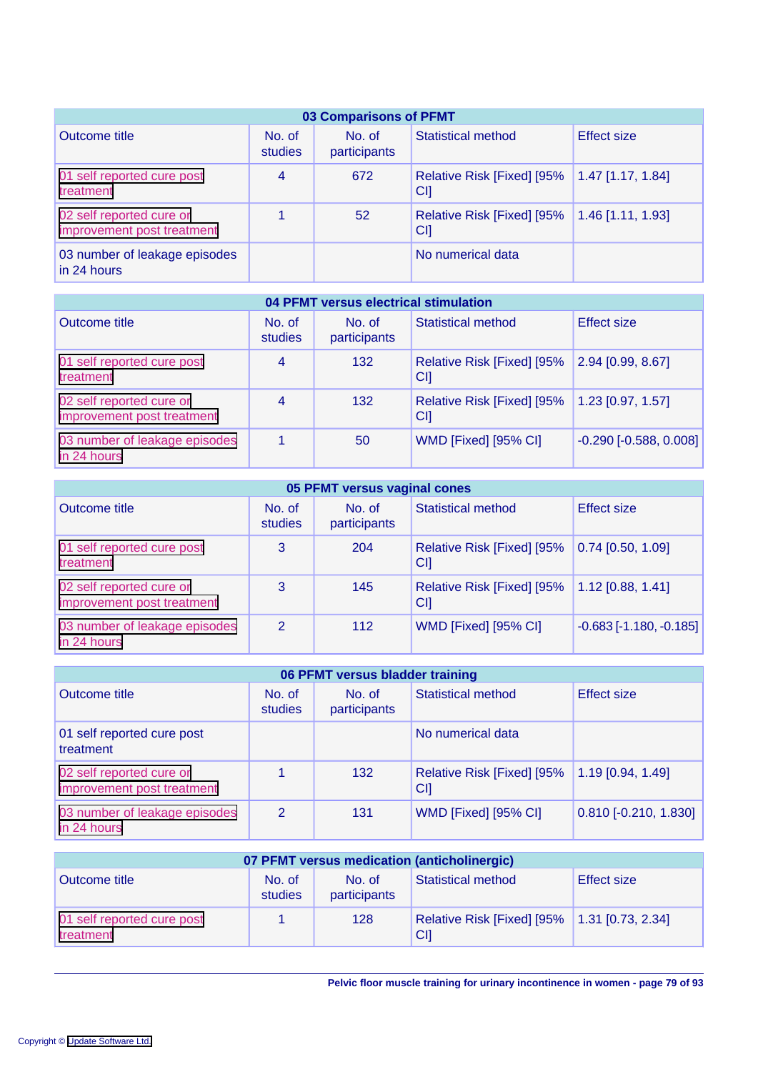| 03 Comparisons of PFMT                                 |                          |                        |                                              |                     |  |
|--------------------------------------------------------|--------------------------|------------------------|----------------------------------------------|---------------------|--|
| Outcome title                                          | No. of<br><b>studies</b> | No. of<br>participants | Statistical method                           | <b>Effect size</b>  |  |
| 01 self reported cure post<br>treatment                | 4                        | 672                    | Relative Risk [Fixed] [95%<br>C <sub>1</sub> | $1.47$ [1.17, 1.84] |  |
| 02 self reported cure or<br>improvement post treatment |                          | 52                     | Relative Risk [Fixed] [95%<br>C <sub>1</sub> | $1.46$ [1.11, 1.93] |  |
| 03 number of leakage episodes<br>in 24 hours           |                          |                        | No numerical data                            |                     |  |

| 04 PFMT versus electrical stimulation                  |                   |                        |                                              |                              |  |
|--------------------------------------------------------|-------------------|------------------------|----------------------------------------------|------------------------------|--|
| Outcome title                                          | No. of<br>studies | No. of<br>participants | Statistical method                           | <b>Effect size</b>           |  |
| 01 self reported cure post<br>treatment                | 4                 | 132                    | Relative Risk [Fixed] [95%<br>CI             | 2.94 [0.99, 8.67]            |  |
| 02 self reported cure or<br>improvement post treatment | 4                 | 132                    | Relative Risk [Fixed] [95%<br>C <sub>1</sub> | 1.23 [0.97, 1.57]            |  |
| 03 number of leakage episodes<br>in 24 hours           |                   | 50                     | WMD [Fixed] [95% CI]                         | $-0.290$ [ $-0.588, 0.008$ ] |  |

| 05 PFMT versus vaginal cones                           |                          |                        |                                              |                               |  |
|--------------------------------------------------------|--------------------------|------------------------|----------------------------------------------|-------------------------------|--|
| Outcome title                                          | No. of<br><b>studies</b> | No. of<br>participants | Statistical method                           | <b>Effect size</b>            |  |
| 01 self reported cure post<br>treatment                | 3                        | 204                    | Relative Risk [Fixed] [95%<br>CI             | $0.74$ [0.50, 1.09]           |  |
| 02 self reported cure or<br>improvement post treatment | 3                        | 145                    | Relative Risk [Fixed] [95%<br>C <sub>1</sub> | 1.12 [0.88, 1.41]             |  |
| 03 number of leakage episodes<br>in 24 hours           | 2                        | 112                    | WMD [Fixed] [95% CI]                         | $-0.683$ [ $-1.180, -0.185$ ] |  |

| 06 PFMT versus bladder training                        |                          |                        |                                              |                         |
|--------------------------------------------------------|--------------------------|------------------------|----------------------------------------------|-------------------------|
| Outcome title                                          | No. of<br><b>studies</b> | No. of<br>participants | <b>Statistical method</b>                    | <b>Effect size</b>      |
| 01 self reported cure post<br>treatment                |                          |                        | No numerical data                            |                         |
| 02 self reported cure or<br>improvement post treatment |                          | 132                    | Relative Risk [Fixed] [95%<br>C <sub>1</sub> | 1.19 [0.94, 1.49]       |
| 03 number of leakage episodes<br>in 24 hours           | 2                        | 131                    | WMD [Fixed] [95% CI]                         | $0.810$ [-0.210, 1.830] |

| 07 PFMT versus medication (anticholinergic) |                   |                        |                                         |                     |  |
|---------------------------------------------|-------------------|------------------------|-----------------------------------------|---------------------|--|
| Outcome title                               | No. of<br>studies | No. of<br>participants | <b>Statistical method</b>               | <b>Effect size</b>  |  |
| 01 self reported cure post<br>treatment     |                   | 128                    | <b>Relative Risk [Fixed] [95%</b><br>CI | $1.31$ [0.73, 2.34] |  |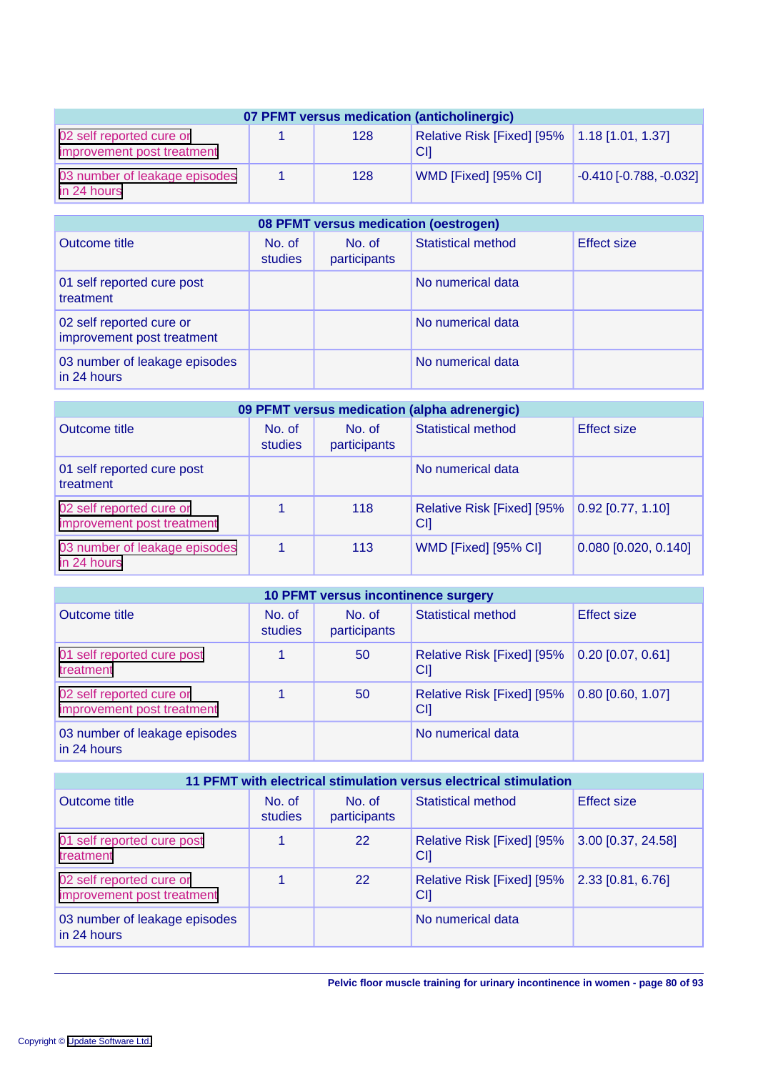| 07 PFMT versus medication (anticholinergic)            |  |     |                                          |                               |
|--------------------------------------------------------|--|-----|------------------------------------------|-------------------------------|
| 02 self reported cure or<br>improvement post treatment |  | 128 | <b>Relative Risk [Fixed] [95%</b><br>CI] | $1.18$ [1.01, 1.37]           |
| 03 number of leakage episodes<br>l in 24 hours         |  | 128 | WMD [Fixed] [95% CI]                     | $-0.410$ [ $-0.788, -0.032$ ] |

| 08 PFMT versus medication (oestrogen)                  |                          |                        |                    |                    |  |  |
|--------------------------------------------------------|--------------------------|------------------------|--------------------|--------------------|--|--|
| Outcome title                                          | No. of<br><b>studies</b> | No. of<br>participants | Statistical method | <b>Effect size</b> |  |  |
| 01 self reported cure post<br>treatment                |                          |                        | No numerical data  |                    |  |  |
| 02 self reported cure or<br>improvement post treatment |                          |                        | No numerical data  |                    |  |  |
| 03 number of leakage episodes<br>in 24 hours           |                          |                        | No numerical data  |                    |  |  |

| 09 PFMT versus medication (alpha adrenergic)           |                   |                        |                                              |                        |  |
|--------------------------------------------------------|-------------------|------------------------|----------------------------------------------|------------------------|--|
| Outcome title                                          | No. of<br>studies | No. of<br>participants | <b>Statistical method</b>                    | <b>Effect size</b>     |  |
| 01 self reported cure post<br>treatment                |                   |                        | No numerical data                            |                        |  |
| 02 self reported cure or<br>improvement post treatment |                   | 118                    | Relative Risk [Fixed] [95%<br>C <sub>1</sub> | $0.92$ [0.77, 1.10]    |  |
| 03 number of leakage episodes<br>in 24 hours           |                   | 113                    | WMD [Fixed] [95% CI]                         | $0.080$ [0.020, 0.140] |  |

| <b>10 PFMT versus incontinence surgery</b>             |                          |                        |                                                 |                     |  |  |
|--------------------------------------------------------|--------------------------|------------------------|-------------------------------------------------|---------------------|--|--|
| Outcome title                                          | No. of<br><b>studies</b> | No. of<br>participants | <b>Statistical method</b><br><b>Effect size</b> |                     |  |  |
| 01 self reported cure post<br>treatment                |                          | 50                     | Relative Risk [Fixed] [95%<br>CI                | $0.20$ [0.07, 0.61] |  |  |
| 02 self reported cure or<br>improvement post treatment |                          | 50                     | Relative Risk [Fixed] [95%<br>CI                | $0.80$ [0.60, 1.07] |  |  |
| 03 number of leakage episodes<br>in 24 hours           |                          |                        | No numerical data                               |                     |  |  |

| 11 PFMT with electrical stimulation versus electrical stimulation |                   |                        |                                   |                    |  |
|-------------------------------------------------------------------|-------------------|------------------------|-----------------------------------|--------------------|--|
| Outcome title                                                     | No. of<br>studies | No. of<br>participants | Statistical method                | <b>Effect size</b> |  |
| 01 self reported cure post<br>treatment                           |                   | 22                     | Relative Risk [Fixed] [95%<br>CII | 3.00 [0.37, 24.58] |  |
| 02 self reported cure or<br>improvement post treatment            |                   | 22                     | Relative Risk [Fixed] [95%<br>CII | 2.33 [0.81, 6.76]  |  |
| 03 number of leakage episodes<br>in 24 hours                      |                   |                        | No numerical data                 |                    |  |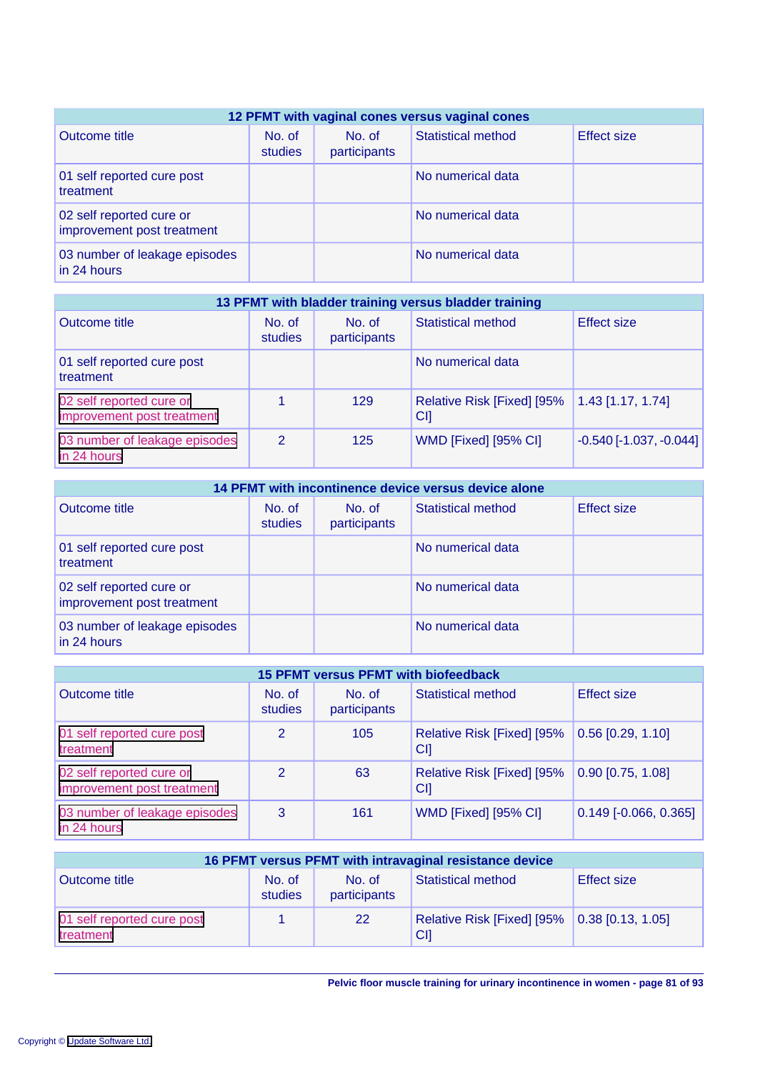|                                                        | 12 PFMT with vaginal cones versus vaginal cones |                        |                    |                    |  |  |
|--------------------------------------------------------|-------------------------------------------------|------------------------|--------------------|--------------------|--|--|
| Outcome title                                          | No. of<br><b>studies</b>                        | No. of<br>participants | Statistical method | <b>Effect size</b> |  |  |
| 01 self reported cure post<br>treatment                |                                                 |                        | No numerical data  |                    |  |  |
| 02 self reported cure or<br>improvement post treatment |                                                 |                        | No numerical data  |                    |  |  |
| 03 number of leakage episodes<br>in 24 hours           |                                                 |                        | No numerical data  |                    |  |  |

| 13 PFMT with bladder training versus bladder training  |                          |                                                     |                                              |                               |  |  |
|--------------------------------------------------------|--------------------------|-----------------------------------------------------|----------------------------------------------|-------------------------------|--|--|
| Outcome title                                          | No. of<br><b>studies</b> | <b>Statistical method</b><br>No. of<br>participants | <b>Effect size</b>                           |                               |  |  |
| 01 self reported cure post<br>treatment                |                          |                                                     | No numerical data                            |                               |  |  |
| 02 self reported cure or<br>improvement post treatment |                          | 129                                                 | Relative Risk [Fixed] [95%<br>C <sub>1</sub> | 1.43 [1.17, 1.74]             |  |  |
| 03 number of leakage episodes<br>in 24 hours           | 2                        | 125                                                 | WMD [Fixed] [95% CI]                         | $-0.540$ [ $-1.037, -0.044$ ] |  |  |

| 14 PFMT with incontinence device versus device alone   |                          |                        |                    |                    |  |  |
|--------------------------------------------------------|--------------------------|------------------------|--------------------|--------------------|--|--|
| Outcome title                                          | No. of<br><b>studies</b> | No. of<br>participants | Statistical method | <b>Effect size</b> |  |  |
| 01 self reported cure post<br>treatment                |                          |                        | No numerical data  |                    |  |  |
| 02 self reported cure or<br>improvement post treatment |                          |                        | No numerical data  |                    |  |  |
| 03 number of leakage episodes<br>in 24 hours           |                          |                        | No numerical data  |                    |  |  |

| <b>15 PFMT versus PFMT with biofeedback</b>            |                   |                        |                                              |                         |  |  |
|--------------------------------------------------------|-------------------|------------------------|----------------------------------------------|-------------------------|--|--|
| Outcome title                                          | No. of<br>studies | No. of<br>participants | Statistical method                           | <b>Effect size</b>      |  |  |
| 01 self reported cure post<br>treatment                | 2                 | 105                    | Relative Risk [Fixed] [95%<br>C <sub>1</sub> | $0.56$ [0.29, 1.10]     |  |  |
| 02 self reported cure or<br>improvement post treatment | 2                 | 63                     | Relative Risk [Fixed] [95%<br>C <sub>1</sub> | $0.90$ [0.75, 1.08]     |  |  |
| 03 number of leakage episodes<br>in 24 hours           | 3                 | 161                    | WMD [Fixed] [95% CI]                         | $0.149$ [-0.066, 0.365] |  |  |

| 16 PFMT versus PFMT with intravaginal resistance device |                   |                        |                                          |                                     |  |
|---------------------------------------------------------|-------------------|------------------------|------------------------------------------|-------------------------------------|--|
| Outcome title                                           | No. of<br>studies | No. of<br>participants | Statistical method                       | <b>Effect size</b>                  |  |
| 01 self reported cure post<br>treatment                 |                   | 22                     | Relative Risk [Fixed] [95%<br><b>CII</b> | $\vert 0.38 \vert 0.13, 1.05 \vert$ |  |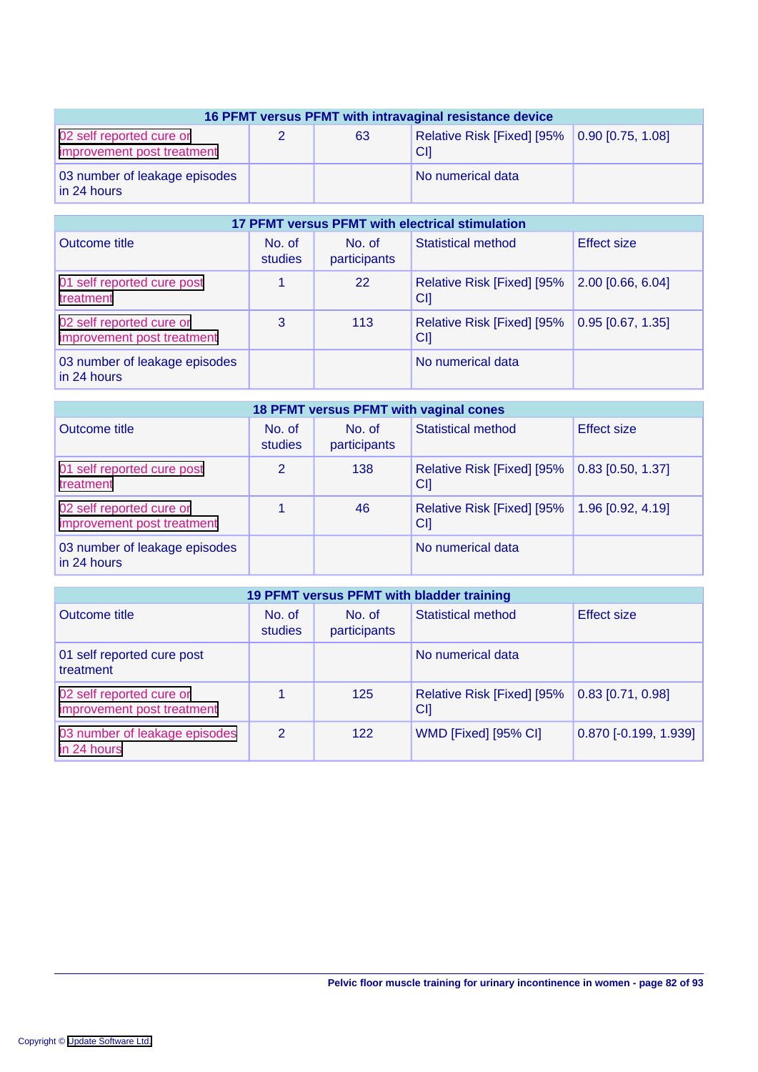| 16 PFMT versus PFMT with intravaginal resistance device |  |    |                                          |                                     |  |
|---------------------------------------------------------|--|----|------------------------------------------|-------------------------------------|--|
| 02 self reported cure or<br>improvement post treatment  |  | 63 | <b>Relative Risk [Fixed] [95%</b><br>CI] | $\vert 0.90 \vert 0.75, 1.08 \vert$ |  |
| 03 number of leakage episodes<br>$\ln 24$ hours         |  |    | No numerical data                        |                                     |  |

| <b>17 PFMT versus PFMT with electrical stimulation</b> |                          |                        |                                              |                     |  |
|--------------------------------------------------------|--------------------------|------------------------|----------------------------------------------|---------------------|--|
| Outcome title                                          | No. of<br><b>studies</b> | No. of<br>participants | Statistical method                           | <b>Effect size</b>  |  |
| 01 self reported cure post<br>treatment                |                          | 22                     | Relative Risk [Fixed] [95%<br>C <sub>1</sub> | 2.00 [0.66, 6.04]   |  |
| 02 self reported cure or<br>improvement post treatment | 3                        | 113                    | Relative Risk [Fixed] [95%<br>C <sub>1</sub> | $0.95$ [0.67, 1.35] |  |
| 03 number of leakage episodes<br>in 24 hours           |                          |                        | No numerical data                            |                     |  |

| 18 PFMT versus PFMT with vaginal cones                 |                          |                        |                                  |                     |  |  |
|--------------------------------------------------------|--------------------------|------------------------|----------------------------------|---------------------|--|--|
| Outcome title                                          | No. of<br><b>studies</b> | No. of<br>participants | Statistical method               | <b>Effect size</b>  |  |  |
| 01 self reported cure post<br>treatment                | 2                        | 138                    | Relative Risk [Fixed] [95%<br>CI | $0.83$ [0.50, 1.37] |  |  |
| 02 self reported cure or<br>improvement post treatment |                          | 46                     | Relative Risk [Fixed] [95%<br>CI | 1.96 [0.92, 4.19]   |  |  |
| 03 number of leakage episodes<br>in 24 hours           |                          |                        | No numerical data                |                     |  |  |

| 19 PFMT versus PFMT with bladder training              |                          |                        |                                              |                       |  |  |
|--------------------------------------------------------|--------------------------|------------------------|----------------------------------------------|-----------------------|--|--|
| Outcome title                                          | No. of<br><b>studies</b> | No. of<br>participants | <b>Statistical method</b>                    | <b>Effect size</b>    |  |  |
| 01 self reported cure post<br>treatment                |                          |                        | No numerical data                            |                       |  |  |
| 02 self reported cure or<br>improvement post treatment |                          | 125                    | Relative Risk [Fixed] [95%<br>C <sub>1</sub> | $0.83$ [0.71, 0.98]   |  |  |
| 03 number of leakage episodes<br>in 24 hours           | 2                        | 122                    | WMD [Fixed] [95% CI]                         | 0.870 [-0.199, 1.939] |  |  |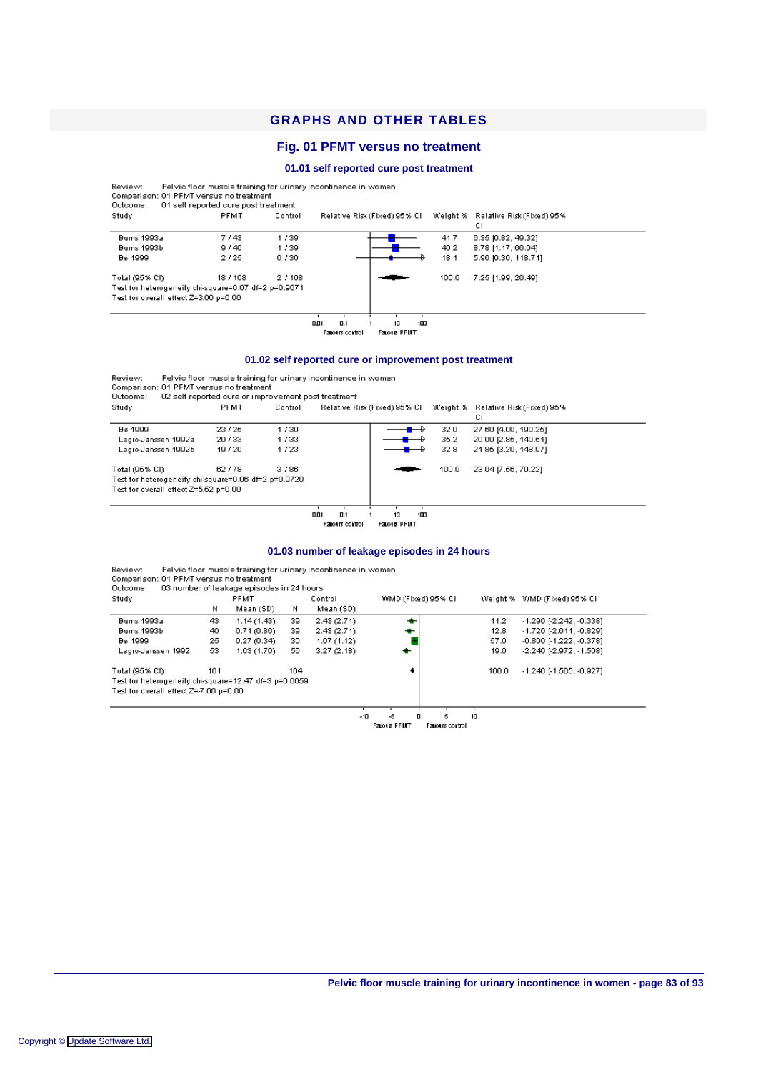## **GRAPHS AND OTHER TABLES**

# **Fig. 01 PFMT versus no treatment**

## **01.01 self reported cure post treatment**

<span id="page-86-0"></span>

| Review:            | Comparison: 01 PFMT versus no treatment              |         | Pel vic floor muscle training for urinary incontinence in women       |          |                                 |  |
|--------------------|------------------------------------------------------|---------|-----------------------------------------------------------------------|----------|---------------------------------|--|
| Outcome:<br>Study  | 01 self reported cure post treatment<br>PFMT         | Control | Relative Risk (Fixed) 95% Cl                                          | Weight % | Relative Risk (Fixed) 95%<br>сı |  |
| Burns 1993a        | 7 / 43                                               | 1/39    |                                                                       | 41.7     | 6.35 [0.82, 49.32]              |  |
| <b>Burns 1993b</b> | 9/40                                                 | 1/39    |                                                                       | 40.2     | 8.78 [1.17, 66.04]              |  |
| Bs 1999            | 2/25                                                 | 0/30    |                                                                       | 18.1     | 5.96 [0.30, 118.71]             |  |
| Total (95% CI)     | 18 / 108                                             | 2 / 108 |                                                                       | 100.0    | 7.25 [1.99, 26.49]              |  |
|                    | Test for heterogeneity chi-square=0.07 df=2 p=0.9671 |         |                                                                       |          |                                 |  |
|                    | Test for overall effect Z=3.00 p=0.00                |         |                                                                       |          |                                 |  |
|                    |                                                      |         | $0.1$<br>$\Box$<br>10<br>100<br><b>Falous PENT</b><br>Fauours control |          |                                 |  |

### **01.02 self reported cure or improvement post treatment**

<span id="page-86-1"></span>

| Pel vic floor muscle training for urinary incontinence in women<br>Review:<br>Comparison: 01 PFMT versus no treatment |                                      |                                                     |         |                                    |                                 |          |                           |  |  |  |  |  |
|-----------------------------------------------------------------------------------------------------------------------|--------------------------------------|-----------------------------------------------------|---------|------------------------------------|---------------------------------|----------|---------------------------|--|--|--|--|--|
| Outcome:                                                                                                              |                                      | 02 self reported cure or improvement post treatment |         |                                    |                                 |          |                           |  |  |  |  |  |
| Study                                                                                                                 |                                      | PFMT                                                | Control |                                    | Relative Risk (Fixed) 95% Cl    | Weight % | Relative Risk (Fixed) 95% |  |  |  |  |  |
|                                                                                                                       |                                      |                                                     |         |                                    |                                 |          | сı                        |  |  |  |  |  |
| Bs 1999                                                                                                               |                                      | 23/25                                               | 1/30    |                                    |                                 | 32.0     | 27.60 [4.00, 190.25]      |  |  |  |  |  |
|                                                                                                                       | 20/33<br>1/33<br>Lagro-Janssen 1992a |                                                     |         |                                    |                                 | 35.2     | 20.00 [2.85, 140.51]      |  |  |  |  |  |
| Lagro-Janssen 1992b                                                                                                   |                                      | 19/20                                               | 1/23    |                                    |                                 | 32.8     | 21.85 [3.20, 148.97]      |  |  |  |  |  |
| Total (95% CI)                                                                                                        |                                      | 62/78                                               | 3 / 86  |                                    |                                 | 100.0    | 23.04 7.56, 70.221        |  |  |  |  |  |
| Test for heterogeneity chi-square=0.06 df=2 p=0.9720                                                                  |                                      |                                                     |         |                                    |                                 |          |                           |  |  |  |  |  |
| Test for overall effect Z=5.52 p=0.00                                                                                 |                                      |                                                     |         |                                    |                                 |          |                           |  |  |  |  |  |
|                                                                                                                       |                                      |                                                     |         |                                    |                                 |          |                           |  |  |  |  |  |
|                                                                                                                       |                                      |                                                     |         | $0.1$<br>$\Box$<br>Fauours control | 10<br>100<br><b>Falous PENT</b> |          |                           |  |  |  |  |  |

### **01.03 number of leakage episodes in 24 hours**

<span id="page-86-2"></span>

| Review:<br>Comparison: 01 PFMT versus no treatment<br>Outcome: |     | Pel vic floor muscle training for urinary incontinence in women<br>03 number of leakage episodes in 24 hours |     |            |       |     |                    |   |    |          |                             |  |
|----------------------------------------------------------------|-----|--------------------------------------------------------------------------------------------------------------|-----|------------|-------|-----|--------------------|---|----|----------|-----------------------------|--|
| Study                                                          |     | PFMT                                                                                                         |     | Control    |       |     | WMD (Fixed) 95% CI |   |    | Weight % | WMD (Fixed) 95% CI          |  |
|                                                                | N   | Mean (SD)                                                                                                    | N.  | Mean (SD)  |       |     |                    |   |    |          |                             |  |
| <b>Burns 1993a</b>                                             | 43  | 1.14(1.43)                                                                                                   | 39  | 2.43(2.71) |       |     | ٠                  |   |    | 11.2     | -1.290 [-2.242, -0.338]     |  |
| <b>Burns 1993b</b>                                             | 40  | 0.71(0.86)                                                                                                   | 39  | 2.43(2.71) |       |     | ٠                  |   |    | 12.8     | -1.720 [-2.611, -0.829]     |  |
| Bs 1999                                                        | 25  | 0.27(0.34)                                                                                                   | 30  | 1.07(1.12) |       |     |                    |   |    | 57.0     | -0.800 [-1.222, -0.378]     |  |
| Lagro-Janssen 1992                                             | 53  | 1.03(1.70)                                                                                                   | 56  | 3.27(2.18) |       | ٠   |                    |   |    | 19.0     | $-2.240$ $[-2.972, -1.508]$ |  |
| Total (95% CI)                                                 | 161 |                                                                                                              | 164 |            |       |     |                    |   |    | 100.0    | $-1.246$ [-1.565, -0.927]   |  |
| Test for heterogeneity chi-square=12.47 df=3 p=0.0059          |     |                                                                                                              |     |            |       |     |                    |   |    |          |                             |  |
| Test for overall effect Z=-7.66 p=0.00                         |     |                                                                                                              |     |            |       |     |                    |   |    |          |                             |  |
|                                                                |     |                                                                                                              |     |            | $-10$ | -5. | o                  | 5 | 10 |          |                             |  |

Faious PFMT Faious control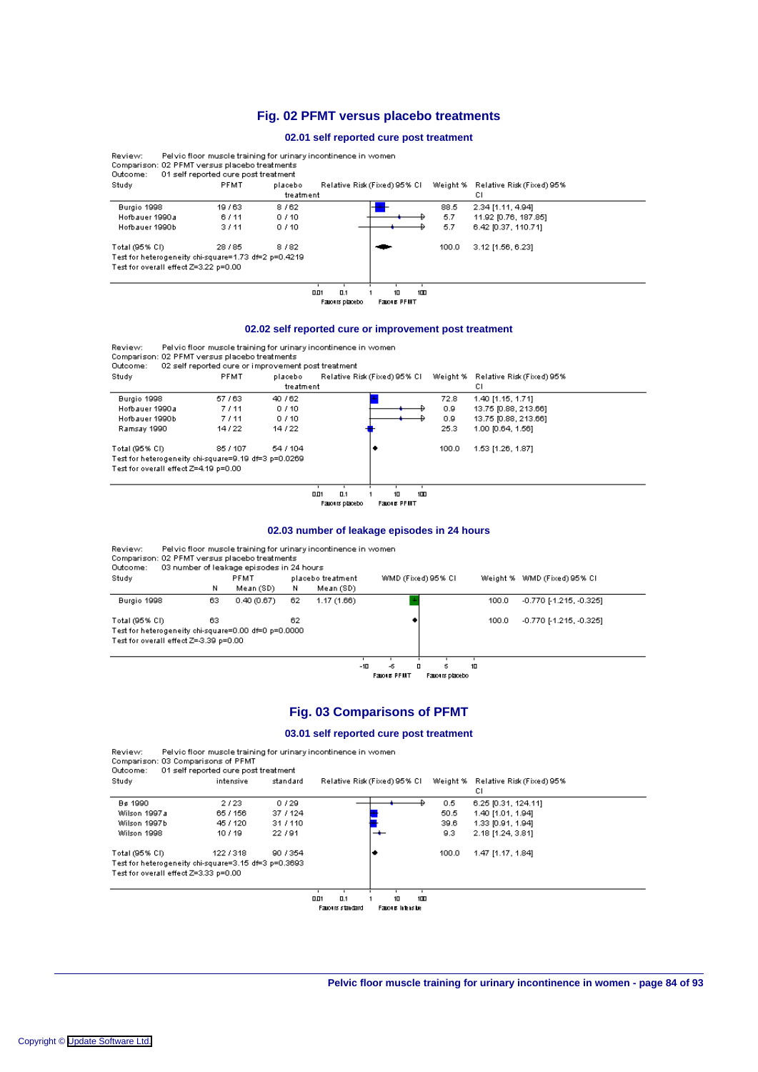## **Fig. 02 PFMT versus placebo treatments**

### **02.01 self reported cure post treatment**

<span id="page-87-0"></span>

| Review:<br>Comparison: 02 PFMT versus placebo treatments<br>Outcome: | Pel vic floor muscle training for urinary incontinence in women<br>01 self reported cure post treatment |           |      |     |                              |     |          |                           |  |
|----------------------------------------------------------------------|---------------------------------------------------------------------------------------------------------|-----------|------|-----|------------------------------|-----|----------|---------------------------|--|
| Study                                                                | PFMT                                                                                                    | placebo   |      |     | Relative Risk (Fixed) 95% Cl |     | Weight % | Relative Risk (Fixed) 95% |  |
|                                                                      |                                                                                                         | treatment |      |     |                              |     |          | сı                        |  |
| Burgio 1998                                                          | 19/63                                                                                                   | 8/62      |      |     |                              |     | 88.5     | 2.34 [1.11, 4.94]         |  |
| Hofbauer 1990a                                                       | 6/11                                                                                                    | 0/10      |      |     |                              |     | 5.7      | 11.92 [0.76, 187.85]      |  |
| Hofbauer 1990b                                                       | 3/11                                                                                                    | 0/10      |      |     |                              |     | 5.7      | 6.42 [0.37, 110.71]       |  |
| Total (95% CI)                                                       | 28/85                                                                                                   | 8/82      |      |     |                              |     | 100.0    | 3.12 [1.56, 6.23]         |  |
| Test for heterogeneity chi-square=1.73 df=2 p=0.4219                 |                                                                                                         |           |      |     |                              |     |          |                           |  |
| Test for overall effect Z=3.22 p=0.00                                |                                                                                                         |           |      |     |                              |     |          |                           |  |
|                                                                      |                                                                                                         |           |      |     |                              |     |          |                           |  |
|                                                                      |                                                                                                         |           |      |     |                              |     |          |                           |  |
|                                                                      |                                                                                                         |           | 0.01 | 0.1 | 10                           | 100 |          |                           |  |

**Faious PENT** Faiours placebo

#### **02.02 self reported cure or improvement post treatment**

<span id="page-87-1"></span>Pelvic floor muscle training for urinary incontinence in women Review: Comparison: 02 PFMT versus placebo treatments Outcome: 02 self reported cure or improvement post treatment Study Relative Risk (Fixed) 95% Cl Weight % Relative Risk (Fixed) 95% PEMT placebo treatment CI. Burgio 1998  $\frac{1}{57/63}$  $\frac{1}{40}$  / 62  $1.40$  [1.15, 1.71]  $728$ Hofbauer 1990a 13.75 [0.88, 213.66]  $7/11$  $0/10$  $\overline{a}$  $0.9$  $7/11$  $0/10$ Hofbauer 1990b  $0.9$ 13.75 [0.88, 213.66] Ramsay 1990  $14/22$ 14/22 25.3 1.00 [0.64, 1.56] Total (95% CI) 85/107 54 / 104 100.0 1.53 [1.26, 1.87] Test for heterogeneity chi-square=9.19 df=3 p=0.0269 Test for overall effect Z=4.19 p=0.00  $\overline{u}$ 

 $0.1$ 10  $100$ Faiours placebo **Faious PENT** 

#### **02.03 number of leakage episodes in 24 hours**

<span id="page-87-2"></span>Review: Pelvic floor muscle training for urinary incontinence in women Comparison: 02 PFMT versus placebo treatments Outcome: 03 number of leakage episodes in 24 hours Study PFMT placebo treatment WMD (Fixed) 95% CI Weight % WMD (Fixed) 95% CI  $\mathbf{N}$ Mean (SD)  $\overline{N}$ Mean (SD) Burgio 1998  $\overline{63}$  $0.40(0.67)$  $\overline{62}$  $1.17(1.66)$  $100.0$  $-0.770$  [-1.215, -0.325] Total (95% CI) 63 62 100.0 -0.770 [-1.215, -0.325] Test for heterogeneity chi-square=0.00 df=0 p=0.0000<br>Test for overall effect Z=3.39 p=0.00  $-1\Box$ -5  $\mathbf{u}$  $\mathbf{s}$  $1\Box$ 

**Faious PENT** Faiours placebo

## **Fig. 03 Comparisons of PFMT**

### **03.01 self reported cure post treatment**

<span id="page-87-3"></span>

| Review:<br>Comparison: 03 Comparisons of PFMT        | Pelvic floor muscle training for urinary incontinence in women |          |                           |                              |          |                                 |  |
|------------------------------------------------------|----------------------------------------------------------------|----------|---------------------------|------------------------------|----------|---------------------------------|--|
| Outcome:                                             | 01 self reported cure post treatment                           |          |                           |                              |          |                                 |  |
| Study                                                | intensive                                                      | standard |                           | Relative Risk (Fixed) 95% Cl | Weight % | Relative Risk (Fixed) 95%<br>сı |  |
| Bs 1990                                              | 2/23                                                           | 0/29     |                           |                              | 0.5      | 6.25 [0.31, 124.11]             |  |
| Wilson 1997a                                         | 65/156                                                         | 37 / 124 |                           |                              | 50.5     | 1.40 [1.01, 1.94]               |  |
| Wilson 1997b                                         | 45/120                                                         | 31/110   |                           |                              | 39.6     | 1.33 [0.91, 1.94]               |  |
| Wilson 1998                                          | 10/19                                                          | 22 / 91  |                           |                              | 9.3      | 2.18 [1.24, 3.81]               |  |
| Total (95% CI)                                       | 122/318                                                        | 90 / 354 |                           |                              | 100.0    | 1.47 [1.17, 1.84]               |  |
| Test for heterogeneity chi-square=3.15 df=3 p=0.3693 |                                                                |          |                           |                              |          |                                 |  |
| Test for overall effect Z=3.33 p=0.00                |                                                                |          |                           |                              |          |                                 |  |
|                                                      |                                                                |          | <b>DD1</b><br><b>D.A.</b> | m<br>1 <sup>1</sup>          |          |                                 |  |

10 11 11 11 11<br>Fauotrsstandard Fauotishtensbe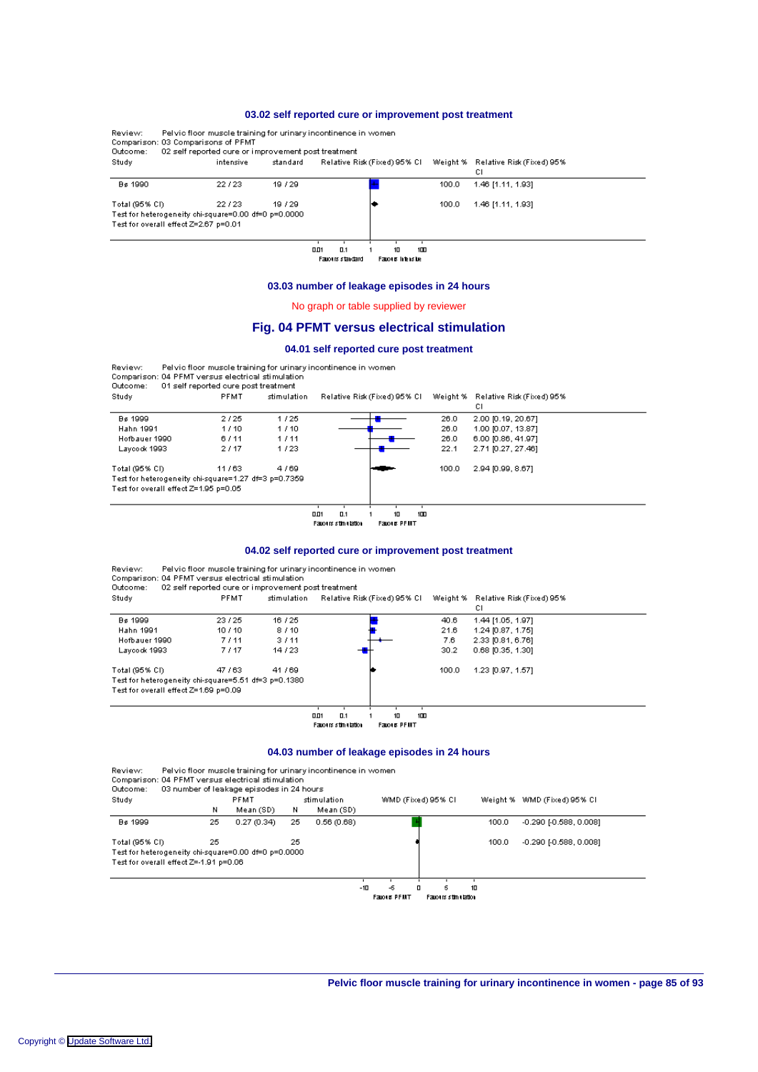### **03.02 self reported cure or improvement post treatment**

<span id="page-88-0"></span>

| Review:<br>Outcome: | Pelvic floor muscle training for urinary incontinence in women<br>Comparison: 03 Comparisons of PFMT<br>02 self reported cure or improvement post treatment<br>Relative Risk (Fixed) 95% Cl |           |          |     |     |  |    |     |       |                                          |  |  |
|---------------------|---------------------------------------------------------------------------------------------------------------------------------------------------------------------------------------------|-----------|----------|-----|-----|--|----|-----|-------|------------------------------------------|--|--|
| Study               |                                                                                                                                                                                             | intensive | standard |     |     |  |    |     |       | Weight % Relative Risk (Fixed) 95%<br>сı |  |  |
| Bs 1990             |                                                                                                                                                                                             | 22/23     | 19 / 29  |     |     |  |    |     | 100.0 | 1.46 [1.11, 1.93]                        |  |  |
| Total (95% CI)      |                                                                                                                                                                                             | 22/23     | 19 / 29  |     |     |  |    |     | 100.0 | 1.46 [1.11, 1.93]                        |  |  |
|                     | Test for heterogeneity chi-square=0.00 df=0 p=0.0000                                                                                                                                        |           |          |     |     |  |    |     |       |                                          |  |  |
|                     | Test for overall effect Z=2.67 p=0.01                                                                                                                                                       |           |          |     |     |  |    |     |       |                                          |  |  |
|                     |                                                                                                                                                                                             |           |          | ותם | 0.1 |  | 10 | 100 |       |                                          |  |  |

### **03.03 number of leakage episodes in 24 hours**

No graph or table supplied by reviewer

## **Fig. 04 PFMT versus electrical stimulation**

## **04.01 self reported cure post treatment**

<span id="page-88-1"></span>

| Review:                                              | Pelvic floor muscle training for urinary incontinence in women |             |      |         |                              |     |          |                           |  |  |  |  |  |
|------------------------------------------------------|----------------------------------------------------------------|-------------|------|---------|------------------------------|-----|----------|---------------------------|--|--|--|--|--|
| Comparison: 04 PFMT versus electrical stimulation.   |                                                                |             |      |         |                              |     |          |                           |  |  |  |  |  |
| Outcome:                                             | 01 self reported cure post treatment                           |             |      |         |                              |     |          |                           |  |  |  |  |  |
| Study                                                | PFMT                                                           | stimulation |      |         | Relative Risk (Fixed) 95% Cl |     | Weight % | Relative Risk (Fixed) 95% |  |  |  |  |  |
|                                                      |                                                                |             |      |         |                              |     |          | сı                        |  |  |  |  |  |
| Bs 1999                                              | 2/25                                                           | 1/25        |      |         |                              |     | 26.0     | 2.00 [0.19, 20.67]        |  |  |  |  |  |
| Hahn 1991                                            | 1/10                                                           | 1/10        |      |         |                              |     | 26.0     | 1.00 10.07, 13.871        |  |  |  |  |  |
| Hofbauer 1990                                        | 6/11                                                           | 1/11        |      |         |                              |     | 26.0     | 6.00 [0.86, 41.97]        |  |  |  |  |  |
| Laycock 1993                                         | 2/17                                                           | 1/23        |      |         |                              |     | 22.1     | 2.71 [0.27, 27.46]        |  |  |  |  |  |
| Total (95% CI)                                       | 11/63                                                          | 4/69        |      |         |                              |     | 100.0    | 2.94 10.99, 8.671         |  |  |  |  |  |
| Test for heterogeneity chi-square=1.27 df=3 p=0.7359 |                                                                |             |      |         |                              |     |          |                           |  |  |  |  |  |
| Test for overall effect Z=1.95 p=0.05                |                                                                |             |      |         |                              |     |          |                           |  |  |  |  |  |
|                                                      |                                                                |             |      |         |                              |     |          |                           |  |  |  |  |  |
|                                                      |                                                                |             | 0.01 | $\Pi.1$ | 10                           | 100 |          |                           |  |  |  |  |  |

Fauours stimulation Fauous PFMT

### **04.02 self reported cure or improvement post treatment**

<span id="page-88-2"></span>

| Review:        | Pel vic floor muscle training for urinary incontinence in women |             |                              |             |       |                                          |  |  |  |  |  |  |  |
|----------------|-----------------------------------------------------------------|-------------|------------------------------|-------------|-------|------------------------------------------|--|--|--|--|--|--|--|
|                | Comparison: 04 PFMT versus electrical stimulation.              |             |                              |             |       |                                          |  |  |  |  |  |  |  |
| Outcome:       | 02 self reported cure or improvement post treatment.            |             |                              |             |       |                                          |  |  |  |  |  |  |  |
| Study          | PFMT                                                            | stimulation | Relative Risk (Fixed) 95% Cl |             |       | Weight % Relative Risk (Fixed) 95%<br>сı |  |  |  |  |  |  |  |
| Bs 1999        | 23/25                                                           | 16 / 25     |                              |             | 40.6  | 1.44 [1.05, 1.97]                        |  |  |  |  |  |  |  |
| Hahn 1991      | 10/10                                                           | 8/10        |                              |             | 21.6  | 1.24 [0.87, 1.75]                        |  |  |  |  |  |  |  |
| Hofbauer 1990  | 7/11                                                            | 3/11        |                              |             | 7.6   | 2.33 [0.81, 6.76]                        |  |  |  |  |  |  |  |
| Laycock 1993   | 7/17                                                            | 14/23       |                              |             | 30.2  | $0.68$ [0.35, 1.30]                      |  |  |  |  |  |  |  |
| Total (95% CI) | 47 / 63                                                         | 41/69       |                              |             | 100.0 | 1.23 [0.97, 1.57]                        |  |  |  |  |  |  |  |
|                | Test for heterogeneity chi-square=5.51 df=3 p=0.1380            |             |                              |             |       |                                          |  |  |  |  |  |  |  |
|                | Test for overall effect Z=1.69 p=0.09                           |             |                              |             |       |                                          |  |  |  |  |  |  |  |
|                |                                                                 |             | $0.1$<br>$\Box$              | 100<br>10   |       |                                          |  |  |  |  |  |  |  |
|                |                                                                 |             | <b>Fauours stimulation</b>   | Faious PFMT |       |                                          |  |  |  |  |  |  |  |

## **04.03 number of leakage episodes in 24 hours**

<span id="page-88-3"></span>

| Review:<br>Outcome:                    |    | Pelvic floor muscle training for urinary incontinence in women<br>Comparison: 04 PFMT versus electrical stimulation.<br>03 number of leakage episodes in 24 hours. |    |             |          |                    |                     |    |          |                            |
|----------------------------------------|----|--------------------------------------------------------------------------------------------------------------------------------------------------------------------|----|-------------|----------|--------------------|---------------------|----|----------|----------------------------|
| Study                                  |    | PFMT                                                                                                                                                               |    | stimulation |          |                    | WMD (Fixed) 95% CI  |    | Weight % | WMD (Fixed) 95% CI         |
|                                        | Ν  | Mean (SD)                                                                                                                                                          | N. | Mean (SD)   |          |                    |                     |    |          |                            |
| Bs 1999                                | 25 | 0.27(0.34)                                                                                                                                                         | 25 | 0.56(0.68)  |          |                    |                     |    | 100.0    | $-0.290$ $[-0.588, 0.008]$ |
| Total (95% CI)                         | 25 |                                                                                                                                                                    | 25 |             |          |                    |                     |    | 100.0    | $-0.290$ $[-0.588, 0.008]$ |
|                                        |    | Test for heterogeneity chi-square=0.00 df=0 p=0.0000                                                                                                               |    |             |          |                    |                     |    |          |                            |
| Test for overall effect Z=-1.91 p=0.06 |    |                                                                                                                                                                    |    |             |          |                    |                     |    |          |                            |
|                                        |    |                                                                                                                                                                    |    |             |          |                    |                     |    |          |                            |
|                                        |    |                                                                                                                                                                    |    |             | $-1\Box$ | -5                 | s                   | 10 |          |                            |
|                                        |    |                                                                                                                                                                    |    |             |          | <b>Faious PEUT</b> | Fauours stimulation |    |          |                            |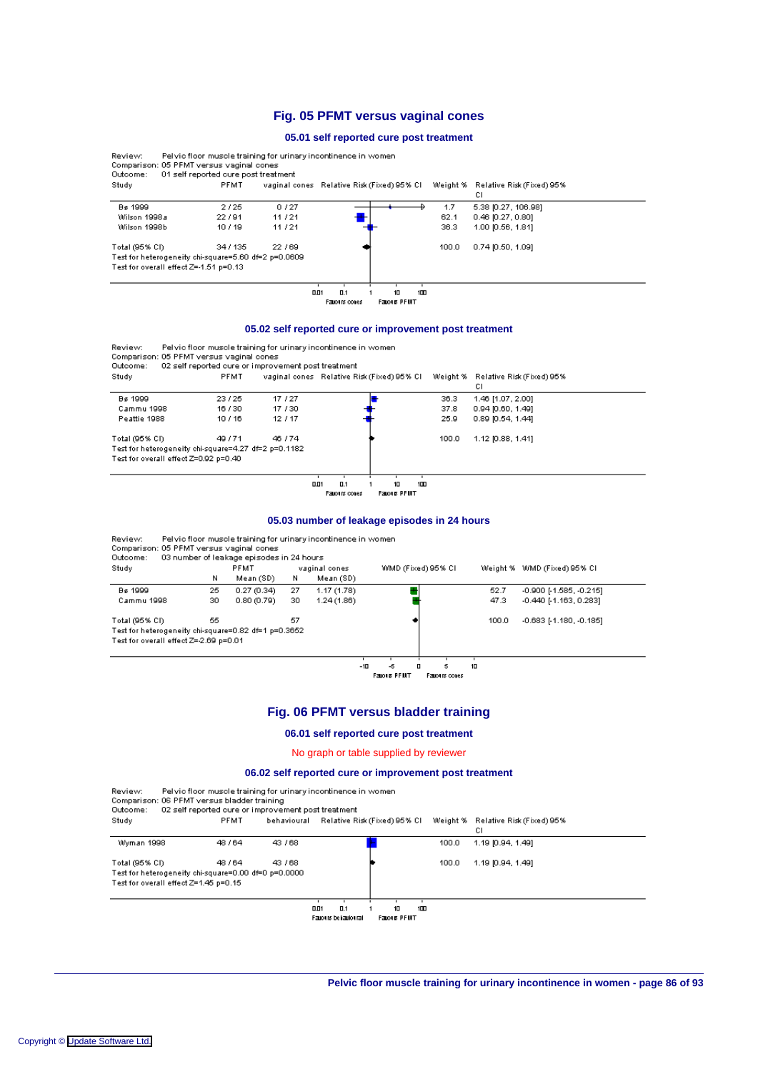### **Fig. 05 PFMT versus vaginal cones**

#### **05.01 self reported cure post treatment**

<span id="page-89-0"></span>

**Fatours** cones **Faious PENT** 

#### **05.02 self reported cure or improvement post treatment**

<span id="page-89-1"></span>Pel vic floor muscle training for urinary incontinence in women Review: Comparison: 05 PFMT versus vaginal cones Outcome: 02 self reported cure or improvement post treatment vaginal cones Relative Risk (Fixed) 95% Cl Weight % Relative Risk (Fixed) 95% Study PEMT CI. Bs 1999  $23/25$  $17/27$  $36.3$ 1.46 [1.07, 2.00] Cammu 1998 16 / 30 17 / 30 37.8 0.94 (0.60, 1.49) Peattie 1988  $10/16$  $12/17$ 25.9 0.89 (0.54, 1.44) Total (95% CI) 49 / 71 46 / 74  $100.0$ 1.12 [0.88, 1.41] Test for heterogeneity chi-square=4.27 df=2 p=0.1182 Test for overall effect Z=0.92 p=0.40  $\Box$  $0.1$ 10  $\mathbf{m}$ 

**Faious PENT Fatours** cones

#### **05.03 number of leakage episodes in 24 hours**

<span id="page-89-2"></span>**Review:** Pelvic floor muscle training for urinary incontinence in women Comparison: 05 PFMT versus vaginal cones Outcome: 03 number of leakage episodes in 24 hours Study PFMT vaginal cones WMD (Fixed) 95% CI Weight % WMD (Fixed) 95% CI Ń Mean (SD) N. Mean (SD) Bs 1999  $\overline{25}$  $0.27(0.34)$  $\overline{27}$  $1.17(1.78)$  $527$  $-0.900$  [-1.585, -0.215] Ŧ  $1.24(1.86)$ Cammu 1998 30  $0.80(0.79)$ 30 47.3  $-0.440$   $[-1.163, 0.283]$ Total (95% CI) 55 57 100.0  $-0.683$  [-1.180, -0.185] Test for heterogeneity chi-square=0.82 df=1 p=0.3652 Test for overall effect Z=-2.69 p=0.01  $-10$ -5  $\mathbf{u}$ s  $1\Box$ 

**Faious PENT** Faious cores

### **Fig. 06 PFMT versus bladder training**

**06.01 self reported cure post treatment**

No graph or table supplied by reviewer

### **06.02 self reported cure or improvement post treatment**

<span id="page-89-3"></span>

| Review:<br>Outcome: | Pelvic floor muscle training for urinary incontinence in women<br>Comparison: 06 PFMT versus bladder training<br>02 self reported cure or improvement post treatment. |       |             |        |                            |  |                              |              |          |                                 |  |
|---------------------|-----------------------------------------------------------------------------------------------------------------------------------------------------------------------|-------|-------------|--------|----------------------------|--|------------------------------|--------------|----------|---------------------------------|--|
| Study               |                                                                                                                                                                       | PFMT  | behavioural |        |                            |  | Relative Risk (Fixed) 95% Cl |              | Weight % | Relative Risk (Fixed) 95%<br>сı |  |
| Wyman 1998          |                                                                                                                                                                       | 48/64 | 43 / 68     |        |                            |  |                              |              | 100.0    | 1.19 10.94, 1.491               |  |
| Total (95% CI)      |                                                                                                                                                                       | 48/64 | 43 / 68     |        |                            |  |                              |              | 100.0    | 1.19 10.94, 1.491               |  |
|                     | Test for heterogeneity chi-square=0.00 df=0 p=0.0000                                                                                                                  |       |             |        |                            |  |                              |              |          |                                 |  |
|                     | Test for overall effect Z=1.45 p=0.15                                                                                                                                 |       |             |        |                            |  |                              |              |          |                                 |  |
|                     |                                                                                                                                                                       |       |             | $\Box$ | 0.1<br>Fauours behauloural |  | 10<br><b>Faious PENT</b>     | $1 \text{m}$ |          |                                 |  |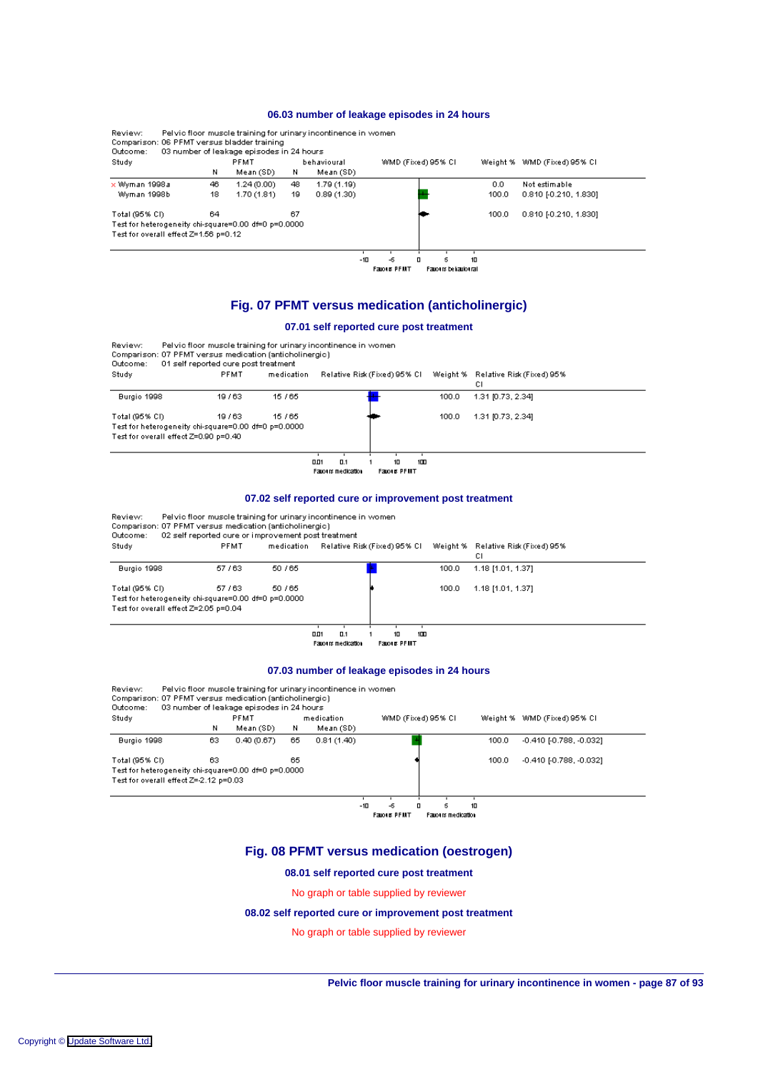### **06.03 number of leakage episodes in 24 hours**

<span id="page-90-0"></span>

## **Fig. 07 PFMT versus medication (anticholinergic)**

<span id="page-90-3"></span><span id="page-90-2"></span><span id="page-90-1"></span>

|                                                                                                                  |                                                                                                                         |            | 07.01 self reported cure post treatment                                                |                                    |                         |                                  |
|------------------------------------------------------------------------------------------------------------------|-------------------------------------------------------------------------------------------------------------------------|------------|----------------------------------------------------------------------------------------|------------------------------------|-------------------------|----------------------------------|
| Review:<br>Comparison: 07 PFMT versus medication (anticholinergic)<br>Outcome:                                   | Pel vic floor muscle training for urinary incontinence in women.<br>01 self reported cure post treatment                |            |                                                                                        |                                    |                         |                                  |
| Study                                                                                                            | PFMT                                                                                                                    | medication | Relative Risk (Fixed) 95% Cl                                                           |                                    | Weight %                | Relative Risk (Fixed) 95%<br>сı  |
| Burgio 1998                                                                                                      | 19/63                                                                                                                   | 15 / 65    |                                                                                        |                                    | 100.0                   | 1.31 [0.73, 2.34]                |
| Total (95% CI)<br>Test for heterogeneity chi-square=0.00 df=0 p=0.0000<br>Test for overall effect Z=0.90 p=0.40  | 19/63                                                                                                                   | 15 / 65    |                                                                                        |                                    | 100.0                   | 1.31 [0.73, 2.34]                |
|                                                                                                                  |                                                                                                                         |            | 0.01<br>0.1<br>1<br>Fatours medication                                                 | 10<br>100<br><b>Faious PENT</b>    |                         |                                  |
|                                                                                                                  |                                                                                                                         |            | 07.02 self reported cure or improvement post treatment                                 |                                    |                         |                                  |
| Review:<br>Comparison: 07 PFMT versus medication (anticholinergic).<br>Outcome:                                  | Pel vic floor muscle training for urinary incontinence in women.<br>02 self reported cure or improvement post treatment |            |                                                                                        |                                    |                         |                                  |
| Study                                                                                                            | PEMT                                                                                                                    | medication |                                                                                        | Relative Risk (Fixed) 95% Cl       | Weight %                | Relative Risk (Fixed) 95%<br>СI  |
| Burgio 1998                                                                                                      | 57/63                                                                                                                   | 50 / 65    |                                                                                        |                                    | 100.0                   | 1.18 [1.01, 1.37]                |
| Total (95% CI)<br>Test for heterogeneity chi-square=0.00 df=0 p=0.0000<br>Test for overall effect Z=2.05 p=0.04  | 57/63                                                                                                                   | 50 / 65    |                                                                                        |                                    | 100.0                   | 1.18 [1.01, 1.37]                |
|                                                                                                                  |                                                                                                                         |            | 0.1<br>0.01<br>1<br>Fatours medication<br>07.03 number of leakage episodes in 24 hours | 10<br>100<br><b>Faious PENT</b>    |                         |                                  |
| Review:<br>Comparison: 07 PFMT versus medication (anticholinergic)<br>Outcome:                                   | Pelvic floor muscle training for urinary incontinence in women<br>03 number of leakage episodes in 24 hours             |            |                                                                                        |                                    |                         |                                  |
| Study                                                                                                            | PFMT<br>и<br>Mean (SD)                                                                                                  | N          | medication<br>Mean (SD)                                                                | WMD (Fixed) 95% CI                 |                         | WMD (Fixed) 95% CI<br>Weight %   |
| Burgio 1998                                                                                                      | 0.40(0.67)<br>63                                                                                                        | 65         | 0.81(1.40)                                                                             |                                    |                         | 100.0<br>-0.410 [-0.788, -0.032] |
| Total (95% CI)<br>Test for heterogeneity chi-square=0.00 df=0 p=0.0000<br>Test for overall effect Z=-2.12 p=0.03 | 63                                                                                                                      | 65         |                                                                                        |                                    |                         | 100.0<br>-0.410 [-0.788, -0.032] |
|                                                                                                                  |                                                                                                                         |            | $-10$                                                                                  | -5<br>$\Box$<br><b>Faious PFMT</b> | 5<br>Fauours medication | 10                               |

## **Fig. 08 PFMT versus medication (oestrogen)**

### **08.01 self reported cure post treatment**

### No graph or table supplied by reviewer

### **08.02 self reported cure or improvement post treatment**

No graph or table supplied by reviewer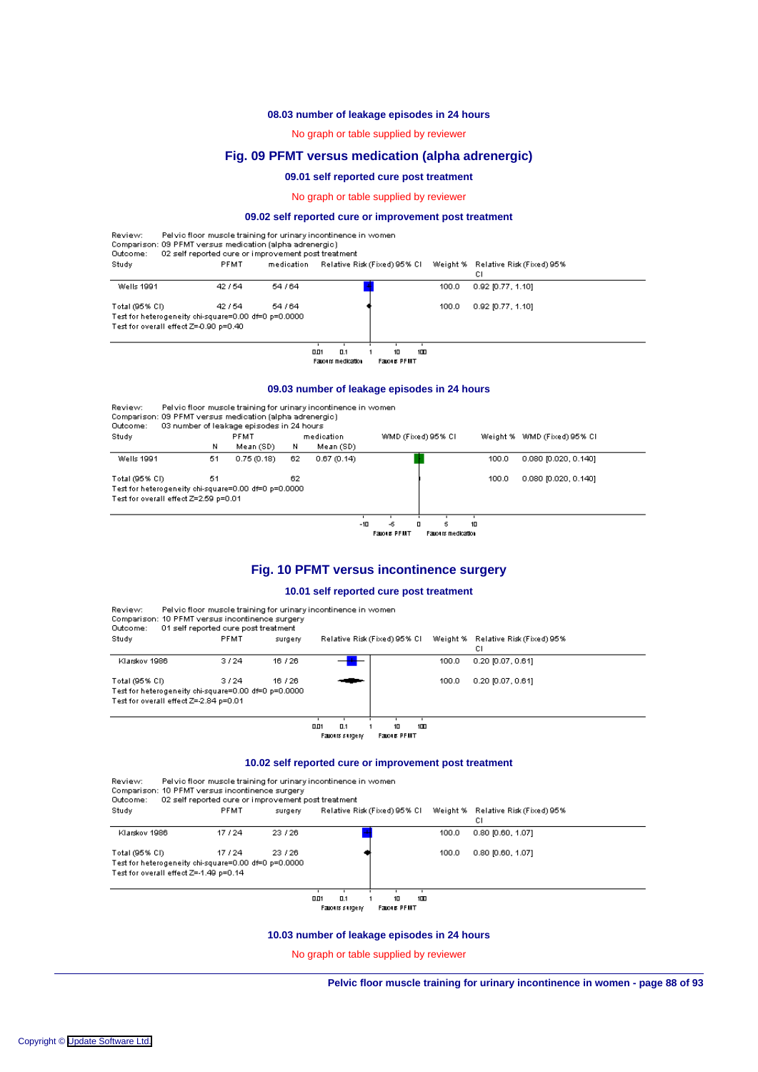### **08.03 number of leakage episodes in 24 hours**

No graph or table supplied by reviewer

## **Fig. 09 PFMT versus medication (alpha adrenergic)**

**09.01 self reported cure post treatment**

No graph or table supplied by reviewer

## **09.02 self reported cure or improvement post treatment**

<span id="page-91-0"></span>

| Review:<br>Outcome:                                  | Pel vic floor muscle training for urinary incontinence in women<br>Comparison: 09 PFMT versus medication (alpha adrenergic).<br>02 self reported cure or improvement post treatment. |            |                                              |                                 |       |                                          |  |  |  |  |  |  |
|------------------------------------------------------|--------------------------------------------------------------------------------------------------------------------------------------------------------------------------------------|------------|----------------------------------------------|---------------------------------|-------|------------------------------------------|--|--|--|--|--|--|
| Study                                                | PFMT                                                                                                                                                                                 | medication |                                              | Relative Risk (Fixed) 95% Cl    |       | Weight % Relative Risk (Fixed) 95%<br>сı |  |  |  |  |  |  |
| Wells 1991                                           | 42/54                                                                                                                                                                                | 54/64      |                                              |                                 | 100.0 | $0.92$ [0.77, 1.10]                      |  |  |  |  |  |  |
| Total (95% CI)                                       | 42/54                                                                                                                                                                                | 54/64      |                                              |                                 | 100.0 | 0.92 10.77, 1.101                        |  |  |  |  |  |  |
| Test for heterogeneity chi-square=0.00 df=0 p=0.0000 |                                                                                                                                                                                      |            |                                              |                                 |       |                                          |  |  |  |  |  |  |
| Test for overall effect Z=-0.90 p=0.40               |                                                                                                                                                                                      |            |                                              |                                 |       |                                          |  |  |  |  |  |  |
|                                                      |                                                                                                                                                                                      |            | $0.1$<br>$\Box$<br><b>Faiours medication</b> | 10<br>100<br><b>Falous PENT</b> |       |                                          |  |  |  |  |  |  |

### **09.03 number of leakage episodes in 24 hours**

<span id="page-91-1"></span>

| Review:                                                   | Pelvic floor muscle training for urinary incontinence in women |                                            |    |            |       |                     |                    |                    |          |                      |  |  |  |
|-----------------------------------------------------------|----------------------------------------------------------------|--------------------------------------------|----|------------|-------|---------------------|--------------------|--------------------|----------|----------------------|--|--|--|
| Comparison: 09 PFMT versus medication (alpha adrenergic). |                                                                |                                            |    |            |       |                     |                    |                    |          |                      |  |  |  |
| Outcome:                                                  |                                                                | 03 number of leakage episodes in 24 hours. |    |            |       |                     |                    |                    |          |                      |  |  |  |
| Study                                                     |                                                                | PFMT                                       |    | medication |       |                     | WMD (Fixed) 95% CI |                    | Weight % | WMD (Fixed) 95% Cl   |  |  |  |
|                                                           | и                                                              | Mean (SD)                                  | N  | Mean (SD)  |       |                     |                    |                    |          |                      |  |  |  |
| Wells 1991                                                | 51                                                             | 0.75(0.18)                                 | 62 | 0.67(0.14) |       |                     |                    |                    | 100.0    | 0.080 [0.020, 0.140] |  |  |  |
| Total (95% CI)                                            | 51                                                             |                                            | 62 |            |       |                     |                    |                    | 100.0    | 0.080 [0.020, 0.140] |  |  |  |
| Test for heterogeneity chi-square=0.00 df=0 p=0.0000      |                                                                |                                            |    |            |       |                     |                    |                    |          |                      |  |  |  |
| Test for overall effect Z=2.59 p=0.01                     |                                                                |                                            |    |            |       |                     |                    |                    |          |                      |  |  |  |
|                                                           |                                                                |                                            |    |            |       |                     |                    |                    |          |                      |  |  |  |
|                                                           |                                                                |                                            |    |            | $-10$ | -5.                 | п                  | s                  | 10       |                      |  |  |  |
|                                                           |                                                                |                                            |    |            |       | <b>Faious PFUIT</b> |                    | Fatours medication |          |                      |  |  |  |

## **Fig. 10 PFMT versus incontinence surgery**

## **10.01 self reported cure post treatment**

<span id="page-91-3"></span><span id="page-91-2"></span>

| Review:<br>Outcome: | Comparison: 10 PFMT versus incontinence surgery<br>01 self reported cure post treatment | Pel vic floor muscle training for urinary incontinence in women |         |      |                 |                              |                   |          |                                 |
|---------------------|-----------------------------------------------------------------------------------------|-----------------------------------------------------------------|---------|------|-----------------|------------------------------|-------------------|----------|---------------------------------|
| Study               |                                                                                         | PFMT                                                            | surgery |      |                 | Relative Risk (Fixed) 95% Cl |                   | Weight % | Relative Risk (Fixed) 95%<br>сı |
| Klarskov 1986       |                                                                                         | 3/24                                                            | 16 / 26 |      |                 |                              |                   | 100.0    | $0.20$ $[0.07, 0.61]$           |
| Total (95% CI)      |                                                                                         | 3/24                                                            | 16 / 26 |      |                 |                              |                   | 100.0    | $0.20$ [0.07, 0.61]             |
|                     | Test for heterogeneity chi-square=0.00 df=0 p=0.0000                                    |                                                                 |         |      |                 |                              |                   |          |                                 |
|                     | Test for overall effect Z=-2.84 p=0.01                                                  |                                                                 |         |      |                 |                              |                   |          |                                 |
|                     |                                                                                         |                                                                 |         | 0.01 | $0.1$           | $1\Box$                      | $1 \text{ } \Box$ |          |                                 |
|                     |                                                                                         |                                                                 |         |      | Fauours surgery | <b>Faious PENT</b>           |                   |          |                                 |

### **10.02 self reported cure or improvement post treatment**



**10.03 number of leakage episodes in 24 hours**

No graph or table supplied by reviewer

**Pelvic floor muscle training for urinary incontinence in women - page 88 of 93**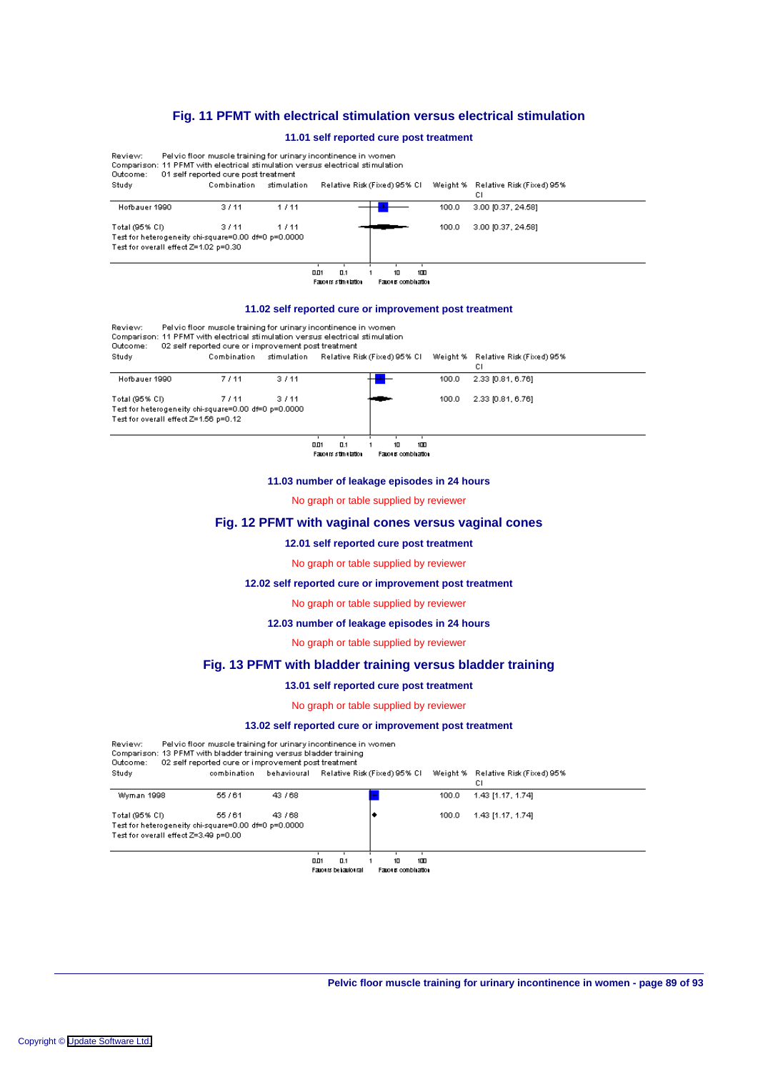### **Fig. 11 PFMT with electrical stimulation versus electrical stimulation**

#### <span id="page-92-0"></span>**11.01 self reported cure post treatment** Review: Pel vic floor muscle training for urinary incontinence in women comparison: 11 PFMT with electrical stimulation versus electrical stimulation Outcome: 01 self reported oure post treatment Study Combination stimulation Relative Risk (Fixed) 95% CI Weight % Relative Risk (Fixed) 95% CL. Hofbauer 1990  $3/11$  $1/11$  $100.0$ 3.00 [0.37, 24.58] Total (95% CI)  $3/11$  $1/11$ 100.0 3.00 [0.37, 24.58] Test for heterogeneity chi-square=0.00 df=0 p=0.0000 Test for overall effect Z=1.02 p=0.30  $\overline{u}$  $0.1$ 10  $\overline{1}$ Faiours stimulation Fatours combination **11.02 self reported cure or improvement post treatment**

<span id="page-92-1"></span>Review: Pelvic floor muscle training for urinary incontinence in women<br>Comparison: 11 PFMT with electrical stimulation versus electrical stimulation Outcome: 02 self reported cure or improvement post treatment Study Combination stimulation Relative Risk (Fixed) 95% CI Weight % Relative Risk (Fixed) 95% c) Hofbauer 1990  $7/11$  $3 / 11$  $100.0$ 2.33 [0.81, 6.76]  $3/11$ Total (95% CI)  $7/11$ 100.0 2.33 [0.81, 6.76] Test for heterogeneity chi-square=0.00 df=0 p=0.0000 Test for overall effect Z=1.56 p=0.12  $n_{\text{B}}$  $0.1$  $1\Box$  $\overline{m}$ 

Faious combination **Fauours stimulation** 

### **11.03 number of leakage episodes in 24 hours**

No graph or table supplied by reviewer

## **Fig. 12 PFMT with vaginal cones versus vaginal cones**

### **12.01 self reported cure post treatment**

### No graph or table supplied by reviewer

### **12.02 self reported cure or improvement post treatment**

#### No graph or table supplied by reviewer

### **12.03 number of leakage episodes in 24 hours**

No graph or table supplied by reviewer

### **Fig. 13 PFMT with bladder training versus bladder training**

### **13.01 self reported cure post treatment**

### No graph or table supplied by reviewer

### **13.02 self reported cure or improvement post treatment**

<span id="page-92-2"></span>

| Review:<br>Outcome:                   | Pel vic floor muscle training for urinary incontinence in women<br>Comparison: 13 PFMT with bladder training versus bladder training<br>02 self reported cure or improvement post treatment. |                                          |      |                     |                           |     |       |                                          |
|---------------------------------------|----------------------------------------------------------------------------------------------------------------------------------------------------------------------------------------------|------------------------------------------|------|---------------------|---------------------------|-----|-------|------------------------------------------|
| Study                                 | combination                                                                                                                                                                                  | behavioural Relative Risk (Fixed) 95% Cl |      |                     |                           |     |       | Weight % Relative Risk (Fixed) 95%<br>сı |
| Wyman 1998                            | 55/61                                                                                                                                                                                        | 43 / 68                                  |      |                     |                           |     | 100.0 | 1.43 [1.17, 1.74]                        |
| Total (95% CI)                        | 55/61                                                                                                                                                                                        | 43 / 68                                  |      |                     |                           |     | 100.0 | 1.43 [1.17, 1.74]                        |
|                                       | Test for heterogeneity chi-square=0.00 df=0 p=0.0000                                                                                                                                         |                                          |      |                     |                           |     |       |                                          |
| Test for overall effect Z=3.49 p=0.00 |                                                                                                                                                                                              |                                          |      |                     |                           |     |       |                                          |
|                                       |                                                                                                                                                                                              |                                          | 0.01 | 0.1                 | 10                        | 100 |       |                                          |
|                                       |                                                                                                                                                                                              |                                          |      | Fauours behauloural | <b>Fauous combination</b> |     |       |                                          |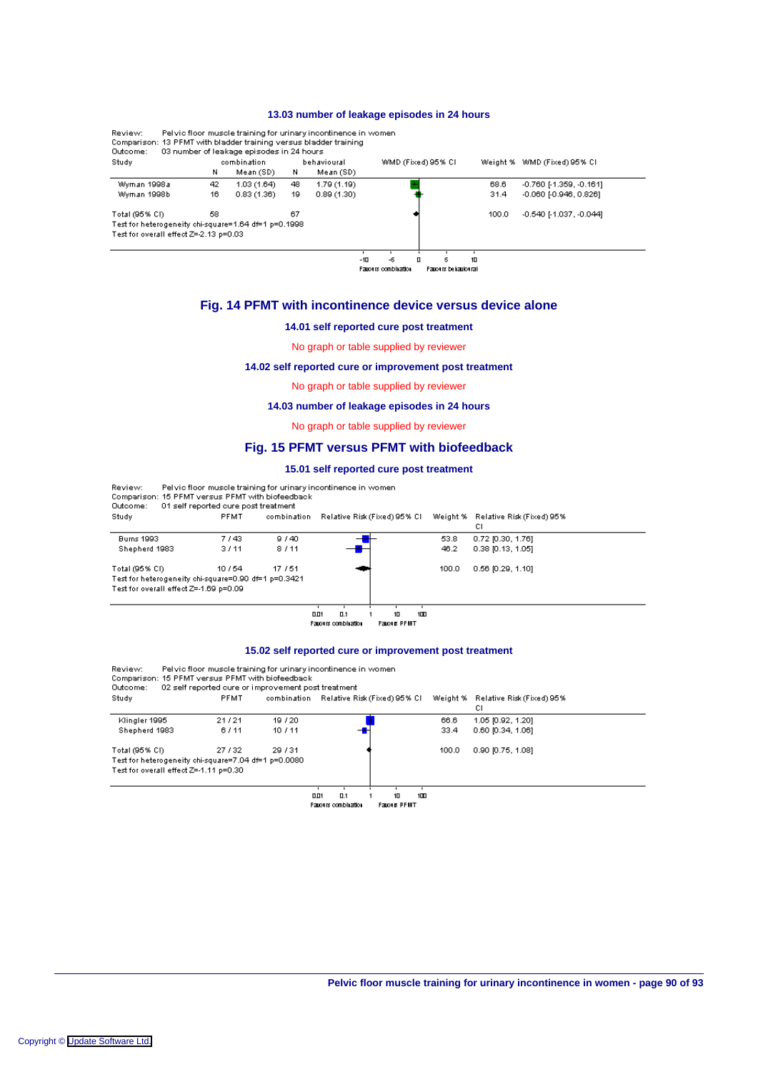### **13.03 number of leakage episodes in 24 hours**

<span id="page-93-0"></span>

| Review:<br>Outcome:                    |             | Pelvic floor muscle training for urinary incontinence in women<br>Comparison: 13 PFMT with bladder training versus bladder training<br>03 number of leakage episodes in 24 hours |             |            |       |     |                    |   |          |                    |                            |
|----------------------------------------|-------------|----------------------------------------------------------------------------------------------------------------------------------------------------------------------------------|-------------|------------|-------|-----|--------------------|---|----------|--------------------|----------------------------|
| Study                                  | combination |                                                                                                                                                                                  | behavioural |            |       |     | WMD (Fixed) 95% CI |   | Weight % | WMD (Fixed) 95% CI |                            |
|                                        | N           | Mean (SD)                                                                                                                                                                        | N           | Mean (SD)  |       |     |                    |   |          |                    |                            |
| Wyman 1998a                            | 42          | (1.03(1.64))                                                                                                                                                                     | 48          | 1.79(1.19) |       |     |                    |   |          | 68.6               | $-0.760$ [-1.359, -0.161]  |
| Wyman 1998b                            | 16          | 0.83(1.36)                                                                                                                                                                       | 19          | 0.89(1.30) |       |     |                    |   |          | 31.4               | $-0.060$ $[-0.946, 0.826]$ |
| Total (95% CI)                         | 58          |                                                                                                                                                                                  | 67          |            |       |     |                    |   |          | 100.0              | $-0.540$ [-1.037, -0.044]  |
|                                        |             | Test for heterogeneity chi-square=1.64 df=1 p=0.1998                                                                                                                             |             |            |       |     |                    |   |          |                    |                            |
| Test for overall effect Z=-2.13 p=0.03 |             |                                                                                                                                                                                  |             |            |       |     |                    |   |          |                    |                            |
|                                        |             |                                                                                                                                                                                  |             |            | $-10$ | -5. |                    | s | 10       |                    |                            |

Faiours combination Fauours behautoural

## **Fig. 14 PFMT with incontinence device versus device alone**

## **14.01 self reported cure post treatment**

No graph or table supplied by reviewer

## **14.02 self reported cure or improvement post treatment**

No graph or table supplied by reviewer

### **14.03 number of leakage episodes in 24 hours**

No graph or table supplied by reviewer

## **Fig. 15 PFMT versus PFMT with biofeedback**

### **15.01 self reported cure post treatment**

<span id="page-93-1"></span>

| Review: |  | Pelvic floor muscle training for urinary incontinence in women. |  |
|---------|--|-----------------------------------------------------------------|--|
|         |  |                                                                 |  |

Comparison: 15 PFMT versus PFMT with biofeedback

Outcome: 01 self reported cure post treatment

<span id="page-93-2"></span>

| Study                                                | PFMT   | combination |      |         | Relative Risk (Fixed) 95% Cl |       | Weight % Relative Risk (Fixed) 95%<br>сı |  |
|------------------------------------------------------|--------|-------------|------|---------|------------------------------|-------|------------------------------------------|--|
| <b>Burns 1993</b>                                    | 7 / 43 | 9 / 40      |      |         |                              | 53.8  | 0.72 10.30, 1.761                        |  |
| Shepherd 1983                                        | 3/11   | 8/11        |      |         |                              | 46.2  | $0.38$ [0.13, 1.05]                      |  |
| Total (95% CI)                                       | 10/54  | 17 / 51     |      |         |                              | 100.0 | $0.56$ [0.29, 1.10]                      |  |
| Test for heterogeneity chi-square=0.90 df=1 p=0.3421 |        |             |      |         |                              |       |                                          |  |
| Test for overall effect Z=-1.69 p=0.09               |        |             |      |         |                              |       |                                          |  |
|                                                      |        |             |      |         |                              |       |                                          |  |
|                                                      |        |             | 0.01 | $\Pi.1$ | 100<br>10                    |       |                                          |  |

**Faiours combination Faious PFUIT** 

### **15.02 self reported cure or improvement post treatment**

Review: Pelvic floor muscle training for urinary incontinence in women<br>Comparison: 15 PFMT versus PFMT with biofeedback<br>Outcome: 02 self reported cure or improvement post treatment Study PFMT combination Relative Risk (Fixed) 95% Cl Weight % Relative Risk (Fixed) 95% сı Klingler 1995  $21/21$  $19/20$  $\overline{BB}$ 1.05 (0.92, 1.20) Shepherd 1983  $10/11$  $33.4$ 0.60 [0.34, 1.06]  $6/11$ Total (95% CI) 27/32 29 / 31 100.0 0.90 [0.75, 1.08] Test for heterogeneity chi-square=7.04 df=1 p=0.0080 Test for overall effect Z=-1.11 p=0.30  $n_{\text{B}}$  $0.1$  $\overline{1}$  $100$ **Faxous PENT** Faiours combination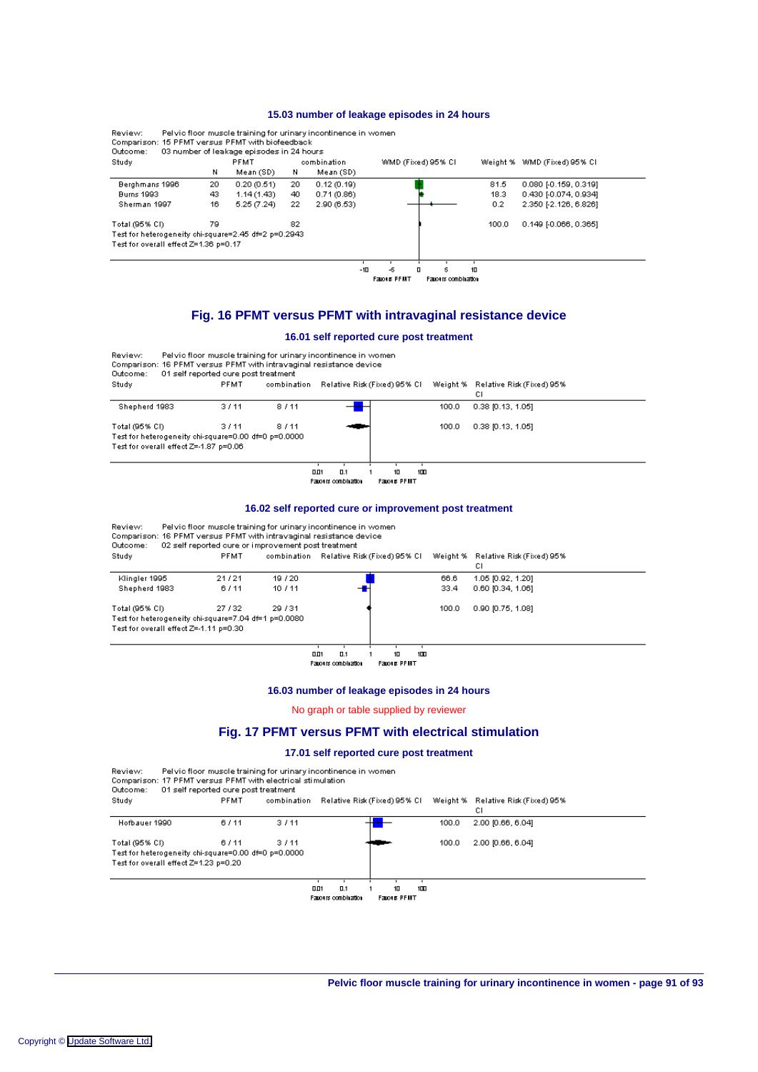### **15.03 number of leakage episodes in 24 hours**

<span id="page-94-0"></span>

| Review:<br>Comparison: 15 PFMT versus PFMT with biofeedback<br>Outcome: |      | Pelvic floor muscle training for urinary incontinence in women<br>03 number of leakage episodes in 24 hours. |    |             |          |                    |                    |                     |          |                    |                         |  |
|-------------------------------------------------------------------------|------|--------------------------------------------------------------------------------------------------------------|----|-------------|----------|--------------------|--------------------|---------------------|----------|--------------------|-------------------------|--|
| Study                                                                   | PFMT |                                                                                                              |    | combination |          |                    | WMD (Fixed) 95% CI |                     | Weight % | WMD (Fixed) 95% CI |                         |  |
|                                                                         | N    | Mean (SD)                                                                                                    | N. | Mean (SD)   |          |                    |                    |                     |          |                    |                         |  |
| Berghmans 1996                                                          | 20   | 0.20(0.51)                                                                                                   | 20 | 0.12(0.19)  |          |                    |                    |                     |          | 81.5               | $0.080$ [-0.159, 0.319] |  |
| <b>Burns 1993</b>                                                       | 43   | 1.14(1.43)                                                                                                   | 40 | 0.71(0.86)  |          |                    |                    |                     |          | 18.3               | 0.430 [-0.074, 0.934]   |  |
| Sherman 1997                                                            | 16   | 5.25(7.24)                                                                                                   | 22 | 2.90(6.53)  |          |                    |                    |                     |          | 0.2                | 2.350 [-2.126, 6.826]   |  |
| Total (95% CI)                                                          | 79   |                                                                                                              | 82 |             |          |                    |                    |                     |          | 100.0              | 0.149 [-0.066, 0.365]   |  |
| Test for heterogeneity chi-square=2.45 df=2 p=0.2943                    |      |                                                                                                              |    |             |          |                    |                    |                     |          |                    |                         |  |
| Test for overall effect Z=1.36 p=0.17                                   |      |                                                                                                              |    |             |          |                    |                    |                     |          |                    |                         |  |
|                                                                         |      |                                                                                                              |    |             |          |                    |                    |                     |          |                    |                         |  |
|                                                                         |      |                                                                                                              |    |             | $-1\Box$ | -5                 | п                  | s                   | 10       |                    |                         |  |
|                                                                         |      |                                                                                                              |    |             |          | <b>Faious PFMT</b> |                    | Fauours combination |          |                    |                         |  |

## **Fig. 16 PFMT versus PFMT with intravaginal resistance device**

## **16.01 self reported cure post treatment**

<span id="page-94-1"></span>

| Review:<br>Comparison: 16 PFMT versus PFMT with intravaginal resistance device<br>Outcome: | Pelvic floor muscle training for urinary incontinence in women<br>01 self reported cure post treatment |      |             |                             |       |                              |     |       |                                          |
|--------------------------------------------------------------------------------------------|--------------------------------------------------------------------------------------------------------|------|-------------|-----------------------------|-------|------------------------------|-----|-------|------------------------------------------|
| Study                                                                                      |                                                                                                        | PFMT | combination |                             |       | Relative Risk (Fixed) 95% Cl |     |       | Weight % Relative Risk (Fixed) 95%<br>сı |
| Shepherd 1983                                                                              |                                                                                                        | 3/11 | 8/11        |                             |       |                              |     | 100.0 | $0.38$ [0.13, 1.05]                      |
| Total (95% CI)<br>Test for heterogeneity chi-square=0.00 df=0 p=0.0000                     |                                                                                                        | 3/11 | 8/11        |                             |       |                              |     | 100.0 | $0.38$ [0.13, 1.05]                      |
| Test for overall effect Z=-1.87 p=0.06                                                     |                                                                                                        |      |             |                             |       |                              |     |       |                                          |
|                                                                                            |                                                                                                        |      |             | 0.01<br>Fatours combination | $0.1$ | 10<br><b>Faious PFMT</b>     | 100 |       |                                          |

## **16.02 self reported cure or improvement post treatment**

<span id="page-94-2"></span>

| Review:<br>Comparison: 16 PFMT versus PFMT with intravaginal resistance device. |                                                                     |         | Pel vic floor muscle training for urinary incontinence in women |                |                                          |  |
|---------------------------------------------------------------------------------|---------------------------------------------------------------------|---------|-----------------------------------------------------------------|----------------|------------------------------------------|--|
| Outcome:<br>Studv                                                               | 02 self reported cure or improvement post treatment.<br><b>PFMT</b> |         | combination Relative Risk (Fixed) 95% Cl                        |                | Weight % Relative Risk (Fixed) 95%<br>сı |  |
| Klingler 1995                                                                   | 21/21                                                               | 19 / 20 |                                                                 | 66.6           | 1.05 [0.92, 1.20]                        |  |
| Shepherd 1983                                                                   | 6/11                                                                | 10/11   |                                                                 | 33.4           | 0.60 [0.34, 1.06]                        |  |
| Total (95% CI)                                                                  | 27/32                                                               | 29 / 31 |                                                                 | 100.0          | 0.90 [0.75, 1.08]                        |  |
| Test for heterogeneity chi-square=7.04 df=1 p=0.0080                            |                                                                     |         |                                                                 |                |                                          |  |
| Test for overall effect Z=-1.11 p=0.30                                          |                                                                     |         |                                                                 |                |                                          |  |
|                                                                                 |                                                                     |         |                                                                 |                |                                          |  |
|                                                                                 |                                                                     |         | <b>DD</b> <sup>1</sup><br>. .<br>$\overline{1}$                 | $\overline{1}$ |                                          |  |

.<br>0.01 0.1 1 10 100<br>Fauotrs.com.bliation Fauotis.PFMT

### **16.03 number of leakage episodes in 24 hours**

No graph or table supplied by reviewer

## **Fig. 17 PFMT versus PFMT with electrical stimulation**

### **17.01 self reported cure post treatment**

<span id="page-94-3"></span>

| Review:<br>Outcome:                                  | Pel vic floor muscle training for urinary incontinence in women<br>Comparison: 17 PFMT versus PFMT with electrical stimulation.<br>01 self reported cure post treatment |             |                                        |                                 |       |                                          |  |  |  |  |  |  |
|------------------------------------------------------|-------------------------------------------------------------------------------------------------------------------------------------------------------------------------|-------------|----------------------------------------|---------------------------------|-------|------------------------------------------|--|--|--|--|--|--|
| Study                                                | PFMT                                                                                                                                                                    | combination |                                        | Relative Risk (Fixed) 95% Cl    |       | Weight % Relative Risk (Fixed) 95%<br>сı |  |  |  |  |  |  |
| Hofbauer 1990                                        | 6/11                                                                                                                                                                    | 3/11        |                                        |                                 | 100.0 | 2.00 10.66, 6.041                        |  |  |  |  |  |  |
| Total (95% CI)                                       | 6/11                                                                                                                                                                    | 3/11        |                                        |                                 | 100.0 | 2.00 [0.66, 6.04]                        |  |  |  |  |  |  |
| Test for heterogeneity chi-square=0.00 df=0 p=0.0000 |                                                                                                                                                                         |             |                                        |                                 |       |                                          |  |  |  |  |  |  |
| Test for overall effect Z=1.23 p=0.20                |                                                                                                                                                                         |             |                                        |                                 |       |                                          |  |  |  |  |  |  |
|                                                      |                                                                                                                                                                         |             | $\Pi.1$<br>0.01<br>Fatours combination | 10<br>100<br><b>Faious PFMT</b> |       |                                          |  |  |  |  |  |  |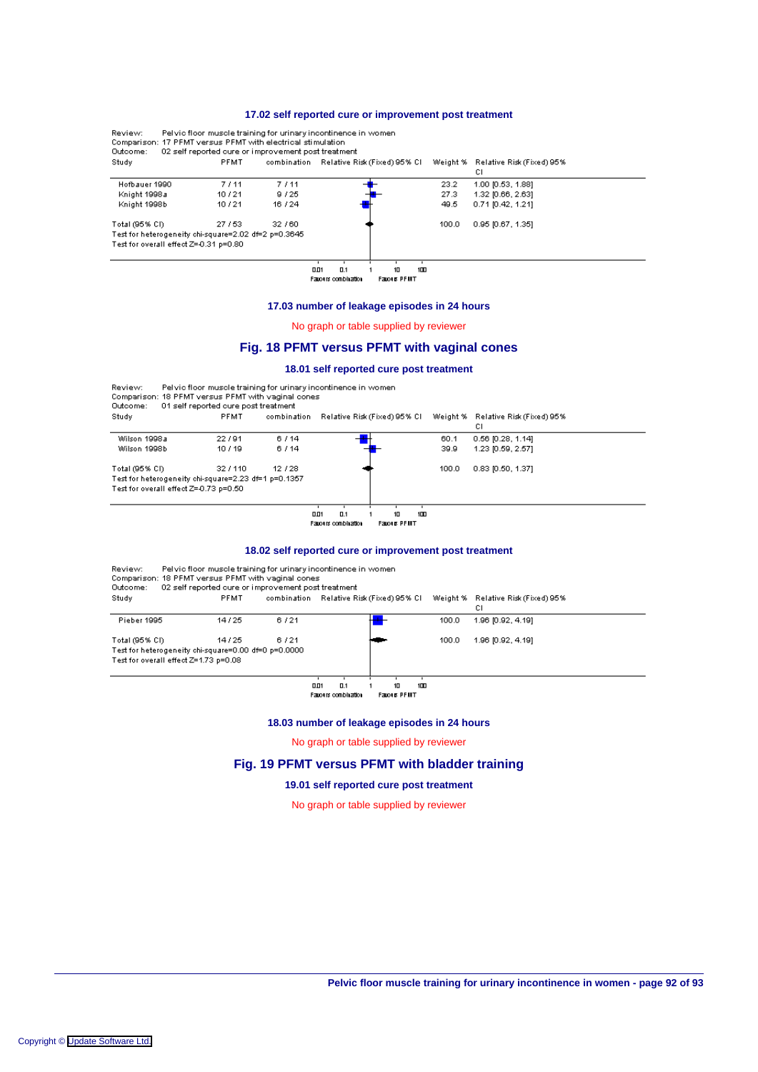### **17.02 self reported cure or improvement post treatment**

<span id="page-95-0"></span>

| Review:<br>Outcome: | Pelvic floor muscle training for urinary incontinence in women<br>Comparison: 17 PFMT versus PFMT with electrical stimulation.<br>02 self reported cure or improvement post treatment. |       |             |             |                              |    |          |                                 |  |
|---------------------|----------------------------------------------------------------------------------------------------------------------------------------------------------------------------------------|-------|-------------|-------------|------------------------------|----|----------|---------------------------------|--|
| Study               |                                                                                                                                                                                        | PFMT  | combination |             | Relative Risk (Fixed) 95% Cl |    | Weight % | Relative Risk (Fixed) 95%<br>сı |  |
| Hofbauer 1990       |                                                                                                                                                                                        | 7/11  | 7/11        |             |                              |    | 23.2     | 1.00 10.53, 1.881               |  |
| Knight 1998a        |                                                                                                                                                                                        | 10/21 | 9/25        |             |                              |    | 27.3     | 1.32 10.66, 2.631               |  |
| Knight 1998b        |                                                                                                                                                                                        | 10/21 | 16 / 24     |             |                              |    | 49.5     | 0.71 [0.42, 1.21]               |  |
| Total (95% CI)      |                                                                                                                                                                                        | 27/53 | 32 / 60     |             |                              |    | 100.0    | 0.95 [0.67, 1.35]               |  |
|                     | Test for heterogeneity chi-square=2.02 df=2 p=0.3645                                                                                                                                   |       |             |             |                              |    |          |                                 |  |
|                     | Test for overall effect Z=-0.31 p=0.80                                                                                                                                                 |       |             |             |                              |    |          |                                 |  |
|                     |                                                                                                                                                                                        |       |             | 0.1<br>0.01 |                              | 10 | 100      |                                 |  |

Faiours combination Faious PFMT

### **17.03 number of leakage episodes in 24 hours**

No graph or table supplied by reviewer

## **Fig. 18 PFMT versus PFMT with vaginal cones**

## **18.01 self reported cure post treatment**

<span id="page-95-1"></span>

| Study                                                | PFMT   | combination |                     | Relative Risk (Fixed) 95% Cl | Weight % | Relative Risk (Fixed) 95%<br>сı |
|------------------------------------------------------|--------|-------------|---------------------|------------------------------|----------|---------------------------------|
| Wilson 1998a                                         | 22/91  | 6/14        |                     |                              | 60.1     | $0.56$ $[0.28, 1.14]$           |
| Wilson 1998b                                         | 10/19  | 6/14        |                     |                              | 39.9     | 1.23 [0.59, 2.57]               |
| Total (95% CI)                                       | 32/110 | 12/28       |                     |                              | 100.0    | 0.83 [0.50, 1.37]               |
| Test for heterogeneity chi-square=2.23 df=1 p=0.1357 |        |             |                     |                              |          |                                 |
| Test for overall effect Z=-0.73 p=0.50               |        |             |                     |                              |          |                                 |
|                                                      |        |             | 0.01<br>$\Pi.1$     | 10<br>$1 \text{ } \Box$      |          |                                 |
|                                                      |        |             | Fauours combination | <b>Faious PFMT</b>           |          |                                 |

<span id="page-95-2"></span>

| Review:<br>Comparison: 18 PFMT versus PFMT with vaginal cones<br>Outcome: |       | Pelvic floor muscle training for urinary incontinence in women<br>02 self reported cure or improvement post treatment. |                                             |                                 |       |                                          |  |
|---------------------------------------------------------------------------|-------|------------------------------------------------------------------------------------------------------------------------|---------------------------------------------|---------------------------------|-------|------------------------------------------|--|
| Study                                                                     | PFMT  | combination                                                                                                            |                                             | Relative Risk (Fixed) 95% Cl    |       | Weight % Relative Risk (Fixed) 95%<br>сı |  |
| Pieber 1995                                                               | 14/25 | 6/21                                                                                                                   |                                             |                                 | 100.0 | 1.96 [0.92, 4.19]                        |  |
| Total (95% CI)                                                            | 14/25 | 6/21                                                                                                                   |                                             |                                 | 100.0 | 1.96 [0.92, 4.19]                        |  |
| Test for heterogeneity chi-square=0.00 df=0 p=0.0000                      |       |                                                                                                                        |                                             |                                 |       |                                          |  |
| Test for overall effect Z=1.73 p=0.08                                     |       |                                                                                                                        |                                             |                                 |       |                                          |  |
|                                                                           |       |                                                                                                                        | $0.1$<br>0.01<br><b>Fauours combination</b> | 10<br>100<br><b>Faious PFMT</b> |       |                                          |  |

### **18.03 number of leakage episodes in 24 hours**

No graph or table supplied by reviewer

## **Fig. 19 PFMT versus PFMT with bladder training**

## **19.01 self reported cure post treatment**

No graph or table supplied by reviewer